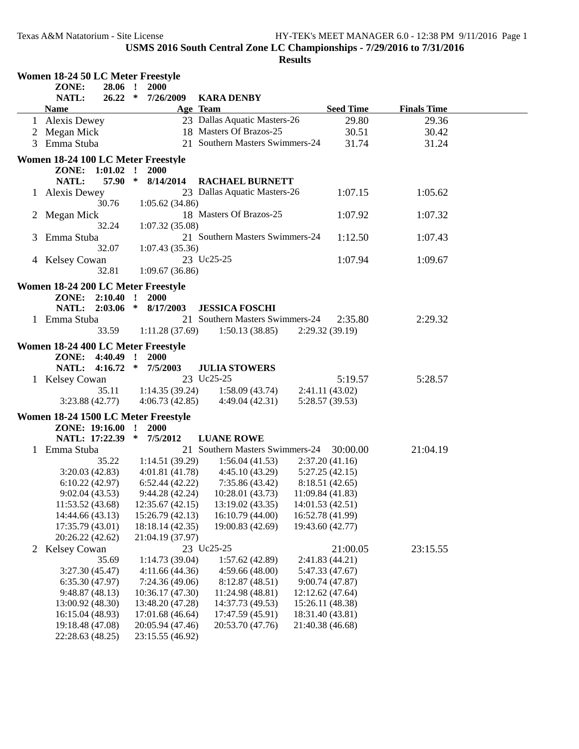|   | Women 18-24 50 LC Meter Freestyle   |         |              |                          |                                          |                  |                  |                    |  |
|---|-------------------------------------|---------|--------------|--------------------------|------------------------------------------|------------------|------------------|--------------------|--|
|   | ZONE:                               | 28.06 ! |              | 2000                     |                                          |                  |                  |                    |  |
|   | NATL:                               | 26.22   | $\ast$       | 7/26/2009                | <b>KARA DENBY</b>                        |                  |                  |                    |  |
|   | <b>Name</b>                         |         |              |                          | Age Team                                 |                  | <b>Seed Time</b> | <b>Finals Time</b> |  |
|   | 1 Alexis Dewey                      |         |              |                          | 23 Dallas Aquatic Masters-26             |                  | 29.80            | 29.36              |  |
|   | 2 Megan Mick                        |         |              |                          | 18 Masters Of Brazos-25                  |                  | 30.51            | 30.42              |  |
|   | 3 Emma Stuba                        |         |              |                          | 21 Southern Masters Swimmers-24          |                  | 31.74            | 31.24              |  |
|   |                                     |         |              |                          |                                          |                  |                  |                    |  |
|   | Women 18-24 100 LC Meter Freestyle  |         |              |                          |                                          |                  |                  |                    |  |
|   | ZONE: 1:01.02 !                     |         |              | <b>2000</b>              |                                          |                  |                  |                    |  |
|   | NATL:                               | 57.90 * |              | 8/14/2014                | <b>RACHAEL BURNETT</b>                   |                  |                  |                    |  |
|   | 1 Alexis Dewey                      |         |              |                          | 23 Dallas Aquatic Masters-26             |                  | 1:07.15          | 1:05.62            |  |
|   |                                     | 30.76   |              | 1:05.62(34.86)           |                                          |                  |                  |                    |  |
|   | 2 Megan Mick                        |         |              |                          | 18 Masters Of Brazos-25                  |                  | 1:07.92          | 1:07.32            |  |
|   |                                     | 32.24   |              | 1:07.32(35.08)           |                                          |                  |                  |                    |  |
| 3 | Emma Stuba                          |         |              |                          | 21 Southern Masters Swimmers-24          |                  | 1:12.50          | 1:07.43            |  |
|   |                                     | 32.07   |              | 1:07.43(35.36)           |                                          |                  |                  |                    |  |
|   | 4 Kelsey Cowan                      |         |              |                          | 23 Uc25-25                               |                  | 1:07.94          | 1:09.67            |  |
|   |                                     | 32.81   |              | 1:09.67(36.86)           |                                          |                  |                  |                    |  |
|   | Women 18-24 200 LC Meter Freestyle  |         |              |                          |                                          |                  |                  |                    |  |
|   | ZONE: 2:10.40 !                     |         |              | <b>2000</b>              |                                          |                  |                  |                    |  |
|   | NATL: 2:03.06 *                     |         |              | 8/17/2003                | <b>JESSICA FOSCHI</b>                    |                  |                  |                    |  |
|   | 1 Emma Stuba                        |         |              |                          | 21 Southern Masters Swimmers-24          |                  | 2:35.80          | 2:29.32            |  |
|   |                                     | 33.59   |              | 1:11.28(37.69)           | 1:50.13(38.85)                           |                  | 2:29.32(39.19)   |                    |  |
|   |                                     |         |              |                          |                                          |                  |                  |                    |  |
|   | Women 18-24 400 LC Meter Freestyle  |         |              |                          |                                          |                  |                  |                    |  |
|   | <b>ZONE:</b> 4:40.49 !              |         |              | <b>2000</b>              |                                          |                  |                  |                    |  |
|   |                                     |         |              | NATL: 4:16.72 * 7/5/2003 | <b>JULIA STOWERS</b>                     |                  |                  |                    |  |
|   | 1 Kelsey Cowan                      |         |              |                          | 23 Uc25-25                               |                  | 5:19.57          | 5:28.57            |  |
|   |                                     | 35.11   |              | 1:14.35(39.24)           | 1:58.09(43.74)                           |                  | 2:41.11(43.02)   |                    |  |
|   | 3:23.88(42.77)                      |         |              | 4:06.73(42.85)           | 4:49.04(42.31)                           |                  | 5:28.57 (39.53)  |                    |  |
|   | Women 18-24 1500 LC Meter Freestyle |         |              |                          |                                          |                  |                  |                    |  |
|   | ZONE: 19:16.00                      |         | $\mathbf{r}$ | <b>2000</b>              |                                          |                  |                  |                    |  |
|   | NATL: 17:22.39 *                    |         |              | 7/5/2012                 | <b>LUANE ROWE</b>                        |                  |                  |                    |  |
|   | 1 Emma Stuba                        |         |              |                          | 21 Southern Masters Swimmers-24 30:00.00 |                  |                  | 21:04.19           |  |
|   |                                     | 35.22   |              | 1:14.51(39.29)           | 1:56.04(41.53)                           |                  | 2:37.20(41.16)   |                    |  |
|   | 3:20.03(42.83)                      |         |              | 4:01.81(41.78)           | 4:45.10(43.29)                           |                  | 5:27.25(42.15)   |                    |  |
|   | 6:10.22(42.97)                      |         |              | 6:52.44(42.22)           | 7:35.86(43.42)                           |                  | 8:18.51 (42.65)  |                    |  |
|   | 9:02.04(43.53)                      |         |              | 9:44.28(42.24)           | $10:28.01(43.73)$ $11:09.84(41.83)$      |                  |                  |                    |  |
|   | 11:53.52 (43.68)                    |         |              | 12:35.67 (42.15)         | 13:19.02 (43.35)                         | 14:01.53 (42.51) |                  |                    |  |
|   | 14:44.66 (43.13)                    |         |              | 15:26.79 (42.13)         | 16:10.79 (44.00)                         | 16:52.78 (41.99) |                  |                    |  |
|   | 17:35.79 (43.01)                    |         |              | 18:18.14 (42.35)         | 19:00.83 (42.69)                         | 19:43.60 (42.77) |                  |                    |  |
|   | 20:26.22 (42.62)                    |         |              | 21:04.19 (37.97)         |                                          |                  |                  |                    |  |
|   | 2 Kelsey Cowan                      |         |              |                          | 23 Uc25-25                               |                  | 21:00.05         | 23:15.55           |  |
|   |                                     | 35.69   |              | 1:14.73(39.04)           | 1:57.62(42.89)                           |                  | 2:41.83 (44.21)  |                    |  |
|   | 3:27.30(45.47)                      |         |              | 4:11.66(44.36)           | 4:59.66(48.00)                           |                  | 5:47.33 (47.67)  |                    |  |
|   | 6:35.30(47.97)                      |         |              | 7:24.36 (49.06)          | 8:12.87 (48.51)                          |                  | 9:00.74 (47.87)  |                    |  |
|   | 9:48.87(48.13)                      |         |              | 10:36.17 (47.30)         | 11:24.98 (48.81)                         | 12:12.62 (47.64) |                  |                    |  |
|   | 13:00.92 (48.30)                    |         |              | 13:48.20 (47.28)         | 14:37.73 (49.53)                         | 15:26.11 (48.38) |                  |                    |  |
|   | 16:15.04 (48.93)                    |         |              | 17:01.68 (46.64)         | 17:47.59 (45.91)                         | 18:31.40 (43.81) |                  |                    |  |
|   | 19:18.48 (47.08)                    |         |              | 20:05.94 (47.46)         | 20:53.70 (47.76)                         | 21:40.38 (46.68) |                  |                    |  |
|   | 22:28.63 (48.25)                    |         |              | 23:15.55 (46.92)         |                                          |                  |                  |                    |  |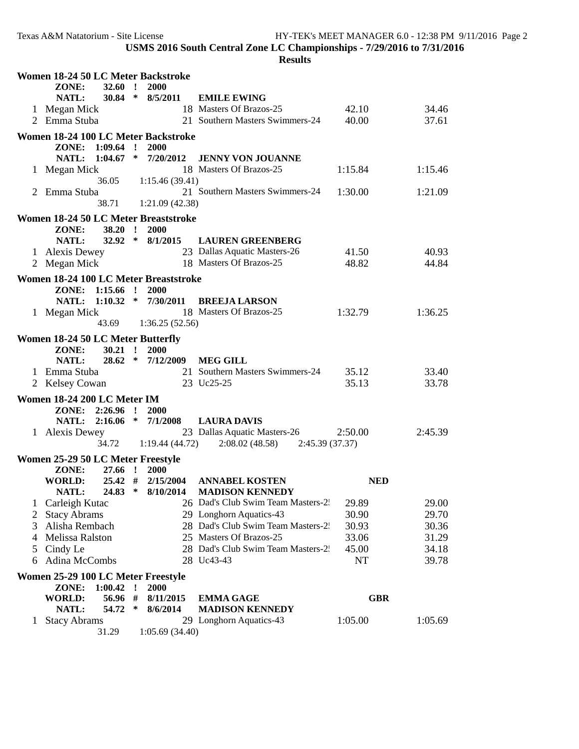|                                          | Women 18-24 50 LC Meter Backstroke    |                       |                 |                                                         |                |                |  |  |
|------------------------------------------|---------------------------------------|-----------------------|-----------------|---------------------------------------------------------|----------------|----------------|--|--|
|                                          | ZONE:<br><b>32.60</b>                 | $\mathbf{r}$<br>2000  |                 |                                                         |                |                |  |  |
|                                          | NATL:                                 | $30.84 * 8/5/2011$    |                 | <b>EMILE EWING</b>                                      |                |                |  |  |
|                                          | 1 Megan Mick                          |                       |                 | 18 Masters Of Brazos-25                                 | 42.10          | 34.46          |  |  |
|                                          | 2 Emma Stuba                          |                       |                 | 21 Southern Masters Swimmers-24                         | 40.00          | 37.61          |  |  |
|                                          | Women 18-24 100 LC Meter Backstroke   |                       |                 |                                                         |                |                |  |  |
|                                          | ZONE: 1:09.64 ! 2000                  |                       |                 |                                                         |                |                |  |  |
|                                          | NATL: 1:04.67 * 7/20/2012             |                       |                 | <b>JENNY VON JOUANNE</b>                                |                |                |  |  |
|                                          | 1 Megan Mick                          |                       |                 | 18 Masters Of Brazos-25                                 | 1:15.84        | 1:15.46        |  |  |
|                                          | 36.05                                 |                       | 1:15.46(39.41)  | 21 Southern Masters Swimmers-24                         |                |                |  |  |
|                                          | 2 Emma Stuba<br>38.71                 |                       | 1:21.09(42.38)  |                                                         | 1:30.00        | 1:21.09        |  |  |
|                                          |                                       |                       |                 |                                                         |                |                |  |  |
|                                          | Women 18-24 50 LC Meter Breaststroke  |                       |                 |                                                         |                |                |  |  |
|                                          | ZONE:<br>$38.20$ !                    | 2000                  |                 |                                                         |                |                |  |  |
|                                          | NATL:                                 |                       |                 | 32.92 * 8/1/2015 LAUREN GREENBERG                       |                |                |  |  |
|                                          | 1 Alexis Dewey                        |                       |                 | 23 Dallas Aquatic Masters-26<br>18 Masters Of Brazos-25 | 41.50<br>48.82 | 40.93<br>44.84 |  |  |
|                                          | 2 Megan Mick                          |                       |                 |                                                         |                |                |  |  |
|                                          | Women 18-24 100 LC Meter Breaststroke |                       |                 |                                                         |                |                |  |  |
|                                          | ZONE: 1:15.66 !                       | <b>2000</b>           |                 |                                                         |                |                |  |  |
|                                          |                                       |                       |                 | NATL: 1:10.32 * 7/30/2011 BREEJA LARSON                 |                |                |  |  |
|                                          | 1 Megan Mick                          |                       |                 | 18 Masters Of Brazos-25                                 | 1:32.79        | 1:36.25        |  |  |
|                                          |                                       | 43.69 1:36.25 (52.56) |                 |                                                         |                |                |  |  |
| <b>Women 18-24 50 LC Meter Butterfly</b> |                                       |                       |                 |                                                         |                |                |  |  |
|                                          | $30.21$ !<br>ZONE:                    | 2000                  |                 |                                                         |                |                |  |  |
|                                          | NATL:                                 | $28.62 * 7/12/2009$   |                 | <b>MEG GILL</b>                                         |                |                |  |  |
|                                          | 1 Emma Stuba                          |                       |                 | 21 Southern Masters Swimmers-24                         | 35.12          | 33.40          |  |  |
|                                          | 2 Kelsey Cowan                        |                       |                 | 23 Uc25-25                                              | 35.13          | 33.78          |  |  |
|                                          | Women 18-24 200 LC Meter IM           |                       |                 |                                                         |                |                |  |  |
|                                          | $ZONE: 2:26.96$ !                     | <b>2000</b>           |                 |                                                         |                |                |  |  |
|                                          | $2:16.06$ * $7/1/2008$<br>NATL:       |                       |                 | <b>LAURA DAVIS</b>                                      |                |                |  |  |
|                                          | 1 Alexis Dewey                        |                       |                 | 23 Dallas Aquatic Masters-26                            | 2:50.00        | 2:45.39        |  |  |
|                                          | 34.72                                 |                       | 1:19.44 (44.72) | $2:08.02(48.58)$ $2:45.39(37.37)$                       |                |                |  |  |
|                                          | Women 25-29 50 LC Meter Freestyle     |                       |                 |                                                         |                |                |  |  |
|                                          | ZONE:<br>27.66 !                      | <b>2000</b>           |                 |                                                         |                |                |  |  |
|                                          | <b>WORLD:</b>                         | 25.42 # 2/15/2004     |                 | <b>ANNABEL KOSTEN</b>                                   | <b>NED</b>     |                |  |  |
|                                          | NATL:                                 |                       |                 | 24.83 * 8/10/2014 MADISON KENNEDY                       |                |                |  |  |
|                                          | Carleigh Kutac                        |                       |                 | 26 Dad's Club Swim Team Masters-2.                      | 29.89          | 29.00          |  |  |
| $\overline{2}$                           | <b>Stacy Abrams</b>                   |                       |                 | 29 Longhorn Aquatics-43                                 | 30.90          | 29.70          |  |  |
| 3                                        | Alisha Rembach                        |                       |                 | 28 Dad's Club Swim Team Masters-2.                      | 30.93          | 30.36          |  |  |
| 4                                        | Melissa Ralston                       |                       |                 | 25 Masters Of Brazos-25                                 | 33.06          | 31.29          |  |  |
| 5                                        | Cindy Le                              |                       |                 | 28 Dad's Club Swim Team Masters-2.                      | 45.00          | 34.18          |  |  |
| 6                                        | Adina McCombs                         |                       |                 | 28 Uc43-43                                              | <b>NT</b>      | 39.78          |  |  |
|                                          | Women 25-29 100 LC Meter Freestyle    |                       |                 |                                                         |                |                |  |  |
|                                          | ZONE:<br>1:00.42                      | 2000<br>$\mathbf{r}$  |                 |                                                         |                |                |  |  |
|                                          | <b>WORLD:</b><br>56.96 #              |                       | 8/11/2015       | <b>EMMA GAGE</b>                                        | <b>GBR</b>     |                |  |  |
|                                          | 54.72<br>NATL:                        | ∗                     | 8/6/2014        | <b>MADISON KENNEDY</b>                                  |                |                |  |  |
| 1                                        |                                       |                       |                 |                                                         |                |                |  |  |
|                                          | <b>Stacy Abrams</b><br>31.29          |                       | 1:05.69(34.40)  | 29 Longhorn Aquatics-43                                 | 1:05.00        | 1:05.69        |  |  |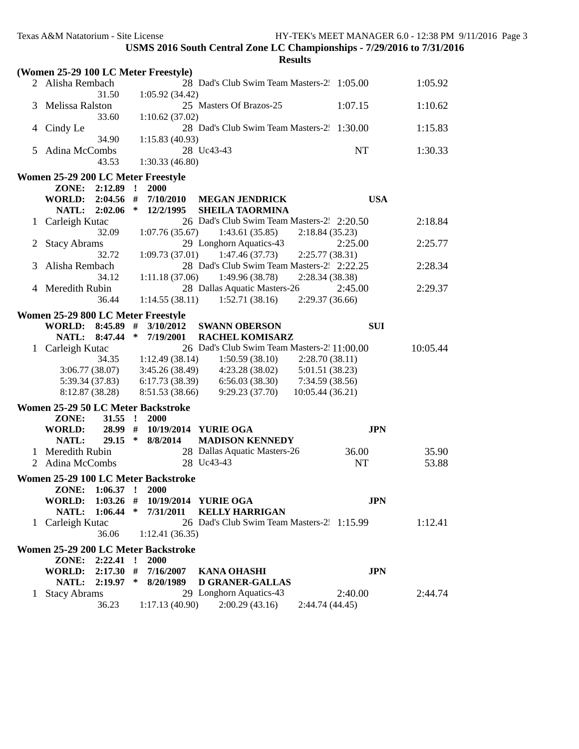|   | (Women 25-29 100 LC Meter Freestyle) |                                               |                 |          |
|---|--------------------------------------|-----------------------------------------------|-----------------|----------|
|   | 2 Alisha Rembach                     | 28 Dad's Club Swim Team Masters-2. 1:05.00    |                 | 1:05.92  |
|   | 31.50                                | 1:05.92(34.42)                                |                 |          |
| 3 | Melissa Ralston                      | 25 Masters Of Brazos-25                       | 1:07.15         | 1:10.62  |
|   | 33.60                                | 1:10.62(37.02)                                |                 |          |
| 4 | Cindy Le                             | 28 Dad's Club Swim Team Masters-2. 1:30.00    |                 | 1:15.83  |
|   | 34.90                                | 1:15.83(40.93)                                |                 |          |
| 5 | Adina McCombs                        | 28 Uc43-43                                    | <b>NT</b>       | 1:30.33  |
|   |                                      |                                               |                 |          |
|   | 43.53                                | 1:30.33(46.80)                                |                 |          |
|   | Women 25-29 200 LC Meter Freestyle   |                                               |                 |          |
|   | ZONE:<br>2:12.89                     | $\mathbf{r}$<br>2000                          |                 |          |
|   | 2:04.56<br><b>WORLD:</b>             | #<br>7/10/2010<br><b>MEGAN JENDRICK</b>       | <b>USA</b>      |          |
|   | 2:02.06<br><b>NATL:</b>              | $\ast$<br>12/2/1995<br><b>SHEILA TAORMINA</b> |                 |          |
| 1 | Carleigh Kutac                       | 26 Dad's Club Swim Team Masters-2. 2:20.50    |                 | 2:18.84  |
|   | 32.09                                | 1:07.76(35.67)<br>1:43.61(35.85)              | 2:18.84(35.23)  |          |
| 2 | <b>Stacy Abrams</b>                  | 29 Longhorn Aquatics-43                       | 2:25.00         | 2:25.77  |
|   | 32.72                                | 1:09.73(37.01)<br>1:47.46(37.73)              | 2:25.77(38.31)  |          |
| 3 | Alisha Rembach                       | 28 Dad's Club Swim Team Masters-2 2:22.25     |                 | 2:28.34  |
|   | 34.12                                | 1:11.18(37.06)<br>1:49.96(38.78)              | 2:28.34 (38.38) |          |
|   | 4 Meredith Rubin                     | 28 Dallas Aquatic Masters-26                  | 2:45.00         | 2:29.37  |
|   | 36.44                                | 1:14.55(38.11)<br>1:52.71(38.16)              | 2:29.37 (36.66) |          |
|   |                                      |                                               |                 |          |
|   | Women 25-29 800 LC Meter Freestyle   |                                               |                 |          |
|   | WORLD: 8:45.89 #                     | 3/10/2012<br><b>SWANN OBERSON</b>             | <b>SUI</b>      |          |
|   | NATL: 8:47.44                        | $\ast$<br>7/19/2001<br><b>RACHEL KOMISARZ</b> |                 |          |
|   | Carleigh Kutac                       | 26 Dad's Club Swim Team Masters-2 11:00.00    |                 | 10:05.44 |
|   | 34.35                                | 1:12.49(38.14)<br>1:50.59(38.10)              | 2:28.70(38.11)  |          |
|   | 3:06.77(38.07)                       | 4:23.28(38.02)<br>3:45.26(38.49)              | 5:01.51 (38.23) |          |
|   | 5:39.34 (37.83)                      | 6:17.73(38.39)<br>6:56.03(38.30)              | 7:34.59 (38.56) |          |
|   | 8:12.87 (38.28)                      | 8:51.53 (38.66)<br>9:29.23(37.70)             | 10:05.44(36.21) |          |
|   | Women 25-29 50 LC Meter Backstroke   |                                               |                 |          |
|   |                                      |                                               |                 |          |
|   | ZONE:<br>$31.55$ !                   | <b>2000</b>                                   |                 |          |
|   | <b>WORLD:</b><br>$29.15$ *           | 28.99 # 10/19/2014 YURIE OGA                  | <b>JPN</b>      |          |
|   | NATL:                                | 8/8/2014<br><b>MADISON KENNEDY</b>            |                 |          |
|   | 1 Meredith Rubin                     | 28 Dallas Aquatic Masters-26                  | 36.00           | 35.90    |
| 2 | Adina McCombs                        | 28 Uc43-43                                    | NT              | 53.88    |
|   | Women 25-29 100 LC Meter Backstroke  |                                               |                 |          |
|   | ZONE: 1:06.37 ! 2000                 |                                               |                 |          |
|   |                                      | WORLD: 1:03.26 # 10/19/2014 YURIE OGA         | <b>JPN</b>      |          |
|   | $1:06.44$ *<br>NATL:                 | <b>KELLY HARRIGAN</b><br>7/31/2011            |                 |          |
|   | 1 Carleigh Kutac                     | 26 Dad's Club Swim Team Masters-2 1:15.99     |                 | 1:12.41  |
|   | 36.06                                | 1:12.41(36.35)                                |                 |          |
|   |                                      |                                               |                 |          |
|   | Women 25-29 200 LC Meter Backstroke  |                                               |                 |          |
|   | ZONE: 2:22.41 !                      | 2000                                          |                 |          |
|   | WORLD: 2:17.30 #                     | 7/16/2007<br><b>KANA OHASHI</b>               | <b>JPN</b>      |          |
|   | NATL: 2:19.97 *                      | 8/20/1989<br><b>D GRANER-GALLAS</b>           |                 |          |
|   | 1 Stacy Abrams                       | 29 Longhorn Aquatics-43                       | 2:40.00         | 2:44.74  |
|   | 36.23                                | 2:00.29(43.16)<br>1:17.13(40.90)              | 2:44.74 (44.45) |          |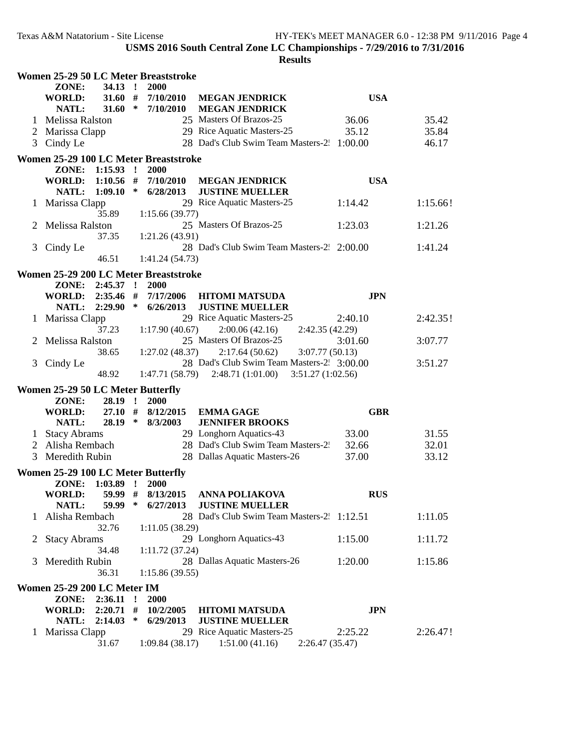|              | Women 25-29 50 LC Meter Breaststroke                     |                        |              |                        |                                                                      |                  |          |  |
|--------------|----------------------------------------------------------|------------------------|--------------|------------------------|----------------------------------------------------------------------|------------------|----------|--|
|              | ZONE:                                                    | $34.13$ !              |              | 2000                   |                                                                      |                  |          |  |
|              | <b>WORLD:</b><br>NATL:                                   | $31.60$ #<br>31.60     | $\ast$       | 7/10/2010<br>7/10/2010 | <b>MEGAN JENDRICK</b><br><b>MEGAN JENDRICK</b>                       | <b>USA</b>       |          |  |
|              | Melissa Ralston                                          |                        |              |                        | 25 Masters Of Brazos-25                                              | 36.06            | 35.42    |  |
|              | Marissa Clapp                                            |                        |              |                        | 29 Rice Aquatic Masters-25                                           | 35.12            | 35.84    |  |
| 3            | Cindy Le                                                 |                        |              |                        | 28 Dad's Club Swim Team Masters-2. 1:00.00                           |                  | 46.17    |  |
|              |                                                          |                        |              |                        |                                                                      |                  |          |  |
|              | Women 25-29 100 LC Meter Breaststroke<br>ZONE: 1:15.93 ! |                        |              | <b>2000</b>            |                                                                      |                  |          |  |
|              | WORLD: 1:10.56 #                                         |                        |              | 7/10/2010              | <b>MEGAN JENDRICK</b>                                                | <b>USA</b>       |          |  |
|              | NATL:                                                    | 1:09.10                | $\ast$       | 6/28/2013              | <b>JUSTINE MUELLER</b>                                               |                  |          |  |
| $\mathbf{I}$ | Marissa Clapp                                            |                        |              |                        | 29 Rice Aquatic Masters-25                                           | 1:14.42          | 1:15.66! |  |
|              |                                                          | 35.89                  |              | 1:15.66(39.77)         |                                                                      |                  |          |  |
|              | Melissa Ralston                                          |                        |              |                        | 25 Masters Of Brazos-25                                              | 1:23.03          | 1:21.26  |  |
|              |                                                          | 37.35                  |              | 1:21.26(43.91)         |                                                                      |                  |          |  |
| 3            | Cindy Le                                                 |                        |              |                        | 28 Dad's Club Swim Team Masters-2 2:00.00                            |                  | 1:41.24  |  |
|              |                                                          | 46.51                  |              | 1:41.24 (54.73)        |                                                                      |                  |          |  |
|              | Women 25-29 200 LC Meter Breaststroke                    |                        |              |                        |                                                                      |                  |          |  |
|              | ZONE:                                                    | $2:45.37$ !            |              | 2000                   |                                                                      |                  |          |  |
|              | <b>WORLD:</b><br><b>NATL:</b>                            | $2:35.46$ #<br>2:29.90 | ∗            | 7/17/2006<br>6/26/2013 | <b>HITOMI MATSUDA</b><br><b>JUSTINE MUELLER</b>                      | <b>JPN</b>       |          |  |
|              | 1 Marissa Clapp                                          |                        |              |                        | 29 Rice Aquatic Masters-25                                           | 2:40.10          | 2:42.35! |  |
|              |                                                          | 37.23                  |              | 1:17.90(40.67)         | 2:00.06(42.16)                                                       | 2:42.35 (42.29)  |          |  |
| 2            | Melissa Ralston                                          |                        |              |                        | 25 Masters Of Brazos-25                                              | 3:01.60          | 3:07.77  |  |
|              |                                                          | 38.65                  |              | 1:27.02(48.37)         | 2:17.64(50.62)                                                       | 3:07.77(50.13)   |          |  |
| 3            | Cindy Le                                                 |                        |              |                        | 28 Dad's Club Swim Team Masters-2. 3:00.00                           |                  | 3:51.27  |  |
|              |                                                          | 48.92                  |              | 1:47.71(58.79)         | 2:48.71 (1:01.00)                                                    | 3:51.27(1:02.56) |          |  |
|              | Women 25-29 50 LC Meter Butterfly                        |                        |              |                        |                                                                      |                  |          |  |
|              | ZONE:                                                    | 28.19 !                |              | 2000                   |                                                                      |                  |          |  |
|              | <b>WORLD:</b>                                            | $27.10$ #              |              | 8/12/2015              | <b>EMMA GAGE</b>                                                     | <b>GBR</b>       |          |  |
|              | NATL:                                                    | $28.19$ *              |              | 8/3/2003               | <b>JENNIFER BROOKS</b>                                               |                  |          |  |
| 1            | <b>Stacy Abrams</b>                                      |                        |              |                        | 29 Longhorn Aquatics-43                                              | 33.00            | 31.55    |  |
| 2            | Alisha Rembach                                           |                        |              |                        | 28 Dad's Club Swim Team Masters-2:                                   | 32.66            | 32.01    |  |
| 3            | <b>Meredith Rubin</b>                                    |                        |              |                        | 28 Dallas Aquatic Masters-26                                         | 37.00            | 33.12    |  |
|              | Women 25-29 100 LC Meter Butterfly                       |                        |              |                        |                                                                      |                  |          |  |
|              | ZONE: 1:03.89 !                                          |                        |              | 2000                   |                                                                      |                  |          |  |
|              | <b>WORLD:</b><br>NATL:                                   | 59.99<br>59.99         | #<br>∗       | 8/13/2015<br>6/27/2013 | ANNA POLIAKOVA                                                       | <b>RUS</b>       |          |  |
| 1            | Alisha Rembach                                           |                        |              |                        | <b>JUSTINE MUELLER</b><br>28 Dad's Club Swim Team Masters-2. 1:12.51 |                  | 1:11.05  |  |
|              |                                                          | 32.76                  |              | 1:11.05(38.29)         |                                                                      |                  |          |  |
| 2            | <b>Stacy Abrams</b>                                      |                        |              |                        | 29 Longhorn Aquatics-43                                              | 1:15.00          | 1:11.72  |  |
|              |                                                          | 34.48                  |              | 1:11.72(37.24)         |                                                                      |                  |          |  |
| 3            | Meredith Rubin                                           |                        |              |                        | 28 Dallas Aquatic Masters-26                                         | 1:20.00          | 1:15.86  |  |
|              |                                                          | 36.31                  |              | 1:15.86 (39.55)        |                                                                      |                  |          |  |
|              | Women 25-29 200 LC Meter IM                              |                        |              |                        |                                                                      |                  |          |  |
|              | ZONE:                                                    | 2:36.11                | $\mathbf{r}$ | 2000                   |                                                                      |                  |          |  |
|              | <b>WORLD:</b>                                            | $2:20.71$ #            |              | 10/2/2005              | <b>HITOMI MATSUDA</b>                                                | <b>JPN</b>       |          |  |
|              | <b>NATL:</b>                                             | 2:14.03                | ∗            | 6/29/2013              | <b>JUSTINE MUELLER</b>                                               |                  |          |  |
| $\mathbf{1}$ | Marissa Clapp                                            | 31.67                  |              | 1:09.84(38.17)         | 29 Rice Aquatic Masters-25                                           | 2:25.22          | 2:26.47! |  |
|              |                                                          |                        |              |                        | 1:51.00(41.16)                                                       | 2:26.47 (35.47)  |          |  |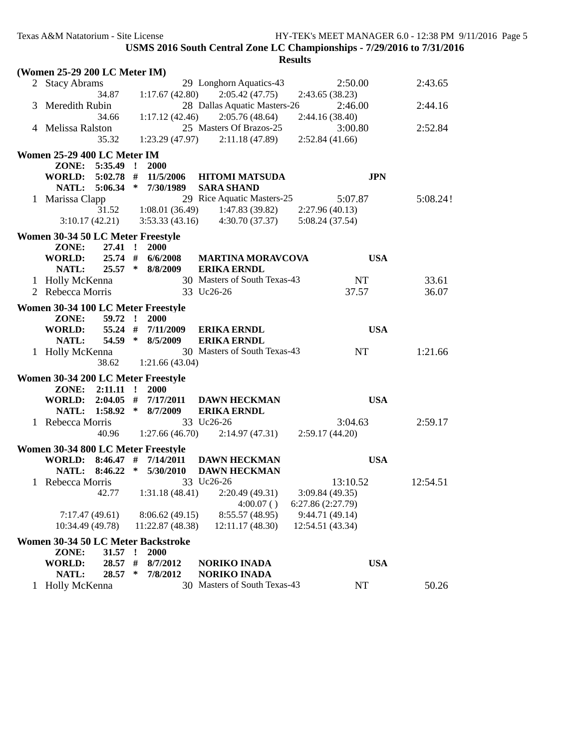| (Women 25-29 200 LC Meter IM)      |                             |                                   |                   |          |  |
|------------------------------------|-----------------------------|-----------------------------------|-------------------|----------|--|
| 2 Stacy Abrams                     |                             | 29 Longhorn Aquatics-43           | 2:50.00           | 2:43.65  |  |
| 34.87                              | 1:17.67(42.80)              | 2:05.42(47.75)                    | 2:43.65 (38.23)   |          |  |
| 3 Meredith Rubin                   |                             | 28 Dallas Aquatic Masters-26      | 2:46.00           | 2:44.16  |  |
| 34.66                              | 1:17.12(42.46)              | 2:05.76(48.64)                    | 2:44.16 (38.40)   |          |  |
| 4 Melissa Ralston                  |                             | 25 Masters Of Brazos-25           | 3:00.80           | 2:52.84  |  |
| 35.32                              |                             | $1:23.29(47.97)$ $2:11.18(47.89)$ | 2:52.84(41.66)    |          |  |
| Women 25-29 400 LC Meter IM        |                             |                                   |                   |          |  |
| 5:35.49<br>ZONE:                   | <b>2000</b><br>$\mathbf{r}$ |                                   |                   |          |  |
| <b>WORLD:</b><br>$5:02.78$ #       | 11/5/2006                   | <b>HITOMI MATSUDA</b>             | <b>JPN</b>        |          |  |
| NATL: 5:06.34                      | $\ast$<br>7/30/1989         | <b>SARA SHAND</b>                 |                   |          |  |
| 1 Marissa Clapp                    |                             | 29 Rice Aquatic Masters-25        | 5:07.87           | 5:08.24! |  |
| 31.52                              | 1:08.01(36.49)              | 1:47.83 (39.82)                   | 2:27.96 (40.13)   |          |  |
| 3:10.17(42.21)                     | 3:53.33(43.16)              | 4:30.70 (37.37)                   | 5:08.24 (37.54)   |          |  |
|                                    |                             |                                   |                   |          |  |
| Women 30-34 50 LC Meter Freestyle  |                             |                                   |                   |          |  |
| 27.41 !<br>ZONE:                   | <b>2000</b>                 |                                   |                   |          |  |
| <b>WORLD:</b>                      | 25.74 # 6/6/2008            | <b>MARTINA MORAVCOVA</b>          | <b>USA</b>        |          |  |
| $25.57$ *<br>NATL:                 | 8/8/2009                    | <b>ERIKA ERNDL</b>                |                   |          |  |
| 1 Holly McKenna                    |                             | 30 Masters of South Texas-43      | NT                | 33.61    |  |
| 2 Rebecca Morris                   |                             | 33 Uc26-26                        | 37.57             | 36.07    |  |
| Women 30-34 100 LC Meter Freestyle |                             |                                   |                   |          |  |
| $59.72$ !<br>ZONE:                 | 2000                        |                                   |                   |          |  |
| WORLD:                             | 55.24 # 7/11/2009           | <b>ERIKA ERNDL</b>                | <b>USA</b>        |          |  |
| 54.59 *<br>NATL:                   | 8/5/2009                    | <b>ERIKA ERNDL</b>                |                   |          |  |
| 1 Holly McKenna                    |                             | 30 Masters of South Texas-43      | <b>NT</b>         | 1:21.66  |  |
| 38.62                              | 1:21.66(43.04)              |                                   |                   |          |  |
| Women 30-34 200 LC Meter Freestyle |                             |                                   |                   |          |  |
| ZONE: 2:11.11 !                    | <b>2000</b>                 |                                   |                   |          |  |
| WORLD: 2:04.05 #                   | 7/17/2011                   | <b>DAWN HECKMAN</b>               | <b>USA</b>        |          |  |
| NATL: 1:58.92 *                    | 8/7/2009                    | <b>ERIKA ERNDL</b>                |                   |          |  |
| 1 Rebecca Morris                   |                             | 33 Uc26-26                        | 3:04.63           | 2:59.17  |  |
| 40.96                              | 1:27.66(46.70)              | 2:14.97(47.31)                    | 2:59.17(44.20)    |          |  |
| Women 30-34 800 LC Meter Freestyle |                             |                                   |                   |          |  |
| <b>WORLD:</b><br>$8:46.47$ #       | 7/14/2011                   | <b>DAWN HECKMAN</b>               | <b>USA</b>        |          |  |
| 8:46.22<br>NATL:                   | $\ast$<br>5/30/2010         | <b>DAWN HECKMAN</b>               |                   |          |  |
| 1 Rebecca Morris                   |                             | 33 Uc26-26                        | 13:10.52          | 12:54.51 |  |
| 42.77                              | 1:31.18(48.41)              | 2:20.49 (49.31)                   | 3:09.84 (49.35)   |          |  |
|                                    |                             | 4:00.07()                         | 6:27.86 (2:27.79) |          |  |
| 7:17.47(49.61)                     | 8:06.62 (49.15)             | 8:55.57 (48.95)                   | 9:44.71 (49.14)   |          |  |
| 10:34.49 (49.78)                   | 11:22.87 (48.38)            | 12:11.17(48.30)                   | 12:54.51 (43.34)  |          |  |
| Women 30-34 50 LC Meter Backstroke |                             |                                   |                   |          |  |
| ZONE:<br>31.57                     | 2000<br>1                   |                                   |                   |          |  |
| <b>WORLD:</b><br>28.57 #           | 8/7/2012                    | <b>NORIKO INADA</b>               | <b>USA</b>        |          |  |
| NATL:<br>28.57                     | 7/8/2012<br>∗               | <b>NORIKO INADA</b>               |                   |          |  |
| 1 Holly McKenna                    |                             | 30 Masters of South Texas-43      | NT                | 50.26    |  |
|                                    |                             |                                   |                   |          |  |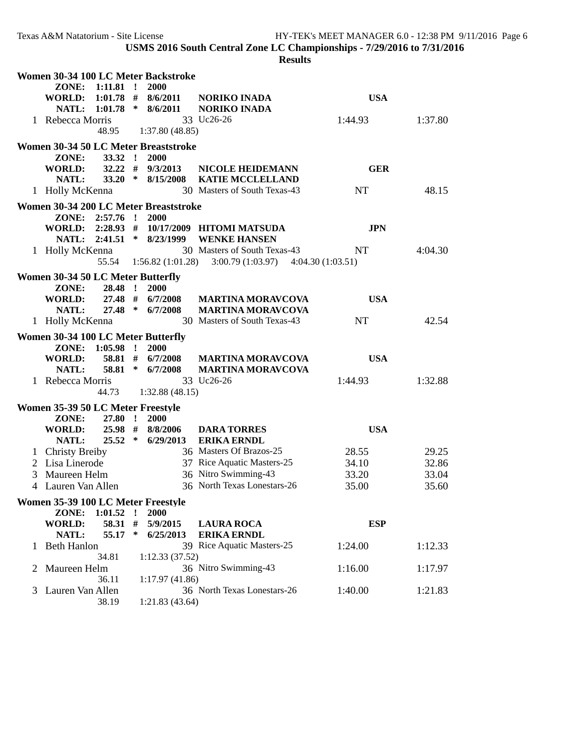|   |                                    |                 |              | Women 30-34 100 LC Meter Backstroke   |                                       |            |         |
|---|------------------------------------|-----------------|--------------|---------------------------------------|---------------------------------------|------------|---------|
|   | ZONE:                              | $1:11.81$ !     |              | 2000                                  |                                       |            |         |
|   | <b>WORLD:</b>                      | $1:01.78$ #     |              | 8/6/2011                              | <b>NORIKO INADA</b>                   | <b>USA</b> |         |
|   | <b>NATL:</b>                       | 1:01.78         | $\ast$       | 8/6/2011                              | <b>NORIKO INADA</b>                   |            |         |
|   | 1 Rebecca Morris                   |                 |              |                                       | 33 Uc26-26                            | 1:44.93    | 1:37.80 |
|   |                                    | 48.95           |              | 1:37.80(48.85)                        |                                       |            |         |
|   |                                    |                 |              | Women 30-34 50 LC Meter Breaststroke  |                                       |            |         |
|   | ZONE:                              | 33.32 !         |              | 2000                                  |                                       |            |         |
|   | <b>WORLD:</b>                      | $32.22$ #       |              | 9/3/2013                              | <b>NICOLE HEIDEMANN</b>               | <b>GER</b> |         |
|   | NATL:                              | $33.20*$        |              | 8/15/2008                             | <b>KATIE MCCLELLAND</b>               |            |         |
|   | 1 Holly McKenna                    |                 |              |                                       | 30 Masters of South Texas-43          | NT         | 48.15   |
|   |                                    |                 |              |                                       |                                       |            |         |
|   |                                    |                 |              | Women 30-34 200 LC Meter Breaststroke |                                       |            |         |
|   |                                    | ZONE: 2:57.76 ! |              | 2000                                  |                                       |            |         |
|   | WORLD: 2:28.93 #                   |                 | $\ast$       |                                       | 10/17/2009 HITOMI MATSUDA             | <b>JPN</b> |         |
|   |                                    | NATL: 2:41.51   |              | 8/23/1999                             | <b>WENKE HANSEN</b>                   |            |         |
|   | 1 Holly McKenna                    |                 |              |                                       | 30 Masters of South Texas-43          | NT         | 4:04.30 |
|   |                                    | 55.54           |              | 1:56.82(1:01.28)                      | 3:00.79 (1:03.97)<br>4:04.30(1:03.51) |            |         |
|   | Women 30-34 50 LC Meter Butterfly  |                 |              |                                       |                                       |            |         |
|   | ZONE:                              | 28.48 !         |              | 2000                                  |                                       |            |         |
|   | <b>WORLD:</b>                      | 27.48 #         |              | 6/7/2008                              | <b>MARTINA MORAVCOVA</b>              | <b>USA</b> |         |
|   | NATL:                              | 27.48           | $\ast$       | 6/7/2008                              | <b>MARTINA MORAVCOVA</b>              |            |         |
|   | 1 Holly McKenna                    |                 |              |                                       | 30 Masters of South Texas-43          | <b>NT</b>  | 42.54   |
|   | Women 30-34 100 LC Meter Butterfly |                 |              |                                       |                                       |            |         |
|   |                                    | ZONE: 1:05.98 ! |              | 2000                                  |                                       |            |         |
|   | WORLD:                             | 58.81 #         |              | 6/7/2008                              | <b>MARTINA MORAVCOVA</b>              | <b>USA</b> |         |
|   | NATL:                              | 58.81           | ∗            | 6/7/2008                              | <b>MARTINA MORAVCOVA</b>              |            |         |
|   | 1 Rebecca Morris                   |                 |              |                                       | 33 Uc26-26                            | 1:44.93    | 1:32.88 |
|   |                                    | 44.73           |              | 1:32.88(48.15)                        |                                       |            |         |
|   | Women 35-39 50 LC Meter Freestyle  |                 |              |                                       |                                       |            |         |
|   | ZONE:                              | 27.80           | $\mathbf{r}$ | 2000                                  |                                       |            |         |
|   | WORLD:                             | 25.98 #         |              | 8/8/2006                              | <b>DARA TORRES</b>                    | <b>USA</b> |         |
|   | NATL:                              | $25.52$ *       |              | 6/29/2013                             | <b>ERIKA ERNDL</b>                    |            |         |
|   |                                    |                 |              |                                       | 36 Masters Of Brazos-25               | 28.55      | 29.25   |
|   | 1 Christy Breiby<br>Lisa Linerode  |                 |              |                                       | 37 Rice Aquatic Masters-25            |            | 32.86   |
| 2 |                                    |                 |              |                                       |                                       | 34.10      |         |
| 3 | Maureen Helm                       |                 |              |                                       | 36 Nitro Swimming-43                  | 33.20      | 33.04   |
|   | 4 Lauren Van Allen                 |                 |              |                                       | 36 North Texas Lonestars-26           | 35.00      | 35.60   |
|   | Women 35-39 100 LC Meter Freestyle |                 |              |                                       |                                       |            |         |
|   | ZONE:                              | 1:01.52         | $\mathbf{r}$ | 2000                                  |                                       |            |         |
|   | <b>WORLD:</b>                      | 58.31 #         |              | 5/9/2015                              | <b>LAURA ROCA</b>                     | <b>ESP</b> |         |
|   | NATL:                              | 55.17           | $\ast$       | 6/25/2013                             | <b>ERIKA ERNDL</b>                    |            |         |
| 1 | <b>Beth Hanlon</b>                 |                 |              |                                       | 39 Rice Aquatic Masters-25            | 1:24.00    | 1:12.33 |
|   |                                    | 34.81           |              | 1:12.33(37.52)                        |                                       |            |         |
| 2 | Maureen Helm                       |                 |              |                                       | 36 Nitro Swimming-43                  | 1:16.00    | 1:17.97 |
|   |                                    | 36.11           |              | 1:17.97(41.86)                        |                                       |            |         |
| 3 | Lauren Van Allen                   |                 |              |                                       | 36 North Texas Lonestars-26           | 1:40.00    | 1:21.83 |
|   |                                    | 38.19           |              | 1:21.83(43.64)                        |                                       |            |         |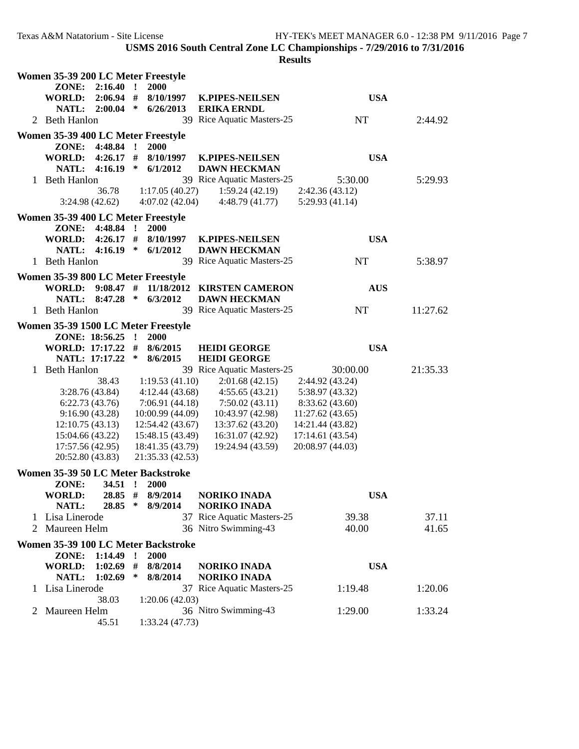| esult |
|-------|
|-------|

|   | Women 35-39 200 LC Meter Freestyle  |                        |              |                                     |                                                   |                  |          |  |
|---|-------------------------------------|------------------------|--------------|-------------------------------------|---------------------------------------------------|------------------|----------|--|
|   | ZONE:                               | 2:16.40                | $\mathbf{r}$ | 2000                                |                                                   |                  |          |  |
|   | <b>WORLD:</b>                       | $2:06.94$ #            |              | 8/10/1997                           | <b>K.PIPES-NEILSEN</b>                            | <b>USA</b>       |          |  |
|   | NATL:                               | 2:00.04                | $\ast$       | 6/26/2013                           | <b>ERIKA ERNDL</b>                                |                  |          |  |
|   | 2 Beth Hanlon                       |                        |              |                                     | 39 Rice Aquatic Masters-25                        | NT               | 2:44.92  |  |
|   | Women 35-39 400 LC Meter Freestyle  |                        |              |                                     |                                                   |                  |          |  |
|   | ZONE: 4:48.84 !                     |                        |              | <b>2000</b>                         |                                                   |                  |          |  |
|   | WORLD: 4:26.17 #                    |                        |              | 8/10/1997                           | <b>K.PIPES-NEILSEN</b>                            | <b>USA</b>       |          |  |
|   | NATL: 4:16.19 *                     |                        |              | 6/1/2012                            | <b>DAWN HECKMAN</b>                               |                  |          |  |
|   | 1 Beth Hanlon                       |                        |              |                                     | 39 Rice Aquatic Masters-25                        | 5:30.00          | 5:29.93  |  |
|   |                                     | 36.78                  |              | 1:17.05(40.27)                      | 1:59.24(42.19)                                    | 2:42.36 (43.12)  |          |  |
|   | 3:24.98(42.62)                      |                        |              | 4:07.02(42.04)                      | 4:48.79(41.77)                                    | 5:29.93(41.14)   |          |  |
|   | Women 35-39 400 LC Meter Freestyle  |                        |              |                                     |                                                   |                  |          |  |
|   | ZONE:                               | 4:48.84                | $\mathbf{r}$ | <b>2000</b>                         |                                                   |                  |          |  |
|   | <b>WORLD:</b>                       | $4:26.17$ #<br>4:16.19 | ∗            | 8/10/1997                           | <b>K.PIPES-NEILSEN</b>                            | <b>USA</b>       |          |  |
|   | <b>NATL:</b><br>1 Beth Hanlon       |                        |              | 6/1/2012                            | <b>DAWN HECKMAN</b><br>39 Rice Aquatic Masters-25 | <b>NT</b>        | 5:38.97  |  |
|   |                                     |                        |              |                                     |                                                   |                  |          |  |
|   | Women 35-39 800 LC Meter Freestyle  |                        |              |                                     |                                                   |                  |          |  |
|   | WORLD: 9:08.47 #<br>NATL: 8:47.28 * |                        |              | 11/18/2012<br>6/3/2012              | <b>KIRSTEN CAMERON</b>                            | <b>AUS</b>       |          |  |
|   | 1 Beth Hanlon                       |                        |              |                                     | <b>DAWN HECKMAN</b><br>39 Rice Aquatic Masters-25 | NT               | 11:27.62 |  |
|   |                                     |                        |              |                                     |                                                   |                  |          |  |
|   | Women 35-39 1500 LC Meter Freestyle |                        |              |                                     |                                                   |                  |          |  |
|   | ZONE: 18:56.25 !                    |                        |              | 2000                                |                                                   | <b>USA</b>       |          |  |
|   | WORLD: 17:17.22 #<br>NATL: 17:17.22 |                        | ∗            | 8/6/2015<br>8/6/2015                | <b>HEIDI GEORGE</b><br><b>HEIDI GEORGE</b>        |                  |          |  |
|   | 1 Beth Hanlon                       |                        |              |                                     | 39 Rice Aquatic Masters-25                        | 30:00.00         | 21:35.33 |  |
|   |                                     | 38.43                  |              | 1:19.53(41.10)                      | 2:01.68(42.15)                                    | 2:44.92 (43.24)  |          |  |
|   | 3:28.76(43.84)                      |                        |              | 4:12.44(43.68)                      | 4:55.65(43.21)                                    | 5:38.97 (43.32)  |          |  |
|   | 6:22.73(43.76)                      |                        |              | 7:06.91(44.18)                      | 7:50.02(43.11)                                    | 8:33.62 (43.60)  |          |  |
|   | 9:16.90(43.28)                      |                        |              | 10:00.99 (44.09)                    | 10:43.97 (42.98)                                  | 11:27.62 (43.65) |          |  |
|   | 12:10.75(43.13)                     |                        |              | 12:54.42 (43.67)                    | 13:37.62 (43.20)                                  | 14:21.44 (43.82) |          |  |
|   | 15:04.66 (43.22)                    |                        |              | 15:48.15 (43.49)                    | 16:31.07 (42.92)                                  | 17:14.61 (43.54) |          |  |
|   | 17:57.56 (42.95)                    |                        |              | 18:41.35 (43.79)                    | 19:24.94 (43.59)                                  | 20:08.97 (44.03) |          |  |
|   | 20:52.80 (43.83)                    |                        |              | 21:35.33 (42.53)                    |                                                   |                  |          |  |
|   | Women 35-39 50 LC Meter Backstroke  |                        |              |                                     |                                                   |                  |          |  |
|   | ZONE:                               | $34.51$ !              |              | 2000                                |                                                   |                  |          |  |
|   | WORLD:                              | $28.85$ #              |              | 8/9/2014                            | <b>NORIKO INADA</b>                               | <b>USA</b>       |          |  |
|   | <b>NATL:</b>                        | 28.85                  | $\ast$       | 8/9/2014                            | <b>NORIKO INADA</b>                               |                  |          |  |
|   | 1 Lisa Linerode                     |                        |              |                                     | 37 Rice Aquatic Masters-25                        | 39.38            | 37.11    |  |
| 2 | Maureen Helm                        |                        |              |                                     | 36 Nitro Swimming-43                              | 40.00            | 41.65    |  |
|   |                                     |                        |              | Women 35-39 100 LC Meter Backstroke |                                                   |                  |          |  |
|   | ZONE:                               | 1:14.49                | $\mathbf{r}$ | 2000                                |                                                   |                  |          |  |
|   | <b>WORLD:</b>                       | $1:02.69$ #            |              | 8/8/2014                            | <b>NORIKO INADA</b>                               | <b>USA</b>       |          |  |
|   | NATL:                               | 1:02.69                | $\ast$       | 8/8/2014                            | <b>NORIKO INADA</b>                               |                  |          |  |
|   | 1 Lisa Linerode                     |                        |              |                                     | 37 Rice Aquatic Masters-25                        | 1:19.48          | 1:20.06  |  |
| 2 | Maureen Helm                        | 38.03                  |              | 1:20.06(42.03)                      | 36 Nitro Swimming-43                              | 1:29.00          | 1:33.24  |  |
|   |                                     | 45.51                  |              | 1:33.24 (47.73)                     |                                                   |                  |          |  |
|   |                                     |                        |              |                                     |                                                   |                  |          |  |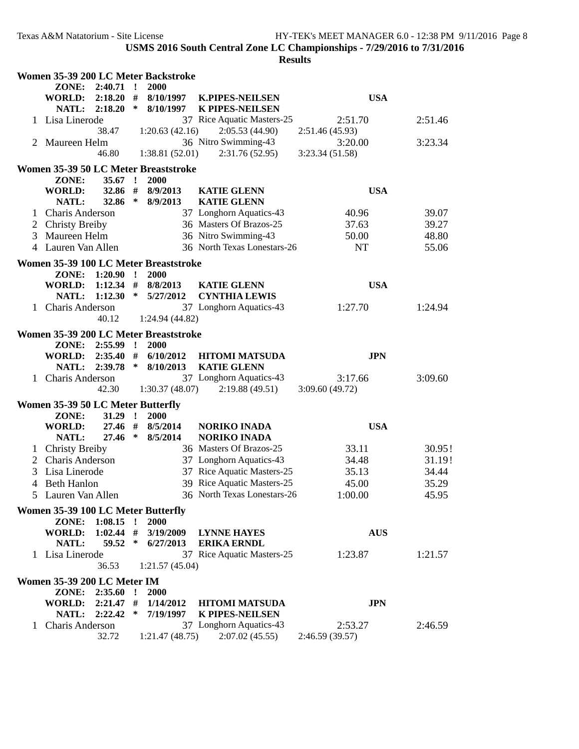|              |                                    |                            |              | Women 35-39 200 LC Meter Backstroke   |                                          |                |         |  |
|--------------|------------------------------------|----------------------------|--------------|---------------------------------------|------------------------------------------|----------------|---------|--|
|              | ZONE:                              | 2:40.71                    | $\mathbf{r}$ | 2000                                  |                                          |                |         |  |
|              | <b>WORLD:</b>                      | 2:18.20                    |              | # 8/10/1997                           | <b>K.PIPES-NEILSEN</b>                   | <b>USA</b>     |         |  |
|              | NATL: 2:18.20                      |                            | ∗            | 8/10/1997                             | <b>K PIPES-NEILSEN</b>                   |                |         |  |
|              | 1 Lisa Linerode                    |                            |              |                                       | 37 Rice Aquatic Masters-25               | 2:51.70        | 2:51.46 |  |
|              |                                    | 38.47                      |              | 1:20.63(42.16)                        | 2:05.53(44.90)                           | 2:51.46(45.93) |         |  |
| 2            | Maureen Helm                       |                            |              |                                       | 36 Nitro Swimming-43                     | 3:20.00        | 3:23.34 |  |
|              |                                    | 46.80                      |              | 1:38.81(52.01)                        | 2:31.76(52.95)                           | 3:23.34(51.58) |         |  |
|              |                                    |                            |              | Women 35-39 50 LC Meter Breaststroke  |                                          |                |         |  |
|              | ZONE:                              | $35.67$ !                  |              | 2000                                  |                                          |                |         |  |
|              | <b>WORLD:</b>                      | 32.86                      | #            | 8/9/2013                              | <b>KATIE GLENN</b>                       | <b>USA</b>     |         |  |
|              | <b>NATL:</b>                       | 32.86                      | $\ast$       | 8/9/2013                              | <b>KATIE GLENN</b>                       |                |         |  |
| 1            | <b>Charis Anderson</b>             |                            |              |                                       | 37 Longhorn Aquatics-43                  | 40.96          | 39.07   |  |
|              | 2 Christy Breiby                   |                            |              |                                       | 36 Masters Of Brazos-25                  | 37.63          | 39.27   |  |
| 3            | Maureen Helm                       |                            |              |                                       | 36 Nitro Swimming-43                     | 50.00          | 48.80   |  |
|              | 4 Lauren Van Allen                 |                            |              |                                       | 36 North Texas Lonestars-26              | <b>NT</b>      | 55.06   |  |
|              |                                    |                            |              |                                       |                                          |                |         |  |
|              |                                    |                            |              | Women 35-39 100 LC Meter Breaststroke |                                          |                |         |  |
|              | ZONE:                              | $1:20.90$ !                |              | 2000                                  |                                          |                |         |  |
|              | <b>WORLD:</b>                      | 1:12.34                    | $\ast$       | # 8/8/2013                            | <b>KATIE GLENN</b>                       | <b>USA</b>     |         |  |
|              | NATL:                              | 1:12.30                    |              | 5/27/2012                             | <b>CYNTHIA LEWIS</b>                     |                |         |  |
| $\mathbf{1}$ | <b>Charis Anderson</b>             | 40.12                      |              | 1:24.94 (44.82)                       | 37 Longhorn Aquatics-43                  | 1:27.70        | 1:24.94 |  |
|              |                                    |                            |              |                                       |                                          |                |         |  |
|              |                                    |                            |              | Women 35-39 200 LC Meter Breaststroke |                                          |                |         |  |
|              | ZONE:                              | 2:55.99                    | $\cdot$ !    | 2000                                  |                                          |                |         |  |
|              | WORLD:                             | 2:35.40                    | $\#$         | 6/10/2012                             | <b>HITOMI MATSUDA</b>                    | <b>JPN</b>     |         |  |
|              | NATL:                              | 2:39.78                    | $\ast$       | 8/10/2013                             | <b>KATIE GLENN</b>                       |                |         |  |
| 1            | <b>Charis Anderson</b>             |                            |              |                                       | 37 Longhorn Aquatics-43                  | 3:17.66        | 3:09.60 |  |
|              |                                    | 42.30                      |              | 1:30.37(48.07)                        | 2:19.88(49.51)                           | 3:09.60(49.72) |         |  |
|              | Women 35-39 50 LC Meter Butterfly  |                            |              |                                       |                                          |                |         |  |
|              | ZONE:                              | $31.29$ !                  |              | 2000                                  |                                          |                |         |  |
|              | <b>WORLD:</b>                      | $27.46$ #                  |              | 8/5/2014                              | <b>NORIKO INADA</b>                      | <b>USA</b>     |         |  |
|              | <b>NATL:</b>                       | 27.46                      | $\ast$       | 8/5/2014                              | <b>NORIKO INADA</b>                      |                |         |  |
|              | <b>Christy Breiby</b>              |                            |              |                                       | 36 Masters Of Brazos-25                  | 33.11          | 30.95!  |  |
| 2            | <b>Charis Anderson</b>             |                            |              |                                       | 37 Longhorn Aquatics-43                  | 34.48          | 31.19!  |  |
| 3            | Lisa Linerode                      |                            |              |                                       | 37 Rice Aquatic Masters-25               | 35.13          | 34.44   |  |
|              | 4 Beth Hanlon                      |                            |              |                                       | 39 Rice Aquatic Masters-25               | 45.00          | 35.29   |  |
|              | 5 Lauren Van Allen                 |                            |              |                                       | 36 North Texas Lonestars-26              | 1:00.00        | 45.95   |  |
|              |                                    |                            |              |                                       |                                          |                |         |  |
|              | Women 35-39 100 LC Meter Butterfly |                            |              |                                       |                                          |                |         |  |
|              | ZONE:<br><b>WORLD:</b>             | $1:08.15$ !<br>$1:02.44$ # |              | <b>2000</b><br>3/19/2009              |                                          | <b>AUS</b>     |         |  |
|              | NATL:                              | 59.52                      | $\ast$       | 6/27/2013                             | <b>LYNNE HAYES</b><br><b>ERIKA ERNDL</b> |                |         |  |
|              | 1 Lisa Linerode                    |                            |              |                                       | 37 Rice Aquatic Masters-25               | 1:23.87        | 1:21.57 |  |
|              |                                    | 36.53                      |              | 1:21.57(45.04)                        |                                          |                |         |  |
|              |                                    |                            |              |                                       |                                          |                |         |  |
|              | Women 35-39 200 LC Meter IM        |                            |              |                                       |                                          |                |         |  |
|              | ZONE: 2:35.60                      |                            | $\mathbf{r}$ | 2000                                  |                                          |                |         |  |
|              | WORLD: 2:21.47 #                   |                            |              | 1/14/2012                             | <b>HITOMI MATSUDA</b>                    | <b>JPN</b>     |         |  |
|              | NATL: 2:22.42                      |                            |              | $*$ 7/19/1997                         | <b>K PIPES-NEILSEN</b>                   |                |         |  |
| $\mathbf{1}$ | Charis Anderson                    |                            |              |                                       | 37 Longhorn Aquatics-43                  | 2:53.27        | 2:46.59 |  |
|              |                                    | 32.72                      |              | 1:21.47(48.75)                        | 2:07.02(45.55)                           | 2:46.59(39.57) |         |  |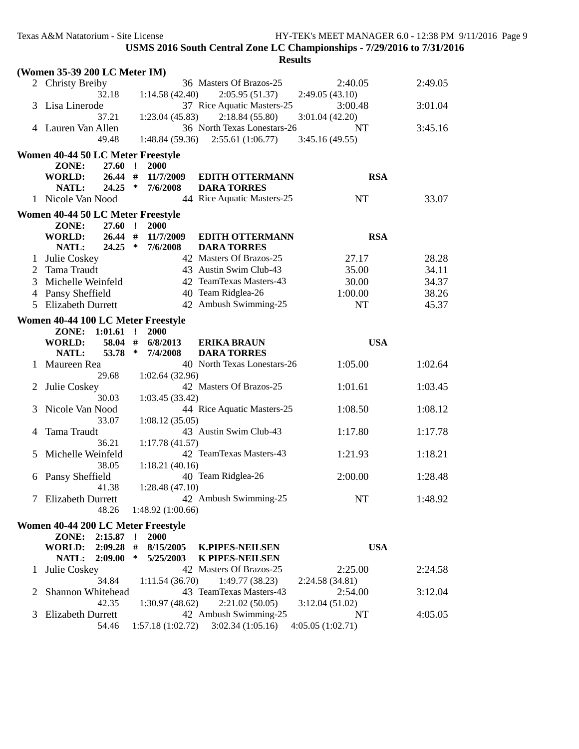|              | (Women 35-39 200 LC Meter IM)                       |              |                        |                                                  |                        |         |  |
|--------------|-----------------------------------------------------|--------------|------------------------|--------------------------------------------------|------------------------|---------|--|
|              | 2 Christy Breiby                                    |              |                        | 36 Masters Of Brazos-25                          | 2:40.05                | 2:49.05 |  |
|              | 32.18                                               |              | 1:14.58(42.40)         | 2:05.95(51.37)                                   | 2:49.05(43.10)         |         |  |
|              | 3 Lisa Linerode                                     |              |                        | 37 Rice Aquatic Masters-25                       | 3:00.48                | 3:01.04 |  |
|              | 37.21                                               |              | 1:23.04(45.83)         | 2:18.84(55.80)                                   | 3:01.04(42.20)         |         |  |
|              | 4 Lauren Van Allen                                  |              |                        | 36 North Texas Lonestars-26                      | NT                     | 3:45.16 |  |
|              | 49.48                                               |              | 1:48.84(59.36)         | 2:55.61(1:06.77)                                 | 3:45.16(49.55)         |         |  |
|              | Women 40-44 50 LC Meter Freestyle                   |              |                        |                                                  |                        |         |  |
|              | ZONE:<br>27.60                                      | $\mathbf{r}$ | 2000                   |                                                  |                        |         |  |
|              | <b>WORLD:</b>                                       | $26.44$ #    | 11/7/2009              | <b>EDITH OTTERMANN</b>                           | <b>RSA</b>             |         |  |
|              | NATL:                                               | $24.25$ *    | 7/6/2008               | <b>DARA TORRES</b>                               |                        |         |  |
|              | 1 Nicole Van Nood                                   |              |                        | 44 Rice Aquatic Masters-25                       | NT                     | 33.07   |  |
|              | Women 40-44 50 LC Meter Freestyle                   |              |                        |                                                  |                        |         |  |
|              | ZONE:                                               | $27.60$ !    | <b>2000</b>            |                                                  |                        |         |  |
|              | <b>WORLD:</b>                                       | 26.44#       | 11/7/2009              | <b>EDITH OTTERMANN</b>                           | <b>RSA</b>             |         |  |
|              | NATL:                                               | $24.25$ *    | 7/6/2008               | <b>DARA TORRES</b>                               |                        |         |  |
| 1            | Julie Coskey                                        |              |                        | 42 Masters Of Brazos-25                          | 27.17                  | 28.28   |  |
| 2            | Tama Traudt                                         |              |                        | 43 Austin Swim Club-43                           | 35.00                  | 34.11   |  |
| 3            | Michelle Weinfeld                                   |              |                        | 42 TeamTexas Masters-43                          | 30.00                  | 34.37   |  |
| 4            | Pansy Sheffield                                     |              |                        | 40 Team Ridglea-26                               | 1:00.00                | 38.26   |  |
| 5            | <b>Elizabeth Durrett</b>                            |              |                        | 42 Ambush Swimming-25                            | <b>NT</b>              | 45.37   |  |
|              | Women 40-44 100 LC Meter Freestyle                  |              |                        |                                                  |                        |         |  |
|              | ZONE: 1:01.61 !                                     |              | 2000                   |                                                  |                        |         |  |
|              | <b>WORLD:</b>                                       | 58.04 #      | 6/8/2013               | <b>ERIKA BRAUN</b>                               | <b>USA</b>             |         |  |
|              | NATL:<br>53.78                                      | $\ast$       | 7/4/2008               | <b>DARA TORRES</b>                               |                        |         |  |
|              |                                                     |              |                        | 40 North Texas Lonestars-26                      | 1:05.00                | 1:02.64 |  |
|              | 1 Maureen Rea                                       |              |                        |                                                  |                        |         |  |
|              | 29.68                                               |              | 1:02.64 (32.96)        |                                                  |                        |         |  |
| 2            | Julie Coskey                                        |              |                        | 42 Masters Of Brazos-25                          | 1:01.61                | 1:03.45 |  |
|              | 30.03                                               |              | 1:03.45 (33.42)        |                                                  |                        |         |  |
| 3            | Nicole Van Nood                                     |              |                        | 44 Rice Aquatic Masters-25                       | 1:08.50                | 1:08.12 |  |
|              | 33.07                                               |              | 1:08.12(35.05)         |                                                  |                        |         |  |
| 4            | Tama Traudt                                         |              |                        | 43 Austin Swim Club-43                           | 1:17.80                | 1:17.78 |  |
|              | 36.21                                               |              | 1:17.78(41.57)         |                                                  |                        |         |  |
| 5            | Michelle Weinfeld                                   |              |                        | 42 TeamTexas Masters-43                          | 1:21.93                | 1:18.21 |  |
|              | 38.05                                               |              | 1:18.21(40.16)         |                                                  |                        |         |  |
| 6            | Pansy Sheffield                                     |              |                        | 40 Team Ridglea-26                               | 2:00.00                | 1:28.48 |  |
|              | 41.38                                               |              | 1:28.48(47.10)         |                                                  |                        |         |  |
|              | 7 Elizabeth Durrett<br>48.26                        |              | 1:48.92(1:00.66)       | 42 Ambush Swimming-25                            | NT                     | 1:48.92 |  |
|              |                                                     |              |                        |                                                  |                        |         |  |
|              | Women 40-44 200 LC Meter Freestyle                  |              |                        |                                                  |                        |         |  |
|              | ZONE: 2:15.87 !                                     |              | 2000                   |                                                  |                        |         |  |
|              | 2:09.28<br><b>WORLD:</b><br><b>NATL:</b><br>2:09.00 | #<br>∗       | 8/15/2005<br>5/25/2003 | <b>K.PIPES-NEILSEN</b><br><b>K PIPES-NEILSEN</b> | <b>USA</b>             |         |  |
| 1            | Julie Coskey                                        |              |                        | 42 Masters Of Brazos-25                          | 2:25.00                | 2:24.58 |  |
|              | 34.84                                               |              | 1:11.54(36.70)         | 1:49.77(38.23)                                   | 2:24.58 (34.81)        |         |  |
| $\mathbf{2}$ | Shannon Whitehead                                   |              |                        | 43 TeamTexas Masters-43                          | 2:54.00                | 3:12.04 |  |
|              | 42.35                                               |              | 1:30.97(48.62)         | 2:21.02(50.05)                                   | 3:12.04(51.02)         |         |  |
| 3            | Elizabeth Durrett<br>54.46                          |              | 1:57.18 (1:02.72)      | 42 Ambush Swimming-25<br>3:02.34(1:05.16)        | NT<br>4:05.05(1:02.71) | 4:05.05 |  |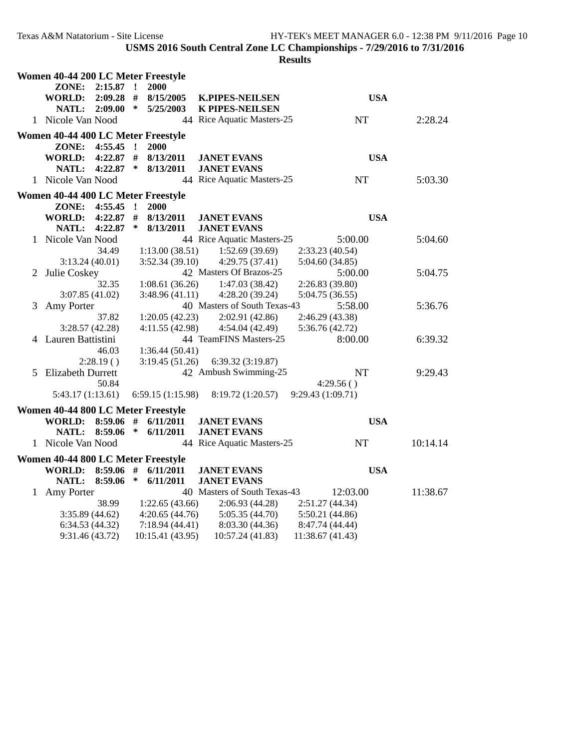| Women 40-44 200 LC Meter Freestyle |                 |              |                  |                                   |                  |          |
|------------------------------------|-----------------|--------------|------------------|-----------------------------------|------------------|----------|
| ZONE:                              | $2:15.87$ !     |              | 2000             |                                   |                  |          |
| <b>WORLD:</b>                      | $2:09.28$ #     |              | 8/15/2005        | <b>K.PIPES-NEILSEN</b>            | <b>USA</b>       |          |
| NATL:                              | $2:09.00*$      |              | 5/25/2003        | <b>K PIPES-NEILSEN</b>            |                  |          |
| 1 Nicole Van Nood                  |                 |              |                  | 44 Rice Aquatic Masters-25        | NT               | 2:28.24  |
| Women 40-44 400 LC Meter Freestyle |                 |              |                  |                                   |                  |          |
| ZONE:                              | 4:55.45         | $\mathbf{r}$ | 2000             |                                   |                  |          |
| WORLD: 4:22.87 #                   |                 |              | 8/13/2011        | <b>JANET EVANS</b>                | <b>USA</b>       |          |
|                                    | NATL: 4:22.87 * |              | 8/13/2011        | <b>JANET EVANS</b>                |                  |          |
| 1 Nicole Van Nood                  |                 |              |                  | 44 Rice Aquatic Masters-25        | NT               | 5:03.30  |
| Women 40-44 400 LC Meter Freestyle |                 |              |                  |                                   |                  |          |
| ZONE: 4:55.45 !                    |                 |              | 2000             |                                   |                  |          |
| <b>WORLD:</b>                      | $4:22.87$ #     |              | 8/13/2011        | <b>JANET EVANS</b>                | <b>USA</b>       |          |
| <b>NATL:</b>                       | 4:22.87         | $\ast$       | 8/13/2011        | <b>JANET EVANS</b>                |                  |          |
| 1 Nicole Van Nood                  |                 |              |                  | 44 Rice Aquatic Masters-25        | 5:00.00          | 5:04.60  |
|                                    | 34.49           |              | 1:13.00(38.51)   | 1:52.69(39.69)                    | 2:33.23(40.54)   |          |
| 3:13.24(40.01)                     |                 |              | 3:52.34(39.10)   | 4:29.75(37.41)                    | 5:04.60(34.85)   |          |
| 2 Julie Coskey                     |                 |              |                  | 42 Masters Of Brazos-25           | 5:00.00          | 5:04.75  |
|                                    | 32.35           |              | 1:08.61(36.26)   | 1:47.03(38.42)                    | 2:26.83(39.80)   |          |
| 3:07.85 (41.02)                    |                 |              | 3:48.96(41.11)   | 4:28.20(39.24)                    | 5:04.75 (36.55)  |          |
| 3 Amy Porter                       |                 |              |                  | 40 Masters of South Texas-43      | 5:58.00          | 5:36.76  |
|                                    | 37.82           |              | 1:20.05(42.23)   | 2:02.91(42.86)                    | 2:46.29 (43.38)  |          |
| 3:28.57(42.28)                     |                 |              | 4:11.55(42.98)   | 4:54.04(42.49)                    | 5:36.76 (42.72)  |          |
| 4 Lauren Battistini                |                 |              |                  | 44 TeamFINS Masters-25            | 8:00.00          | 6:39.32  |
|                                    | 46.03           |              | 1:36.44(50.41)   |                                   |                  |          |
|                                    | 2:28.19()       |              |                  | 3:19.45 (51.26) 6:39.32 (3:19.87) |                  |          |
| 5 Elizabeth Durrett                |                 |              |                  | 42 Ambush Swimming-25             | <b>NT</b>        | 9:29.43  |
|                                    | 50.84           |              |                  |                                   | 4:29.56()        |          |
| 5:43.17(1:13.61)                   |                 |              | 6:59.15(1:15.98) | 8:19.72(1:20.57)                  | 9:29.43(1:09.71) |          |
| Women 40-44 800 LC Meter Freestyle |                 |              |                  |                                   |                  |          |
| WORLD: 8:59.06 #                   |                 |              | 6/11/2011        | <b>JANET EVANS</b>                | <b>USA</b>       |          |
|                                    | NATL: 8:59.06 * |              | 6/11/2011        | <b>JANET EVANS</b>                |                  |          |
| 1 Nicole Van Nood                  |                 |              |                  | 44 Rice Aquatic Masters-25        | <b>NT</b>        | 10:14.14 |
| Women 40-44 800 LC Meter Freestyle |                 |              |                  |                                   |                  |          |
| WORLD: 8:59.06 #                   |                 |              | 6/11/2011        | <b>JANET EVANS</b>                | <b>USA</b>       |          |
| NATL:                              | 8:59.06         | $\ast$       | 6/11/2011        | <b>JANET EVANS</b>                |                  |          |
| 1 Amy Porter                       |                 |              |                  | 40 Masters of South Texas-43      | 12:03.00         | 11:38.67 |
|                                    | 38.99           |              | 1:22.65(43.66)   | 2:06.93(44.28)                    | 2:51.27 (44.34)  |          |
| 3:35.89(44.62)                     |                 |              | 4:20.65(44.76)   | 5:05.35(44.70)                    | 5:50.21 (44.86)  |          |
| 6:34.53(44.32)                     |                 |              | 7:18.94 (44.41)  | 8:03.30(44.36)                    | 8:47.74 (44.44)  |          |
| 9:31.46 (43.72)                    |                 |              | 10:15.41 (43.95) | 10:57.24 (41.83)                  | 11:38.67 (41.43) |          |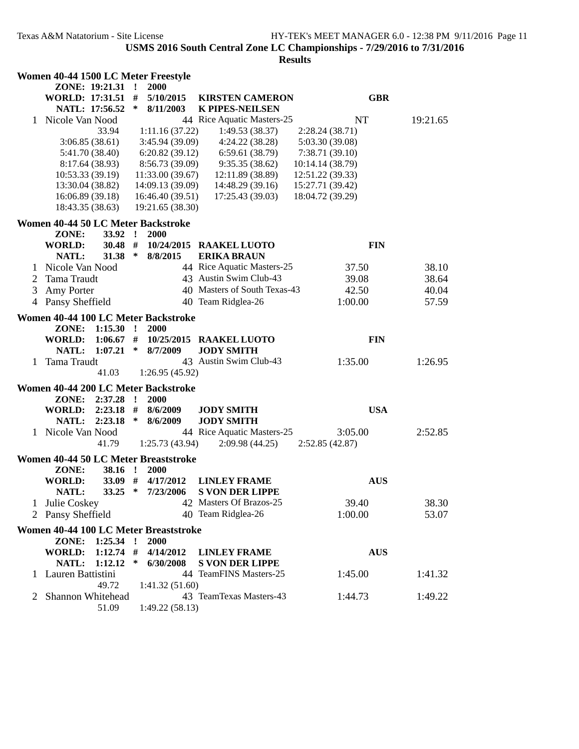|    |                   |                 |              | Women 40-44 1500 LC Meter Freestyle   |                              |                  |          |
|----|-------------------|-----------------|--------------|---------------------------------------|------------------------------|------------------|----------|
|    |                   | ZONE: 19:21.31  | $\mathbf{r}$ | 2000                                  |                              |                  |          |
|    | WORLD: 17:31.51 # |                 |              | 5/10/2015                             | <b>KIRSTEN CAMERON</b>       | <b>GBR</b>       |          |
|    |                   | NATL: 17:56.52  | ∗            | 8/11/2003                             | <b>K PIPES-NEILSEN</b>       |                  |          |
| 1. | Nicole Van Nood   |                 |              |                                       | 44 Rice Aquatic Masters-25   | <b>NT</b>        | 19:21.65 |
|    |                   | 33.94           |              | 1:11.16(37.22)                        | 1:49.53(38.37)               | 2:28.24(38.71)   |          |
|    |                   | 3:06.85(38.61)  |              | 3:45.94(39.09)                        | 4:24.22(38.28)               | 5:03.30 (39.08)  |          |
|    |                   | 5:41.70 (38.40) |              | 6:20.82(39.12)                        | 6:59.61(38.79)               | 7:38.71 (39.10)  |          |
|    |                   | 8:17.64 (38.93) |              | 8:56.73(39.09)                        | 9:35.35(38.62)               | 10:14.14 (38.79) |          |
|    |                   | 10:53.33(39.19) |              | 11:33.00(39.67)                       | 12:11.89 (38.89)             | 12:51.22 (39.33) |          |
|    | 13:30.04 (38.82)  |                 |              | 14:09.13 (39.09)                      | 14:48.29(39.16)              | 15:27.71 (39.42) |          |
|    |                   | 16:06.89(39.18) |              | 16:46.40(39.51)                       | 17:25.43 (39.03)             | 18:04.72 (39.29) |          |
|    | 18:43.35 (38.63)  |                 |              | 19:21.65 (38.30)                      |                              |                  |          |
|    |                   |                 |              |                                       |                              |                  |          |
|    |                   |                 |              | Women 40-44 50 LC Meter Backstroke    |                              |                  |          |
|    | ZONE:             | 33.92 !         |              | 2000                                  |                              |                  |          |
|    | <b>WORLD:</b>     | 30.48 #         |              |                                       | 10/24/2015 RAAKEL LUOTO      | <b>FIN</b>       |          |
|    | NATL:             | 31.38           | ∗            | 8/8/2015                              | <b>ERIKA BRAUN</b>           |                  |          |
|    | 1 Nicole Van Nood |                 |              |                                       | 44 Rice Aquatic Masters-25   | 37.50            | 38.10    |
| 2  | Tama Traudt       |                 |              |                                       | 43 Austin Swim Club-43       | 39.08            | 38.64    |
| 3  | Amy Porter        |                 |              |                                       | 40 Masters of South Texas-43 | 42.50            | 40.04    |
|    | 4 Pansy Sheffield |                 |              |                                       | 40 Team Ridglea-26           | 1:00.00          | 57.59    |
|    |                   |                 |              | Women 40-44 100 LC Meter Backstroke   |                              |                  |          |
|    | ZONE:             | 1:15.30         | $\mathbf{r}$ | 2000                                  |                              |                  |          |
|    | <b>WORLD:</b>     | $1:06.67$ #     |              |                                       | 10/25/2015 RAAKEL LUOTO      | <b>FIN</b>       |          |
|    | NATL:             | 1:07.21         | ∗            | 8/7/2009                              | <b>JODY SMITH</b>            |                  |          |
| 1  | Tama Traudt       |                 |              |                                       | 43 Austin Swim Club-43       | 1:35.00          | 1:26.95  |
|    |                   | 41.03           |              | 1:26.95(45.92)                        |                              |                  |          |
|    |                   |                 |              |                                       |                              |                  |          |
|    |                   |                 |              | Women 40-44 200 LC Meter Backstroke   |                              |                  |          |
|    | ZONE:             | $2:37.28$ !     |              | 2000                                  |                              |                  |          |
|    | <b>WORLD:</b>     | $2:23.18$ #     |              | 8/6/2009                              | <b>JODY SMITH</b>            | <b>USA</b>       |          |
|    | NATL:             | 2:23.18         | $\ast$       | 8/6/2009                              | <b>JODY SMITH</b>            |                  |          |
|    | 1 Nicole Van Nood |                 |              |                                       | 44 Rice Aquatic Masters-25   | 3:05.00          | 2:52.85  |
|    |                   | 41.79           |              | 1:25.73 (43.94)                       | 2:09.98(44.25)               | 2:52.85(42.87)   |          |
|    |                   |                 |              | Women 40-44 50 LC Meter Breaststroke  |                              |                  |          |
|    | ZONE:             | 38.16 !         |              | 2000                                  |                              |                  |          |
|    | <b>WORLD:</b>     | $33.09$ #       |              | 4/17/2012                             | <b>LINLEY FRAME</b>          | <b>AUS</b>       |          |
|    | NATL:             | 33.25           | ∗            | 7/23/2006                             | <b>S VON DER LIPPE</b>       |                  |          |
|    | Julie Coskey      |                 |              |                                       | 42 Masters Of Brazos-25      | 39.40            | 38.30    |
|    | Pansy Sheffield   |                 |              |                                       | 40 Team Ridglea-26           | 1:00.00          | 53.07    |
|    |                   |                 |              |                                       |                              |                  |          |
|    |                   |                 |              | Women 40-44 100 LC Meter Breaststroke |                              |                  |          |
|    | ZONE:             | $1:25.34$ !     |              | 2000                                  |                              |                  |          |
|    | <b>WORLD:</b>     | $1:12.74$ #     |              | 4/14/2012                             | <b>LINLEY FRAME</b>          | <b>AUS</b>       |          |
|    | NATL:             | 1:12.12         | $\ast$       | 6/30/2008                             | <b>S VON DER LIPPE</b>       |                  |          |
|    | Lauren Battistini |                 |              |                                       | 44 TeamFINS Masters-25       | 1:45.00          | 1:41.32  |
|    |                   | 49.72           |              | 1:41.32(51.60)                        |                              |                  |          |
| 2  | Shannon Whitehead |                 |              |                                       | 43 TeamTexas Masters-43      | 1:44.73          | 1:49.22  |
|    |                   | 51.09           |              | 1:49.22(58.13)                        |                              |                  |          |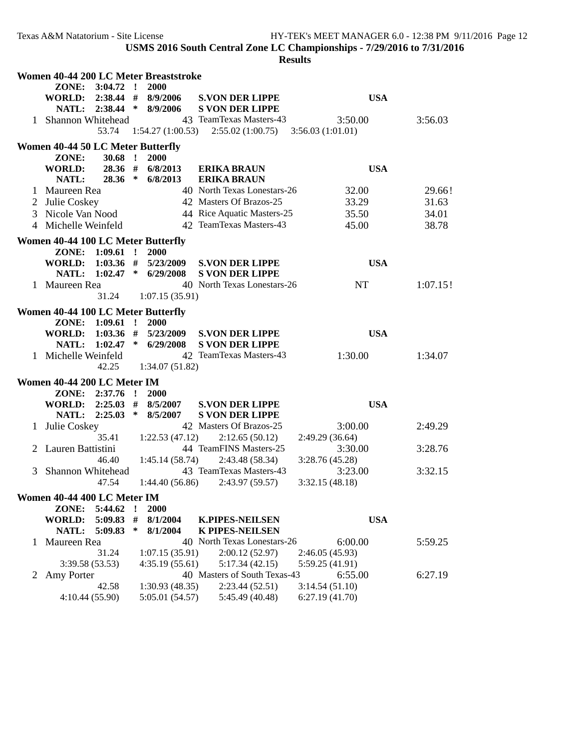|   |                                          |                 |              | Women 40-44 200 LC Meter Breaststroke |                                       |                  |          |
|---|------------------------------------------|-----------------|--------------|---------------------------------------|---------------------------------------|------------------|----------|
|   | ZONE: 3:04.72 !<br>WORLD: 2:38.44 #      |                 |              | <b>2000</b><br>8/9/2006               | <b>S.VON DER LIPPE</b>                | <b>USA</b>       |          |
|   |                                          | NATL: 2:38.44 * |              | 8/9/2006                              | <b>S VON DER LIPPE</b>                |                  |          |
|   | 1 Shannon Whitehead                      |                 |              |                                       | 43 TeamTexas Masters-43               | 3:50.00          | 3:56.03  |
|   |                                          | 53.74           |              |                                       | $1:54.27(1:00.53)$ $2:55.02(1:00.75)$ | 3:56.03(1:01.01) |          |
|   | <b>Women 40-44 50 LC Meter Butterfly</b> |                 |              |                                       |                                       |                  |          |
|   | ZONE:                                    | $30.68$ !       |              | 2000                                  |                                       |                  |          |
|   | WORLD:                                   | 28.36 #         |              | 6/8/2013                              | <b>ERIKA BRAUN</b>                    | <b>USA</b>       |          |
|   | NATL:                                    | 28.36 *         |              | 6/8/2013                              | <b>ERIKA BRAUN</b>                    |                  |          |
|   | Maureen Rea                              |                 |              |                                       | 40 North Texas Lonestars-26           | 32.00            | 29.66!   |
| 2 | Julie Coskey                             |                 |              |                                       | 42 Masters Of Brazos-25               | 33.29            | 31.63    |
| 3 | Nicole Van Nood                          |                 |              |                                       | 44 Rice Aquatic Masters-25            | 35.50            | 34.01    |
| 4 | Michelle Weinfeld                        |                 |              |                                       | 42 TeamTexas Masters-43               | 45.00            | 38.78    |
|   | Women 40-44 100 LC Meter Butterfly       |                 |              |                                       |                                       |                  |          |
|   | ZONE: 1:09.61 !                          |                 |              | 2000                                  |                                       |                  |          |
|   | WORLD: 1:03.36 #                         |                 |              | 5/23/2009                             | <b>S.VON DER LIPPE</b>                | <b>USA</b>       |          |
|   |                                          |                 |              | NATL: 1:02.47 * 6/29/2008             | <b>S VON DER LIPPE</b>                |                  |          |
|   | 1 Maureen Rea                            | 31.24           |              | 1:07.15(35.91)                        | 40 North Texas Lonestars-26           | NT               | 1:07.15! |
|   | Women 40-44 100 LC Meter Butterfly       |                 |              |                                       |                                       |                  |          |
|   | ZONE: 1:09.61                            |                 | $\mathbf{r}$ | 2000                                  |                                       |                  |          |
|   | <b>WORLD:</b>                            | $1:03.36$ #     |              | 5/23/2009                             | <b>S.VON DER LIPPE</b>                | <b>USA</b>       |          |
|   | NATL:                                    | $1:02.47$ *     |              | 6/29/2008                             | <b>S VON DER LIPPE</b>                |                  |          |
|   | 1 Michelle Weinfeld                      |                 |              |                                       | 42 TeamTexas Masters-43               | 1:30.00          | 1:34.07  |
|   |                                          | 42.25           |              | 1:34.07(51.82)                        |                                       |                  |          |
|   | Women 40-44 200 LC Meter IM              |                 |              |                                       |                                       |                  |          |
|   | ZONE: 2:37.76 !                          |                 |              | <b>2000</b>                           |                                       |                  |          |
|   | WORLD: 2:25.03 #                         |                 |              | 8/5/2007                              | <b>S.VON DER LIPPE</b>                | <b>USA</b>       |          |
|   | NATL: 2:25.03                            |                 | $\ast$       | 8/5/2007                              | <b>S VON DER LIPPE</b>                |                  |          |
|   | Julie Coskey                             |                 |              |                                       | 42 Masters Of Brazos-25               | 3:00.00          | 2:49.29  |
|   |                                          | 35.41           |              | 1:22.53(47.12)                        | 2:12.65(50.12)                        | 2:49.29(36.64)   |          |
|   | Lauren Battistini                        |                 |              |                                       | 44 TeamFINS Masters-25                | 3:30.00          | 3:28.76  |
|   |                                          | 46.40           |              | 1:45.14(58.74)                        | 2:43.48 (58.34)                       | 3:28.76(45.28)   |          |
| 3 | Shannon Whitehead                        |                 |              |                                       | 43 TeamTexas Masters-43               | 3:23.00          | 3:32.15  |
|   |                                          | 47.54           |              | 1:44.40(56.86)                        | 2:43.97 (59.57)                       | 3:32.15(48.18)   |          |
|   | Women 40-44 400 LC Meter IM              |                 |              |                                       |                                       |                  |          |
|   | ZONE:                                    | 5:44.62         |              | 2000                                  |                                       |                  |          |
|   | <b>WORLD:</b>                            | 5:09.83         | #            | 8/1/2004                              | <b>K.PIPES-NEILSEN</b>                | <b>USA</b>       |          |
|   | NATL:                                    | 5:09.83         | ∗            | 8/1/2004                              | <b>K PIPES-NEILSEN</b>                |                  |          |
| 1 | Maureen Rea                              |                 |              |                                       | 40 North Texas Lonestars-26           | 6:00.00          | 5:59.25  |
|   |                                          | 31.24           |              | 1:07.15(35.91)                        | 2:00.12(52.97)                        | 2:46.05 (45.93)  |          |
|   | 3:39.58(53.53)                           |                 |              | 4:35.19(55.61)                        | 5:17.34(42.15)                        | 5:59.25 (41.91)  |          |
| 2 | Amy Porter                               |                 |              |                                       | 40 Masters of South Texas-43          | 6:55.00          | 6:27.19  |
|   |                                          | 42.58           |              | 1:30.93(48.35)                        | 2:23.44(52.51)                        | 3:14.54(51.10)   |          |
|   | 4:10.44(55.90)                           |                 |              | 5:05.01 (54.57)                       | 5:45.49 (40.48)                       | 6:27.19(41.70)   |          |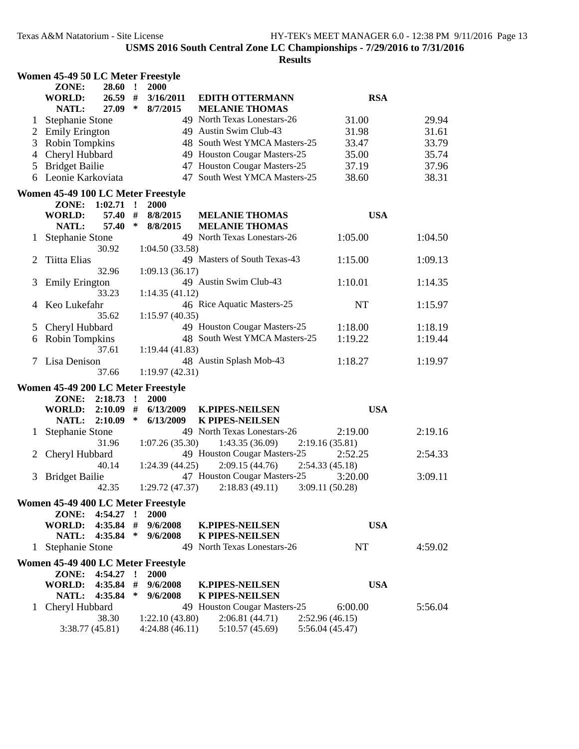|              | Women 45-49 50 LC Meter Freestyle  |             |              |                 |                               |                 |         |  |
|--------------|------------------------------------|-------------|--------------|-----------------|-------------------------------|-----------------|---------|--|
|              | ZONE:                              | 28.60       | $\mathbf{r}$ | 2000            |                               |                 |         |  |
|              | <b>WORLD:</b>                      | $26.59$ #   |              | 3/16/2011       | <b>EDITH OTTERMANN</b>        | <b>RSA</b>      |         |  |
|              | NATL:                              | 27.09       | ∗            | 8/7/2015        | <b>MELANIE THOMAS</b>         |                 |         |  |
| 1            | <b>Stephanie Stone</b>             |             |              |                 | 49 North Texas Lonestars-26   | 31.00           | 29.94   |  |
| 2            | <b>Emily Erington</b>              |             |              |                 | 49 Austin Swim Club-43        | 31.98           | 31.61   |  |
| 3            | Robin Tompkins                     |             |              |                 | 48 South West YMCA Masters-25 | 33.47           | 33.79   |  |
| 4            | Cheryl Hubbard                     |             |              |                 | 49 Houston Cougar Masters-25  | 35.00           | 35.74   |  |
| 5            | <b>Bridget Bailie</b>              |             |              |                 | 47 Houston Cougar Masters-25  | 37.19           | 37.96   |  |
| 6            | Leonie Karkoviata                  |             |              |                 | 47 South West YMCA Masters-25 | 38.60           | 38.31   |  |
|              | Women 45-49 100 LC Meter Freestyle |             |              |                 |                               |                 |         |  |
|              | ZONE: 1:02.71                      |             | $\cdot$ !    | <b>2000</b>     |                               |                 |         |  |
|              | <b>WORLD:</b>                      | 57.40       | #            | 8/8/2015        | <b>MELANIE THOMAS</b>         | <b>USA</b>      |         |  |
|              | NATL:                              | 57.40       | ∗            | 8/8/2015        | <b>MELANIE THOMAS</b>         |                 |         |  |
|              | <b>Stephanie Stone</b>             |             |              |                 | 49 North Texas Lonestars-26   | 1:05.00         | 1:04.50 |  |
|              |                                    | 30.92       |              | 1:04.50(33.58)  |                               |                 |         |  |
| 2            | Tiitta Elias                       |             |              |                 | 49 Masters of South Texas-43  | 1:15.00         | 1:09.13 |  |
|              |                                    | 32.96       |              | 1:09.13(36.17)  |                               |                 |         |  |
| 3            | <b>Emily Erington</b>              |             |              |                 | 49 Austin Swim Club-43        | 1:10.01         | 1:14.35 |  |
|              |                                    | 33.23       |              | 1:14.35(41.12)  |                               |                 |         |  |
| 4            | Keo Lukefahr                       |             |              |                 | 46 Rice Aquatic Masters-25    | NT              | 1:15.97 |  |
|              |                                    | 35.62       |              | 1:15.97(40.35)  |                               |                 |         |  |
| 5            | Cheryl Hubbard                     |             |              |                 | 49 Houston Cougar Masters-25  | 1:18.00         | 1:18.19 |  |
| 6            | Robin Tompkins                     |             |              |                 | 48 South West YMCA Masters-25 | 1:19.22         | 1:19.44 |  |
|              |                                    | 37.61       |              | 1:19.44 (41.83) |                               |                 |         |  |
| 7            | Lisa Denison                       |             |              |                 | 48 Austin Splash Mob-43       | 1:18.27         | 1:19.97 |  |
|              |                                    | 37.66       |              | 1:19.97(42.31)  |                               |                 |         |  |
|              | Women 45-49 200 LC Meter Freestyle |             |              |                 |                               |                 |         |  |
|              | ZONE:                              | 2:18.73     | $\mathbf{r}$ | <b>2000</b>     |                               |                 |         |  |
|              | <b>WORLD:</b>                      | 2:10.09     | #            | 6/13/2009       | <b>K.PIPES-NEILSEN</b>        | <b>USA</b>      |         |  |
|              | NATL:                              | 2:10.09     | ∗            | 6/13/2009       | <b>K PIPES-NEILSEN</b>        |                 |         |  |
|              | Stephanie Stone                    |             |              |                 | 49 North Texas Lonestars-26   | 2:19.00         | 2:19.16 |  |
|              |                                    | 31.96       |              | 1:07.26(35.30)  | 1:43.35(36.09)                | 2:19.16(35.81)  |         |  |
|              | Cheryl Hubbard                     |             |              |                 | 49 Houston Cougar Masters-25  | 2:52.25         | 2:54.33 |  |
|              |                                    | 40.14       |              | 1:24.39(44.25)  | 2:09.15(44.76)                | 2:54.33(45.18)  |         |  |
| 3            | <b>Bridget Bailie</b>              |             |              |                 | 47 Houston Cougar Masters-25  | 3:20.00         | 3:09.11 |  |
|              |                                    | 42.35       |              | 1:29.72(47.37)  | 2:18.83(49.11)                | 3:09.11(50.28)  |         |  |
|              | Women 45-49 400 LC Meter Freestyle |             |              |                 |                               |                 |         |  |
|              | ZONE:                              | 4:54.27     | $\mathbf{r}$ | <b>2000</b>     |                               |                 |         |  |
|              | <b>WORLD:</b>                      | $4:35.84$ # |              | 9/6/2008        | <b>K.PIPES-NEILSEN</b>        | <b>USA</b>      |         |  |
|              | NATL:                              | 4:35.84     | $\ast$       | 9/6/2008        | K PIPES-NEILSEN               |                 |         |  |
| $\mathbf{1}$ | <b>Stephanie Stone</b>             |             |              |                 | 49 North Texas Lonestars-26   | NT              | 4:59.02 |  |
|              | Women 45-49 400 LC Meter Freestyle |             |              |                 |                               |                 |         |  |
|              |                                    | $4:54.27$ ! |              | 2000            |                               |                 |         |  |
|              | ZONE:<br><b>WORLD:</b>             | 4:35.84     | #            | 9/6/2008        | <b>K.PIPES-NEILSEN</b>        | <b>USA</b>      |         |  |
|              | NATL:                              | 4:35.84     | ∗            | 9/6/2008        | <b>K PIPES-NEILSEN</b>        |                 |         |  |
| 1            | Cheryl Hubbard                     |             |              |                 | 49 Houston Cougar Masters-25  | 6:00.00         | 5:56.04 |  |
|              |                                    | 38.30       |              | 1:22.10(43.80)  | 2:06.81(44.71)                | 2:52.96(46.15)  |         |  |
|              | 3:38.77 (45.81)                    |             |              | 4:24.88(46.11)  | 5:10.57(45.69)                | 5:56.04 (45.47) |         |  |
|              |                                    |             |              |                 |                               |                 |         |  |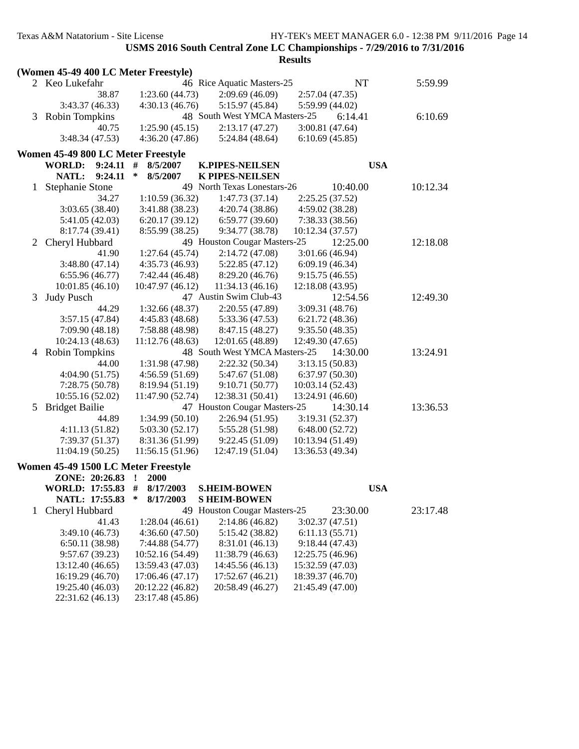|              | (Women 45-49 400 LC Meter Freestyle) |                        |                               |                  |            |  |
|--------------|--------------------------------------|------------------------|-------------------------------|------------------|------------|--|
|              | 2 Keo Lukefahr                       |                        | 46 Rice Aquatic Masters-25    | NT               | 5:59.99    |  |
|              | 38.87                                | 1:23.60(44.73)         | 2:09.69(46.09)                | 2:57.04 (47.35)  |            |  |
|              | 3:43.37 (46.33)                      | 4:30.13(46.76)         | 5:15.97 (45.84)               | 5:59.99 (44.02)  |            |  |
|              | 3 Robin Tompkins                     |                        | 48 South West YMCA Masters-25 | 6:14.41          | 6:10.69    |  |
|              | 40.75                                | 1:25.90(45.15)         | 2:13.17(47.27)                | 3:00.81(47.64)   |            |  |
|              | 3:48.34 (47.53)                      | 4:36.20 (47.86)        | 5:24.84 (48.64)               | 6:10.69(45.85)   |            |  |
|              |                                      |                        |                               |                  |            |  |
|              | Women 45-49 800 LC Meter Freestyle   |                        |                               |                  |            |  |
|              | <b>WORLD:</b><br>9:24.11             | #<br>8/5/2007          | <b>K.PIPES-NEILSEN</b>        |                  | <b>USA</b> |  |
|              | <b>NATL:</b><br>9:24.11              | ∗<br>8/5/2007          | <b>K PIPES-NEILSEN</b>        |                  |            |  |
| 1            | <b>Stephanie Stone</b>               |                        | 49 North Texas Lonestars-26   | 10:40.00         | 10:12.34   |  |
|              | 34.27                                | 1:10.59(36.32)         | 1:47.73(37.14)                | 2:25.25(37.52)   |            |  |
|              | 3:03.65(38.40)                       | 3:41.88 (38.23)        | 4:20.74 (38.86)               | 4:59.02 (38.28)  |            |  |
|              | 5:41.05 (42.03)                      | 6:20.17(39.12)         | 6:59.77(39.60)                | 7:38.33 (38.56)  |            |  |
|              | 8:17.74 (39.41)                      | 8:55.99 (38.25)        | 9:34.77 (38.78)               | 10:12.34 (37.57) |            |  |
| 2            | Cheryl Hubbard                       |                        | 49 Houston Cougar Masters-25  | 12:25.00         | 12:18.08   |  |
|              | 41.90                                | 1:27.64(45.74)         | 2:14.72(47.08)                | 3:01.66(46.94)   |            |  |
|              | 3:48.80(47.14)                       | 4:35.73(46.93)         | 5:22.85(47.12)                | 6:09.19(46.34)   |            |  |
|              | 6:55.96(46.77)                       | 7:42.44 (46.48)        | 8:29.20 (46.76)               | 9:15.75(46.55)   |            |  |
|              | 10:01.85(46.10)                      | 10:47.97 (46.12)       | 11:34.13(46.16)               | 12:18.08 (43.95) |            |  |
| 3            | <b>Judy Pusch</b>                    |                        | 47 Austin Swim Club-43        | 12:54.56         | 12:49.30   |  |
|              | 44.29                                | 1:32.66(48.37)         | 2:20.55(47.89)                | 3:09.31 (48.76)  |            |  |
|              | 3:57.15(47.84)                       | 4:45.83(48.68)         | 5:33.36 (47.53)               | 6:21.72 (48.36)  |            |  |
|              | 7:09.90(48.18)                       | 7:58.88 (48.98)        | 8:47.15 (48.27)               | 9:35.50(48.35)   |            |  |
|              | 10:24.13 (48.63)                     | 11:12.76(48.63)        | 12:01.65(48.89)               | 12:49.30 (47.65) |            |  |
|              | 4 Robin Tompkins                     |                        | 48 South West YMCA Masters-25 | 14:30.00         | 13:24.91   |  |
|              | 44.00                                | 1:31.98 (47.98)        | 2:22.32(50.34)                | 3:13.15(50.83)   |            |  |
|              | 4:04.90(51.75)                       | 4:56.59(51.69)         | 5:47.67 (51.08)               | 6:37.97(50.30)   |            |  |
|              | 7:28.75 (50.78)                      | 8:19.94 (51.19)        | 9:10.71(50.77)                | 10:03.14 (52.43) |            |  |
|              | 10:55.16 (52.02)                     | 11:47.90 (52.74)       | 12:38.31 (50.41)              | 13:24.91 (46.60) |            |  |
|              | 5 Bridget Bailie                     |                        | 47 Houston Cougar Masters-25  | 14:30.14         | 13:36.53   |  |
|              | 44.89                                | 1:34.99(50.10)         | 2:26.94(51.95)                | 3:19.31 (52.37)  |            |  |
|              | 4:11.13(51.82)                       | 5:03.30(52.17)         | 5:55.28 (51.98)               | 6:48.00(52.72)   |            |  |
|              | 7:39.37(51.37)                       | 8:31.36 (51.99)        | 9:22.45 (51.09)               | 10:13.94 (51.49) |            |  |
|              | 11:04.19(50.25)                      | 11:56.15(51.96)        | 12:47.19 (51.04)              | 13:36.53 (49.34) |            |  |
|              |                                      |                        |                               |                  |            |  |
|              | Women 45-49 1500 LC Meter Freestyle  |                        |                               |                  |            |  |
|              | ZONE: 20:26.83                       | <b>2000</b><br>$\cdot$ |                               |                  |            |  |
|              | WORLD: 17:55.83 #                    | 8/17/2003              | <b>S.HEIM-BOWEN</b>           |                  | <b>USA</b> |  |
|              | NATL: 17:55.83                       | ∗<br>8/17/2003         | <b>S HEIM-BOWEN</b>           |                  |            |  |
| $\mathbf{1}$ | Cheryl Hubbard                       |                        | 49 Houston Cougar Masters-25  | 23:30.00         | 23:17.48   |  |
|              | 41.43                                | 1:28.04(46.61)         | 2:14.86(46.82)                | 3:02.37(47.51)   |            |  |
|              | 3:49.10(46.73)                       | 4:36.60(47.50)         | 5:15.42 (38.82)               | 6:11.13(55.71)   |            |  |
|              | 6:50.11(38.98)                       | 7:44.88 (54.77)        | 8:31.01 (46.13)               | 9:18.44 (47.43)  |            |  |
|              | 9:57.67 (39.23)                      | 10:52.16 (54.49)       | 11:38.79 (46.63)              | 12:25.75 (46.96) |            |  |
|              | 13:12.40 (46.65)                     | 13:59.43 (47.03)       | 14:45.56 (46.13)              | 15:32.59 (47.03) |            |  |
|              | 16:19.29 (46.70)                     | 17:06.46 (47.17)       | 17:52.67 (46.21)              | 18:39.37 (46.70) |            |  |
|              | 19:25.40 (46.03)                     | 20:12.22 (46.82)       | 20:58.49 (46.27)              | 21:45.49 (47.00) |            |  |
|              | 22:31.62 (46.13)                     | 23:17.48 (45.86)       |                               |                  |            |  |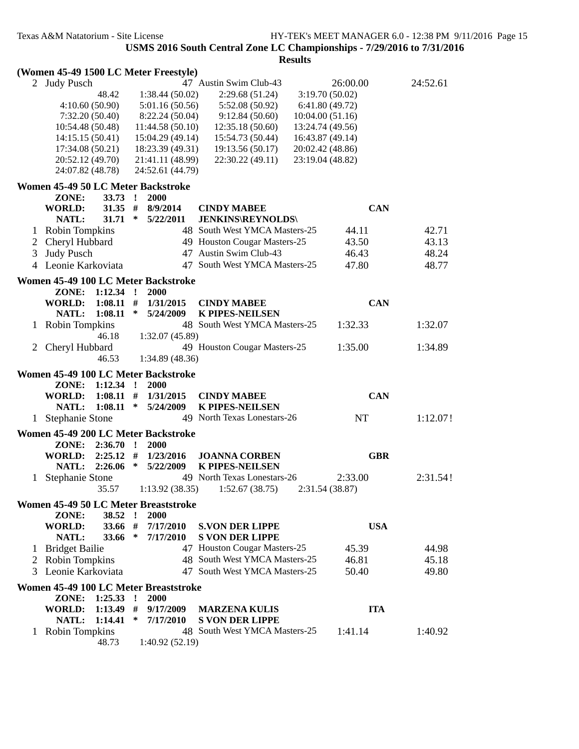**Results**

## **(Women 45-49 1500 LC Meter Freestyle)**

|              | 2 Judy Pusch                          |                      | 47 Austin Swim Club-43        | 26:00.00         | 24:52.61 |
|--------------|---------------------------------------|----------------------|-------------------------------|------------------|----------|
|              | 48.42                                 | 1:38.44(50.02)       | 2:29.68(51.24)                | 3:19.70(50.02)   |          |
|              | 4:10.60(50.90)                        | 5:01.16(50.56)       | 5:52.08 (50.92)               | 6:41.80(49.72)   |          |
|              | 7:32.20(50.40)                        | 8:22.24(50.04)       | 9:12.84(50.60)                | 10:04.00(51.16)  |          |
|              | 10:54.48 (50.48)                      | 11:44.58(50.10)      | 12:35.18(50.60)               | 13:24.74 (49.56) |          |
|              | 14:15.15(50.41)                       | 15:04.29(49.14)      | 15:54.73 (50.44)              | 16:43.87 (49.14) |          |
|              | 17:34.08 (50.21)                      | 18:23.39 (49.31)     | 19:13.56(50.17)               | 20:02.42 (48.86) |          |
|              | 20:52.12 (49.70)                      | 21:41.11 (48.99)     | 22:30.22 (49.11)              | 23:19.04 (48.82) |          |
|              | 24:07.82 (48.78)                      | 24:52.61 (44.79)     |                               |                  |          |
|              |                                       |                      |                               |                  |          |
|              | Women 45-49 50 LC Meter Backstroke    |                      |                               |                  |          |
|              | ZONE:<br>33.73                        | $\cdot$<br>2000      |                               |                  |          |
|              | 31.35 #<br><b>WORLD:</b>              | 8/9/2014             | <b>CINDY MABEE</b>            | <b>CAN</b>       |          |
|              | NATL:<br>$31.71$ *                    | 5/22/2011            | <b>JENKINS\REYNOLDS\</b>      |                  |          |
| 1            | <b>Robin Tompkins</b>                 |                      | 48 South West YMCA Masters-25 | 44.11            | 42.71    |
| 2            | Cheryl Hubbard                        |                      | 49 Houston Cougar Masters-25  | 43.50            | 43.13    |
| 3            | <b>Judy Pusch</b>                     |                      | 47 Austin Swim Club-43        | 46.43            | 48.24    |
|              | 4 Leonie Karkoviata                   |                      | 47 South West YMCA Masters-25 | 47.80            | 48.77    |
|              |                                       |                      |                               |                  |          |
|              | Women 45-49 100 LC Meter Backstroke   |                      |                               |                  |          |
|              | ZONE: 1:12.34 !                       | <b>2000</b>          |                               |                  |          |
|              | <b>WORLD:</b><br>$1:08.11$ #          | 1/31/2015            | <b>CINDY MABEE</b>            | <b>CAN</b>       |          |
|              | NATL:<br>1:08.11                      | ∗<br>5/24/2009       | <b>K PIPES-NEILSEN</b>        |                  |          |
|              | Robin Tompkins                        |                      | 48 South West YMCA Masters-25 | 1:32.33          | 1:32.07  |
|              | 46.18                                 | 1:32.07(45.89)       |                               |                  |          |
| $\mathbf{2}$ | Cheryl Hubbard                        |                      | 49 Houston Cougar Masters-25  | 1:35.00          | 1:34.89  |
|              | 46.53                                 | 1:34.89(48.36)       |                               |                  |          |
|              |                                       |                      |                               |                  |          |
|              |                                       |                      |                               |                  |          |
|              | Women 45-49 100 LC Meter Backstroke   |                      |                               |                  |          |
|              | $1:12.34$ !<br>ZONE:                  | 2000                 |                               |                  |          |
|              | $1:08.11$ #<br>WORLD:                 | 1/31/2015            | <b>CINDY MABEE</b>            | <b>CAN</b>       |          |
|              | NATL:<br>$1:08.11$ *                  | 5/24/2009            | <b>K PIPES-NEILSEN</b>        |                  |          |
|              | 1 Stephanie Stone                     |                      | 49 North Texas Lonestars-26   | NT               | 1:12.07! |
|              | Women 45-49 200 LC Meter Backstroke   |                      |                               |                  |          |
|              | ZONE: 2:36.70 !                       | 2000                 |                               |                  |          |
|              | <b>WORLD:</b><br>$2:25.12$ #          | 1/23/2016            | <b>JOANNA CORBEN</b>          | <b>GBR</b>       |          |
|              | NATL:<br>2:26.06                      | $\ast$<br>5/22/2009  | <b>K PIPES-NEILSEN</b>        |                  |          |
| 1.           | <b>Stephanie Stone</b>                |                      | 49 North Texas Lonestars-26   | 2:33.00          | 2:31.54! |
|              | 35.57                                 | 1:13.92(38.35)       | 1:52.67(38.75)                | 2:31.54(38.87)   |          |
|              |                                       |                      |                               |                  |          |
|              | Women 45-49 50 LC Meter Breaststroke  |                      |                               |                  |          |
|              | 38.52<br>ZONE:                        | 2000<br>$\mathbf{r}$ |                               |                  |          |
|              | <b>WORLD:</b><br>33.66 #              | 7/17/2010            | <b>S.VON DER LIPPE</b>        | <b>USA</b>       |          |
|              | NATL:<br>33.66                        | $\ast$<br>7/17/2010  | <b>S VON DER LIPPE</b>        |                  |          |
| 1            | <b>Bridget Bailie</b>                 |                      | 47 Houston Cougar Masters-25  | 45.39            | 44.98    |
| 2            | <b>Robin Tompkins</b>                 |                      | 48 South West YMCA Masters-25 | 46.81            | 45.18    |
|              | 3 Leonie Karkoviata                   |                      | 47 South West YMCA Masters-25 | 50.40            | 49.80    |
|              | Women 45-49 100 LC Meter Breaststroke |                      |                               |                  |          |
|              | ZONE:<br>$1:25.33$ !                  | 2000                 |                               |                  |          |
|              | <b>WORLD:</b><br>1:13.49              | 9/17/2009<br>#       | <b>MARZENA KULIS</b>          | <b>ITA</b>       |          |
|              | NATL:<br>1:14.41                      | ∗<br>7/17/2010       | <b>S VON DER LIPPE</b>        |                  |          |
| $\mathbf{I}$ | <b>Robin Tompkins</b><br>48.73        | 1:40.92(52.19)       | 48 South West YMCA Masters-25 | 1:41.14          | 1:40.92  |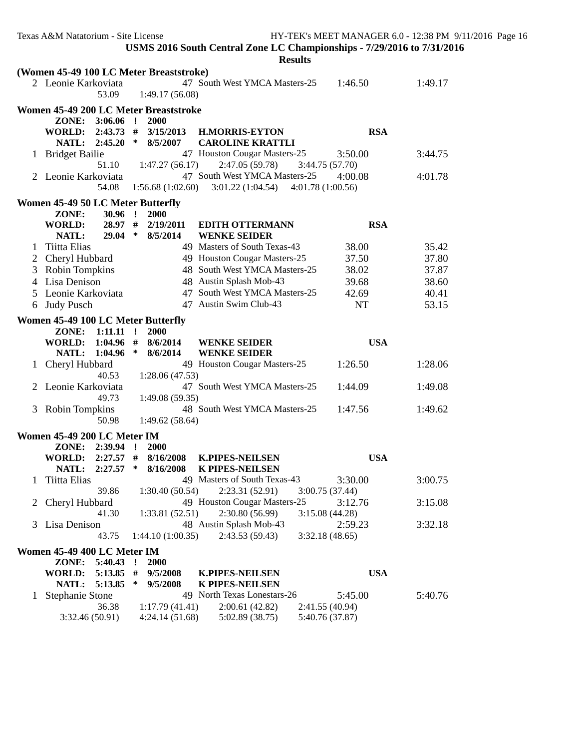|              | Texas A&M Natatorium - Site License                      |                                | USMS 2016 South Central Zone LC Championships - 7/29/2016 to 7/31/2016<br><b>Results</b> |                            | HY-TEK's MEET MANAGER 6.0 - 12:38 PM 9/11/2016 Page 16 |
|--------------|----------------------------------------------------------|--------------------------------|------------------------------------------------------------------------------------------|----------------------------|--------------------------------------------------------|
|              | (Women 45-49 100 LC Meter Breaststroke)                  |                                |                                                                                          |                            |                                                        |
|              | 2 Leonie Karkoviata<br>53.09                             | 1:49.17(56.08)                 | 47 South West YMCA Masters-25                                                            | 1:46.50                    | 1:49.17                                                |
|              | Women 45-49 200 LC Meter Breaststroke<br>ZONE: 3:06.06 ! | 2000                           |                                                                                          |                            |                                                        |
|              | NATL: 2:45.20                                            | $\ast$<br>8/5/2007             | WORLD: 2:43.73 # 3/15/2013 H.MORRIS-EYTON<br><b>CAROLINE KRATTLI</b>                     | <b>RSA</b>                 |                                                        |
|              | 1 Bridget Bailie<br>51.10                                | 1:47.27(56.17)                 | 47 Houston Cougar Masters-25<br>2:47.05 (59.78)                                          | 3:50.00<br>3:44.75 (57.70) | 3:44.75                                                |
|              | 2 Leonie Karkoviata<br>54.08                             | 1:56.68(1:02.60)               | 47 South West YMCA Masters-25<br>$3:01.22$ (1:04.54) $4:01.78$ (1:00.56)                 | 4:00.08                    | 4:01.78                                                |
|              | <b>Women 45-49 50 LC Meter Butterfly</b>                 |                                |                                                                                          |                            |                                                        |
|              | ZONE:<br>$30.96$ !<br>28.97 #<br><b>WORLD:</b>           | 2000<br>2/19/2011              | <b>EDITH OTTERMANN</b>                                                                   | <b>RSA</b>                 |                                                        |
|              | NATL:<br>$29.04$ *                                       | 8/5/2014                       | <b>WENKE SEIDER</b>                                                                      |                            |                                                        |
| $\perp$      | Tiitta Elias                                             |                                | 49 Masters of South Texas-43                                                             | 38.00                      | 35.42                                                  |
| 2            | Cheryl Hubbard                                           |                                | 49 Houston Cougar Masters-25                                                             | 37.50                      | 37.80                                                  |
| 3            | <b>Robin Tompkins</b>                                    |                                | 48 South West YMCA Masters-25                                                            | 38.02                      | 37.87                                                  |
|              | 4 Lisa Denison                                           |                                | 48 Austin Splash Mob-43                                                                  | 39.68                      | 38.60                                                  |
| 5            | Leonie Karkoviata                                        |                                | 47 South West YMCA Masters-25                                                            | 42.69                      | 40.41                                                  |
| 6            | <b>Judy Pusch</b>                                        |                                | 47 Austin Swim Club-43                                                                   | NT                         | 53.15                                                  |
|              | Women 45-49 100 LC Meter Butterfly                       |                                |                                                                                          |                            |                                                        |
|              | $1:11.11$ !<br>ZONE:                                     | <b>2000</b>                    |                                                                                          |                            |                                                        |
|              | WORLD: 1:04.96 #<br><b>NATL:</b><br>1:04.96              | 8/6/2014<br>$\ast$<br>8/6/2014 | <b>WENKE SEIDER</b><br><b>WENKE SEIDER</b>                                               | <b>USA</b>                 |                                                        |
|              | 1 Cheryl Hubbard<br>40.53                                | 1:28.06(47.53)                 | 49 Houston Cougar Masters-25                                                             | 1:26.50                    | 1:28.06                                                |
|              | 2 Leonie Karkoviata<br>49.73                             | 1:49.08(59.35)                 | 47 South West YMCA Masters-25                                                            | 1:44.09                    | 1:49.08                                                |
|              | 3 Robin Tompkins<br>50.98                                | 1:49.62(58.64)                 | 48 South West YMCA Masters-25                                                            | 1:47.56                    | 1:49.62                                                |
|              | Women 45-49 200 LC Meter IM                              |                                |                                                                                          |                            |                                                        |
|              | ZONE: 2:39.94 ! 2000                                     |                                |                                                                                          |                            |                                                        |
|              | $2:27.57$ #<br>WORLD:                                    | 8/16/2008                      | <b>K.PIPES-NEILSEN</b>                                                                   | <b>USA</b>                 |                                                        |
|              | 2:27.57<br>NATL:                                         | 8/16/2008<br>∗                 | <b>K PIPES-NEILSEN</b>                                                                   |                            |                                                        |
| $\mathbf{I}$ | Tiitta Elias                                             |                                | 49 Masters of South Texas-43                                                             | 3:30.00                    | 3:00.75                                                |
|              | 39.86                                                    | 1:30.40(50.54)                 | 2:23.31 (52.91)                                                                          | 3:00.75 (37.44)            |                                                        |
| 2            | Cheryl Hubbard                                           |                                | 49 Houston Cougar Masters-25                                                             | 3:12.76                    | 3:15.08                                                |
|              | 41.30                                                    | 1:33.81(52.51)                 | 2:30.80 (56.99)                                                                          | 3:15.08(44.28)             |                                                        |
| 3            | Lisa Denison                                             |                                | 48 Austin Splash Mob-43                                                                  | 2:59.23                    | 3:32.18                                                |
|              | 43.75                                                    | 1:44.10 (1:00.35)              | 2:43.53(59.43)                                                                           | 3:32.18(48.65)             |                                                        |
|              | Women 45-49 400 LC Meter IM                              |                                |                                                                                          |                            |                                                        |
|              | ZONE: 5:40.43                                            | 2000<br>$\cdot$                |                                                                                          |                            |                                                        |
|              | $5:13.85$ #<br><b>WORLD:</b>                             | 9/5/2008                       | <b>K.PIPES-NEILSEN</b>                                                                   | <b>USA</b>                 |                                                        |
|              | <b>NATL:</b><br>5:13.85                                  | $\ast$<br>9/5/2008             | <b>K PIPES-NEILSEN</b>                                                                   |                            |                                                        |
|              | <b>Stephanie Stone</b>                                   |                                | 49 North Texas Lonestars-26                                                              | 5:45.00                    | 5:40.76                                                |
|              | 36.38                                                    | 1:17.79(41.41)                 | 2:00.61(42.82)                                                                           | 2:41.55 (40.94)            |                                                        |
|              | 3:32.46(50.91)                                           | 4:24.14(51.68)                 | 5:02.89 (38.75)                                                                          | 5:40.76 (37.87)            |                                                        |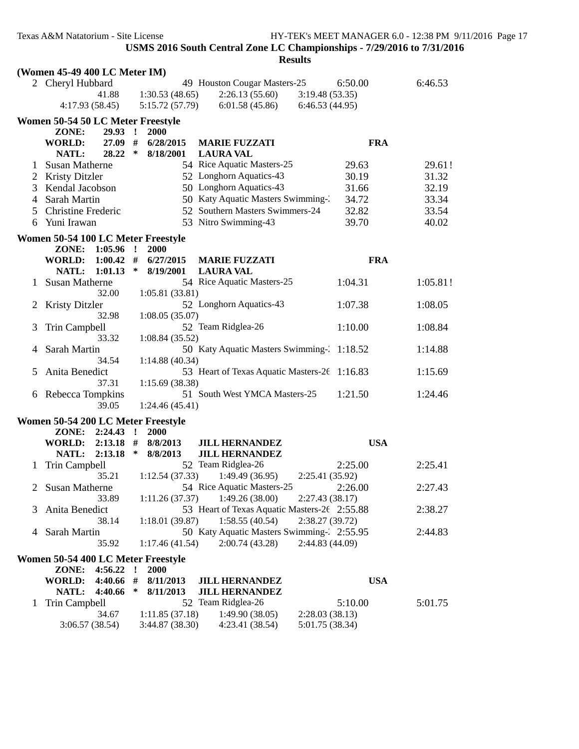|        | (Women 45-49 400 LC Meter IM)                         |              |                   |                                                |                 |            |          |
|--------|-------------------------------------------------------|--------------|-------------------|------------------------------------------------|-----------------|------------|----------|
|        | 2 Cheryl Hubbard                                      |              |                   | 49 Houston Cougar Masters-25                   |                 | 6:50.00    | 6:46.53  |
|        | 41.88                                                 |              | 1:30.53(48.65)    | 2:26.13(55.60)                                 | 3:19.48(53.35)  |            |          |
|        | 4:17.93(58.45)                                        |              | 5:15.72(57.79)    | 6:01.58 (45.86)                                | 6:46.53(44.95)  |            |          |
|        | Women 50-54 50 LC Meter Freestyle                     |              |                   |                                                |                 |            |          |
|        | ZONE:<br>$29.93$ !                                    |              | 2000              |                                                |                 |            |          |
|        | $27.09$ #<br><b>WORLD:</b>                            |              | 6/28/2015         | <b>MARIE FUZZATI</b>                           |                 | <b>FRA</b> |          |
|        | $28.22$ *<br>NATL:<br>Susan Matherne                  |              | 8/18/2001         | <b>LAURA VAL</b><br>54 Rice Aquatic Masters-25 |                 | 29.63      | 29.61!   |
| T.     | Kristy Ditzler                                        |              |                   | 52 Longhorn Aquatics-43                        |                 | 30.19      | 31.32    |
| 2<br>3 | Kendal Jacobson                                       |              |                   | 50 Longhorn Aquatics-43                        |                 | 31.66      | 32.19    |
| 4      | Sarah Martin                                          |              |                   | 50 Katy Aquatic Masters Swimming-2             |                 | 34.72      | 33.34    |
|        | <b>Christine Frederic</b>                             |              |                   | 52 Southern Masters Swimmers-24                |                 | 32.82      | 33.54    |
| 5      | Yuni Irawan                                           |              |                   | 53 Nitro Swimming-43                           |                 | 39.70      | 40.02    |
| 6      |                                                       |              |                   |                                                |                 |            |          |
|        | Women 50-54 100 LC Meter Freestyle<br>ZONE: 1:05.96 ! |              |                   |                                                |                 |            |          |
|        | WORLD: 1:00.42 #                                      |              | 2000<br>6/27/2015 | <b>MARIE FUZZATI</b>                           |                 | <b>FRA</b> |          |
|        | NATL: 1:01.13                                         | $\ast$       | 8/19/2001         | <b>LAURA VAL</b>                               |                 |            |          |
| 1      | Susan Matherne                                        |              |                   | 54 Rice Aquatic Masters-25                     |                 | 1:04.31    | 1:05.81! |
|        | 32.00                                                 |              | 1:05.81(33.81)    |                                                |                 |            |          |
| 2      | <b>Kristy Ditzler</b>                                 |              |                   | 52 Longhorn Aquatics-43                        |                 | 1:07.38    | 1:08.05  |
|        | 32.98                                                 |              | 1:08.05(35.07)    |                                                |                 |            |          |
| 3      | Trin Campbell                                         |              |                   | 52 Team Ridglea-26                             |                 | 1:10.00    | 1:08.84  |
|        | 33.32                                                 |              | 1:08.84(35.52)    |                                                |                 |            |          |
| 4      | Sarah Martin                                          |              |                   | 50 Katy Aquatic Masters Swimming- 1:18.52      |                 |            | 1:14.88  |
|        | 34.54                                                 |              | 1:14.88(40.34)    |                                                |                 |            |          |
| 5      | Anita Benedict                                        |              |                   | 53 Heart of Texas Aquatic Masters-26 1:16.83   |                 |            | 1:15.69  |
|        | 37.31                                                 |              | 1:15.69(38.38)    |                                                |                 |            |          |
|        | 6 Rebecca Tompkins                                    |              |                   | 51 South West YMCA Masters-25                  |                 | 1:21.50    | 1:24.46  |
|        | 39.05                                                 |              | 1:24.46(45.41)    |                                                |                 |            |          |
|        | Women 50-54 200 LC Meter Freestyle                    |              |                   |                                                |                 |            |          |
|        | ZONE: 2:24.43 !<br>WORLD: 2:13.18 #                   |              | 2000<br>8/8/2013  |                                                |                 | <b>USA</b> |          |
|        | NATL: 2:13.18 *                                       |              | 8/8/2013          | <b>JILL HERNANDEZ</b><br><b>JILL HERNANDEZ</b> |                 |            |          |
| 1      | Trin Campbell                                         |              |                   | 52 Team Ridglea-26                             |                 | 2:25.00    | 2:25.41  |
|        | 35.21                                                 |              |                   | $1:12.54(37.33)$ $1:49.49(36.95)$              | 2:25.41(35.92)  |            |          |
|        | 2 Susan Matherne                                      |              |                   | 54 Rice Aquatic Masters-25                     |                 | 2:26.00    | 2:27.43  |
|        | 33.89                                                 |              | 1:11.26(37.37)    | 1:49.26(38.00)                                 | 2:27.43(38.17)  |            |          |
| 3      | Anita Benedict                                        |              |                   | 53 Heart of Texas Aquatic Masters-26 2:55.88   |                 |            | 2:38.27  |
|        | 38.14                                                 |              | 1:18.01(39.87)    | 1:58.55(40.54)                                 | 2:38.27 (39.72) |            |          |
| 4      | Sarah Martin                                          |              |                   | 50 Katy Aquatic Masters Swimming-2:55.95       |                 |            | 2:44.83  |
|        | 35.92                                                 |              | 1:17.46(41.54)    | 2:00.74(43.28)                                 | 2:44.83 (44.09) |            |          |
|        | Women 50-54 400 LC Meter Freestyle                    |              |                   |                                                |                 |            |          |
|        | ZONE:<br>4:56.22                                      | $\mathbf{I}$ | 2000              |                                                |                 |            |          |
|        | 4:40.66 #<br>WORLD:                                   |              | 8/11/2013         | <b>JILL HERNANDEZ</b>                          |                 | <b>USA</b> |          |
|        | 4:40.66<br>NATL:                                      | ∗            | 8/11/2013         | <b>JILL HERNANDEZ</b>                          |                 |            |          |
| 1      | Trin Campbell                                         |              |                   | 52 Team Ridglea-26                             |                 | 5:10.00    | 5:01.75  |
|        | 34.67                                                 |              | 1:11.85(37.18)    | 1:49.90(38.05)                                 | 2:28.03(38.13)  |            |          |
|        | 3:06.57(38.54)                                        |              | 3:44.87 (38.30)   | 4:23.41 (38.54)                                | 5:01.75 (38.34) |            |          |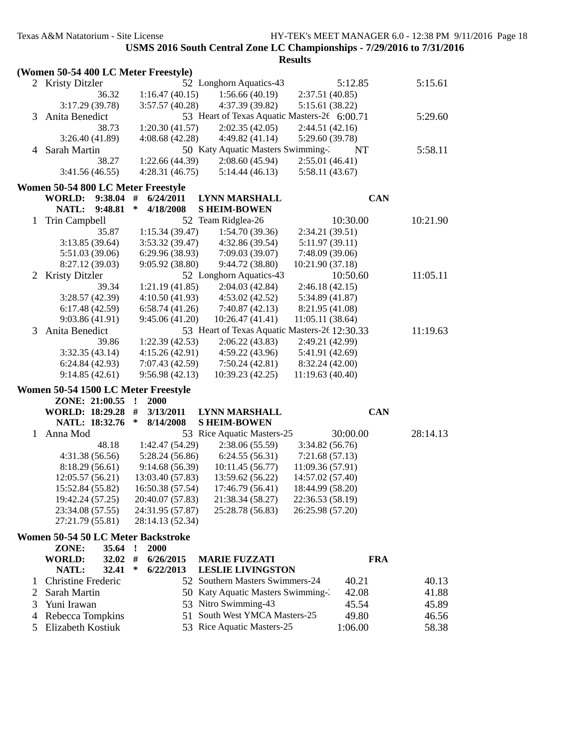|              |                                      |                     |                                               | <b>Results</b>   |            |  |
|--------------|--------------------------------------|---------------------|-----------------------------------------------|------------------|------------|--|
|              | (Women 50-54 400 LC Meter Freestyle) |                     |                                               |                  |            |  |
|              | 2 Kristy Ditzler                     |                     | 52 Longhorn Aquatics-43                       | 5:12.85          | 5:15.61    |  |
|              | 36.32                                | 1:16.47(40.15)      | 1:56.66(40.19)                                | 2:37.51 (40.85)  |            |  |
|              | 3:17.29 (39.78)                      | 3:57.57(40.28)      | 4:37.39 (39.82)                               | 5:15.61 (38.22)  |            |  |
| 3            | Anita Benedict                       |                     | 53 Heart of Texas Aquatic Masters-26 6:00.71  |                  | 5:29.60    |  |
|              | 38.73                                | 1:20.30(41.57)      | 2:02.35(42.05)                                | 2:44.51(42.16)   |            |  |
|              | 3:26.40(41.89)                       | 4:08.68(42.28)      | 4:49.82(41.14)                                | 5:29.60 (39.78)  |            |  |
| 4            | Sarah Martin                         |                     | 50 Katy Aquatic Masters Swimming-2            | NT               | 5:58.11    |  |
|              | 38.27                                | 1:22.66(44.39)      | 2:08.60(45.94)                                | 2:55.01(46.41)   |            |  |
|              | 3:41.56(46.55)                       | 4:28.31(46.75)      | 5:14.44(46.13)                                | 5:58.11 (43.67)  |            |  |
|              |                                      |                     |                                               |                  |            |  |
|              | Women 50-54 800 LC Meter Freestyle   |                     |                                               |                  |            |  |
|              | 9:38.04<br>WORLD:                    | #<br>6/24/2011      | LYNN MARSHALL                                 |                  | <b>CAN</b> |  |
|              | 9:48.81<br>NATL:                     | ∗<br>4/18/2008      | <b>SHEIM-BOWEN</b>                            |                  |            |  |
| 1            | Trin Campbell                        |                     | 52 Team Ridglea-26                            | 10:30.00         | 10:21.90   |  |
|              | 35.87                                | 1:15.34(39.47)      | 1:54.70(39.36)                                | 2:34.21 (39.51)  |            |  |
|              | 3:13.85(39.64)                       | 3:53.32 (39.47)     | 4:32.86 (39.54)                               | 5:11.97(39.11)   |            |  |
|              | 5:51.03 (39.06)                      | 6:29.96 (38.93)     | 7:09.03(39.07)                                | 7:48.09 (39.06)  |            |  |
|              | 8:27.12 (39.03)                      | 9:05.92 (38.80)     | 9:44.72 (38.80)                               | 10:21.90 (37.18) |            |  |
| 2            | <b>Kristy Ditzler</b>                |                     | 52 Longhorn Aquatics-43                       | 10:50.60         | 11:05.11   |  |
|              | 39.34                                | 1:21.19(41.85)      | 2:04.03(42.84)                                | 2:46.18(42.15)   |            |  |
|              | 3:28.57(42.39)                       | 4:10.50(41.93)      | 4:53.02(42.52)                                | 5:34.89 (41.87)  |            |  |
|              | 6:17.48(42.59)                       | 6:58.74(41.26)      | 7:40.87(42.13)                                | 8:21.95 (41.08)  |            |  |
|              | 9:03.86(41.91)                       | 9:45.06(41.20)      | 10:26.47(41.41)                               | 11:05.11 (38.64) |            |  |
| 3            | Anita Benedict                       |                     | 53 Heart of Texas Aquatic Masters-26 12:30.33 |                  | 11:19.63   |  |
|              | 39.86                                | 1:22.39(42.53)      | 2:06.22(43.83)                                | 2:49.21 (42.99)  |            |  |
|              | 3:32.35(43.14)                       | 4:15.26(42.91)      | 4:59.22(43.96)                                | 5:41.91 (42.69)  |            |  |
|              | 6:24.84(42.93)                       | 7:07.43 (42.59)     | 7:50.24(42.81)                                | 8:32.24 (42.00)  |            |  |
|              | 9:14.85(42.61)                       | 9:56.98(42.13)      | 10:39.23(42.25)                               | 11:19.63 (40.40) |            |  |
|              | Women 50-54 1500 LC Meter Freestyle  |                     |                                               |                  |            |  |
|              | ZONE: 21:00.55                       | 2000<br>$\cdot$     |                                               |                  |            |  |
|              | <b>WORLD: 18:29.28</b>               | #<br>3/13/2011      | <b>LYNN MARSHALL</b>                          |                  | <b>CAN</b> |  |
|              | NATL: 18:32.76                       | ∗<br>8/14/2008      | <b>SHEIM-BOWEN</b>                            |                  |            |  |
| $\mathbf{1}$ | Anna Mod                             |                     | 53 Rice Aquatic Masters-25                    | 30:00.00         | 28:14.13   |  |
|              | 48.18                                | 1:42.47 (54.29)     | 2:38.06(55.59)                                | 3:34.82(56.76)   |            |  |
|              | 4:31.38 (56.56)                      | 5:28.24(56.86)      | 6:24.55(56.31)                                | 7:21.68(57.13)   |            |  |
|              | 8:18.29(56.61)                       | 9:14.68(56.39)      | 10:11.45(56.77)                               | 11:09.36 (57.91) |            |  |
|              | 12:05.57 (56.21)                     | 13:03.40 (57.83)    | 13:59.62 (56.22)                              | 14:57.02 (57.40) |            |  |
|              | 15:52.84 (55.82)                     | 16:50.38 (57.54)    | 17:46.79 (56.41)                              | 18:44.99 (58.20) |            |  |
|              | 19:42.24 (57.25)                     | 20:40.07 (57.83)    | 21:38.34 (58.27)                              | 22:36.53 (58.19) |            |  |
|              | 23:34.08 (57.55)                     | 24:31.95 (57.87)    | 25:28.78 (56.83)                              | 26:25.98 (57.20) |            |  |
|              | 27:21.79 (55.81)                     | 28:14.13 (52.34)    |                                               |                  |            |  |
|              |                                      |                     |                                               |                  |            |  |
|              | Women 50-54 50 LC Meter Backstroke   |                     |                                               |                  |            |  |
|              | ZONE:<br>35.64                       | 2000<br>$\cdot$     |                                               |                  |            |  |
|              | <b>WORLD:</b><br>32.02               | #<br>6/26/2015      | <b>MARIE FUZZATI</b>                          | <b>FRA</b>       |            |  |
|              | <b>NATL:</b><br>32.41                | $\ast$<br>6/22/2013 | <b>LESLIE LIVINGSTON</b>                      |                  |            |  |
| 1            | Christine Frederic                   |                     | 52 Southern Masters Swimmers-24               | 40.21            | 40.13      |  |
| 2            | Sarah Martin                         |                     | 50 Katy Aquatic Masters Swimming-2            | 42.08            | 41.88      |  |
| 3            | Yuni Irawan                          |                     | 53 Nitro Swimming-43                          | 45.54            | 45.89      |  |
| 4            | Rebecca Tompkins                     |                     | 51 South West YMCA Masters-25                 | 49.80            | 46.56      |  |
| 5            | Elizabeth Kostiuk                    |                     | 53 Rice Aquatic Masters-25                    | 1:06.00          | 58.38      |  |
|              |                                      |                     |                                               |                  |            |  |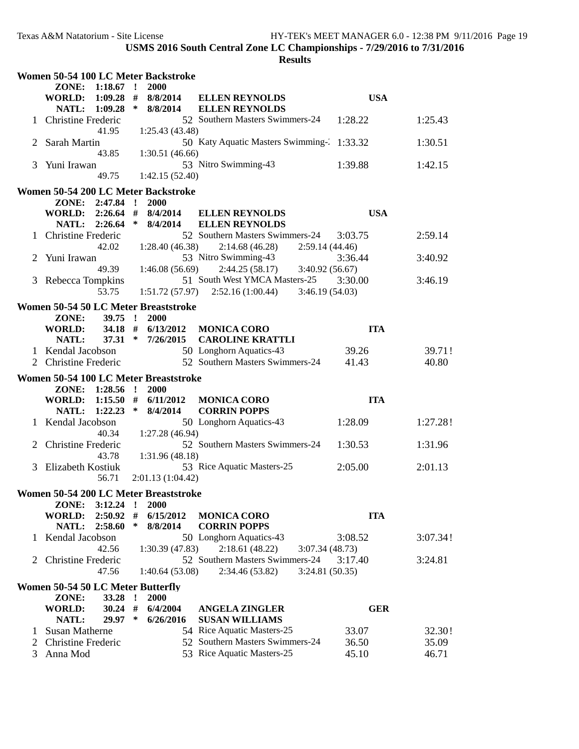|   |                                   |           |   | Women 50-54 100 LC Meter Backstroke   |                                                       |            |          |
|---|-----------------------------------|-----------|---|---------------------------------------|-------------------------------------------------------|------------|----------|
|   | ZONE: 1:18.67 !                   |           |   | 2000                                  |                                                       |            |          |
|   | WORLD: 1:09.28 #                  |           |   | 8/8/2014                              | <b>ELLEN REYNOLDS</b>                                 | <b>USA</b> |          |
|   | NATL: 1:09.28 *                   |           |   | 8/8/2014                              | <b>ELLEN REYNOLDS</b>                                 |            |          |
|   | 1 Christine Frederic              |           |   |                                       | 52 Southern Masters Swimmers-24                       | 1:28.22    | 1:25.43  |
|   |                                   | 41.95     |   | 1:25.43(43.48)                        |                                                       |            |          |
|   | 2 Sarah Martin                    |           |   |                                       | 50 Katy Aquatic Masters Swimming- 1:33.32             |            | 1:30.51  |
|   |                                   | 43.85     |   | 1:30.51(46.66)                        |                                                       |            |          |
| 3 | Yuni Irawan                       |           |   |                                       | 53 Nitro Swimming-43                                  | 1:39.88    | 1:42.15  |
|   |                                   | 49.75     |   | 1:42.15(52.40)                        |                                                       |            |          |
|   |                                   |           |   | Women 50-54 200 LC Meter Backstroke   |                                                       |            |          |
|   | ZONE: 2:47.84 !                   |           |   | 2000                                  |                                                       |            |          |
|   | WORLD: 2:26.64 #                  |           |   | 8/4/2014                              | <b>ELLEN REYNOLDS</b>                                 | <b>USA</b> |          |
|   | NATL: 2:26.64 *                   |           |   | 8/4/2014                              | <b>ELLEN REYNOLDS</b>                                 |            |          |
|   | 1 Christine Frederic              |           |   |                                       | 52 Southern Masters Swimmers-24                       | 3:03.75    | 2:59.14  |
|   |                                   | 42.02     |   | 1:28.40(46.38)                        | 2:14.68(46.28)<br>2:59.14(44.46)                      |            |          |
| 2 | Yuni Irawan                       |           |   |                                       | 53 Nitro Swimming-43                                  | 3:36.44    | 3:40.92  |
|   |                                   | 49.39     |   | 1:46.08(56.69)                        | 2:44.25(58.17)<br>3:40.92(56.67)                      |            |          |
|   | 3 Rebecca Tompkins                |           |   |                                       | 51 South West YMCA Masters-25                         | 3:30.00    | 3:46.19  |
|   |                                   | 53.75     |   |                                       | 3:46.19(54.03)<br>$1:51.72(57.97)$ $2:52.16(1:00.44)$ |            |          |
|   |                                   |           |   | Women 50-54 50 LC Meter Breaststroke  |                                                       |            |          |
|   | ZONE:                             | $39.75$ ! |   | <b>2000</b>                           |                                                       |            |          |
|   | <b>WORLD:</b>                     | 34.18 #   |   | 6/13/2012                             | <b>MONICA CORO</b>                                    | <b>ITA</b> |          |
|   | <b>NATL:</b>                      | $37.31$ * |   | 7/26/2015                             | <b>CAROLINE KRATTLI</b>                               |            |          |
|   | 1 Kendal Jacobson                 |           |   |                                       | 50 Longhorn Aquatics-43                               | 39.26      | 39.71!   |
|   | <b>Christine Frederic</b>         |           |   |                                       | 52 Southern Masters Swimmers-24                       | 41.43      | 40.80    |
|   |                                   |           |   |                                       |                                                       |            |          |
|   |                                   |           |   | Women 50-54 100 LC Meter Breaststroke |                                                       |            |          |
|   | ZONE: 1:28.56 !                   |           |   | <b>2000</b>                           |                                                       |            |          |
|   | WORLD: 1:15.50 #                  |           |   | 6/11/2012                             | <b>MONICA CORO</b>                                    | <b>ITA</b> |          |
|   | NATL: 1:22.23 *                   |           |   | 8/4/2014                              | <b>CORRIN POPPS</b>                                   |            |          |
|   | 1 Kendal Jacobson                 |           |   |                                       | 50 Longhorn Aquatics-43                               | 1:28.09    | 1:27.28! |
|   |                                   | 40.34     |   | 1:27.28 (46.94)                       |                                                       |            |          |
|   | <b>Christine Frederic</b>         |           |   |                                       | 52 Southern Masters Swimmers-24                       | 1:30.53    | 1:31.96  |
|   |                                   | 43.78     |   | 1:31.96 (48.18)                       |                                                       |            |          |
|   | 3 Elizabeth Kostiuk               |           |   |                                       | 53 Rice Aquatic Masters-25                            | 2:05.00    | 2:01.13  |
|   |                                   | 56.71     |   | 2:01.13(1:04.42)                      |                                                       |            |          |
|   |                                   |           |   | Women 50-54 200 LC Meter Breaststroke |                                                       |            |          |
|   | ZONE:                             | 3:12.24   |   | 2000                                  |                                                       |            |          |
|   | <b>WORLD:</b>                     | 2:50.92   | # | 6/15/2012                             | <b>MONICA CORO</b>                                    | <b>ITA</b> |          |
|   | <b>NATL:</b>                      | 2:58.60   | ∗ | 8/8/2014                              | <b>CORRIN POPPS</b>                                   |            |          |
| 1 | Kendal Jacobson                   |           |   |                                       | 50 Longhorn Aquatics-43                               | 3:08.52    | 3:07.34! |
|   |                                   | 42.56     |   | 1:30.39(47.83)                        | 2:18.61(48.22)<br>3:07.34(48.73)                      |            |          |
| 2 | <b>Christine Frederic</b>         |           |   |                                       | 52 Southern Masters Swimmers-24                       | 3:17.40    | 3:24.81  |
|   |                                   | 47.56     |   | 1:40.64 (53.08)                       | 3:24.81(50.35)<br>2:34.46 (53.82)                     |            |          |
|   | Women 50-54 50 LC Meter Butterfly |           |   |                                       |                                                       |            |          |
|   | ZONE:                             | 33.28 !   |   | 2000                                  |                                                       |            |          |
|   | <b>WORLD:</b>                     | $30.24$ # |   | 6/4/2004                              | <b>ANGELA ZINGLER</b>                                 | <b>GER</b> |          |
|   | <b>NATL:</b>                      | 29.97     | ∗ | 6/26/2016                             | <b>SUSAN WILLIAMS</b>                                 |            |          |
| 1 | Susan Matherne                    |           |   |                                       | 54 Rice Aquatic Masters-25                            | 33.07      | 32.30!   |
| 2 | <b>Christine Frederic</b>         |           |   |                                       | 52 Southern Masters Swimmers-24                       | 36.50      | 35.09    |
|   | 3 Anna Mod                        |           |   |                                       | 53 Rice Aquatic Masters-25                            | 45.10      | 46.71    |
|   |                                   |           |   |                                       |                                                       |            |          |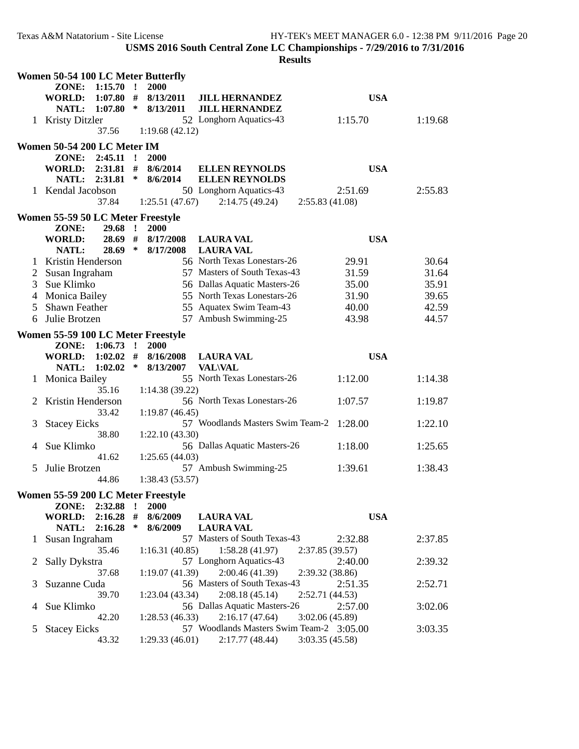|               | Women 50-54 100 LC Meter Butterfly |             |              |                 |                                                |                            |         |  |
|---------------|------------------------------------|-------------|--------------|-----------------|------------------------------------------------|----------------------------|---------|--|
|               | ZONE:                              | 1:15.70     | $\mathbf{r}$ | 2000            |                                                |                            |         |  |
|               | <b>WORLD:</b>                      | 1:07.80     | #            | 8/13/2011       | <b>JILL HERNANDEZ</b>                          | <b>USA</b>                 |         |  |
|               | NATL:                              | 1:07.80     | $\ast$       | 8/13/2011       | <b>JILL HERNANDEZ</b>                          |                            |         |  |
| $\mathbf{1}$  | <b>Kristy Ditzler</b>              |             |              |                 | 52 Longhorn Aquatics-43                        | 1:15.70                    | 1:19.68 |  |
|               |                                    | 37.56       |              | 1:19.68(42.12)  |                                                |                            |         |  |
|               | Women 50-54 200 LC Meter IM        |             |              |                 |                                                |                            |         |  |
|               | ZONE: 2:45.11 !                    |             |              | 2000            |                                                |                            |         |  |
|               | WORLD: 2:31.81 #                   |             |              | 8/6/2014        | <b>ELLEN REYNOLDS</b>                          | <b>USA</b>                 |         |  |
|               | NATL: 2:31.81                      |             | $\ast$       | 8/6/2014        | <b>ELLEN REYNOLDS</b>                          |                            |         |  |
|               | 1 Kendal Jacobson                  |             |              |                 | 50 Longhorn Aquatics-43                        | 2:51.69                    | 2:55.83 |  |
|               |                                    | 37.84       |              | 1:25.51(47.67)  | 2:14.75(49.24)                                 | 2:55.83(41.08)             |         |  |
|               | Women 55-59 50 LC Meter Freestyle  |             |              |                 |                                                |                            |         |  |
|               | ZONE:                              | 29.68 !     |              | 2000            |                                                |                            |         |  |
|               | <b>WORLD:</b>                      | 28.69 #     |              | 8/17/2008       | <b>LAURA VAL</b>                               | <b>USA</b>                 |         |  |
|               | NATL:                              | 28.69       | $\ast$       | 8/17/2008       | <b>LAURA VAL</b>                               |                            |         |  |
| 1             | Kristin Henderson                  |             |              |                 | 56 North Texas Lonestars-26                    | 29.91                      | 30.64   |  |
| 2             | Susan Ingraham                     |             |              |                 | 57 Masters of South Texas-43                   | 31.59                      | 31.64   |  |
| 3             | Sue Klimko                         |             |              |                 | 56 Dallas Aquatic Masters-26                   | 35.00                      | 35.91   |  |
| 4             | <b>Monica Bailey</b>               |             |              |                 | 55 North Texas Lonestars-26                    | 31.90                      | 39.65   |  |
| 5             | Shawn Feather                      |             |              |                 | 55 Aquatex Swim Team-43                        | 40.00                      | 42.59   |  |
| 6             | Julie Brotzen                      |             |              |                 | 57 Ambush Swimming-25                          | 43.98                      | 44.57   |  |
|               |                                    |             |              |                 |                                                |                            |         |  |
|               | Women 55-59 100 LC Meter Freestyle |             |              |                 |                                                |                            |         |  |
|               | ZONE: 1:06.73 !                    |             |              | 2000            |                                                |                            |         |  |
|               | WORLD: 1:02.02 #                   |             |              | 8/16/2008       | <b>LAURA VAL</b>                               | <b>USA</b>                 |         |  |
|               | NATL: 1:02.02                      |             | $\ast$       | 8/13/2007       | <b>VAL\VAL</b>                                 |                            |         |  |
| 1             | <b>Monica Bailey</b>               |             |              |                 | 55 North Texas Lonestars-26                    | 1:12.00                    | 1:14.38 |  |
|               |                                    | 35.16       |              | 1:14.38(39.22)  |                                                |                            |         |  |
| 2             | Kristin Henderson                  |             |              |                 | 56 North Texas Lonestars-26                    | 1:07.57                    | 1:19.87 |  |
|               |                                    | 33.42       |              | 1:19.87(46.45)  |                                                |                            |         |  |
| 3             | <b>Stacey Eicks</b>                |             |              |                 | 57 Woodlands Masters Swim Team-2 1:28.00       |                            | 1:22.10 |  |
|               |                                    | 38.80       |              | 1:22.10(43.30)  |                                                |                            |         |  |
| 4             | Sue Klimko                         |             |              |                 | 56 Dallas Aquatic Masters-26                   | 1:18.00                    | 1:25.65 |  |
|               |                                    | 41.62       |              | 1:25.65(44.03)  |                                                |                            |         |  |
| 5             | Julie Brotzen                      |             |              |                 | 57 Ambush Swimming-25                          | 1:39.61                    | 1:38.43 |  |
|               |                                    | 44.86       |              | 1:38.43(53.57)  |                                                |                            |         |  |
|               | Women 55-59 200 LC Meter Freestyle |             |              |                 |                                                |                            |         |  |
|               | ZONE:                              | 2:32.88     | $\mathbf{r}$ | 2000            |                                                |                            |         |  |
|               | <b>WORLD:</b>                      | $2:16.28$ # |              | 8/6/2009        | <b>LAURA VAL</b>                               | <b>USA</b>                 |         |  |
|               | <b>NATL:</b>                       | 2:16.28     | $\ast$       | 8/6/2009        | <b>LAURA VAL</b>                               |                            |         |  |
|               | 1 Susan Ingraham                   |             |              |                 | 57 Masters of South Texas-43                   | 2:32.88<br>2:37.85(39.57)  | 2:37.85 |  |
|               |                                    | 35.46       |              | 1:16.31(40.85)  | 1:58.28(41.97)<br>57 Longhorn Aquatics-43      | 2:40.00                    |         |  |
| 2             | Sally Dykstra                      |             |              |                 |                                                |                            | 2:39.32 |  |
|               |                                    | 37.68       |              | 1:19.07(41.39)  | 2:00.46(41.39)<br>56 Masters of South Texas-43 | 2:39.32 (38.86)<br>2:51.35 | 2:52.71 |  |
| 3             | Suzanne Cuda                       | 39.70       |              | 1:23.04 (43.34) | 2:08.18(45.14)                                 | 2:52.71 (44.53)            |         |  |
| 4             | Sue Klimko                         |             |              |                 | 56 Dallas Aquatic Masters-26                   | 2:57.00                    | 3:02.06 |  |
|               |                                    | 42.20       |              | 1:28.53(46.33)  | 2:16.17(47.64)                                 | 3:02.06 (45.89)            |         |  |
| $\mathcal{L}$ | <b>Stacey Eicks</b>                |             |              |                 | 57 Woodlands Masters Swim Team-2 3:05.00       |                            | 3:03.35 |  |
|               |                                    | 43.32       |              | 1:29.33(46.01)  | 2:17.77(48.44)                                 | 3:03.35 (45.58)            |         |  |
|               |                                    |             |              |                 |                                                |                            |         |  |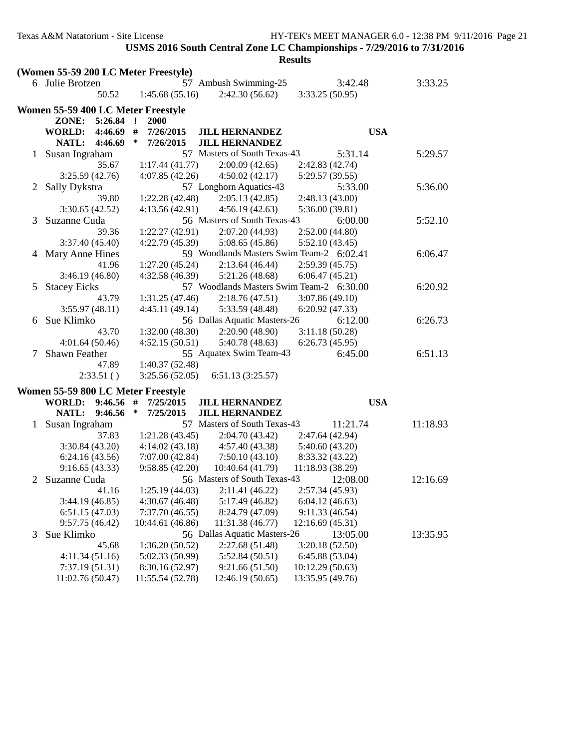|   |                                      |                     |                                          | <b>Results</b>   |          |  |
|---|--------------------------------------|---------------------|------------------------------------------|------------------|----------|--|
|   | (Women 55-59 200 LC Meter Freestyle) |                     |                                          |                  |          |  |
|   | 6 Julie Brotzen                      |                     | 57 Ambush Swimming-25                    | 3:42.48          | 3:33.25  |  |
|   | 50.52                                | 1:45.68(55.16)      | 2:42.30(56.62)                           | 3:33.25(50.95)   |          |  |
|   | Women 55-59 400 LC Meter Freestyle   |                     |                                          |                  |          |  |
|   | ZONE: 5:26.84 !                      | 2000                |                                          |                  |          |  |
|   | <b>WORLD:</b><br>4:46.69             | #<br>7/26/2015      | <b>JILL HERNANDEZ</b>                    | <b>USA</b>       |          |  |
|   | <b>NATL:</b><br>4:46.69              | ∗<br>7/26/2015      | <b>JILL HERNANDEZ</b>                    |                  |          |  |
|   | Susan Ingraham                       |                     | 57 Masters of South Texas-43             | 5:31.14          | 5:29.57  |  |
|   | 35.67                                | 1:17.44(41.77)      | 2:00.09(42.65)                           | 2:42.83 (42.74)  |          |  |
|   | 3:25.59(42.76)                       | 4:07.85(42.26)      | 4:50.02(42.17)                           | 5:29.57 (39.55)  |          |  |
|   | 2 Sally Dykstra                      |                     | 57 Longhorn Aquatics-43                  | 5:33.00          | 5:36.00  |  |
|   | 39.80                                | 1:22.28(42.48)      | 2:05.13(42.85)                           | 2:48.13 (43.00)  |          |  |
|   | 3:30.65(42.52)                       | 4:13.56(42.91)      | 4:56.19(42.63)                           | 5:36.00 (39.81)  |          |  |
| 3 | Suzanne Cuda                         |                     | 56 Masters of South Texas-43             | 6:00.00          | 5:52.10  |  |
|   | 39.36                                | 1:22.27(42.91)      | 2:07.20(44.93)                           | 2:52.00(44.80)   |          |  |
|   | 3:37.40(45.40)                       | 4:22.79(45.39)      | 5:08.65(45.86)                           | 5:52.10 (43.45)  |          |  |
| 4 | Mary Anne Hines                      |                     | 59 Woodlands Masters Swim Team-2 6:02.41 |                  | 6:06.47  |  |
|   | 41.96                                | 1:27.20(45.24)      | 2:13.64(46.44)                           | 2:59.39(45.75)   |          |  |
|   | 3:46.19(46.80)                       | 4:32.58(46.39)      | 5:21.26(48.68)                           | 6:06.47(45.21)   |          |  |
| 5 | <b>Stacey Eicks</b>                  |                     | 57 Woodlands Masters Swim Team-2 6:30.00 |                  | 6:20.92  |  |
|   | 43.79                                | 1:31.25(47.46)      | 2:18.76(47.51)                           | 3:07.86(49.10)   |          |  |
|   | 3:55.97(48.11)                       | 4:45.11(49.14)      | 5:33.59 (48.48)                          | 6:20.92(47.33)   |          |  |
| 6 | Sue Klimko                           |                     | 56 Dallas Aquatic Masters-26             | 6:12.00          | 6:26.73  |  |
|   | 43.70                                | 1:32.00(48.30)      | 2:20.90(48.90)                           | 3:11.18(50.28)   |          |  |
|   | 4:01.64(50.46)                       | 4:52.15(50.51)      | 5:40.78(48.63)                           | 6:26.73(45.95)   |          |  |
| 7 | Shawn Feather                        |                     | 55 Aquatex Swim Team-43                  | 6:45.00          | 6:51.13  |  |
|   | 47.89                                | 1:40.37(52.48)      |                                          |                  |          |  |
|   | 2:33.51()                            | 3:25.56(52.05)      | 6:51.13(3:25.57)                         |                  |          |  |
|   | Women 55-59 800 LC Meter Freestyle   |                     |                                          |                  |          |  |
|   | <b>WORLD:</b><br>$9:46.56$ #         | 7/25/2015           | <b>JILL HERNANDEZ</b>                    | <b>USA</b>       |          |  |
|   | <b>NATL:</b><br>9:46.56              | $\ast$<br>7/25/2015 | <b>JILL HERNANDEZ</b>                    |                  |          |  |
|   | 1 Susan Ingraham                     |                     | 57 Masters of South Texas-43             | 11:21.74         | 11:18.93 |  |
|   | 37.83                                | 1:21.28(43.45)      | 2:04.70(43.42)                           | 2:47.64 (42.94)  |          |  |
|   | 3:30.84(43.20)                       | 4:14.02(43.18)      | 4:57.40(43.38)                           | 5:40.60(43.20)   |          |  |
|   | 6:24.16(43.56)                       | 7:07.00(42.84)      | 7:50.10(43.10)                           | 8:33.32 (43.22)  |          |  |
|   | 9:16.65(43.33)                       | 9:58.85(42.20)      | 10:40.64 (41.79)                         | 11:18.93 (38.29) |          |  |
| 2 | Suzanne Cuda                         |                     | 56 Masters of South Texas-43             | 12:08.00         | 12:16.69 |  |
|   | 41.16                                | 1:25.19(44.03)      | 2:11.41(46.22)                           | 2:57.34(45.93)   |          |  |
|   | 3:44.19(46.85)                       | 4:30.67(46.48)      | 5:17.49(46.82)                           | 6:04.12(46.63)   |          |  |
|   | 6:51.15(47.03)                       | 7:37.70(46.55)      | 8:24.79 (47.09)                          | 9:11.33(46.54)   |          |  |
|   | 9:57.75(46.42)                       | 10:44.61 (46.86)    | 11:31.38 (46.77)                         | 12:16.69(45.31)  |          |  |
| 3 | Sue Klimko                           |                     | 56 Dallas Aquatic Masters-26             | 13:05.00         | 13:35.95 |  |
|   | 45.68                                | 1:36.20(50.52)      | 2:27.68(51.48)                           | 3:20.18(52.50)   |          |  |
|   | 4:11.34(51.16)                       | 5:02.33 (50.99)     | 5:52.84(50.51)                           | 6:45.88 (53.04)  |          |  |
|   | 7:37.19(51.31)                       | 8:30.16 (52.97)     | 9:21.66(51.50)                           | 10:12.29(50.63)  |          |  |
|   | 11:02.76 (50.47)                     | 11:55.54 (52.78)    | 12:46.19 (50.65)                         | 13:35.95 (49.76) |          |  |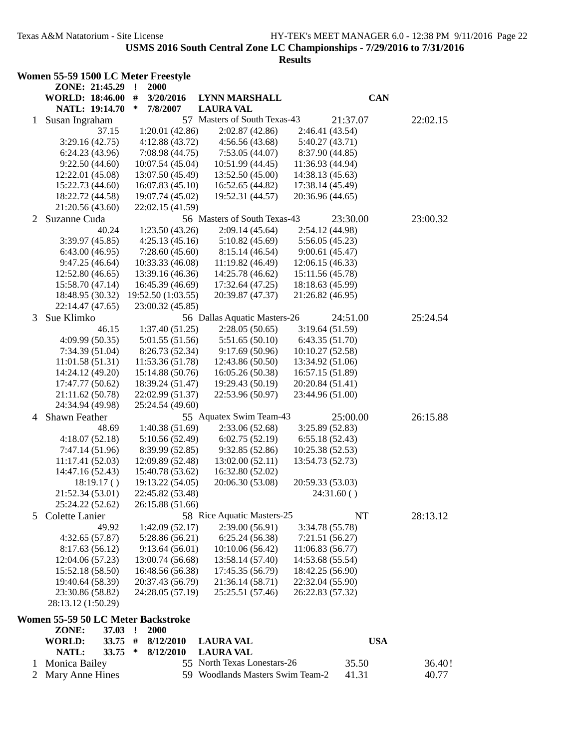|   | Women 55-59 1500 LC Meter Freestyle |                     |                                  |                  |            |
|---|-------------------------------------|---------------------|----------------------------------|------------------|------------|
|   | ZONE: 21:45.29                      | 2000<br>$\cdot$     |                                  |                  |            |
|   | <b>WORLD: 18:46.00</b>              | #<br>3/20/2016      | <b>LYNN MARSHALL</b>             |                  | <b>CAN</b> |
|   | NATL: 19:14.70                      | $\ast$<br>7/8/2007  | <b>LAURA VAL</b>                 |                  |            |
| 1 | Susan Ingraham                      |                     | 57 Masters of South Texas-43     | 21:37.07         | 22:02.15   |
|   | 37.15                               | 1:20.01(42.86)      | 2:02.87(42.86)                   | 2:46.41 (43.54)  |            |
|   | 3:29.16(42.75)                      | 4:12.88 (43.72)     | 4:56.56(43.68)                   | 5:40.27 (43.71)  |            |
|   | 6:24.23(43.96)                      | 7:08.98 (44.75)     | 7:53.05(44.07)                   | 8:37.90 (44.85)  |            |
|   | 9:22.50(44.60)                      | 10:07.54 (45.04)    | 10:51.99 (44.45)                 | 11:36.93 (44.94) |            |
|   | 12:22.01 (45.08)                    | 13:07.50 (45.49)    | 13:52.50 (45.00)                 | 14:38.13 (45.63) |            |
|   | 15:22.73 (44.60)                    | 16:07.83 (45.10)    | 16:52.65 (44.82)                 | 17:38.14 (45.49) |            |
|   | 18:22.72 (44.58)                    | 19:07.74 (45.02)    | 19:52.31 (44.57)                 | 20:36.96 (44.65) |            |
|   | 21:20.56 (43.60)<br>Suzanne Cuda    | 22:02.15 (41.59)    | 56 Masters of South Texas-43     | 23:30.00         | 23:00.32   |
| 2 |                                     | 1:23.50(43.26)      | 2:09.14(45.64)                   | 2:54.12 (44.98)  |            |
|   | 40.24<br>3:39.97 (45.85)            | 4:25.13(45.16)      | 5:10.82(45.69)                   | 5:56.05(45.23)   |            |
|   | 6:43.00(46.95)                      | 7:28.60(45.60)      | 8:15.14 (46.54)                  | 9:00.61(45.47)   |            |
|   | 9:47.25(46.64)                      | 10:33.33 (46.08)    | 11:19.82(46.49)                  | 12:06.15(46.33)  |            |
|   | 12:52.80(46.65)                     | 13:39.16 (46.36)    | 14:25.78 (46.62)                 | 15:11.56 (45.78) |            |
|   | 15:58.70 (47.14)                    | 16:45.39 (46.69)    | 17:32.64 (47.25)                 | 18:18.63 (45.99) |            |
|   | 18:48.95 (30.32)                    | 19:52.50 (1:03.55)  | 20:39.87 (47.37)                 | 21:26.82 (46.95) |            |
|   | 22:14.47 (47.65)                    | 23:00.32 (45.85)    |                                  |                  |            |
| 3 | Sue Klimko                          |                     | 56 Dallas Aquatic Masters-26     | 24:51.00         | 25:24.54   |
|   | 46.15                               | 1:37.40(51.25)      | 2:28.05(50.65)                   | 3:19.64(51.59)   |            |
|   | 4:09.99 (50.35)                     | 5:01.55 (51.56)     | 5:51.65(50.10)                   | 6:43.35(51.70)   |            |
|   | 7:34.39(51.04)                      | 8:26.73 (52.34)     | 9:17.69(50.96)                   | 10:10.27 (52.58) |            |
|   | 11:01.58(51.31)                     | 11:53.36 (51.78)    | 12:43.86 (50.50)                 | 13:34.92 (51.06) |            |
|   | 14:24.12 (49.20)                    | 15:14.88 (50.76)    | 16:05.26 (50.38)                 | 16:57.15 (51.89) |            |
|   | 17:47.77 (50.62)                    | 18:39.24 (51.47)    | 19:29.43 (50.19)                 | 20:20.84 (51.41) |            |
|   | 21:11.62 (50.78)                    | 22:02.99 (51.37)    | 22:53.96 (50.97)                 | 23:44.96 (51.00) |            |
|   | 24:34.94 (49.98)                    | 25:24.54 (49.60)    |                                  |                  |            |
| 4 | <b>Shawn Feather</b>                |                     | 55 Aquatex Swim Team-43          | 25:00.00         | 26:15.88   |
|   | 48.69                               | 1:40.38(51.69)      | 2:33.06(52.68)                   | 3:25.89(52.83)   |            |
|   | 4:18.07(52.18)                      | 5:10.56 (52.49)     | 6:02.75(52.19)                   | 6:55.18(52.43)   |            |
|   | 7:47.14 (51.96)                     | 8:39.99 (52.85)     | 9:32.85(52.86)                   | 10:25.38 (52.53) |            |
|   | 11:17.41 (52.03)                    | 12:09.89 (52.48)    | 13:02.00(52.11)                  | 13:54.73 (52.73) |            |
|   | 14:47.16 (52.43)                    | 15:40.78 (53.62)    | 16:32.80 (52.02)                 |                  |            |
|   | 18:19.17()                          | 19:13.22 (54.05)    | 20:06.30 (53.08)                 | 20:59.33 (53.03) |            |
|   | 21:52.34 (53.01)                    | 22:45.82 (53.48)    |                                  | 24:31.60()       |            |
|   | 25:24.22 (52.62)                    | 26:15.88 (51.66)    |                                  |                  |            |
| 5 | Colette Lanier                      |                     | 58 Rice Aquatic Masters-25       | NT               | 28:13.12   |
|   | 49.92                               | 1:42.09(52.17)      | 2:39.00(56.91)                   | 3:34.78 (55.78)  |            |
|   | 4:32.65(57.87)                      | 5:28.86(56.21)      | 6:25.24(56.38)                   | 7:21.51 (56.27)  |            |
|   | 8:17.63(56.12)                      | 9:13.64(56.01)      | 10:10.06 (56.42)                 | 11:06.83 (56.77) |            |
|   | 12:04.06 (57.23)                    | 13:00.74 (56.68)    | 13:58.14 (57.40)                 | 14:53.68 (55.54) |            |
|   | 15:52.18 (58.50)                    | 16:48.56 (56.38)    | 17:45.35 (56.79)                 | 18:42.25 (56.90) |            |
|   | 19:40.64 (58.39)                    | 20:37.43 (56.79)    | 21:36.14 (58.71)                 | 22:32.04 (55.90) |            |
|   | 23:30.86 (58.82)                    | 24:28.05 (57.19)    | 25:25.51 (57.46)                 | 26:22.83 (57.32) |            |
|   | 28:13.12 (1:50.29)                  |                     |                                  |                  |            |
|   | Women 55-59 50 LC Meter Backstroke  |                     |                                  |                  |            |
|   | ZONE:<br>37.03                      | 2000<br>$\cdot$     |                                  |                  |            |
|   | <b>WORLD:</b><br>33.75              | #<br>8/12/2010      | <b>LAURA VAL</b>                 |                  | <b>USA</b> |
|   | <b>NATL:</b><br>33.75               | 8/12/2010<br>$\ast$ | <b>LAURA VAL</b>                 |                  |            |
| 1 | Monica Bailey                       |                     | 55 North Texas Lonestars-26      | 35.50            | 36.40!     |
| 2 | Mary Anne Hines                     |                     | 59 Woodlands Masters Swim Team-2 | 41.31            | 40.77      |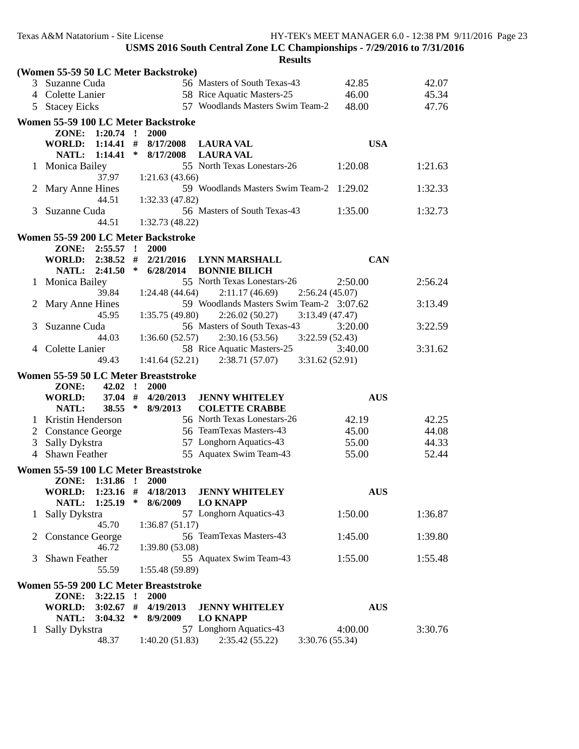|                | (Women 55-59 50 LC Meter Backstroke)          |                         |                 |                                                                |            |         |
|----------------|-----------------------------------------------|-------------------------|-----------------|----------------------------------------------------------------|------------|---------|
|                | 3 Suzanne Cuda                                |                         |                 | 56 Masters of South Texas-43                                   | 42.85      | 42.07   |
|                | 4 Colette Lanier                              |                         |                 | 58 Rice Aquatic Masters-25                                     | 46.00      | 45.34   |
|                | 5 Stacey Eicks                                |                         |                 | 57 Woodlands Masters Swim Team-2                               | 48.00      | 47.76   |
|                | Women 55-59 100 LC Meter Backstroke           |                         |                 |                                                                |            |         |
|                | ZONE:                                         | $1:20.74$ !             | 2000            |                                                                |            |         |
|                | <b>WORLD:</b>                                 | $1:14.41$ #             | 8/17/2008       | <b>LAURA VAL</b>                                               | <b>USA</b> |         |
|                | NATL:                                         | 1:14.41<br>$\ast$       | 8/17/2008       | <b>LAURA VAL</b>                                               |            |         |
| $\mathbf{1}$   | <b>Monica Bailey</b>                          |                         |                 | 55 North Texas Lonestars-26                                    | 1:20.08    | 1:21.63 |
|                |                                               | 37.97                   | 1:21.63(43.66)  |                                                                |            |         |
| 2              | Mary Anne Hines                               |                         |                 | 59 Woodlands Masters Swim Team-2 1:29.02                       |            | 1:32.33 |
|                |                                               | 44.51                   | 1:32.33 (47.82) |                                                                |            |         |
| 3              | Suzanne Cuda                                  |                         |                 | 56 Masters of South Texas-43                                   | 1:35.00    | 1:32.73 |
|                |                                               | 44.51                   | 1:32.73 (48.22) |                                                                |            |         |
|                | Women 55-59 200 LC Meter Backstroke           |                         |                 |                                                                |            |         |
|                | ZONE: 2:55.57 !                               |                         | 2000            |                                                                |            |         |
|                | <b>WORLD:</b>                                 | $2:38.52$ #             | 2/21/2016       | <b>LYNN MARSHALL</b>                                           | <b>CAN</b> |         |
|                | NATL: 2:41.50                                 | $\ast$                  | 6/28/2014       | <b>BONNIE BILICH</b>                                           |            |         |
| $\mathbf{1}$   | <b>Monica Bailey</b>                          |                         |                 | 55 North Texas Lonestars-26                                    | 2:50.00    | 2:56.24 |
|                |                                               | 39.84                   | 1:24.48(44.64)  | 2:11.17(46.69)<br>2:56.24(45.07)                               |            |         |
| 2              | Mary Anne Hines                               |                         |                 | 59 Woodlands Masters Swim Team-2 3:07.62                       |            | 3:13.49 |
|                |                                               | 45.95                   | 1:35.75(49.80)  | 2:26.02(50.27)<br>3:13.49(47.47)                               |            |         |
| 3              | Suzanne Cuda                                  |                         |                 | 56 Masters of South Texas-43                                   | 3:20.00    | 3:22.59 |
|                |                                               | 44.03                   | 1:36.60(52.57)  | 2:30.16(53.56)<br>3:22.59(52.43)                               |            |         |
| $\overline{4}$ | Colette Lanier                                | 49.43                   | 1:41.64(52.21)  | 58 Rice Aquatic Masters-25<br>2:38.71(57.07)<br>3:31.62(52.91) | 3:40.00    | 3:31.62 |
|                |                                               |                         |                 |                                                                |            |         |
|                | Women 55-59 50 LC Meter Breaststroke<br>ZONE: | $42.02$ !               | 2000            |                                                                |            |         |
|                | <b>WORLD:</b>                                 | $37.04$ #               | 4/20/2013       | <b>JENNY WHITELEY</b>                                          | <b>AUS</b> |         |
|                | NATL:                                         | $38.55$ *               | 8/9/2013        | <b>COLETTE CRABBE</b>                                          |            |         |
|                | 1 Kristin Henderson                           |                         |                 | 56 North Texas Lonestars-26                                    | 42.19      | 42.25   |
|                | 2 Constance George                            |                         |                 | 56 TeamTexas Masters-43                                        | 45.00      | 44.08   |
| 3              | Sally Dykstra                                 |                         |                 | 57 Longhorn Aquatics-43                                        | 55.00      | 44.33   |
|                | 4 Shawn Feather                               |                         |                 | 55 Aquatex Swim Team-43                                        | 55.00      | 52.44   |
|                | Women 55-59 100 LC Meter Breaststroke         |                         |                 |                                                                |            |         |
|                | ZONE: 1:31.86 !                               |                         | <b>2000</b>     |                                                                |            |         |
|                | <b>WORLD:</b>                                 | $1:23.16$ #             | 4/18/2013       | <b>JENNY WHITELEY</b>                                          | <b>AUS</b> |         |
|                | NATL:                                         | 1:25.19<br>∗            | 8/6/2009        | <b>LO KNAPP</b>                                                |            |         |
| $\mathbf{1}$   | Sally Dykstra                                 |                         |                 | 57 Longhorn Aquatics-43                                        | 1:50.00    | 1:36.87 |
|                |                                               | 45.70                   | 1:36.87(51.17)  |                                                                |            |         |
|                |                                               |                         |                 | 56 TeamTexas Masters-43                                        |            | 1:39.80 |
| 2              | <b>Constance George</b>                       |                         |                 |                                                                | 1:45.00    |         |
|                |                                               | 46.72                   | 1:39.80(53.08)  |                                                                |            |         |
| 3              | Shawn Feather                                 |                         |                 | 55 Aquatex Swim Team-43                                        | 1:55.00    | 1:55.48 |
|                |                                               | 55.59                   | 1:55.48(59.89)  |                                                                |            |         |
|                | Women 55-59 200 LC Meter Breaststroke         |                         |                 |                                                                |            |         |
|                | ZONE:                                         | 3:22.15<br>$\mathbf{r}$ | <b>2000</b>     |                                                                |            |         |
|                | <b>WORLD:</b>                                 | $3:02.67$ #             | 4/19/2013       | <b>JENNY WHITELEY</b>                                          | <b>AUS</b> |         |
|                | NATL:                                         | 3:04.32<br>∗            | 8/9/2009        | <b>LO KNAPP</b>                                                |            |         |
| 1              | Sally Dykstra                                 |                         |                 | 57 Longhorn Aquatics-43                                        | 4:00.00    | 3:30.76 |
|                |                                               | 48.37                   | 1:40.20(51.83)  | 2:35.42(55.22)<br>3:30.76 (55.34)                              |            |         |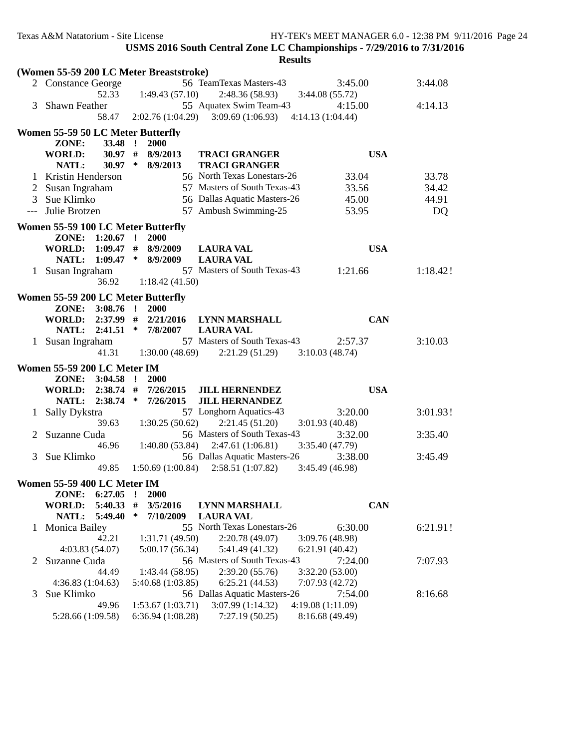|              | (Women 55-59 200 LC Meter Breaststroke)        |                                      |                                                |                                      |          |
|--------------|------------------------------------------------|--------------------------------------|------------------------------------------------|--------------------------------------|----------|
|              | 2 Constance George                             |                                      | 56 TeamTexas Masters-43                        | 3:45.00                              | 3:44.08  |
|              | 52.33                                          | 1:49.43(57.10)                       | 2:48.36(58.93)                                 | 3:44.08(55.72)                       |          |
| 3            | Shawn Feather                                  |                                      | 55 Aquatex Swim Team-43                        | 4:15.00                              | 4:14.13  |
|              | 58.47                                          | 2:02.76 (1:04.29)                    | 3:09.69(1:06.93)                               | 4:14.13 (1:04.44)                    |          |
|              |                                                |                                      |                                                |                                      |          |
|              | Women 55-59 50 LC Meter Butterfly              |                                      |                                                |                                      |          |
|              | 33.48 !<br>ZONE:                               | 2000                                 |                                                |                                      |          |
|              | $30.97$ #<br><b>WORLD:</b>                     | 8/9/2013                             | <b>TRACI GRANGER</b>                           | <b>USA</b>                           |          |
|              | NATL:<br>$30.97$ *                             | 8/9/2013                             | <b>TRACI GRANGER</b>                           |                                      |          |
|              | 1 Kristin Henderson                            |                                      | 56 North Texas Lonestars-26                    | 33.04                                | 33.78    |
|              | Susan Ingraham                                 |                                      | 57 Masters of South Texas-43                   | 33.56                                | 34.42    |
| 3            | Sue Klimko                                     |                                      | 56 Dallas Aquatic Masters-26                   | 45.00                                | 44.91    |
| $---$        | Julie Brotzen                                  |                                      | 57 Ambush Swimming-25                          | 53.95                                | DQ       |
|              | Women 55-59 100 LC Meter Butterfly             |                                      |                                                |                                      |          |
|              | ZONE: 1:20.67 !                                | 2000                                 |                                                |                                      |          |
|              | WORLD:                                         | $1:09.47$ # 8/9/2009                 | <b>LAURA VAL</b>                               | <b>USA</b>                           |          |
|              | <b>NATL:</b>                                   | $1:09.47$ * 8/9/2009                 | <b>LAURA VAL</b>                               |                                      |          |
|              | 1 Susan Ingraham                               |                                      | 57 Masters of South Texas-43                   | 1:21.66                              | 1:18.42! |
|              | 36.92                                          | 1:18.42(41.50)                       |                                                |                                      |          |
|              |                                                |                                      |                                                |                                      |          |
|              | Women 55-59 200 LC Meter Butterfly             |                                      |                                                |                                      |          |
|              | $3:08.76$ !<br>ZONE:                           | 2000                                 |                                                |                                      |          |
|              | <b>WORLD:</b>                                  | $2:37.99$ # $2/21/2016$              | <b>LYNN MARSHALL</b>                           | <b>CAN</b>                           |          |
|              | 2:41.51<br>NATL:                               | $*$ 7/8/2007                         | <b>LAURA VAL</b>                               |                                      |          |
| $\mathbf{1}$ | Susan Ingraham                                 |                                      | 57 Masters of South Texas-43                   | 2:57.37                              | 3:10.03  |
|              | 41.31                                          | 1:30.00(48.69)                       | 2:21.29(51.29)                                 | 3:10.03(48.74)                       |          |
|              |                                                |                                      |                                                |                                      |          |
|              |                                                |                                      |                                                |                                      |          |
|              | Women 55-59 200 LC Meter IM<br>ZONE: 3:04.58 ! | <b>2000</b>                          |                                                |                                      |          |
|              |                                                |                                      |                                                |                                      |          |
|              | WORLD: 2:38.74 #<br>NATL: 2:38.74 * 7/26/2015  | 7/26/2015                            | <b>JILL HERNENDEZ</b><br><b>JILL HERNANDEZ</b> | <b>USA</b>                           |          |
| 1            |                                                |                                      |                                                |                                      |          |
|              | Sally Dykstra<br>39.63                         |                                      | 57 Longhorn Aquatics-43                        | 3:20.00                              | 3:01.93! |
| 2            |                                                | 1:30.25(50.62)                       | 2:21.45(51.20)                                 | 3:01.93(40.48)                       |          |
|              | Suzanne Cuda<br>46.96                          |                                      | 56 Masters of South Texas-43                   | 3:32.00                              | 3:35.40  |
| 3            |                                                |                                      | $1:40.80(53.84)$ $2:47.61(1:06.81)$            | 3:35.40(47.79)                       |          |
|              | Sue Klimko                                     |                                      | 56 Dallas Aquatic Masters-26                   | 3:38.00                              | 3:45.49  |
|              | 49.85                                          | 1:50.69(1:00.84)                     | 2:58.51(1:07.82)                               | 3:45.49 (46.98)                      |          |
|              | Women 55-59 400 LC Meter IM                    |                                      |                                                |                                      |          |
|              | ZONE:<br>6:27.05                               | Ţ<br><b>2000</b>                     |                                                |                                      |          |
|              | <b>WORLD:</b><br>5:40.33                       | #<br>3/5/2016                        | <b>LYNN MARSHALL</b>                           | <b>CAN</b>                           |          |
|              | NATL:<br>5:49.40                               | $\ast$<br>7/10/2009                  | <b>LAURA VAL</b>                               |                                      |          |
| 1            | Monica Bailey                                  |                                      | 55 North Texas Lonestars-26                    | 6:30.00                              | 6:21.91! |
|              | 42.21                                          | 1:31.71 (49.50)                      | 2:20.78(49.07)                                 | 3:09.76 (48.98)                      |          |
|              | 4:03.83(54.07)                                 | 5:00.17 (56.34)                      | 5:41.49 (41.32)                                | 6:21.91(40.42)                       |          |
| 2            | Suzanne Cuda                                   |                                      | 56 Masters of South Texas-43                   | 7:24.00                              | 7:07.93  |
|              | 44.49                                          | 1:43.44(58.95)                       | 2:39.20(55.76)                                 | 3:32.20 (53.00)                      |          |
|              | 4:36.83 (1:04.63)                              | 5:40.68 (1:03.85)                    | 6:25.21(44.53)                                 | 7:07.93 (42.72)                      |          |
| 3            | Sue Klimko                                     |                                      | 56 Dallas Aquatic Masters-26                   | 7:54.00                              | 8:16.68  |
|              | 49.96<br>5:28.66 (1:09.58)                     | 1:53.67(1:03.71)<br>6:36.94(1:08.28) | 3:07.99(1:14.32)<br>7:27.19(50.25)             | 4:19.08 (1:11.09)<br>8:16.68 (49.49) |          |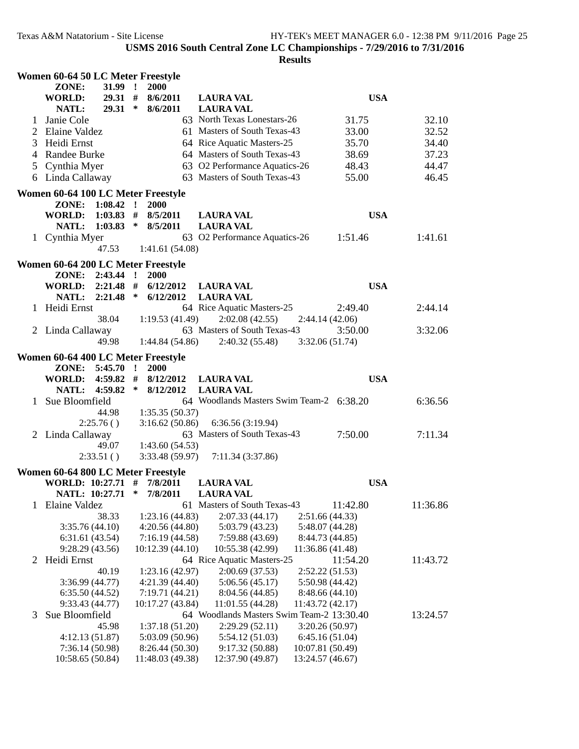|              | Women 60-64 50 LC Meter Freestyle  |             |              |                                     |                                                              |                                      |          |  |
|--------------|------------------------------------|-------------|--------------|-------------------------------------|--------------------------------------------------------------|--------------------------------------|----------|--|
|              | ZONE:                              | $31.99$ !   |              | 2000                                |                                                              |                                      |          |  |
|              | <b>WORLD:</b>                      | $29.31$ #   |              | 8/6/2011                            | <b>LAURA VAL</b>                                             | <b>USA</b>                           |          |  |
|              | NATL:                              | $29.31$ *   |              | 8/6/2011                            | <b>LAURA VAL</b>                                             |                                      |          |  |
| 1            | Janie Cole                         |             |              |                                     | 63 North Texas Lonestars-26                                  | 31.75                                | 32.10    |  |
| 2            | Elaine Valdez                      |             |              |                                     | 61 Masters of South Texas-43                                 | 33.00                                | 32.52    |  |
| 3            | Heidi Ernst                        |             |              |                                     | 64 Rice Aquatic Masters-25                                   | 35.70                                | 34.40    |  |
| 4            | Randee Burke                       |             |              |                                     | 64 Masters of South Texas-43                                 | 38.69                                | 37.23    |  |
|              |                                    |             |              |                                     | 63 O2 Performance Aquatics-26                                | 48.43                                | 44.47    |  |
|              | 5 Cynthia Myer                     |             |              |                                     |                                                              |                                      |          |  |
|              | 6 Linda Callaway                   |             |              |                                     | 63 Masters of South Texas-43                                 | 55.00                                | 46.45    |  |
|              | Women 60-64 100 LC Meter Freestyle |             |              |                                     |                                                              |                                      |          |  |
|              | ZONE: 1:08.42 !                    |             |              | 2000                                |                                                              |                                      |          |  |
|              | <b>WORLD:</b>                      | $1:03.83$ # |              | 8/5/2011                            | <b>LAURA VAL</b>                                             | <b>USA</b>                           |          |  |
|              | NATL:                              | $1:03.83$ * |              | 8/5/2011                            | <b>LAURA VAL</b>                                             |                                      |          |  |
|              | 1 Cynthia Myer                     |             |              |                                     | 63 O2 Performance Aquatics-26                                | 1:51.46                              | 1:41.61  |  |
|              |                                    | 47.53       |              | 1:41.61 (54.08)                     |                                                              |                                      |          |  |
|              |                                    |             |              |                                     |                                                              |                                      |          |  |
|              | Women 60-64 200 LC Meter Freestyle |             |              |                                     |                                                              |                                      |          |  |
|              | ZONE: 2:43.44 !                    |             |              | <b>2000</b>                         |                                                              |                                      |          |  |
|              | WORLD: 2:21.48 #                   |             |              | 6/12/2012                           | <b>LAURA VAL</b>                                             | <b>USA</b>                           |          |  |
|              | NATL: 2:21.48 *                    |             |              | 6/12/2012                           | <b>LAURA VAL</b>                                             |                                      |          |  |
|              | 1 Heidi Ernst                      |             |              |                                     | 64 Rice Aquatic Masters-25                                   | 2:49.40                              | 2:44.14  |  |
|              |                                    | 38.04       |              | 1:19.53(41.49)                      | 2:02.08(42.55)                                               | 2:44.14(42.06)                       |          |  |
|              | 2 Linda Callaway                   |             |              |                                     | 63 Masters of South Texas-43                                 | 3:50.00                              | 3:32.06  |  |
|              |                                    | 49.98       |              | 1:44.84(54.86)                      | 2:40.32(55.48)                                               | 3:32.06(51.74)                       |          |  |
|              | Women 60-64 400 LC Meter Freestyle |             |              |                                     |                                                              |                                      |          |  |
|              | ZONE:                              | 5:45.70     | $\mathbf{r}$ | <b>2000</b>                         |                                                              |                                      |          |  |
|              | WORLD:                             | $4:59.82$ # |              | 8/12/2012                           | <b>LAURA VAL</b>                                             | <b>USA</b>                           |          |  |
|              | <b>NATL:</b>                       | 4:59.82     | $\ast$       |                                     |                                                              |                                      |          |  |
|              | Sue Bloomfield                     |             |              | 8/12/2012                           | <b>LAURA VAL</b><br>64 Woodlands Masters Swim Team-2 6:38.20 |                                      |          |  |
| $\mathbf{1}$ |                                    |             |              |                                     |                                                              |                                      | 6:36.56  |  |
|              |                                    |             |              |                                     |                                                              |                                      |          |  |
|              |                                    | 44.98       |              | 1:35.35(50.37)                      |                                                              |                                      |          |  |
|              |                                    | 2:25.76()   |              | 3:16.62(50.86)                      | 6:36.56 (3:19.94)                                            |                                      |          |  |
|              | 2 Linda Callaway                   |             |              |                                     | 63 Masters of South Texas-43                                 | 7:50.00                              | 7:11.34  |  |
|              |                                    | 49.07       |              | 1:43.60(54.53)                      |                                                              |                                      |          |  |
|              |                                    | 2:33.51()   |              | 3:33.48(59.97)                      | 7:11.34 (3:37.86)                                            |                                      |          |  |
|              |                                    |             |              |                                     |                                                              |                                      |          |  |
|              | Women 60-64 800 LC Meter Freestyle |             |              |                                     |                                                              |                                      |          |  |
|              | WORLD: 10:27.71 # 7/8/2011         |             | ∗            |                                     | <b>LAURA VAL</b><br>LAURA VAL                                | <b>USA</b>                           |          |  |
|              | NATL: 10:27.71                     |             |              | 7/8/2011                            |                                                              |                                      |          |  |
|              | Elaine Valdez                      |             |              |                                     | 61 Masters of South Texas-43                                 | 11:42.80                             | 11:36.86 |  |
|              |                                    | 38.33       |              | 1:23.16(44.83)                      | 2:07.33(44.17)                                               | 2:51.66 (44.33)                      |          |  |
|              | 3:35.76(44.10)                     |             |              | 4:20.56(44.80)                      | 5:03.79 (43.23)                                              | 5:48.07 (44.28)                      |          |  |
|              | 6:31.61(43.54)                     |             |              | 7:16.19(44.58)                      | 7:59.88 (43.69)                                              | 8:44.73 (44.85)                      |          |  |
|              | 9:28.29(43.56)                     |             |              | 10:12.39 (44.10)                    | 10:55.38 (42.99)                                             | 11:36.86 (41.48)                     |          |  |
| 2            | Heidi Ernst                        |             |              |                                     | 64 Rice Aquatic Masters-25                                   | 11:54.20                             | 11:43.72 |  |
|              |                                    | 40.19       |              | 1:23.16(42.97)                      | 2:00.69(37.53)                                               | 2:52.22(51.53)                       |          |  |
|              | 3:36.99(44.77)                     |             |              | 4:21.39(44.40)                      | 5:06.56(45.17)                                               | 5:50.98 (44.42)                      |          |  |
|              | 6:35.50(44.52)                     |             |              | 7:19.71(44.21)                      | 8:04.56 (44.85)                                              | 8:48.66 (44.10)                      |          |  |
|              | 9:33.43(44.77)                     |             |              | 10:17.27 (43.84)                    | 11:01.55 (44.28)                                             | 11:43.72 (42.17)                     |          |  |
| 3            | Sue Bloomfield                     |             |              |                                     | 64 Woodlands Masters Swim Team-2 13:30.40                    |                                      | 13:24.57 |  |
|              |                                    | 45.98       |              | 1:37.18(51.20)                      | 2:29.29(52.11)                                               | 3:20.26(50.97)                       |          |  |
|              | 4:12.13 (51.87)                    |             |              | 5:03.09 (50.96)                     | 5:54.12(51.03)                                               | 6:45.16(51.04)                       |          |  |
|              | 7:36.14(50.98)<br>10:58.65 (50.84) |             |              | 8:26.44 (50.30)<br>11:48.03 (49.38) | 9:17.32 (50.88)<br>12:37.90 (49.87)                          | 10:07.81 (50.49)<br>13:24.57 (46.67) |          |  |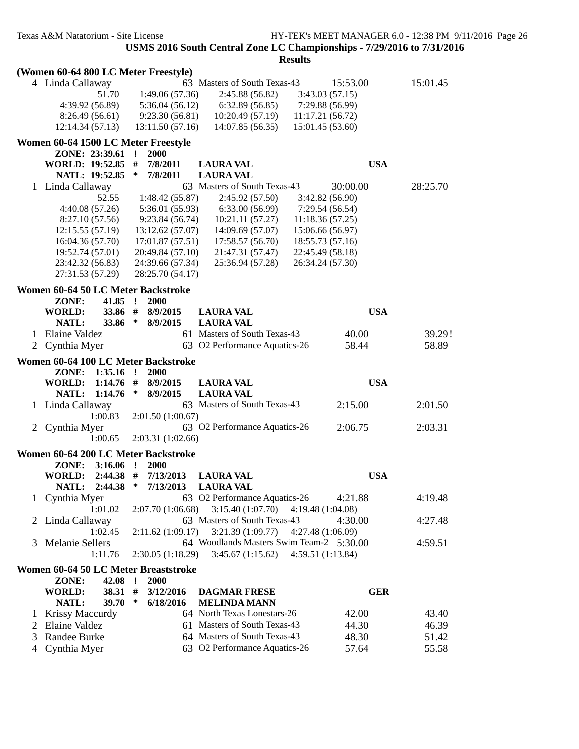|        | (Women 60-64 800 LC Meter Freestyle) |                                        |                                                                                 |                |
|--------|--------------------------------------|----------------------------------------|---------------------------------------------------------------------------------|----------------|
|        | 4 Linda Callaway                     |                                        | 63 Masters of South Texas-43<br>15:53.00                                        | 15:01.45       |
|        | 51.70                                | 1:49.06(57.36)                         | 2:45.88(56.82)<br>3:43.03(57.15)                                                |                |
|        | 4:39.92 (56.89)                      | 5:36.04(56.12)                         | 6:32.89(56.85)<br>7:29.88 (56.99)                                               |                |
|        | 8:26.49(56.61)                       | 9:23.30(56.81)                         | 10:20.49 (57.19)<br>11:17.21(56.72)                                             |                |
|        | 12:14.34 (57.13)                     | 13:11.50(57.16)                        | 14:07.85 (56.35)<br>15:01.45 (53.60)                                            |                |
|        | Women 60-64 1500 LC Meter Freestyle  |                                        |                                                                                 |                |
|        | ZONE: 23:39.61                       | 2000<br>$\mathbf{I}$                   |                                                                                 |                |
|        | WORLD: 19:52.85 #                    | 7/8/2011<br><b>LAURA VAL</b>           | <b>USA</b>                                                                      |                |
|        | NATL: 19:52.85                       | ∗<br>7/8/2011<br><b>LAURA VAL</b>      |                                                                                 |                |
|        | 1 Linda Callaway                     |                                        | 63 Masters of South Texas-43<br>30:00.00                                        | 28:25.70       |
|        | 52.55                                | 1:48.42(55.87)                         | 2:45.92 (57.50)<br>3:42.82(56.90)                                               |                |
|        | 4:40.08 (57.26)                      | 5:36.01 (55.93)                        | 6:33.00 (56.99)<br>7:29.54 (56.54)                                              |                |
|        | 8:27.10 (57.56)                      | 9:23.84(56.74)                         | 10:21.11 (57.27)<br>11:18.36(57.25)                                             |                |
|        | 12:15.55(57.19)                      | 13:12.62 (57.07)                       | 14:09.69 (57.07)<br>15:06.66 (56.97)                                            |                |
|        | 16:04.36 (57.70)                     | 17:01.87(57.51)                        | 17:58.57 (56.70)<br>18:55.73 (57.16)                                            |                |
|        | 19:52.74 (57.01)                     | 20:49.84 (57.10)                       | 21:47.31 (57.47)<br>22:45.49 (58.18)                                            |                |
|        | 23:42.32 (56.83)                     | 24:39.66 (57.34)                       | 25:36.94 (57.28)<br>26:34.24 (57.30)                                            |                |
|        | 27:31.53 (57.29)                     | 28:25.70 (54.17)                       |                                                                                 |                |
|        | Women 60-64 50 LC Meter Backstroke   |                                        |                                                                                 |                |
|        | $41.85$ !<br>ZONE:                   | 2000                                   |                                                                                 |                |
|        | <b>WORLD:</b><br>33.86 #             | 8/9/2015<br><b>LAURA VAL</b>           | <b>USA</b>                                                                      |                |
|        | NATL:<br>33.86                       | $\ast$<br>8/9/2015<br><b>LAURA VAL</b> |                                                                                 |                |
|        | 1 Elaine Valdez                      |                                        | 61 Masters of South Texas-43<br>40.00                                           | 39.29!         |
| 2      | Cynthia Myer                         |                                        | 63 O2 Performance Aquatics-26<br>58.44                                          | 58.89          |
|        | Women 60-64 100 LC Meter Backstroke  |                                        |                                                                                 |                |
|        |                                      |                                        |                                                                                 |                |
|        | $1:35.16$ !<br>ZONE:                 | 2000                                   |                                                                                 |                |
|        | $1:14.76$ #<br>WORLD:                | 8/9/2015<br><b>LAURA VAL</b>           | <b>USA</b>                                                                      |                |
|        | NATL:<br>1:14.76                     | $\ast$<br><b>LAURA VAL</b><br>8/9/2015 |                                                                                 |                |
|        | 1 Linda Callaway                     |                                        | 63 Masters of South Texas-43<br>2:15.00                                         | 2:01.50        |
|        | 1:00.83                              | 2:01.50(1:00.67)                       |                                                                                 |                |
|        | 2 Cynthia Myer                       |                                        | 63 O2 Performance Aquatics-26<br>2:06.75                                        | 2:03.31        |
|        | 1:00.65                              | 2:03.31(1:02.66)                       |                                                                                 |                |
|        | Women 60-64 200 LC Meter Backstroke  |                                        |                                                                                 |                |
|        | ZONE:<br>$3:16.06$ !                 | 2000                                   |                                                                                 |                |
|        | $2:44.38$ #<br>WORLD:                | 7/13/2013<br><b>LAURA VAL</b>          | <b>USA</b>                                                                      |                |
|        | NATL: 2:44.38 *                      | 7/13/2013<br>LAURA VAL                 |                                                                                 |                |
|        | Cynthia Myer                         |                                        | 63 O2 Performance Aquatics-26<br>4:21.88                                        | 4:19.48        |
|        | 1:01.02                              | 2:07.70 (1:06.68)                      | 3:15.40(1:07.70)<br>4:19.48 (1:04.08)                                           |                |
|        | Linda Callaway                       |                                        | 63 Masters of South Texas-43<br>4:30.00                                         | 4:27.48        |
|        | 1:02.45                              | 2:11.62(1:09.17)                       | 3:21.39(1:09.77)<br>4:27.48 (1:06.09)                                           |                |
| 3      | <b>Melanie Sellers</b>               |                                        | 64 Woodlands Masters Swim Team-2 5:30.00                                        | 4:59.51        |
|        | 1:11.76                              | 2:30.05 (1:18.29)                      | 3:45.67(1:15.62)<br>4:59.51(1:13.84)                                            |                |
|        | Women 60-64 50 LC Meter Breaststroke |                                        |                                                                                 |                |
|        | ZONE:<br>42.08                       | $\cdot$<br>2000                        |                                                                                 |                |
|        | 38.31 #<br><b>WORLD:</b>             | 3/12/2016                              | <b>GER</b><br><b>DAGMAR FRESE</b>                                               |                |
|        | 39.70<br>NATL:                       | $\ast$<br>6/18/2016                    | <b>MELINDA MANN</b>                                                             |                |
|        | Krissy Maccurdy                      |                                        | 64 North Texas Lonestars-26<br>42.00                                            | 43.40          |
| 2      | Elaine Valdez                        |                                        | 61 Masters of South Texas-43<br>44.30                                           | 46.39          |
| 3<br>4 | Randee Burke<br>Cynthia Myer         |                                        | 64 Masters of South Texas-43<br>48.30<br>63 O2 Performance Aquatics-26<br>57.64 | 51.42<br>55.58 |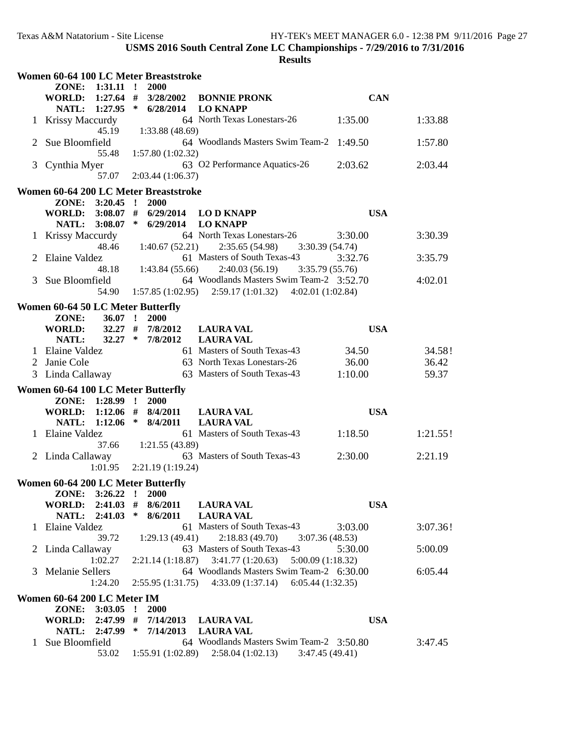|                | Women 60-64 100 LC Meter Breaststroke |                                     |                                                           |            |          |
|----------------|---------------------------------------|-------------------------------------|-----------------------------------------------------------|------------|----------|
|                | ZONE: 1:31.11 !                       | 2000                                |                                                           |            |          |
|                |                                       |                                     | WORLD: 1:27.64 # 3/28/2002 BONNIE PRONK                   | <b>CAN</b> |          |
|                |                                       | NATL: 1:27.95 * 6/28/2014           | <b>LO KNAPP</b>                                           |            |          |
|                | 1 Krissy Maccurdy                     |                                     | 64 North Texas Lonestars-26                               | 1:35.00    | 1:33.88  |
|                | 45.19                                 | 1:33.88 (48.69)                     |                                                           |            |          |
| $\overline{2}$ | Sue Bloomfield                        |                                     | 64 Woodlands Masters Swim Team-2 1:49.50                  |            | 1:57.80  |
|                | 55.48                                 | 1:57.80(1:02.32)                    |                                                           |            |          |
|                | 3 Cynthia Myer                        |                                     | 63 O2 Performance Aquatics-26                             | 2:03.62    | 2:03.44  |
|                | 57.07                                 | 2:03.44(1:06.37)                    |                                                           |            |          |
|                | Women 60-64 200 LC Meter Breaststroke |                                     |                                                           |            |          |
|                | ZONE: 3:20.45 !                       | 2000                                |                                                           |            |          |
|                | <b>WORLD:</b>                         | $3:08.07$ # $6/29/2014$ LOD KNAPP   |                                                           | <b>USA</b> |          |
|                | NATL: 3:08.07 * 6/29/2014             |                                     | <b>LO KNAPP</b>                                           |            |          |
|                | 1 Krissy Maccurdy                     |                                     | 64 North Texas Lonestars-26                               | 3:30.00    | 3:30.39  |
|                | 48.46                                 | 1:40.67(52.21)                      | 2:35.65(54.98)<br>3:30.39(54.74)                          |            |          |
|                | 2 Elaine Valdez                       |                                     | 61 Masters of South Texas-43                              | 3:32.76    | 3:35.79  |
|                | 48.18                                 | 1:43.84 (55.66)                     | 2:40.03(56.19)<br>3:35.79(55.76)                          |            |          |
| 3              | Sue Bloomfield                        |                                     | 64 Woodlands Masters Swim Team-2 3:52.70                  |            | 4:02.01  |
|                | 54.90                                 |                                     | $1:57.85(1:02.95)$ $2:59.17(1:01.32)$ $4:02.01(1:02.84)$  |            |          |
|                |                                       |                                     |                                                           |            |          |
|                | Women 60-64 50 LC Meter Butterfly     |                                     |                                                           |            |          |
|                | ZONE:<br>$36.07$ !                    | 2000                                |                                                           |            |          |
|                | <b>WORLD:</b>                         | $32.27$ # $7/8/2012$                | <b>LAURA VAL</b>                                          | <b>USA</b> |          |
|                | NATL:                                 | $32.27 * 7/8/2012$                  | <b>LAURA VAL</b>                                          |            |          |
|                | 1 Elaine Valdez                       |                                     | 61 Masters of South Texas-43                              | 34.50      | 34.58!   |
| 2              | Janie Cole                            |                                     | 63 North Texas Lonestars-26                               | 36.00      | 36.42    |
|                | 3 Linda Callaway                      |                                     | 63 Masters of South Texas-43                              | 1:10.00    | 59.37    |
|                | Women 60-64 100 LC Meter Butterfly    |                                     |                                                           |            |          |
|                | ZONE: 1:28.99 !                       | 2000                                |                                                           |            |          |
|                | WORLD: 1:12.06 # 8/4/2011             |                                     | <b>LAURA VAL</b>                                          | <b>USA</b> |          |
|                | NATL: 1:12.06 * 8/4/2011              |                                     | <b>LAURA VAL</b>                                          |            |          |
|                | 1 Elaine Valdez                       |                                     | 61 Masters of South Texas-43                              | 1:18.50    | 1:21.55! |
|                | 37.66                                 | 1:21.55 (43.89)                     |                                                           |            |          |
|                | 2 Linda Callaway                      |                                     | 63 Masters of South Texas-43                              | 2:30.00    | 2:21.19  |
|                | 1:01.95                               | 2:21.19 (1:19.24)                   |                                                           |            |          |
|                | Women 60-64 200 LC Meter Butterfly    |                                     |                                                           |            |          |
|                | ZONE: 3:26.22 ! 2000                  |                                     |                                                           |            |          |
|                | WORLD: 2:41.03 # 8/6/2011 LAURA VAL   |                                     |                                                           | <b>USA</b> |          |
|                | NATL: 2:41.03 * 8/6/2011              |                                     | <b>LAURA VAL</b>                                          |            |          |
|                | 1 Elaine Valdez                       |                                     | 61 Masters of South Texas-43                              | 3:03.00    | 3:07.36! |
|                | 39.72                                 | 1:29.13(49.41)                      | $2:18.83(49.70)$ $3:07.36(48.53)$                         |            |          |
|                | Linda Callaway                        |                                     | 63 Masters of South Texas-43                              | 5:30.00    | 5:00.09  |
|                | 1:02.27                               |                                     | $2:21.14(1:18.87)$ $3:41.77(1:20.63)$ $5:00.09(1:18.32)$  |            |          |
| 3              | Melanie Sellers                       |                                     | 64 Woodlands Masters Swim Team-2 6:30.00                  |            | 6:05.44  |
|                | 1:24.20                               |                                     | $2:55.95(1:31.75)$ $4:33.09(1:37.14)$ $6:05.44(1:32.35)$  |            |          |
|                |                                       |                                     |                                                           |            |          |
|                | Women 60-64 200 LC Meter IM           |                                     |                                                           |            |          |
|                | ZONE: 3:03.05 !                       | <b>2000</b>                         |                                                           |            |          |
|                | WORLD: 2:47.99 # 7/14/2013 LAURA VAL  |                                     |                                                           | <b>USA</b> |          |
|                |                                       | NATL: 2:47.99 * 7/14/2013 LAURA VAL |                                                           |            |          |
|                | 1 Sue Bloomfield                      |                                     | 64 Woodlands Masters Swim Team-2 3:50.80                  |            | 3:47.45  |
|                |                                       |                                     | 53.02 1:55.91 (1:02.89) 2:58.04 (1:02.13) 3:47.45 (49.41) |            |          |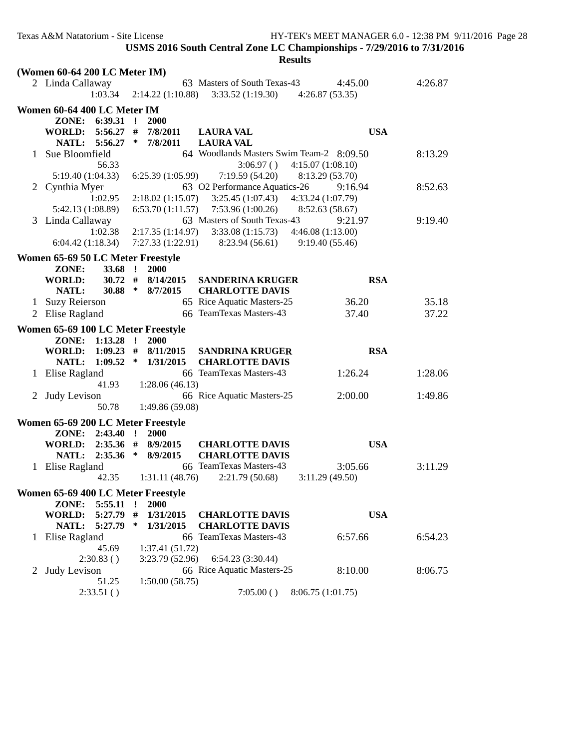|              | (Women 60-64 200 LC Meter IM)      |             |              |                         |                                                                       |                           |         |  |
|--------------|------------------------------------|-------------|--------------|-------------------------|-----------------------------------------------------------------------|---------------------------|---------|--|
|              | 2 Linda Callaway                   | 1:03.34     |              |                         | 63 Masters of South Texas-43<br>$2:14.22(1:10.88)$ $3:33.52(1:19.30)$ | 4:45.00<br>4:26.87(53.35) | 4:26.87 |  |
|              | Women 60-64 400 LC Meter IM        |             |              |                         |                                                                       |                           |         |  |
|              |                                    |             |              | 2000                    |                                                                       |                           |         |  |
|              | ZONE: 6:39.31 !                    |             |              |                         |                                                                       |                           |         |  |
|              | WORLD:                             | $5:56.27$ # | $\ast$       | 7/8/2011                | <b>LAURA VAL</b>                                                      | <b>USA</b>                |         |  |
|              | NATL: 5:56.27                      |             |              | 7/8/2011                | <b>LAURA VAL</b>                                                      |                           |         |  |
|              | Sue Bloomfield                     |             |              |                         | 64 Woodlands Masters Swim Team-2 8:09.50                              |                           | 8:13.29 |  |
|              |                                    | 56.33       |              |                         | 3:06.97()                                                             | 4:15.07(1:08.10)          |         |  |
|              | 5:19.40 (1:04.33)                  |             |              | 6:25.39(1:05.99)        | 7:19.59 (54.20)                                                       | 8:13.29 (53.70)           |         |  |
|              | 2 Cynthia Myer                     |             |              |                         | 63 O2 Performance Aquatics-26                                         | 9:16.94                   | 8:52.63 |  |
|              |                                    | 1:02.95     |              | 2:18.02(1:15.07)        | 3:25.45(1:07.43)                                                      | 4:33.24 (1:07.79)         |         |  |
|              | 5:42.13 (1:08.89)                  |             |              |                         | $6:53.70(1:11.57)$ $7:53.96(1:00.26)$                                 | 8:52.63(58.67)            |         |  |
|              | 3 Linda Callaway                   |             |              |                         | 63 Masters of South Texas-43                                          | 9:21.97                   | 9:19.40 |  |
|              |                                    | 1:02.38     |              | 2:17.35(1:14.97)        | 3:33.08(1:15.73)                                                      | 4:46.08(1:13.00)          |         |  |
|              | 6:04.42(1:18.34)                   |             |              |                         | $7:27.33(1:22.91)$ $8:23.94(56.61)$ $9:19.40(55.46)$                  |                           |         |  |
|              | Women 65-69 50 LC Meter Freestyle  |             |              |                         |                                                                       |                           |         |  |
|              | ZONE:                              | 33.68 !     |              | 2000                    |                                                                       |                           |         |  |
|              | <b>WORLD:</b>                      | $30.72$ #   |              | 8/14/2015               | <b>SANDERINA KRUGER</b>                                               | <b>RSA</b>                |         |  |
|              | NATL:                              |             |              | $30.88 * 8/7/2015$      | <b>CHARLOTTE DAVIS</b>                                                |                           |         |  |
| $\mathbf{1}$ | <b>Suzy Reierson</b>               |             |              |                         | 65 Rice Aquatic Masters-25                                            | 36.20                     | 35.18   |  |
|              | 2 Elise Ragland                    |             |              |                         | 66 TeamTexas Masters-43                                               | 37.40                     | 37.22   |  |
|              | Women 65-69 100 LC Meter Freestyle |             |              |                         |                                                                       |                           |         |  |
|              | ZONE: 1:13.28 !                    |             |              | <b>2000</b>             |                                                                       |                           |         |  |
|              | WORLD: 1:09.23 # 8/11/2015         |             |              |                         | SANDRINA KRUGER                                                       | <b>RSA</b>                |         |  |
|              | NATL:                              |             |              | $1:09.52$ * $1/31/2015$ | <b>CHARLOTTE DAVIS</b>                                                |                           |         |  |
|              | 1 Elise Ragland                    |             |              |                         | 66 TeamTexas Masters-43                                               | 1:26.24                   | 1:28.06 |  |
|              |                                    | 41.93       |              | 1:28.06(46.13)          |                                                                       |                           |         |  |
|              | 2 Judy Levison                     |             |              |                         | 66 Rice Aquatic Masters-25                                            | 2:00.00                   | 1:49.86 |  |
|              |                                    |             |              |                         |                                                                       |                           |         |  |
|              |                                    | 50.78       |              |                         |                                                                       |                           |         |  |
|              |                                    |             |              | 1:49.86 (59.08)         |                                                                       |                           |         |  |
|              | Women 65-69 200 LC Meter Freestyle |             |              |                         |                                                                       |                           |         |  |
|              | ZONE: 2:43.40 !                    |             |              | 2000                    |                                                                       |                           |         |  |
|              | WORLD: 2:35.36 # 8/9/2015          |             |              |                         | <b>CHARLOTTE DAVIS</b>                                                | <b>USA</b>                |         |  |
|              | NATL:                              |             |              | 2:35.36 * 8/9/2015      | <b>CHARLOTTE DAVIS</b>                                                |                           |         |  |
|              | 1 Elise Ragland                    |             |              |                         | 66 TeamTexas Masters-43                                               | 3:05.66                   | 3:11.29 |  |
|              |                                    | 42.35       |              | 1:31.11(48.76)          | 2:21.79(50.68)                                                        | 3:11.29(49.50)            |         |  |
|              | Women 65-69 400 LC Meter Freestyle |             |              |                         |                                                                       |                           |         |  |
|              | ZONE:                              | 5:55.11     | $\mathbf{r}$ | 2000                    |                                                                       |                           |         |  |
|              | WORLD:                             | 5:27.79     | #            | 1/31/2015               | <b>CHARLOTTE DAVIS</b>                                                | <b>USA</b>                |         |  |
|              | NATL:                              | 5:27.79     | ∗            | 1/31/2015               | <b>CHARLOTTE DAVIS</b>                                                |                           |         |  |
|              | 1 Elise Ragland                    |             |              |                         | 66 TeamTexas Masters-43                                               | 6:57.66                   | 6:54.23 |  |
|              |                                    | 45.69       |              | 1:37.41(51.72)          |                                                                       |                           |         |  |
|              | 2:30.83()                          |             |              | 3:23.79 (52.96)         | 6:54.23 (3:30.44)                                                     |                           |         |  |
| $2^{\circ}$  | Judy Levison                       |             |              |                         | 66 Rice Aquatic Masters-25                                            | 8:10.00                   | 8:06.75 |  |
|              | 2:33.51()                          | 51.25       |              | 1:50.00(58.75)          | 7:05.00()                                                             | 8:06.75 (1:01.75)         |         |  |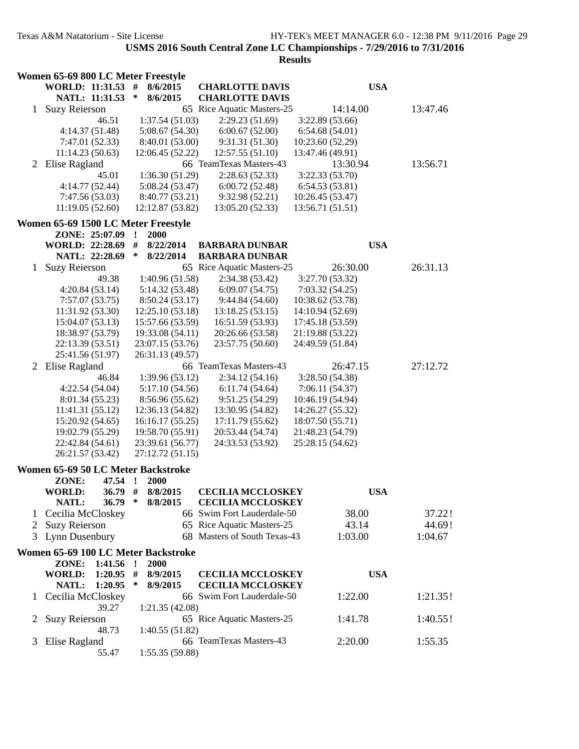|              | Women 65-69 800 LC Meter Freestyle  |                          |                              |                  |          |  |
|--------------|-------------------------------------|--------------------------|------------------------------|------------------|----------|--|
|              | WORLD: 11:31.53 #                   | 8/6/2015                 | <b>CHARLOTTE DAVIS</b>       | <b>USA</b>       |          |  |
|              | NATL: 11:31.53                      | $\ast$<br>8/6/2015       | <b>CHARLOTTE DAVIS</b>       |                  |          |  |
| $\mathbf{1}$ | <b>Suzy Reierson</b>                |                          | 65 Rice Aquatic Masters-25   | 14:14.00         | 13:47.46 |  |
|              | 46.51                               | 1:37.54(51.03)           | 2:29.23(51.69)               | 3:22.89(53.66)   |          |  |
|              | 4:14.37(51.48)                      | 5:08.67(54.30)           | 6:00.67(52.00)               | 6:54.68(54.01)   |          |  |
|              | 7:47.01 (52.33)                     | 8:40.01 (53.00)          | 9:31.31 (51.30)              | 10:23.60 (52.29) |          |  |
|              | 11:14.23(50.63)                     | 12:06.45 (52.22)         | 12:57.55(51.10)              | 13:47.46 (49.91) |          |  |
|              | 2 Elise Ragland                     |                          | 66 TeamTexas Masters-43      | 13:30.94         | 13:56.71 |  |
|              | 45.01                               | 1:36.30(51.29)           | 2:28.63(52.33)               | 3:22.33(53.70)   |          |  |
|              | 4:14.77 (52.44)                     | 5:08.24(53.47)           | 6:00.72(52.48)               | 6:54.53(53.81)   |          |  |
|              | 7:47.56 (53.03)                     | 8:40.77 (53.21)          | 9:32.98(52.21)               | 10:26.45 (53.47) |          |  |
|              | 11:19.05(52.60)                     | 12:12.87 (53.82)         | 13:05.20 (52.33)             | 13:56.71(51.51)  |          |  |
|              |                                     |                          |                              |                  |          |  |
|              | Women 65-69 1500 LC Meter Freestyle |                          |                              |                  |          |  |
|              | ZONE: 25:07.09                      | 2000<br>$\cdot$          |                              |                  |          |  |
|              | <b>WORLD: 22:28.69</b>              | #<br>8/22/2014<br>$\ast$ | <b>BARBARA DUNBAR</b>        | <b>USA</b>       |          |  |
|              | NATL: 22:28.69                      | 8/22/2014                | <b>BARBARA DUNBAR</b>        |                  |          |  |
| 1            | <b>Suzy Reierson</b>                |                          | 65 Rice Aquatic Masters-25   | 26:30.00         | 26:31.13 |  |
|              | 49.38                               | 1:40.96 (51.58)          | 2:34.38(53.42)               | 3:27.70 (53.32)  |          |  |
|              | 4:20.84(53.14)                      | 5:14.32 (53.48)          | 6:09.07(54.75)               | 7:03.32(54.25)   |          |  |
|              | 7:57.07(53.75)                      | 8:50.24(53.17)           | 9:44.84(54.60)               | 10:38.62 (53.78) |          |  |
|              | 11:31.92 (53.30)                    | 12:25.10(53.18)          | 13:18.25(53.15)              | 14:10.94 (52.69) |          |  |
|              | 15:04.07 (53.13)                    | 15:57.66 (53.59)         | 16:51.59 (53.93)             | 17:45.18 (53.59) |          |  |
|              | 18:38.97 (53.79)                    | 19:33.08 (54.11)         | 20:26.66 (53.58)             | 21:19.88 (53.22) |          |  |
|              | 22:13.39 (53.51)                    | 23:07.15 (53.76)         | 23:57.75 (50.60)             | 24:49.59 (51.84) |          |  |
|              | 25:41.56 (51.97)                    | 26:31.13 (49.57)         |                              |                  |          |  |
|              | 2 Elise Ragland                     |                          | 66 TeamTexas Masters-43      | 26:47.15         | 27:12.72 |  |
|              | 46.84                               | 1:39.96(53.12)           | 2:34.12(54.16)               | 3:28.50(54.38)   |          |  |
|              | 4:22.54(54.04)                      | 5:17.10(54.56)           | 6:11.74(54.64)               | 7:06.11(54.37)   |          |  |
|              | 8:01.34 (55.23)                     | 8:56.96 (55.62)          | 9:51.25(54.29)               | 10:46.19 (54.94) |          |  |
|              | 11:41.31(55.12)                     | 12:36.13 (54.82)         | 13:30.95 (54.82)             | 14:26.27 (55.32) |          |  |
|              | 15:20.92 (54.65)                    | 16:16.17(55.25)          | 17:11.79(55.62)              | 18:07.50(55.71)  |          |  |
|              | 19:02.79 (55.29)                    | 19:58.70 (55.91)         | 20:53.44 (54.74)             | 21:48.23 (54.79) |          |  |
|              | 22:42.84 (54.61)                    | 23:39.61 (56.77)         | 24:33.53 (53.92)             | 25:28.15 (54.62) |          |  |
|              | 26:21.57 (53.42)                    | 27:12.72 (51.15)         |                              |                  |          |  |
|              | Women 65-69 50 LC Meter Backstroke  |                          |                              |                  |          |  |
|              | ZONE:<br>47.54                      | 2000<br>$\cdot$          |                              |                  |          |  |
|              | <b>WORLD:</b><br>36.79              | #<br>8/8/2015            | <b>CECILIA MCCLOSKEY</b>     | <b>USA</b>       |          |  |
|              | <b>NATL:</b><br>36.79               | 8/8/2015<br>∗            | <b>CECILIA MCCLOSKEY</b>     |                  |          |  |
| $\mathbf{I}$ | Cecilia McCloskey                   |                          | 66 Swim Fort Lauderdale-50   | 38.00            | 37.22!   |  |
| 2            | <b>Suzy Reierson</b>                |                          | 65 Rice Aquatic Masters-25   | 43.14            | 44.69!   |  |
| 3            | Lynn Dusenbury                      |                          | 68 Masters of South Texas-43 | 1:03.00          | 1:04.67  |  |
|              | Women 65-69 100 LC Meter Backstroke |                          |                              |                  |          |  |
|              | ZONE:<br>1:41.56                    | $\mathbf{r}$<br>2000     |                              |                  |          |  |
|              | 1:20.95<br><b>WORLD:</b>            | #<br>8/9/2015            | <b>CECILIA MCCLOSKEY</b>     | <b>USA</b>       |          |  |
|              | NATL:<br>1:20.95                    | ∗<br>8/9/2015            | <b>CECILIA MCCLOSKEY</b>     |                  |          |  |
| 1            | Cecilia McCloskey                   |                          | 66 Swim Fort Lauderdale-50   | 1:22.00          | 1:21.35! |  |
|              | 39.27                               | 1:21.35(42.08)           |                              |                  |          |  |
| 2            | <b>Suzy Reierson</b>                |                          | 65 Rice Aquatic Masters-25   | 1:41.78          | 1:40.55! |  |
|              | 48.73                               | 1:40.55(51.82)           |                              |                  |          |  |
| 3            | Elise Ragland                       |                          | 66 TeamTexas Masters-43      | 2:20.00          | 1:55.35  |  |
|              | 55.47                               | 1:55.35 (59.88)          |                              |                  |          |  |
|              |                                     |                          |                              |                  |          |  |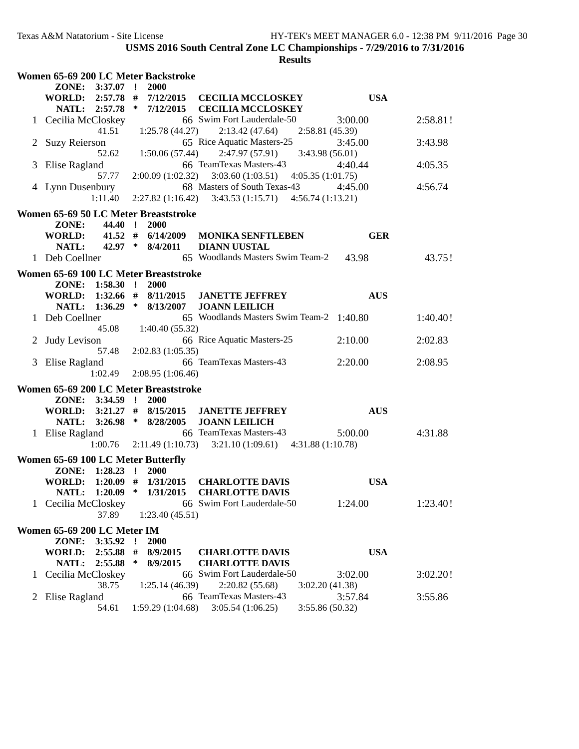|    | Women 65-69 200 LC Meter Backstroke                      |                                 |                                                                                          |                            |          |
|----|----------------------------------------------------------|---------------------------------|------------------------------------------------------------------------------------------|----------------------------|----------|
|    | ZONE: 3:37.07 !<br><b>WORLD:</b><br>$2:57.78$ #          | 2000<br>7/12/2015               | <b>CECILIA MCCLOSKEY</b>                                                                 | <b>USA</b>                 |          |
|    | NATL: 2:57.78 *                                          | 7/12/2015                       | <b>CECILIA MCCLOSKEY</b>                                                                 |                            |          |
|    | Cecilia McCloskey                                        |                                 | 66 Swim Fort Lauderdale-50                                                               | 3:00.00                    | 2:58.81! |
|    |                                                          | $41.51 \t1:25.78(44.27)$        | 2:13.42(47.64)                                                                           | 2:58.81(45.39)             |          |
|    | <b>Suzy Reierson</b>                                     |                                 | 65 Rice Aquatic Masters-25                                                               | 3:45.00                    | 3:43.98  |
|    | 52.62                                                    | 1:50.06(57.44)                  | 2:47.97(57.91)                                                                           | 3:43.98 (56.01)            |          |
| 3  | Elise Ragland                                            |                                 | 66 TeamTexas Masters-43                                                                  | 4:40.44                    | 4:05.35  |
|    | 57.77                                                    | 2:00.09(1:02.32)                | 3:03.60(1:03.51)                                                                         | 4:05.35(1:01.75)           |          |
|    | 4 Lynn Dusenbury<br>1:11.40                              |                                 | 68 Masters of South Texas-43<br>$2:27.82(1:16.42)$ $3:43.53(1:15.71)$ $4:56.74(1:13.21)$ | 4:45.00                    | 4:56.74  |
|    |                                                          |                                 |                                                                                          |                            |          |
|    | Women 65-69 50 LC Meter Breaststroke<br>44.40 !<br>ZONE: | 2000                            |                                                                                          |                            |          |
|    | <b>WORLD:</b>                                            | $41.52$ # $6/14/2009$           | <b>MONIKA SENFTLEBEN</b>                                                                 | <b>GER</b>                 |          |
|    | NATL:                                                    | 42.97 * 8/4/2011                | <b>DIANN UUSTAL</b>                                                                      |                            |          |
|    | 1 Deb Coellner                                           |                                 | 65 Woodlands Masters Swim Team-2                                                         | 43.98                      | 43.75!   |
|    | Women 65-69 100 LC Meter Breaststroke                    |                                 |                                                                                          |                            |          |
|    | ZONE: 1:58.30 !                                          | <b>2000</b>                     |                                                                                          |                            |          |
|    | WORLD: $1:32.66 \# 8/11/2015$                            |                                 | <b>JANETTE JEFFREY</b>                                                                   | <b>AUS</b>                 |          |
|    | NATL: 1:36.29 * 8/13/2007                                |                                 | <b>JOANN LEILICH</b>                                                                     |                            |          |
|    | 1 Deb Coellner                                           |                                 | 65 Woodlands Masters Swim Team-2 1:40.80                                                 |                            | 1:40.40! |
| 2  | Judy Levison                                             | 45.08 1:40.40 (55.32)           | 66 Rice Aquatic Masters-25                                                               | 2:10.00                    | 2:02.83  |
|    | 57.48                                                    | 2:02.83(1:05.35)                |                                                                                          |                            |          |
| 3  | Elise Ragland                                            |                                 | 66 TeamTexas Masters-43                                                                  | 2:20.00                    | 2:08.95  |
|    | 1:02.49                                                  | 2:08.95(1:06.46)                |                                                                                          |                            |          |
|    | Women 65-69 200 LC Meter Breaststroke                    |                                 |                                                                                          |                            |          |
|    | ZONE: 3:34.59 !                                          | 2000                            |                                                                                          |                            |          |
|    | WORLD: 3:21.27 # 8/15/2015                               |                                 | <b>JANETTE JEFFREY</b>                                                                   | <b>AUS</b>                 |          |
|    | NATL: 3:26.98 * 8/28/2005                                |                                 | <b>JOANN LEILICH</b>                                                                     |                            |          |
|    | 1 Elise Ragland                                          |                                 | 66 TeamTexas Masters-43                                                                  | 5:00.00                    | 4:31.88  |
|    |                                                          | $1:00.76$ $2:11.49$ $(1:10.73)$ | $3:21.10(1:09.61)$ $4:31.88(1:10.78)$                                                    |                            |          |
|    | Women 65-69 100 LC Meter Butterfly                       |                                 |                                                                                          |                            |          |
|    | ZONE:<br>$1:28.23$ !<br>WORLD: 1:20.09 # 1/31/2015       | 2000                            | <b>CHARLOTTE DAVIS</b>                                                                   | <b>USA</b>                 |          |
|    |                                                          |                                 | NATL: 1:20.09 * 1/31/2015 CHARLOTTE DAVIS                                                |                            |          |
|    | 1 Cecilia McCloskey                                      |                                 | 66 Swim Fort Lauderdale-50                                                               | 1:24.00                    | 1:23.40! |
|    | 37.89                                                    | 1:23.40(45.51)                  |                                                                                          |                            |          |
|    | Women 65-69 200 LC Meter IM                              |                                 |                                                                                          |                            |          |
|    | ZONE:<br>$3:35.92$ !                                     | <b>2000</b>                     |                                                                                          |                            |          |
|    | $2:55.88$ #<br>WORLD:                                    | 8/9/2015                        | <b>CHARLOTTE DAVIS</b>                                                                   | <b>USA</b>                 |          |
|    | NATL:<br>2:55.88                                         | ∗<br>8/9/2015                   | <b>CHARLOTTE DAVIS</b>                                                                   |                            |          |
| 1. | Cecilia McCloskey                                        |                                 | 66 Swim Fort Lauderdale-50                                                               | 3:02.00                    | 3:02.20! |
|    | 38.75                                                    | 1:25.14(46.39)                  | 2:20.82(55.68)                                                                           | 3:02.20(41.38)             |          |
| 2  | Elise Ragland<br>54.61                                   | 1:59.29(1:04.68)                | 66 TeamTexas Masters-43<br>3:05.54(1:06.25)                                              | 3:57.84<br>3:55.86 (50.32) | 3:55.86  |
|    |                                                          |                                 |                                                                                          |                            |          |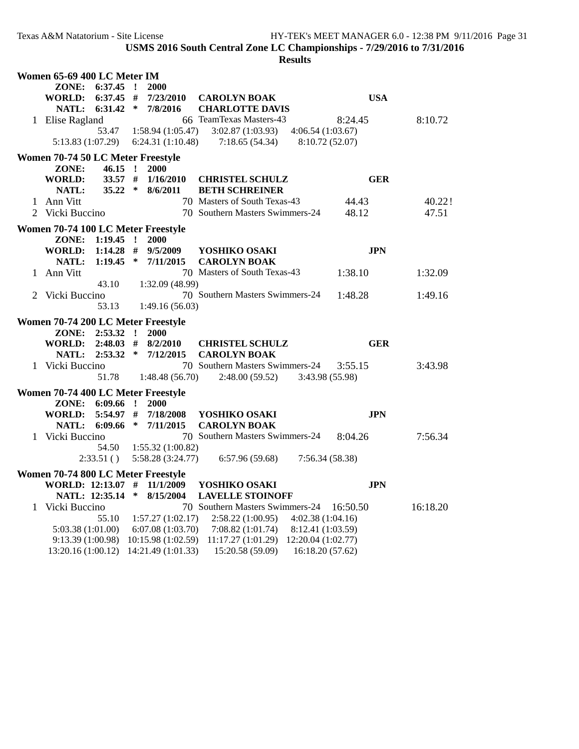| Women 65-69 400 LC Meter IM                           |                             |                                                                                                                                          |                            |          |
|-------------------------------------------------------|-----------------------------|------------------------------------------------------------------------------------------------------------------------------------------|----------------------------|----------|
| ZONE: 6:37.45 !                                       | 2000                        |                                                                                                                                          |                            |          |
| WORLD: 6:37.45 #                                      | 7/23/2010                   | <b>CAROLYN BOAK</b>                                                                                                                      | <b>USA</b>                 |          |
| 6:31.42<br>NATL:<br>1 Elise Ragland                   | ∗<br>7/8/2016               | <b>CHARLOTTE DAVIS</b><br>66 TeamTexas Masters-43                                                                                        | 8:24.45                    | 8:10.72  |
| 53.47                                                 | 1:58.94(1:05.47)            | $3:02.87(1:03.93)$ $4:06.54(1:03.67)$                                                                                                    |                            |          |
| 5:13.83 (1:07.29)                                     | 6:24.31(1:10.48)            | 7:18.65(54.34)                                                                                                                           | 8:10.72 (52.07)            |          |
| Women 70-74 50 LC Meter Freestyle                     |                             |                                                                                                                                          |                            |          |
| ZONE:<br>$46.15$ !                                    | 2000                        |                                                                                                                                          |                            |          |
| <b>WORLD:</b><br>$33.57$ #                            | 1/16/2010                   | <b>CHRISTEL SCHULZ</b>                                                                                                                   | <b>GER</b>                 |          |
| NATL:                                                 | 35.22 * 8/6/2011            | <b>BETH SCHREINER</b>                                                                                                                    |                            |          |
| 1 Ann Vitt                                            |                             | 70 Masters of South Texas-43                                                                                                             | 44.43                      | 40.22!   |
| 2 Vicki Buccino                                       |                             | 70 Southern Masters Swimmers-24                                                                                                          | 48.12                      | 47.51    |
| Women 70-74 100 LC Meter Freestyle                    |                             |                                                                                                                                          |                            |          |
| ZONE:<br>$1:19.45$ !                                  | 2000                        |                                                                                                                                          |                            |          |
| <b>WORLD:</b>                                         | $1:14.28$ # $9/5/2009$      | YOSHIKO OSAKI                                                                                                                            | <b>JPN</b>                 |          |
| NATL:                                                 | $1:19.45$ * $7/11/2015$     | <b>CAROLYN BOAK</b>                                                                                                                      |                            |          |
| 1 Ann Vitt                                            |                             | 70 Masters of South Texas-43                                                                                                             | 1:38.10                    | 1:32.09  |
| 43.10                                                 | 1:32.09 (48.99)             |                                                                                                                                          |                            |          |
| 2 Vicki Buccino<br>53.13                              | 1:49.16(56.03)              | 70 Southern Masters Swimmers-24                                                                                                          | 1:48.28                    | 1:49.16  |
|                                                       |                             |                                                                                                                                          |                            |          |
| Women 70-74 200 LC Meter Freestyle<br>ZONE: 2:53.32 ! | 2000                        |                                                                                                                                          |                            |          |
| <b>WORLD:</b><br>$2:48.03$ #                          | 8/2/2010                    | <b>CHRISTEL SCHULZ</b>                                                                                                                   | <b>GER</b>                 |          |
| NATL: 2:53.32 * 7/12/2015                             |                             | <b>CAROLYN BOAK</b>                                                                                                                      |                            |          |
| 1 Vicki Buccino<br>51.78                              | 1:48.48(56.70)              | 70 Southern Masters Swimmers-24<br>2:48.00(59.52)                                                                                        | 3:55.15<br>3:43.98 (55.98) | 3:43.98  |
|                                                       |                             |                                                                                                                                          |                            |          |
| Women 70-74 400 LC Meter Freestyle<br>ZONE: 6:09.66   | $\mathbf{r}$<br><b>2000</b> |                                                                                                                                          |                            |          |
| $5:54.97$ #<br><b>WORLD:</b>                          | 7/18/2008                   | YOSHIKO OSAKI                                                                                                                            | <b>JPN</b>                 |          |
| NATL: 6:09.66 * 7/11/2015                             |                             | <b>CAROLYN BOAK</b>                                                                                                                      |                            |          |
| 1 Vicki Buccino                                       |                             | 70 Southern Masters Swimmers-24                                                                                                          | 8:04.26                    | 7:56.34  |
| 54.50                                                 | 1:55.32(1:00.82)            |                                                                                                                                          |                            |          |
| 2:33.51()                                             | 5:58.28 (3:24.77)           | 6:57.96(59.68)                                                                                                                           | 7:56.34(58.38)             |          |
| Women 70-74 800 LC Meter Freestyle                    |                             |                                                                                                                                          |                            |          |
| WORLD: 12:13.07 # 11/1/2009                           |                             | YOSHIKO OSAKI                                                                                                                            | <b>JPN</b>                 |          |
| NATL: 12:35.14 * 8/15/2004                            |                             | <b>LAVELLE STOINOFF</b>                                                                                                                  |                            |          |
| 1 Vicki Buccino                                       |                             | 70 Southern Masters Swimmers-24 16:50.50                                                                                                 |                            | 16:18.20 |
| 55.10                                                 | 1:57.27(1:02.17)            | $2:58.22(1:00.95)$ $4:02.38(1:04.16)$                                                                                                    |                            |          |
| 5:03.38(1:01.00)                                      |                             | $6:07.08(1:03.70)$ $7:08.82(1:01.74)$<br>8:12.41 (1:03.59)<br>9:13.39 (1:00.98) 10:15.98 (1:02.59) 11:17.27 (1:01.29) 12:20.04 (1:02.77) |                            |          |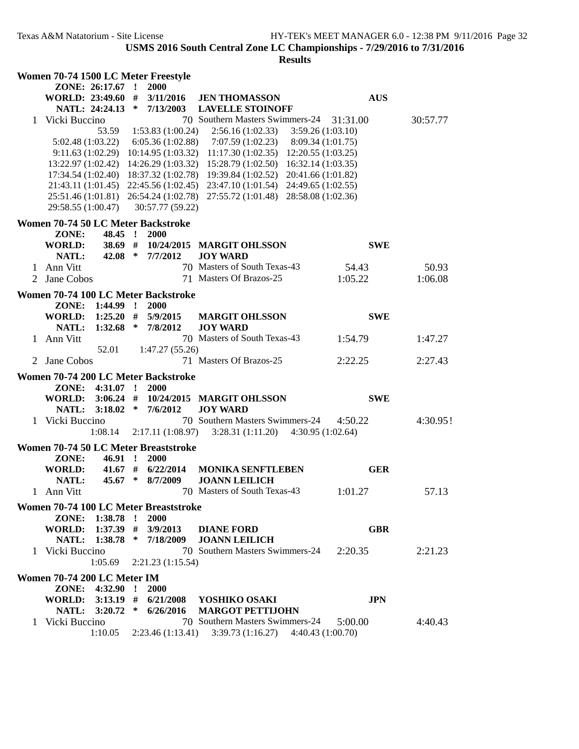|   |                             |                  | Women 70-74 1500 LC Meter Freestyle   |                                                                             |            |          |
|---|-----------------------------|------------------|---------------------------------------|-----------------------------------------------------------------------------|------------|----------|
|   |                             | ZONE: 26:17.67 ! | 2000                                  |                                                                             |            |          |
|   |                             |                  | WORLD: 23:49.60 # 3/11/2016           | <b>JEN THOMASSON</b>                                                        | <b>AUS</b> |          |
|   |                             |                  | NATL: 24:24.13 * 7/13/2003            | <b>LAVELLE STOINOFF</b>                                                     |            |          |
|   | 1 Vicki Buccino             |                  |                                       | 70 Southern Masters Swimmers-24 31:31.00                                    |            | 30:57.77 |
|   |                             |                  |                                       | 53.59 1:53.83 (1:00.24) 2:56.16 (1:02.33) 3:59.26 (1:03.10)                 |            |          |
|   |                             |                  |                                       | $5:02.48(1:03.22)$ $6:05.36(1:02.88)$ $7:07.59(1:02.23)$ $8:09.34(1:01.75)$ |            |          |
|   |                             |                  |                                       | 9:11.63 (1:02.29) 10:14.95 (1:03.32) 11:17.30 (1:02.35) 12:20.55 (1:03.25)  |            |          |
|   |                             |                  |                                       | 13:22.97 (1:02.42) 14:26.29 (1:03.32) 15:28.79 (1:02.50) 16:32.14 (1:03.35) |            |          |
|   |                             |                  |                                       | 17:34.54 (1:02.40) 18:37.32 (1:02.78) 19:39.84 (1:02.52) 20:41.66 (1:01.82) |            |          |
|   |                             |                  |                                       | 21:43.11 (1:01.45) 22:45.56 (1:02.45) 23:47.10 (1:01.54) 24:49.65 (1:02.55) |            |          |
|   |                             |                  |                                       | 25:51.46 (1:01.81) 26:54.24 (1:02.78) 27:55.72 (1:01.48) 28:58.08 (1:02.36) |            |          |
|   | 29:58.55 (1:00.47)          |                  | 30:57.77 (59.22)                      |                                                                             |            |          |
|   |                             |                  |                                       |                                                                             |            |          |
|   |                             |                  | Women 70-74 50 LC Meter Backstroke    |                                                                             |            |          |
|   | ZONE:                       | 48.45 !          | 2000                                  |                                                                             |            |          |
|   | WORLD:                      |                  |                                       | 38.69 # 10/24/2015 MARGIT OHLSSON                                           | <b>SWE</b> |          |
|   | NATL:                       |                  | 42.08 * 7/7/2012                      | <b>JOY WARD</b>                                                             |            |          |
|   | 1 Ann Vitt                  |                  |                                       | 70 Masters of South Texas-43                                                | 54.43      | 50.93    |
| 2 | Jane Cobos                  |                  |                                       | 71 Masters Of Brazos-25                                                     | 1:05.22    | 1:06.08  |
|   |                             |                  | Women 70-74 100 LC Meter Backstroke   |                                                                             |            |          |
|   | ZONE:                       | $1:44.99$ !      | 2000                                  |                                                                             |            |          |
|   | <b>WORLD:</b>               | $1:25.20$ #      | 5/9/2015                              | <b>MARGIT OHLSSON</b>                                                       | <b>SWE</b> |          |
|   | NATL:                       |                  | $1:32.68$ * $7/8/2012$                | <b>JOY WARD</b>                                                             |            |          |
|   | 1 Ann Vitt                  |                  |                                       | 70 Masters of South Texas-43                                                | 1:54.79    | 1:47.27  |
|   |                             | 52.01            | 1:47.27(55.26)                        |                                                                             |            |          |
|   | 2 Jane Cobos                |                  |                                       | 71 Masters Of Brazos-25                                                     | 2:22.25    | 2:27.43  |
|   |                             |                  |                                       |                                                                             |            |          |
|   |                             |                  | Women 70-74 200 LC Meter Backstroke   |                                                                             |            |          |
|   |                             | ZONE: 4:31.07 !  | 2000                                  |                                                                             |            |          |
|   |                             |                  |                                       | WORLD: 3:06.24 # 10/24/2015 MARGIT OHLSSON                                  | <b>SWE</b> |          |
|   |                             |                  | NATL: 3:18.02 * 7/6/2012              | <b>JOY WARD</b>                                                             |            |          |
|   | 1 Vicki Buccino             |                  |                                       | 70 Southern Masters Swimmers-24                                             | 4:50.22    | 4:30.95! |
|   |                             | 1:08.14          |                                       | $2:17.11(1:08.97)$ $3:28.31(1:11.20)$ $4:30.95(1:02.64)$                    |            |          |
|   |                             |                  | Women 70-74 50 LC Meter Breaststroke  |                                                                             |            |          |
|   | ZONE:                       | 46.91 !          | <b>2000</b>                           |                                                                             |            |          |
|   | WORLD:                      |                  | $41.67$ # $6/22/2014$                 | <b>MONIKA SENFTLEBEN</b>                                                    | <b>GER</b> |          |
|   | NATL:                       | 45.67 *          | 8/7/2009                              | <b>JOANN LEILICH</b>                                                        |            |          |
|   | 1 Ann Vitt                  |                  |                                       | 70 Masters of South Texas-43                                                | 1:01.27    | 57.13    |
|   |                             |                  |                                       |                                                                             |            |          |
|   |                             |                  | Women 70-74 100 LC Meter Breaststroke |                                                                             |            |          |
|   |                             | ZONE: 1:38.78 !  | 2000                                  |                                                                             |            |          |
|   | WORLD: 1:37.39 # 3/9/2013   |                  |                                       | <b>DIANE FORD</b>                                                           | <b>GBR</b> |          |
|   |                             |                  | NATL: 1:38.78 * 7/18/2009             | <b>JOANN LEILICH</b>                                                        |            |          |
|   | 1 Vicki Buccino             |                  |                                       | 70 Southern Masters Swimmers-24                                             | 2:20.35    | 2:21.23  |
|   |                             | 1:05.69          | 2:21.23(1:15.54)                      |                                                                             |            |          |
|   |                             |                  |                                       |                                                                             |            |          |
|   | Women 70-74 200 LC Meter IM |                  |                                       |                                                                             |            |          |
|   |                             | ZONE: 4:32.90 !  | 2000                                  |                                                                             |            |          |
|   | WORLD: 3:13.19 #            |                  |                                       | 6/21/2008 YOSHIKO OSAKI                                                     | <b>JPN</b> |          |
|   |                             | NATL: 3:20.72 *  | 6/26/2016                             | <b>MARGOT PETTIJOHN</b>                                                     |            |          |
|   | 1 Vicki Buccino             |                  |                                       | 70 Southern Masters Swimmers-24                                             | 5:00.00    | 4:40.43  |
|   |                             | 1:10.05          |                                       | 2:23.46 (1:13.41) 3:39.73 (1:16.27) 4:40.43 (1:00.70)                       |            |          |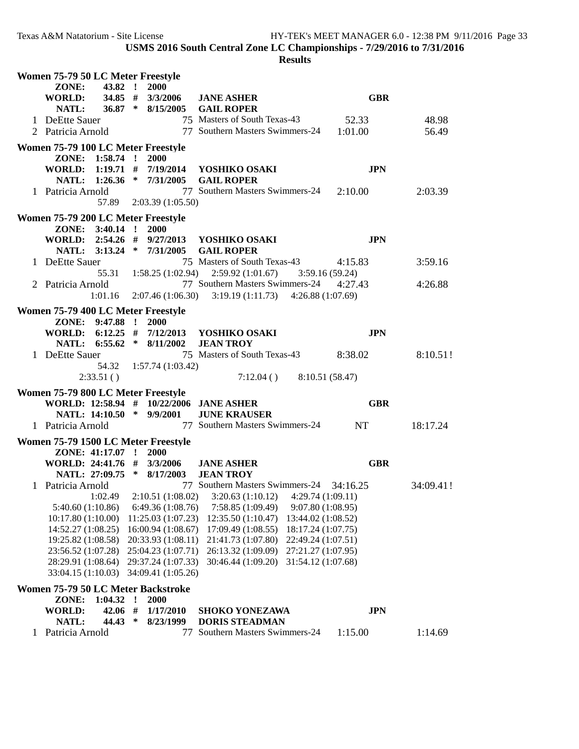| Women 75-79 50 LC Meter Freestyle  |                                       |                  |         |                                          |                                                                       |                                          |             |  |
|------------------------------------|---------------------------------------|------------------|---------|------------------------------------------|-----------------------------------------------------------------------|------------------------------------------|-------------|--|
|                                    | ZONE:                                 | 43.82 !          |         | 2000                                     |                                                                       |                                          |             |  |
|                                    | WORLD:                                | 34.85 #          |         | 3/3/2006                                 | <b>JANE ASHER</b>                                                     | <b>GBR</b>                               |             |  |
|                                    | NATL:                                 | $36.87$ *        |         | 8/15/2005                                | <b>GAIL ROPER</b>                                                     |                                          |             |  |
|                                    | 1 DeEtte Sauer                        |                  |         |                                          | 75 Masters of South Texas-43                                          | 52.33                                    | 48.98       |  |
|                                    | 2 Patricia Arnold                     |                  |         |                                          | 77 Southern Masters Swimmers-24 1:01.00                               |                                          | 56.49       |  |
|                                    | Women 75-79 100 LC Meter Freestyle    |                  |         |                                          |                                                                       |                                          |             |  |
|                                    |                                       | ZONE: 1:58.74 !  |         | <b>2000</b>                              |                                                                       |                                          |             |  |
|                                    |                                       |                  |         |                                          | WORLD: 1:19.71 # 7/19/2014 YOSHIKO OSAKI                              | <b>JPN</b>                               |             |  |
|                                    |                                       |                  |         |                                          | NATL: 1:26.36 * 7/31/2005 GAIL ROPER                                  |                                          |             |  |
|                                    | 1 Patricia Arnold                     |                  |         |                                          | 77 Southern Masters Swimmers-24 2:10.00                               |                                          | 2:03.39     |  |
|                                    |                                       |                  |         | 57.89 2:03.39 (1:05.50)                  |                                                                       |                                          |             |  |
|                                    |                                       |                  |         |                                          |                                                                       |                                          |             |  |
|                                    | Women 75-79 200 LC Meter Freestyle    |                  |         |                                          |                                                                       |                                          |             |  |
|                                    |                                       | ZONE: 3:40.14 !  |         | 2000                                     |                                                                       |                                          |             |  |
|                                    |                                       |                  |         |                                          | WORLD: 2:54.26 # 9/27/2013 YOSHIKO OSAKI                              | <b>JPN</b>                               |             |  |
|                                    |                                       |                  |         |                                          | NATL: 3:13.24 * 7/31/2005 GAIL ROPER                                  |                                          |             |  |
|                                    | 1 DeEtte Sauer                        |                  |         |                                          | 75 Masters of South Texas-43                                          | 4:15.83                                  | 3:59.16     |  |
|                                    |                                       | 55.31            |         |                                          | $1:58.25(1:02.94)$ $2:59.92(1:01.67)$ $3:59.16(59.24)$                |                                          |             |  |
|                                    | 2 Patricia Arnold                     |                  |         |                                          | 77 Southern Masters Swimmers-24 4:27.43                               |                                          | 4:26.88     |  |
|                                    |                                       |                  |         |                                          | $1:01.16$ $2:07.46$ (1:06.30) $3:19.19$ (1:11.73) $4:26.88$ (1:07.69) |                                          |             |  |
|                                    | Women 75-79 400 LC Meter Freestyle    |                  |         |                                          |                                                                       |                                          |             |  |
|                                    |                                       | ZONE: 9:47.88 !  |         | 2000                                     |                                                                       |                                          |             |  |
|                                    |                                       |                  |         |                                          | WORLD: 6:12.25 # 7/12/2013 YOSHIKO OSAKI                              | <b>JPN</b>                               |             |  |
|                                    |                                       |                  |         | NATL: 6:55.62 * 8/11/2002                | <b>JEAN TROY</b>                                                      |                                          |             |  |
|                                    | 1 DeEtte Sauer                        |                  |         |                                          | 75 Masters of South Texas-43 8:38.02                                  |                                          | $8:10.51$ ! |  |
|                                    |                                       |                  |         | 54.32   1:57.74 (1:03.42)                |                                                                       |                                          |             |  |
|                                    |                                       | 2:33.51()        |         |                                          | $7:12.04()$ 8:10.51 (58.47)                                           |                                          |             |  |
|                                    | Women 75-79 800 LC Meter Freestyle    |                  |         |                                          |                                                                       |                                          |             |  |
|                                    |                                       |                  |         |                                          | WORLD: 12:58.94 # 10/22/2006 JANE ASHER                               | <b>GBR</b>                               |             |  |
|                                    |                                       |                  |         | NATL: 14:10.50 * 9/9/2001                | <b>JUNE KRAUSER</b>                                                   |                                          |             |  |
|                                    | 1 Patricia Arnold                     |                  |         |                                          | 77 Southern Masters Swimmers-24 NT                                    |                                          | 18:17.24    |  |
|                                    |                                       |                  |         |                                          |                                                                       |                                          |             |  |
|                                    |                                       |                  |         | Women 75-79 1500 LC Meter Freestyle      |                                                                       |                                          |             |  |
|                                    |                                       | ZONE: 41:17.07 ! |         | 2000                                     |                                                                       |                                          |             |  |
|                                    |                                       |                  |         | WORLD: 24:41.76 # 3/3/2006               | <b>JANE ASHER</b>                                                     | <b>GBR</b>                               |             |  |
|                                    |                                       |                  |         | NATL: 27:09.75 * 8/17/2003               | <b>JEAN TROY</b>                                                      |                                          |             |  |
|                                    | 1 Patricia Arnold                     | 1:02.49          |         |                                          | 77 Southern Masters Swimmers-24 34:16.25                              |                                          | 34:09.41!   |  |
|                                    |                                       |                  |         | 2:10.51 (1:08.02)<br>6:49.36(1:08.76)    | 3:20.63(1:10.12)                                                      | 4:29.74 (1:09.11)<br>9:07.80 (1:08.95)   |             |  |
|                                    | 5:40.60(1:10.86)<br>10:17.80(1:10.00) |                  |         | 11:25.03(1:07.23)                        | 7:58.85 (1:09.49)<br>12:35.50 (1:10.47)                               | 13:44.02 (1:08.52)                       |             |  |
|                                    | 14:52.27 (1:08.25)                    |                  |         | 16:00.94 (1:08.67)                       | 17:09.49 (1:08.55)                                                    | 18:17.24 (1:07.75)                       |             |  |
|                                    | 19:25.82 (1:08.58)                    |                  |         | 20:33.93 (1:08.11)                       | 21:41.73 (1:07.80)                                                    |                                          |             |  |
|                                    | 23:56.52 (1:07.28)                    |                  |         |                                          | 26:13.32 (1:09.09)                                                    | 22:49.24 (1:07.51)                       |             |  |
|                                    | 28:29.91 (1:08.64)                    |                  |         | 25:04.23 (1:07.71)<br>29:37.24 (1:07.33) | 30:46.44 (1:09.20)                                                    | 27:21.27 (1:07.95)<br>31:54.12 (1:07.68) |             |  |
|                                    |                                       |                  |         | 34:09.41 (1:05.26)                       |                                                                       |                                          |             |  |
| 33:04.15 (1:10.03)                 |                                       |                  |         |                                          |                                                                       |                                          |             |  |
| Women 75-79 50 LC Meter Backstroke |                                       |                  |         |                                          |                                                                       |                                          |             |  |
|                                    | ZONE:                                 | 1:04.32          | $\cdot$ | 2000                                     |                                                                       |                                          |             |  |
|                                    | <b>WORLD:</b>                         | 42.06 #          |         | 1/17/2010                                | <b>SHOKO YONEZAWA</b>                                                 | <b>JPN</b>                               |             |  |
|                                    | NATL:                                 | 44.43            | ∗       | 8/23/1999                                | <b>DORIS STEADMAN</b>                                                 |                                          |             |  |
|                                    | Patricia Arnold                       |                  |         | 77                                       | Southern Masters Swimmers-24                                          | 1:15.00                                  | 1:14.69     |  |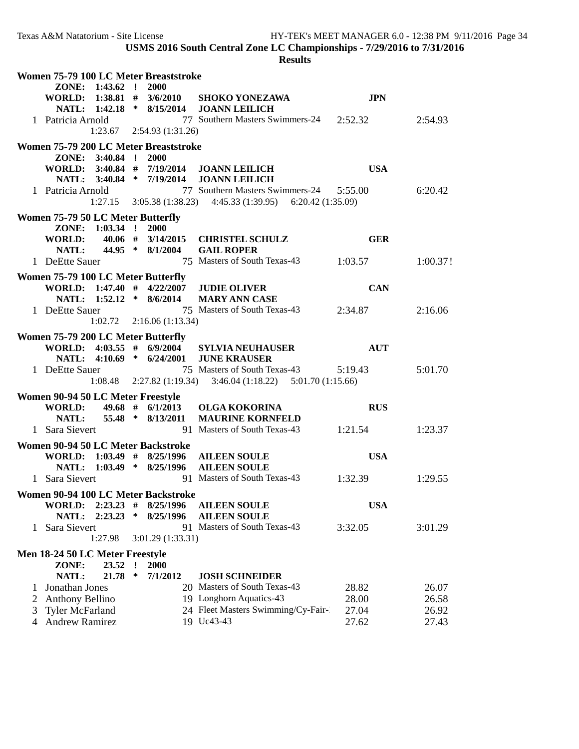| Women 75-79 100 LC Meter Breaststroke |                                    |                      |              |                                       |                                                                                     |            |         |
|---------------------------------------|------------------------------------|----------------------|--------------|---------------------------------------|-------------------------------------------------------------------------------------|------------|---------|
|                                       |                                    | ZONE: 1:43.62 ! 2000 |              |                                       |                                                                                     |            |         |
|                                       |                                    |                      |              |                                       | WORLD: $1:38.81$ # $3/6/2010$ SHOKO YONEZAWA                                        | <b>JPN</b> |         |
|                                       |                                    |                      |              |                                       | NATL: 1:42.18 * 8/15/2014 JOANN LEILICH                                             |            |         |
|                                       | 1 Patricia Arnold                  |                      |              |                                       | 77 Southern Masters Swimmers-24 2:52.32                                             |            | 2:54.93 |
|                                       |                                    |                      |              | $1:23.67$ $2:54.93$ $(1:31.26)$       |                                                                                     |            |         |
|                                       |                                    |                      |              |                                       |                                                                                     |            |         |
|                                       |                                    |                      |              | Women 75-79 200 LC Meter Breaststroke |                                                                                     |            |         |
|                                       |                                    | ZONE: 3:40.84 ! 2000 |              |                                       |                                                                                     | <b>USA</b> |         |
|                                       |                                    |                      |              |                                       | WORLD: 3:40.84 # 7/19/2014 JOANN LEILICH<br>NATL: 3:40.84 * 7/19/2014 JOANN LEILICH |            |         |
|                                       |                                    |                      |              |                                       |                                                                                     |            | 6:20.42 |
|                                       | 1 Patricia Arnold                  |                      |              |                                       | 77 Southern Masters Swimmers-24 5:55.00                                             |            |         |
|                                       |                                    |                      |              |                                       | $1:27.15$ $3:05.38$ $(1:38.23)$ $4:45.33$ $(1:39.95)$ $6:20.42$ $(1:35.09)$         |            |         |
|                                       | Women 75-79 50 LC Meter Butterfly  |                      |              |                                       |                                                                                     |            |         |
|                                       |                                    | ZONE: 1:03.34 !      |              | 2000                                  |                                                                                     |            |         |
|                                       | <b>WORLD:</b>                      |                      |              |                                       | 40.06 # 3/14/2015 CHRISTEL SCHULZ                                                   | <b>GER</b> |         |
|                                       | <b>NATL:</b>                       |                      |              | 44.95 * 8/1/2004                      | <b>GAIL ROPER</b>                                                                   |            |         |
|                                       | 1 DeEtte Sauer                     |                      |              |                                       | 75 Masters of South Texas-43 1:03.57 1:00.37!                                       |            |         |
|                                       | Women 75-79 100 LC Meter Butterfly |                      |              |                                       |                                                                                     |            |         |
|                                       |                                    |                      |              |                                       | WORLD: 1:47.40 # 4/22/2007 JUDIE OLIVER                                             | <b>CAN</b> |         |
|                                       |                                    |                      |              | NATL: 1:52.12 * 8/6/2014              | <b>MARY ANN CASE</b>                                                                |            |         |
|                                       | 1 DeEtte Sauer                     |                      |              |                                       | 75 Masters of South Texas-43 2:34.87                                                |            | 2:16.06 |
|                                       |                                    |                      |              |                                       |                                                                                     |            |         |
|                                       |                                    |                      |              | $1:02.72$ 2:16.06 (1:13.34)           |                                                                                     |            |         |
|                                       |                                    |                      |              | Women 75-79 200 LC Meter Butterfly    |                                                                                     |            |         |
|                                       |                                    |                      |              |                                       | WORLD: $4:03.55$ # $6/9/2004$ SYLVIA NEUHAUSER                                      | <b>AUT</b> |         |
|                                       |                                    |                      |              | NATL: 4:10.69 * 6/24/2001             | <b>JUNE KRAUSER</b>                                                                 |            |         |
|                                       | 1 DeEtte Sauer                     |                      |              |                                       | 75 Masters of South Texas-43 5:19.43                                                |            | 5:01.70 |
|                                       |                                    |                      |              |                                       | $1:08.48$ $2:27.82$ (1:19.34) $3:46.04$ (1:18.22) $5:01.70$ (1:15.66)               |            |         |
|                                       | Women 90-94 50 LC Meter Freestyle  |                      |              |                                       |                                                                                     |            |         |
|                                       | WORLD:                             |                      |              | $49.68$ # $6/1/2013$                  | <b>OLGA KOKORINA</b>                                                                | <b>RUS</b> |         |
|                                       | NATL:                              |                      |              | 55.48 * 8/13/2011                     | <b>MAURINE KORNFELD</b>                                                             |            |         |
|                                       | 1 Sara Sievert                     |                      |              |                                       | 91 Masters of South Texas-43                                                        | 1:21.54    | 1:23.37 |
|                                       |                                    |                      |              |                                       |                                                                                     |            |         |
|                                       |                                    |                      |              | Women 90-94 50 LC Meter Backstroke    |                                                                                     |            |         |
|                                       |                                    |                      |              |                                       | WORLD: 1:03.49 # 8/25/1996 AILEEN SOULE                                             | <b>USA</b> |         |
|                                       |                                    |                      |              |                                       | NATL: 1:03.49 * 8/25/1996 AILEEN SOULE                                              |            |         |
|                                       | 1 Sara Sievert                     |                      |              |                                       | 91 Masters of South Texas-43                                                        | 1:32.39    | 1:29.55 |
| Women 90-94 100 LC Meter Backstroke   |                                    |                      |              |                                       |                                                                                     |            |         |
|                                       | WORLD:                             | $2:23.23$ #          |              | 8/25/1996                             | <b>AILEEN SOULE</b>                                                                 | <b>USA</b> |         |
|                                       | NATL:                              | 2:23.23              | ∗            | 8/25/1996                             | <b>AILEEN SOULE</b>                                                                 |            |         |
|                                       | Sara Sievert                       |                      |              |                                       | 91 Masters of South Texas-43                                                        | 3:32.05    | 3:01.29 |
|                                       |                                    | 1:27.98              |              | 3:01.29 (1:33.31)                     |                                                                                     |            |         |
|                                       |                                    |                      |              |                                       |                                                                                     |            |         |
|                                       | Men 18-24 50 LC Meter Freestyle    |                      |              |                                       |                                                                                     |            |         |
|                                       | ZONE:                              | 23.52                | $\mathbf{r}$ | 2000                                  |                                                                                     |            |         |
|                                       | NATL:                              | 21.78                | ∗            | 7/1/2012                              | <b>JOSH SCHNEIDER</b>                                                               |            |         |
|                                       | Jonathan Jones                     |                      |              |                                       | 20 Masters of South Texas-43                                                        | 28.82      | 26.07   |
| 2                                     | <b>Anthony Bellino</b>             |                      |              |                                       | 19 Longhorn Aquatics-43                                                             | 28.00      | 26.58   |
| 3                                     | <b>Tyler McFarland</b>             |                      |              |                                       | 24 Fleet Masters Swimming/Cy-Fair-                                                  | 27.04      | 26.92   |
| 4                                     | <b>Andrew Ramirez</b>              |                      |              |                                       | 19 Uc43-43                                                                          | 27.62      | 27.43   |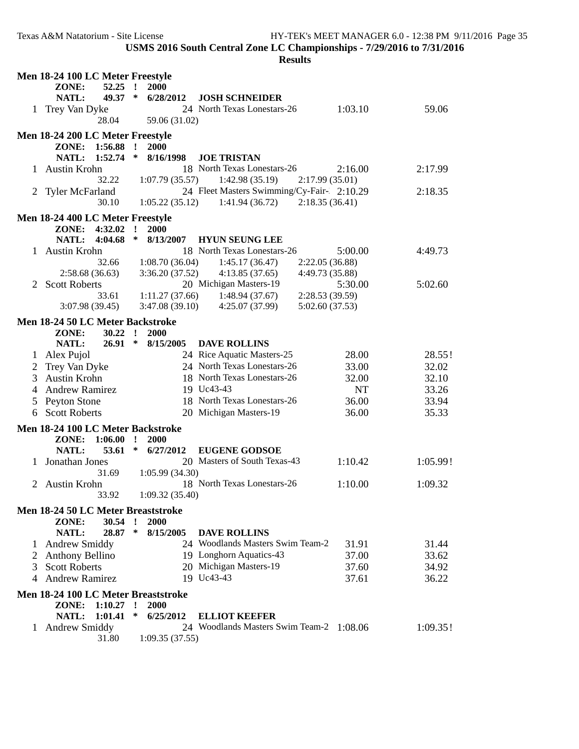| Men 18-24 100 LC Meter Freestyle                    |                                                   |                                                     |                     |  |  |  |  |
|-----------------------------------------------------|---------------------------------------------------|-----------------------------------------------------|---------------------|--|--|--|--|
|                                                     | ZONE:<br>52.25                                    | $\mathbf{I}$<br>2000                                |                     |  |  |  |  |
|                                                     | 49.37 *<br>NATL:                                  | <b>JOSH SCHNEIDER</b><br>6/28/2012                  |                     |  |  |  |  |
|                                                     | 1 Trey Van Dyke                                   | 24 North Texas Lonestars-26                         | 1:03.10<br>59.06    |  |  |  |  |
|                                                     | 28.04                                             | 59.06 (31.02)                                       |                     |  |  |  |  |
|                                                     | Men 18-24 200 LC Meter Freestyle                  |                                                     |                     |  |  |  |  |
|                                                     | ZONE:<br>1:56.88                                  | 2000<br>$\mathbf{I}$                                |                     |  |  |  |  |
|                                                     | 1:52.74<br>NATL:                                  | ∗<br>8/16/1998<br><b>JOE TRISTAN</b>                |                     |  |  |  |  |
|                                                     | 1 Austin Krohn                                    | 18 North Texas Lonestars-26                         | 2:16.00<br>2:17.99  |  |  |  |  |
|                                                     | 32.22                                             | 1:07.79(35.57)<br>1:42.98(35.19)<br>2:17.99(35.01)  |                     |  |  |  |  |
|                                                     | 2 Tyler McFarland                                 | 24 Fleet Masters Swimming/Cy-Fair- 2:10.29          | 2:18.35             |  |  |  |  |
|                                                     | 30.10                                             | 1:05.22(35.12)<br>1:41.94(36.72)<br>2:18.35(36.41)  |                     |  |  |  |  |
|                                                     |                                                   |                                                     |                     |  |  |  |  |
|                                                     | Men 18-24 400 LC Meter Freestyle<br>ZONE: 4:32.02 | $\mathbf{r}$<br>2000                                |                     |  |  |  |  |
|                                                     | 4:04.68<br><b>NATL:</b>                           | ∗<br>8/13/2007<br><b>HYUN SEUNG LEE</b>             |                     |  |  |  |  |
|                                                     | 1 Austin Krohn                                    | 18 North Texas Lonestars-26                         | 5:00.00<br>4:49.73  |  |  |  |  |
|                                                     | 32.66                                             | 1:08.70(36.04)<br>1:45.17(36.47)<br>2:22.05(36.88)  |                     |  |  |  |  |
|                                                     | 2:58.68(36.63)                                    | 3:36.20(37.52)<br>4:13.85(37.65)<br>4:49.73 (35.88) |                     |  |  |  |  |
| 2                                                   | <b>Scott Roberts</b>                              | 20 Michigan Masters-19                              | 5:30.00<br>5:02.60  |  |  |  |  |
|                                                     | 33.61                                             | 1:11.27(37.66)<br>1:48.94(37.67)<br>2:28.53 (39.59) |                     |  |  |  |  |
|                                                     | 3:07.98 (39.45)                                   | 3:47.08(39.10)<br>4:25.07 (37.99)<br>5:02.60(37.53) |                     |  |  |  |  |
|                                                     |                                                   |                                                     |                     |  |  |  |  |
|                                                     | Men 18-24 50 LC Meter Backstroke                  |                                                     |                     |  |  |  |  |
|                                                     | ZONE:<br>30.22                                    | $\mathbf{r}$<br>2000                                |                     |  |  |  |  |
|                                                     | NATL:<br>26.91                                    | $\ast$<br>8/15/2005<br><b>DAVE ROLLINS</b>          |                     |  |  |  |  |
|                                                     | 1 Alex Pujol                                      | 24 Rice Aquatic Masters-25                          | 28.00<br>28.55!     |  |  |  |  |
|                                                     | Trey Van Dyke                                     | 24 North Texas Lonestars-26                         | 32.02<br>33.00      |  |  |  |  |
| 3                                                   | <b>Austin Krohn</b>                               | 18 North Texas Lonestars-26                         | 32.10<br>32.00      |  |  |  |  |
| 4                                                   | <b>Andrew Ramirez</b>                             | 19 Uc43-43                                          | <b>NT</b><br>33.26  |  |  |  |  |
| 5                                                   | Peyton Stone                                      | 18 North Texas Lonestars-26                         | 36.00<br>33.94      |  |  |  |  |
| 6                                                   | <b>Scott Roberts</b>                              | 20 Michigan Masters-19                              | 36.00<br>35.33      |  |  |  |  |
|                                                     | Men 18-24 100 LC Meter Backstroke                 |                                                     |                     |  |  |  |  |
|                                                     | ZONE: 1:06.00                                     | $\cdot$<br>2000                                     |                     |  |  |  |  |
|                                                     | NATL:<br>53.61                                    | $\ast$<br>6/27/2012<br><b>EUGENE GODSOE</b>         |                     |  |  |  |  |
| L                                                   | Jonathan Jones                                    | 20 Masters of South Texas-43                        | 1:10.42<br>1:05.99! |  |  |  |  |
|                                                     | 31.69                                             | 1:05.99(34.30)                                      |                     |  |  |  |  |
| 2                                                   | <b>Austin Krohn</b>                               | 18 North Texas Lonestars-26                         | 1:10.00<br>1:09.32  |  |  |  |  |
|                                                     | 33.92                                             | 1:09.32(35.40)                                      |                     |  |  |  |  |
| Men 18-24 50 LC Meter Breaststroke                  |                                                   |                                                     |                     |  |  |  |  |
|                                                     | ZONE:<br>30.54                                    | $\mathbf{I}$<br>2000                                |                     |  |  |  |  |
|                                                     | 28.87<br>NATL:                                    | ∗<br>8/15/2005<br><b>DAVE ROLLINS</b>               |                     |  |  |  |  |
|                                                     | 1 Andrew Smiddy                                   | 24 Woodlands Masters Swim Team-2                    | 31.91<br>31.44      |  |  |  |  |
|                                                     | Anthony Bellino                                   | 19 Longhorn Aquatics-43                             | 37.00<br>33.62      |  |  |  |  |
| 3                                                   | <b>Scott Roberts</b>                              | 20 Michigan Masters-19                              | 37.60<br>34.92      |  |  |  |  |
|                                                     | <b>Andrew Ramirez</b>                             | 19 Uc43-43                                          | 36.22<br>37.61      |  |  |  |  |
|                                                     |                                                   |                                                     |                     |  |  |  |  |
| Men 18-24 100 LC Meter Breaststroke<br>$\mathbf{r}$ |                                                   |                                                     |                     |  |  |  |  |
|                                                     | ZONE:<br>1:10.27<br>1:01.41<br><b>NATL:</b>       | 2000<br>∗<br>6/25/2012<br><b>ELLIOT KEEFER</b>      |                     |  |  |  |  |
|                                                     | 1 Andrew Smiddy                                   | 24 Woodlands Masters Swim Team-2 1:08.06            | 1:09.35!            |  |  |  |  |
|                                                     | 31.80                                             | 1:09.35(37.55)                                      |                     |  |  |  |  |
|                                                     |                                                   |                                                     |                     |  |  |  |  |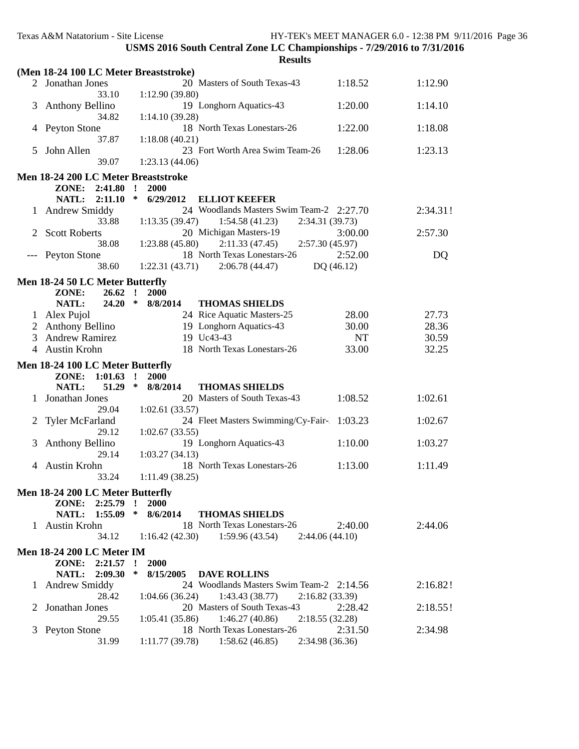|                                  | Texas A&M Natatorium - Site License                                             | USMS 2016 South Central Zone LC Championships - 7/29/2016 to 7/31/2016<br><b>Results</b>        |                | HY-TEK's MEET MANAGER 6.0 - 12:38 PM 9/11/2016 Page 36 |  |  |  |  |
|----------------------------------|---------------------------------------------------------------------------------|-------------------------------------------------------------------------------------------------|----------------|--------------------------------------------------------|--|--|--|--|
|                                  | (Men 18-24 100 LC Meter Breaststroke)                                           |                                                                                                 |                |                                                        |  |  |  |  |
|                                  | 2 Jonathan Jones                                                                | 20 Masters of South Texas-43                                                                    | 1:18.52        | 1:12.90                                                |  |  |  |  |
| 3                                | 33.10<br><b>Anthony Bellino</b>                                                 | 1:12.90(39.80)<br>19 Longhorn Aquatics-43                                                       | 1:20.00        | 1:14.10                                                |  |  |  |  |
|                                  | 34.82<br>4 Peyton Stone                                                         | 1:14.10(39.28)<br>18 North Texas Lonestars-26                                                   | 1:22.00        | 1:18.08                                                |  |  |  |  |
| 5                                | 37.87<br>John Allen                                                             | 1:18.08(40.21)<br>23 Fort Worth Area Swim Team-26                                               | 1:28.06        | 1:23.13                                                |  |  |  |  |
|                                  | 39.07                                                                           | 1:23.13(44.06)                                                                                  |                |                                                        |  |  |  |  |
|                                  | Men 18-24 200 LC Meter Breaststroke<br>ZONE: 2:41.80<br>2:11.10<br><b>NATL:</b> | 2000<br>$\mathbf{r}$<br>∗<br>6/29/2012<br><b>ELLIOT KEEFER</b>                                  |                |                                                        |  |  |  |  |
|                                  | 1 Andrew Smiddy<br>33.88                                                        | 24 Woodlands Masters Swim Team-2 2:27.70<br>1:13.35(39.47)<br>1:54.58(41.23)<br>2:34.31 (39.73) |                | 2:34.31!                                               |  |  |  |  |
| 2                                | <b>Scott Roberts</b><br>38.08                                                   | 20 Michigan Masters-19<br>1:23.88(45.80)<br>2:11.33(47.45)<br>2:57.30(45.97)                    | 3:00.00        | 2:57.30                                                |  |  |  |  |
| $---$                            | <b>Peyton Stone</b><br>38.60                                                    | 18 North Texas Lonestars-26<br>1:22.31(43.71)<br>2:06.78(44.47)<br>DQ (46.12)                   | 2:52.00        | DQ                                                     |  |  |  |  |
|                                  |                                                                                 |                                                                                                 |                |                                                        |  |  |  |  |
|                                  | Men 18-24 50 LC Meter Butterfly<br>ZONE:<br>26.62                               | $\mathbf{r}$<br><b>2000</b>                                                                     |                |                                                        |  |  |  |  |
|                                  | NATL:<br>24.20                                                                  | $\ast$<br>8/8/2014<br><b>THOMAS SHIELDS</b>                                                     |                |                                                        |  |  |  |  |
|                                  | 1 Alex Pujol                                                                    | 24 Rice Aquatic Masters-25                                                                      | 28.00<br>30.00 | 27.73                                                  |  |  |  |  |
|                                  | 2 Anthony Bellino<br><b>Andrew Ramirez</b>                                      | 19 Longhorn Aquatics-43<br>19 Uc43-43                                                           | <b>NT</b>      | 28.36                                                  |  |  |  |  |
| 3                                | 4 Austin Krohn                                                                  | 18 North Texas Lonestars-26                                                                     | 33.00          | 30.59                                                  |  |  |  |  |
|                                  |                                                                                 |                                                                                                 |                | 32.25                                                  |  |  |  |  |
|                                  | Men 18-24 100 LC Meter Butterfly                                                |                                                                                                 |                |                                                        |  |  |  |  |
|                                  | ZONE: 1:01.63                                                                   | $\mathbf{r}$<br><b>2000</b>                                                                     |                |                                                        |  |  |  |  |
|                                  | NATL:<br>51.29                                                                  | $\ast$<br>8/8/2014<br><b>THOMAS SHIELDS</b>                                                     |                |                                                        |  |  |  |  |
|                                  | Jonathan Jones<br>29.04                                                         | 20 Masters of South Texas-43<br>1:02.61 (33.57)                                                 | 1:08.52        | 1:02.61                                                |  |  |  |  |
| $\mathbb{Z}$                     | <b>Tyler McFarland</b><br>29.12                                                 | 24 Fleet Masters Swimming/Cy-Fair-<br>1:02.67(33.55)                                            | 1:03.23        | 1:02.67                                                |  |  |  |  |
| 3                                | <b>Anthony Bellino</b><br>29.14                                                 | 19 Longhorn Aquatics-43<br>1:03.27(34.13)                                                       | 1:10.00        | 1:03.27                                                |  |  |  |  |
|                                  | 4 Austin Krohn<br>33.24                                                         | 18 North Texas Lonestars-26<br>1:11.49(38.25)                                                   | 1:13.00        | 1:11.49                                                |  |  |  |  |
| Men 18-24 200 LC Meter Butterfly |                                                                                 |                                                                                                 |                |                                                        |  |  |  |  |
|                                  | ZONE: 2:25.79                                                                   | $\mathbf{r}$<br><b>2000</b>                                                                     |                |                                                        |  |  |  |  |
|                                  | 1:55.09<br>NATL:                                                                | $\ast$<br>8/6/2014<br><b>THOMAS SHIELDS</b>                                                     |                |                                                        |  |  |  |  |
|                                  | 1 Austin Krohn<br>34.12                                                         | 18 North Texas Lonestars-26<br>1:16.42(42.30)<br>1:59.96(43.54)<br>2:44.06(44.10)               | 2:40.00        | 2:44.06                                                |  |  |  |  |
| <b>Men 18-24 200 LC Meter IM</b> |                                                                                 |                                                                                                 |                |                                                        |  |  |  |  |
|                                  | ZONE: 2:21.57<br>NATL: 2:09.30                                                  | 2000<br>$\mathbf{r}$<br>∗<br>8/15/2005<br><b>DAVE ROLLINS</b>                                   |                |                                                        |  |  |  |  |
|                                  | 1 Andrew Smiddy<br>28.42                                                        | 24 Woodlands Masters Swim Team-2 2:14.56<br>1:43.43(38.77)<br>2:16.82(33.39)<br>1:04.66(36.24)  |                | 2:16.82!                                               |  |  |  |  |
|                                  | Jonathan Jones<br>29.55                                                         | 20 Masters of South Texas-43<br>1:46.27(40.86)<br>2:18.55(32.28)<br>1:05.41(35.86)              | 2:28.42        | 2:18.55!                                               |  |  |  |  |
| 3                                | Peyton Stone<br>31.99                                                           | 18 North Texas Lonestars-26<br>1:11.77(39.78)<br>1:58.62(46.85)<br>2:34.98 (36.36)              | 2:31.50        | 2:34.98                                                |  |  |  |  |
|                                  |                                                                                 |                                                                                                 |                |                                                        |  |  |  |  |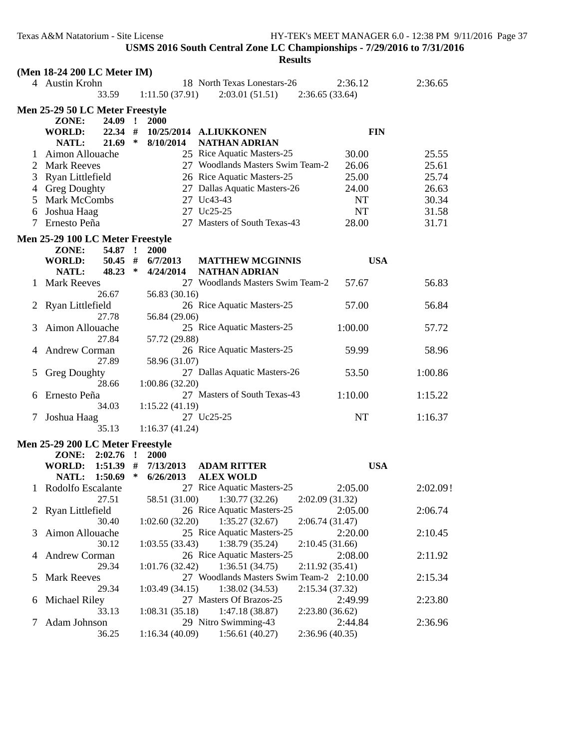|                | (Men 18-24 200 LC Meter IM)      |        |                |                                          |                 |            |
|----------------|----------------------------------|--------|----------------|------------------------------------------|-----------------|------------|
|                | 4 Austin Krohn                   |        |                | 18 North Texas Lonestars-26              | 2:36.12         | 2:36.65    |
|                | 33.59                            |        | 1:11.50(37.91) | 2:03.01(51.51)                           | 2:36.65(33.64)  |            |
|                | Men 25-29 50 LC Meter Freestyle  |        |                |                                          |                 |            |
|                | ZONE:<br>24.09 !                 |        | 2000           |                                          |                 |            |
|                | $22.34$ #<br>WORLD:              |        |                | 10/25/2014 A.LIUKKONEN                   |                 | <b>FIN</b> |
|                | $21.69$ *<br>NATL:               |        | 8/10/2014      | <b>NATHAN ADRIAN</b>                     |                 |            |
| Τ.             | Aimon Allouache                  |        |                | 25 Rice Aquatic Masters-25               | 30.00           | 25.55      |
| 2              | <b>Mark Reeves</b>               |        |                | 27 Woodlands Masters Swim Team-2         | 26.06           | 25.61      |
| 3              | Ryan Littlefield                 |        |                | 26 Rice Aquatic Masters-25               | 25.00           | 25.74      |
|                | 4 Greg Doughty                   |        |                | 27 Dallas Aquatic Masters-26             | 24.00           | 26.63      |
| 5              | <b>Mark McCombs</b>              |        |                | 27 Uc43-43                               | <b>NT</b>       | 30.34      |
| 6              | Joshua Haag                      |        |                | 27 Uc25-25                               | <b>NT</b>       | 31.58      |
| Τ              | Ernesto Peña                     |        |                | 27 Masters of South Texas-43             | 28.00           | 31.71      |
|                | Men 25-29 100 LC Meter Freestyle |        |                |                                          |                 |            |
|                | 54.87 !<br>ZONE:                 |        | 2000           |                                          |                 |            |
|                | <b>WORLD:</b><br>$50.45$ #       |        | 6/7/2013       | <b>MATTHEW MCGINNIS</b>                  |                 | <b>USA</b> |
|                | 48.23<br>NATL:                   | $\ast$ | 4/24/2014      | <b>NATHAN ADRIAN</b>                     |                 |            |
| 1              | <b>Mark Reeves</b>               |        |                | 27 Woodlands Masters Swim Team-2         | 57.67           | 56.83      |
|                | 26.67                            |        | 56.83 (30.16)  |                                          |                 |            |
| 2              | Ryan Littlefield                 |        |                | 26 Rice Aquatic Masters-25               | 57.00           | 56.84      |
|                | 27.78                            |        | 56.84 (29.06)  |                                          |                 |            |
| 3              | Aimon Allouache                  |        |                | 25 Rice Aquatic Masters-25               | 1:00.00         | 57.72      |
|                | 27.84                            |        | 57.72 (29.88)  |                                          |                 |            |
| 4              | Andrew Corman                    |        |                | 26 Rice Aquatic Masters-25               | 59.99           | 58.96      |
|                | 27.89                            |        | 58.96 (31.07)  |                                          |                 |            |
| 5              | <b>Greg Doughty</b>              |        |                | 27 Dallas Aquatic Masters-26             | 53.50           | 1:00.86    |
|                | 28.66                            |        | 1:00.86(32.20) |                                          |                 |            |
| 6              | Ernesto Peña                     |        |                | 27 Masters of South Texas-43             | 1:10.00         | 1:15.22    |
|                | 34.03                            |        | 1:15.22(41.19) |                                          |                 |            |
| 7              | Joshua Haag                      |        |                | 27 Uc25-25                               | <b>NT</b>       | 1:16.37    |
|                | 35.13                            |        | 1:16.37(41.24) |                                          |                 |            |
|                | Men 25-29 200 LC Meter Freestyle |        |                |                                          |                 |            |
|                | ZONE:<br>$2:02.76$ !             |        | 2000           |                                          |                 |            |
|                | <b>WORLD:</b><br>$1:51.39$ #     |        | 7/13/2013      | <b>ADAM RITTER</b>                       |                 | <b>USA</b> |
|                | NATL:<br>1:50.69                 | ∗      | 6/26/2013      | <b>ALEX WOLD</b>                         |                 |            |
|                | 1 Rodolfo Escalante              |        |                | 27 Rice Aquatic Masters-25               | 2:05.00         | 2:02.09!   |
|                | 27.51                            |        | 58.51 (31.00)  | 1:30.77(32.26)                           | 2:02.09(31.32)  |            |
| $\overline{2}$ | Ryan Littlefield                 |        |                | 26 Rice Aquatic Masters-25               | 2:05.00         | 2:06.74    |
|                | 30.40                            |        | 1:02.60(32.20) | 1:35.27(32.67)                           | 2:06.74 (31.47) |            |
| 3              | Aimon Allouache                  |        |                | 25 Rice Aquatic Masters-25               | 2:20.00         | 2:10.45    |
|                | 30.12                            |        | 1:03.55(33.43) | 1:38.79(35.24)                           | 2:10.45(31.66)  |            |
| 4              | <b>Andrew Corman</b>             |        |                | 26 Rice Aquatic Masters-25               | 2:08.00         | 2:11.92    |
|                | 29.34                            |        | 1:01.76(32.42) | 1:36.51(34.75)                           | 2:11.92(35.41)  |            |
| C              | <b>Mark Reeves</b>               |        |                | 27 Woodlands Masters Swim Team-2 2:10.00 |                 | 2:15.34    |
|                | 29.34                            |        | 1:03.49(34.15) | 1:38.02(34.53)                           | 2:15.34(37.32)  |            |
| b              | Michael Riley                    |        |                | 27 Masters Of Brazos-25                  | 2:49.99         | 2:23.80    |
|                | 33.13                            |        | 1:08.31(35.18) | 1:47.18(38.87)                           | 2:23.80(36.62)  |            |
|                | Adam Johnson                     |        |                | 29 Nitro Swimming-43                     | 2:44.84         | 2:36.96    |
|                | 36.25                            |        | 1:16.34(40.09) | 1:56.61(40.27)                           | 2:36.96(40.35)  |            |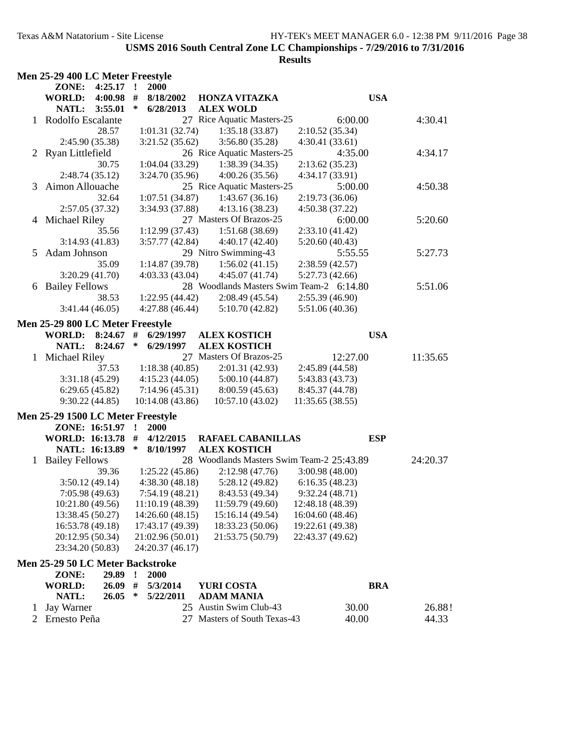|   | Men 25-29 400 LC Meter Freestyle  |             |         |                  |                                           |                  |            |  |
|---|-----------------------------------|-------------|---------|------------------|-------------------------------------------|------------------|------------|--|
|   | ZONE: 4:25.17 !                   |             |         | 2000             |                                           |                  |            |  |
|   | <b>WORLD:</b>                     | $4:00.98$ # |         | 8/18/2002        | <b>HONZA VITAZKA</b>                      |                  | <b>USA</b> |  |
|   | <b>NATL:</b>                      | 3:55.01     | ∗       | 6/28/2013        | <b>ALEX WOLD</b>                          |                  |            |  |
|   | 1 Rodolfo Escalante               |             |         |                  | 27 Rice Aquatic Masters-25                | 6:00.00          | 4:30.41    |  |
|   |                                   | 28.57       |         | 1:01.31(32.74)   | 1:35.18(33.87)                            | 2:10.52(35.34)   |            |  |
|   | 2:45.90 (35.38)                   |             |         | 3:21.52(35.62)   | 3:56.80 (35.28)                           | 4:30.41(33.61)   |            |  |
|   | 2 Ryan Littlefield                |             |         |                  | 26 Rice Aquatic Masters-25                | 4:35.00          | 4:34.17    |  |
|   |                                   | 30.75       |         | 1:04.04(33.29)   | 1:38.39(34.35)                            | 2:13.62(35.23)   |            |  |
|   | 2:48.74 (35.12)                   |             |         | 3:24.70 (35.96)  | 4:00.26(35.56)                            | 4:34.17 (33.91)  |            |  |
| 3 | Aimon Allouache                   |             |         |                  | 25 Rice Aquatic Masters-25                | 5:00.00          | 4:50.38    |  |
|   |                                   | 32.64       |         | 1:07.51(34.87)   | 1:43.67(36.16)                            | 2:19.73(36.06)   |            |  |
|   | 2:57.05 (37.32)                   |             |         | 3:34.93 (37.88)  | 4:13.16(38.23)                            | 4:50.38(37.22)   |            |  |
|   | 4 Michael Riley                   |             |         |                  | 27 Masters Of Brazos-25                   | 6:00.00          | 5:20.60    |  |
|   |                                   | 35.56       |         | 1:12.99(37.43)   | 1:51.68(38.69)                            | 2:33.10(41.42)   |            |  |
|   | 3:14.93(41.83)                    |             |         | 3:57.77(42.84)   | 4:40.17(42.40)                            | 5:20.60(40.43)   |            |  |
| 5 | Adam Johnson                      |             |         |                  | 29 Nitro Swimming-43                      | 5:55.55          | 5:27.73    |  |
|   |                                   | 35.09       |         | 1:14.87(39.78)   | 1:56.02(41.15)                            | 2:38.59(42.57)   |            |  |
|   | 3:20.29(41.70)                    |             |         | 4:03.33(43.04)   | 4:45.07 (41.74)                           | 5:27.73 (42.66)  |            |  |
|   | 6 Bailey Fellows                  |             |         |                  | 28 Woodlands Masters Swim Team-2 6:14.80  |                  | 5:51.06    |  |
|   |                                   | 38.53       |         | 1:22.95(44.42)   | 2:08.49(45.54)                            | 2:55.39(46.90)   |            |  |
|   | 3:41.44(46.05)                    |             |         | 4:27.88(46.44)   | 5:10.70(42.82)                            | 5:51.06 (40.36)  |            |  |
|   |                                   |             |         |                  |                                           |                  |            |  |
|   | Men 25-29 800 LC Meter Freestyle  |             |         |                  |                                           |                  |            |  |
|   | WORLD: 8:24.67 #                  |             |         | 6/29/1997        | <b>ALEX KOSTICH</b>                       |                  | <b>USA</b> |  |
|   | NATL: 8:24.67                     |             | ∗       | 6/29/1997        | <b>ALEX KOSTICH</b>                       |                  |            |  |
|   | 1 Michael Riley                   |             |         |                  | 27 Masters Of Brazos-25                   | 12:27.00         | 11:35.65   |  |
|   |                                   | 37.53       |         | 1:18.38(40.85)   | 2:01.31 (42.93)                           | 2:45.89 (44.58)  |            |  |
|   | 3:31.18(45.29)                    |             |         | 4:15.23(44.05)   | 5:00.10(44.87)                            | 5:43.83 (43.73)  |            |  |
|   | 6:29.65(45.82)                    |             |         | 7:14.96(45.31)   | 8:00.59(45.63)                            | 8:45.37 (44.78)  |            |  |
|   | 9:30.22(44.85)                    |             |         | 10:14.08(43.86)  | 10:57.10(43.02)                           | 11:35.65(38.55)  |            |  |
|   | Men 25-29 1500 LC Meter Freestyle |             |         |                  |                                           |                  |            |  |
|   | ZONE: 16:51.97 !                  |             |         | <b>2000</b>      |                                           |                  |            |  |
|   | WORLD: 16:13.78 #                 |             |         | 4/12/2015        | <b>RAFAEL CABANILLAS</b>                  | <b>ESP</b>       |            |  |
|   | NATL: 16:13.89                    |             | ∗       | 8/10/1997        | <b>ALEX KOSTICH</b>                       |                  |            |  |
|   | 1 Bailey Fellows                  |             |         |                  | 28 Woodlands Masters Swim Team-2 25:43.89 |                  | 24:20.37   |  |
|   |                                   | 39.36       |         | 1:25.22(45.86)   | 2:12.98(47.76)                            | 3:00.98(48.00)   |            |  |
|   | 3:50.12(49.14)                    |             |         | 4:38.30(48.18)   | 5:28.12 (49.82)                           | 6:16.35(48.23)   |            |  |
|   | 7:05.98 (49.63)                   |             |         | 7:54.19 (48.21)  | 8:43.53 (49.34)                           | 9:32.24(48.71)   |            |  |
|   | 10:21.80 (49.56)                  |             |         | 11:10.19(48.39)  | 11:59.79 (49.60)                          | 12:48.18 (48.39) |            |  |
|   | 13:38.45 (50.27)                  |             |         | 14:26.60 (48.15) | 15:16.14 (49.54)                          | 16:04.60 (48.46) |            |  |
|   | 16:53.78 (49.18)                  |             |         | 17:43.17 (49.39) | 18:33.23 (50.06)                          | 19:22.61 (49.38) |            |  |
|   | 20:12.95 (50.34)                  |             |         | 21:02.96 (50.01) | 21:53.75 (50.79)                          | 22:43.37 (49.62) |            |  |
|   | 23:34.20 (50.83)                  |             |         | 24:20.37 (46.17) |                                           |                  |            |  |
|   | Men 25-29 50 LC Meter Backstroke  |             |         |                  |                                           |                  |            |  |
|   | ZONE:                             | 29.89       | $\cdot$ | 2000             |                                           |                  |            |  |
|   | <b>WORLD:</b>                     | 26.09       | #       | 5/3/2014         | <b>YURI COSTA</b>                         |                  | <b>BRA</b> |  |
|   | <b>NATL:</b>                      | 26.05       | $\ast$  | 5/22/2011        | <b>ADAM MANIA</b>                         |                  |            |  |
|   | <b>Jay Warner</b>                 |             |         |                  | 25 Austin Swim Club-43                    | 30.00            | 26.88!     |  |
| 1 |                                   |             |         |                  | 27 Masters of South Texas-43              |                  |            |  |
|   | 2 Ernesto Peña                    |             |         |                  |                                           | 40.00            | 44.33      |  |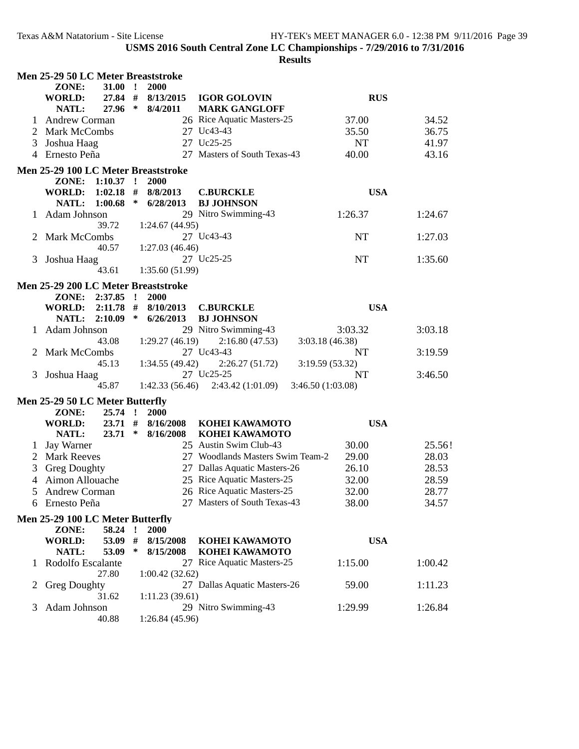|              | Men 25-29 50 LC Meter Breaststroke  |             |        |                |                                     |                  |            |  |
|--------------|-------------------------------------|-------------|--------|----------------|-------------------------------------|------------------|------------|--|
|              | ZONE:                               | $31.00$ !   |        | 2000           |                                     |                  |            |  |
|              | <b>WORLD:</b>                       | 27.84 #     |        | 8/13/2015      | <b>IGOR GOLOVIN</b>                 |                  | <b>RUS</b> |  |
|              | NATL:                               | 27.96 *     |        | 8/4/2011       | <b>MARK GANGLOFF</b>                |                  |            |  |
|              | <b>Andrew Corman</b>                |             |        |                | 26 Rice Aquatic Masters-25          | 37.00            | 34.52      |  |
| 2            | Mark McCombs                        |             |        |                | 27 Uc43-43                          | 35.50            | 36.75      |  |
| 3            | Joshua Haag                         |             |        |                | 27 Uc25-25                          | <b>NT</b>        | 41.97      |  |
|              | 4 Ernesto Peña                      |             |        |                | 27 Masters of South Texas-43        | 40.00            | 43.16      |  |
|              |                                     |             |        |                |                                     |                  |            |  |
|              | Men 25-29 100 LC Meter Breaststroke |             |        |                |                                     |                  |            |  |
|              | ZONE:                               | $1:10.37$ ! |        | 2000           |                                     |                  |            |  |
|              | <b>WORLD:</b>                       | 1:02.18     | #      | 8/8/2013       | <b>C.BURCKLE</b>                    |                  | <b>USA</b> |  |
|              | NATL:                               | 1:00.68     | ∗      | 6/28/2013      | <b>BJ JOHNSON</b>                   |                  |            |  |
|              | Adam Johnson                        |             |        |                | 29 Nitro Swimming-43                | 1:26.37          | 1:24.67    |  |
|              |                                     | 39.72       |        | 1:24.67(44.95) |                                     |                  |            |  |
|              | Mark McCombs                        |             |        |                | 27 Uc43-43                          | NT               | 1:27.03    |  |
|              |                                     | 40.57       |        | 1:27.03(46.46) |                                     |                  |            |  |
| 3            | Joshua Haag                         |             |        |                | 27 Uc25-25                          | NT               | 1:35.60    |  |
|              |                                     | 43.61       |        | 1:35.60(51.99) |                                     |                  |            |  |
|              | Men 25-29 200 LC Meter Breaststroke |             |        |                |                                     |                  |            |  |
|              | ZONE: 2:37.85 !                     |             |        | 2000           |                                     |                  |            |  |
|              | WORLD:                              | $2:11.78$ # |        | 8/10/2013      | <b>C.BURCKLE</b>                    |                  | <b>USA</b> |  |
|              | <b>NATL:</b>                        | 2:10.09     | $\ast$ | 6/26/2013      | <b>BJ JOHNSON</b>                   |                  |            |  |
|              | Adam Johnson                        |             |        |                | 29 Nitro Swimming-43                | 3:03.32          | 3:03.18    |  |
|              |                                     | 43.08       |        | 1:29.27(46.19) | 2:16.80(47.53)                      | 3:03.18 (46.38)  |            |  |
|              | Mark McCombs                        |             |        |                | 27 Uc43-43                          | NT               | 3:19.59    |  |
|              |                                     | 45.13       |        | 1:34.55(49.42) | 2:26.27(51.72)                      | 3:19.59(53.32)   |            |  |
| 3            | Joshua Haag                         |             |        |                | 27 Uc25-25                          | NT               | 3:46.50    |  |
|              |                                     | 45.87       |        |                | $1:42.33(56.46)$ $2:43.42(1:01.09)$ | 3:46.50(1:03.08) |            |  |
|              |                                     |             |        |                |                                     |                  |            |  |
|              | Men 25-29 50 LC Meter Butterfly     |             |        |                |                                     |                  |            |  |
|              | ZONE:                               | $25.74$ !   |        | 2000           |                                     |                  |            |  |
|              | WORLD:                              | $23.71$ #   |        | 8/16/2008      | <b>KOHEI KAWAMOTO</b>               |                  | <b>USA</b> |  |
|              | NATL:                               | $23.71$ *   |        | 8/16/2008      | KOHEI KAWAMOTO                      |                  |            |  |
|              | Jay Warner                          |             |        |                | 25 Austin Swim Club-43              | 30.00            | 25.56!     |  |
| 2            | <b>Mark Reeves</b>                  |             |        |                | 27 Woodlands Masters Swim Team-2    | 29.00            | 28.03      |  |
| 3            | <b>Greg Doughty</b>                 |             |        |                | 27 Dallas Aquatic Masters-26        | 26.10            | 28.53      |  |
| 4            | Aimon Allouache                     |             |        |                | 25 Rice Aquatic Masters-25          | 32.00            | 28.59      |  |
| 5            | Andrew Corman                       |             |        |                | 26 Rice Aquatic Masters-25          | 32.00            | 28.77      |  |
|              | 6 Ernesto Peña                      |             |        |                | 27 Masters of South Texas-43        | 38.00            | 34.57      |  |
|              |                                     |             |        |                |                                     |                  |            |  |
|              | Men 25-29 100 LC Meter Butterfly    |             |        |                |                                     |                  |            |  |
|              | ZONE:                               | 58.24 !     |        | 2000           |                                     |                  |            |  |
|              | <b>WORLD:</b>                       | 53.09       | #      | 8/15/2008      | KOHEI KAWAMOTO                      |                  | <b>USA</b> |  |
|              | NATL:                               | 53.09       | ∗      | 8/15/2008      | KOHEI KAWAMOTO                      |                  |            |  |
|              | Rodolfo Escalante                   |             |        |                | 27 Rice Aquatic Masters-25          | 1:15.00          | 1:00.42    |  |
|              |                                     | 27.80       |        | 1:00.42(32.62) |                                     |                  |            |  |
| $\mathbf{2}$ | <b>Greg Doughty</b>                 |             |        |                | 27 Dallas Aquatic Masters-26        | 59.00            | 1:11.23    |  |
|              |                                     | 31.62       |        | 1:11.23(39.61) |                                     |                  |            |  |
| 3            | Adam Johnson                        |             |        |                | 29 Nitro Swimming-43                | 1:29.99          | 1:26.84    |  |
|              |                                     | 40.88       |        | 1:26.84(45.96) |                                     |                  |            |  |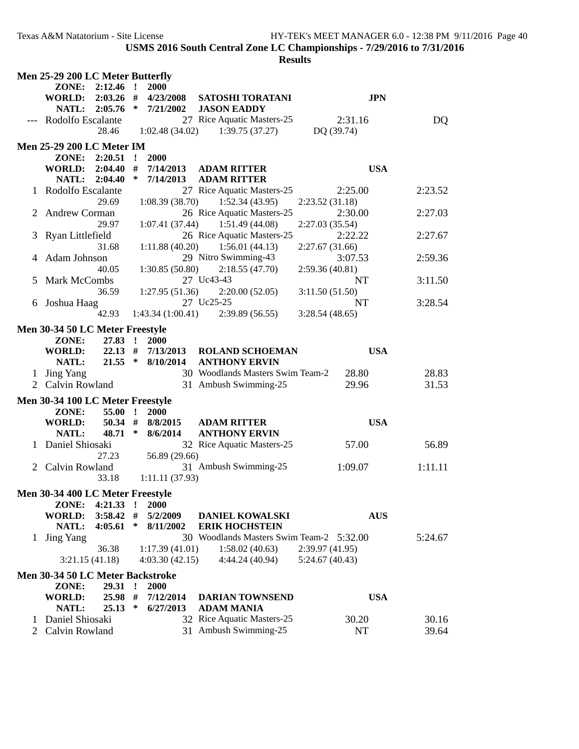|   | Men 25-29 200 LC Meter Butterfly                     |              |                       |                                          |                |         |
|---|------------------------------------------------------|--------------|-----------------------|------------------------------------------|----------------|---------|
|   | $2:12.46$ !<br>ZONE:                                 |              | 2000                  |                                          |                |         |
|   | 2:03.26<br><b>WORLD:</b>                             | #            | 4/23/2008             | SATOSHI TORATANI                         | <b>JPN</b>     |         |
|   | NATL: 2:05.76                                        |              | $*$ 7/21/2002         | <b>JASON EADDY</b>                       |                |         |
|   | Rodolfo Escalante                                    |              |                       | 27 Rice Aquatic Masters-25               | 2:31.16        | DQ      |
|   | 28.46                                                |              |                       | $1:02.48(34.02)$ $1:39.75(37.27)$        | DQ (39.74)     |         |
|   | <b>Men 25-29 200 LC Meter IM</b>                     |              |                       |                                          |                |         |
|   | ZONE: 2:20.51 !                                      |              | 2000                  |                                          |                |         |
|   | <b>WORLD: 2:04.40</b>                                | #            | 7/14/2013             | <b>ADAM RITTER</b>                       | <b>USA</b>     |         |
|   | NATL: 2:04.40                                        | $\ast$       | 7/14/2013             | <b>ADAM RITTER</b>                       |                |         |
|   | 1 Rodolfo Escalante                                  |              |                       | 27 Rice Aquatic Masters-25               | 2:25.00        | 2:23.52 |
|   | 29.69                                                |              |                       | $1:08.39(38.70)$ $1:52.34(43.95)$        | 2:23.52(31.18) |         |
|   | <b>Andrew Corman</b>                                 |              |                       | 26 Rice Aquatic Masters-25               | 2:30.00        | 2:27.03 |
|   | 29.97                                                |              | 1:07.41(37.44)        | 1:51.49 (44.08)                          | 2:27.03(35.54) |         |
|   | Ryan Littlefield                                     |              |                       | 26 Rice Aquatic Masters-25               | 2:22.22        | 2:27.67 |
|   | 31.68                                                |              | 1:11.88(40.20)        | 1:56.01(44.13)                           | 2:27.67(31.66) |         |
|   | Adam Johnson                                         |              |                       | 29 Nitro Swimming-43                     | 3:07.53        | 2:59.36 |
|   | 40.05                                                |              | 1:30.85(50.80)        | 2:18.55(47.70)                           | 2:59.36(40.81) |         |
|   | Mark McCombs                                         |              |                       | 27 Uc43-43                               | <b>NT</b>      | 3:11.50 |
|   | 36.59                                                |              | 1:27.95(51.36)        | 2:20.00(52.05)                           | 3:11.50(51.50) |         |
|   | Joshua Haag                                          |              |                       | 27 Uc25-25                               | <b>NT</b>      | 3:28.54 |
|   | 42.93                                                |              |                       | $1:43.34(1:00.41)$ $2:39.89(56.55)$      | 3:28.54(48.65) |         |
|   | Men 30-34 50 LC Meter Freestyle                      |              |                       |                                          |                |         |
|   | ZONE:<br>27.83 !                                     |              | 2000                  |                                          |                |         |
|   | <b>WORLD:</b>                                        |              | $22.13$ # $7/13/2013$ | <b>ROLAND SCHOEMAN</b>                   | <b>USA</b>     |         |
|   | NATL:                                                |              | $21.55$ * $8/10/2014$ | <b>ANTHONY ERVIN</b>                     |                |         |
| 1 | <b>Jing Yang</b>                                     |              |                       | 30 Woodlands Masters Swim Team-2         | 28.80          | 28.83   |
|   | 2 Calvin Rowland                                     |              |                       | 31 Ambush Swimming-25                    | 29.96          | 31.53   |
|   |                                                      |              |                       |                                          |                |         |
|   | Men 30-34 100 LC Meter Freestyle<br>ZONE:<br>55.00 ! |              | 2000                  |                                          |                |         |
|   | <b>WORLD:</b>                                        |              | 50.34 # $8/8/2015$    | <b>ADAM RITTER</b>                       | <b>USA</b>     |         |
|   | NATL:<br>$48.71*$                                    |              | 8/6/2014              | <b>ANTHONY ERVIN</b>                     |                |         |
|   | Daniel Shiosaki                                      |              |                       | 32 Rice Aquatic Masters-25               | 57.00          | 56.89   |
|   | 27.23                                                |              | 56.89 (29.66)         |                                          |                |         |
|   | 2 Calvin Rowland                                     |              |                       | 31 Ambush Swimming-25                    | 1:09.07        | 1:11.11 |
|   | 33.18                                                |              | 1:11.11(37.93)        |                                          |                |         |
|   |                                                      |              |                       |                                          |                |         |
|   | Men 30-34 400 LC Meter Freestyle                     |              |                       |                                          |                |         |
|   | ZONE:<br>4:21.33                                     | $\mathbf{r}$ | 2000                  |                                          |                |         |
|   | <b>WORLD:</b><br>3:58.42                             | #            | 5/2/2009              | <b>DANIEL KOWALSKI</b>                   | <b>AUS</b>     |         |
|   | NATL:<br>4:05.61                                     | ∗            | 8/11/2002             | <b>ERIK HOCHSTEIN</b>                    |                |         |
| 1 | <b>Jing Yang</b>                                     |              |                       | 30 Woodlands Masters Swim Team-2 5:32.00 |                | 5:24.67 |
|   | 36.38                                                |              | 1:17.39(41.01)        | 1:58.02(40.63)                           | 2:39.97(41.95) |         |
|   | 3:21.15(41.18)                                       |              | 4:03.30(42.15)        | 4:44.24 (40.94)                          | 5:24.67(40.43) |         |
|   | Men 30-34 50 LC Meter Backstroke                     |              |                       |                                          |                |         |
|   | 29.31<br>ZONE:                                       | $\cdot$      | 2000                  |                                          |                |         |
|   | <b>WORLD:</b><br>25.98 #                             |              | 7/12/2014             | <b>DARIAN TOWNSEND</b>                   | <b>USA</b>     |         |
|   | 25.13<br>NATL:                                       | $\ast$       | 6/27/2013             | <b>ADAM MANIA</b>                        |                |         |
|   | Daniel Shiosaki                                      |              |                       | 32 Rice Aquatic Masters-25               | 30.20          | 30.16   |
| 2 | Calvin Rowland                                       |              |                       | 31 Ambush Swimming-25                    | NT             | 39.64   |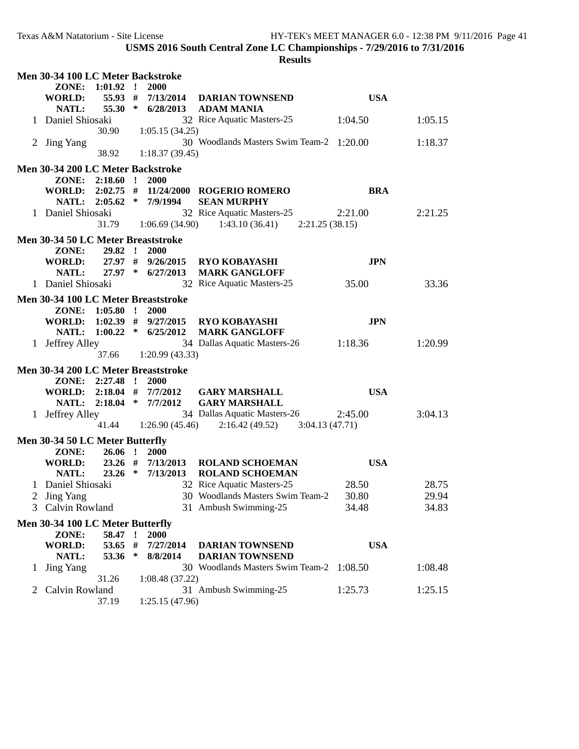|   | Men 30-34 100 LC Meter Backstroke   |           |              |                          |                                          |            |         |
|---|-------------------------------------|-----------|--------------|--------------------------|------------------------------------------|------------|---------|
|   | 1:01.92<br>ZONE:                    |           | $\mathbf{r}$ | 2000                     |                                          |            |         |
|   | 55.93<br><b>WORLD:</b>              |           | #            | 7/13/2014                | <b>DARIAN TOWNSEND</b>                   | <b>USA</b> |         |
|   | 55.30<br>NATL:                      |           | $\ast$       | 6/28/2013                | <b>ADAM MANIA</b>                        |            |         |
|   | 1 Daniel Shiosaki                   |           |              |                          | 32 Rice Aquatic Masters-25               | 1:04.50    | 1:05.15 |
|   | 30.90                               |           |              | 1:05.15(34.25)           |                                          |            |         |
|   | 2 Jing Yang                         |           |              |                          | 30 Woodlands Masters Swim Team-2 1:20.00 |            | 1:18.37 |
|   | 38.92                               |           |              | 1:18.37(39.45)           |                                          |            |         |
|   | Men 30-34 200 LC Meter Backstroke   |           |              |                          |                                          |            |         |
|   | ZONE: 2:18.60 !                     |           |              | 2000                     |                                          |            |         |
|   | WORLD:                              |           |              |                          | 2:02.75 # 11/24/2000 ROGERIO ROMERO      | <b>BRA</b> |         |
|   | NATL: 2:05.62                       |           |              | $*$ 7/9/1994             | <b>SEAN MURPHY</b>                       |            |         |
|   | 1 Daniel Shiosaki                   |           |              |                          | 32 Rice Aquatic Masters-25               | 2:21.00    | 2:21.25 |
|   |                                     |           |              | $31.79$ $1:06.69(34.90)$ | $1:43.10(36.41)$ $2:21.25(38.15)$        |            |         |
|   | Men 30-34 50 LC Meter Breaststroke  |           |              |                          |                                          |            |         |
|   | ZONE:<br>29.82                      |           | $\mathbf{1}$ | <b>2000</b>              |                                          |            |         |
|   | <b>WORLD:</b>                       |           |              | 27.97 # 9/26/2015        | <b>RYO KOBAYASHI</b>                     | <b>JPN</b> |         |
|   | NATL:                               |           |              | 27.97 * 6/27/2013        | <b>MARK GANGLOFF</b>                     |            |         |
|   | 1 Daniel Shiosaki                   |           |              |                          | 32 Rice Aquatic Masters-25               | 35.00      | 33.36   |
|   | Men 30-34 100 LC Meter Breaststroke |           |              |                          |                                          |            |         |
|   | ZONE: 1:05.80 !                     |           |              | 2000                     |                                          |            |         |
|   | WORLD: $1:02.39$ # $9/27/2015$      |           |              |                          | <b>RYO KOBAYASHI</b>                     | <b>JPN</b> |         |
|   | 1:00.22<br>NATL:                    |           |              | $*$ 6/25/2012            | <b>MARK GANGLOFF</b>                     |            |         |
|   | 1 Jeffrey Alley                     |           |              |                          | 34 Dallas Aquatic Masters-26             | 1:18.36    | 1:20.99 |
|   | 37.66                               |           |              | 1:20.99(43.33)           |                                          |            |         |
|   | Men 30-34 200 LC Meter Breaststroke |           |              |                          |                                          |            |         |
|   | ZONE:<br>2:27.48                    |           | $\mathbf{r}$ | <b>2000</b>              |                                          |            |         |
|   | WORLD:                              |           |              | $2:18.04$ # $7/7/2012$   | <b>GARY MARSHALL</b>                     | <b>USA</b> |         |
|   | NATL:                               |           |              | $2:18.04$ * $7/7/2012$   | <b>GARY MARSHALL</b>                     |            |         |
|   | 1 Jeffrey Alley                     |           |              |                          | 34 Dallas Aquatic Masters-26             | 2:45.00    | 3:04.13 |
|   | 41.44                               |           |              | 1:26.90(45.46)           | $2:16.42(49.52)$ $3:04.13(47.71)$        |            |         |
|   | Men 30-34 50 LC Meter Butterfly     |           |              |                          |                                          |            |         |
|   | ZONE:                               | $26.06$ ! |              | <b>2000</b>              |                                          |            |         |
|   | WORLD:                              | $23.26$ # |              | 7/13/2013                | <b>ROLAND SCHOEMAN</b>                   | <b>USA</b> |         |
|   | 23.26<br>NATL:                      |           | $\ast$       | 7/13/2013                | <b>ROLAND SCHOEMAN</b>                   |            |         |
|   | 1 Daniel Shiosaki                   |           |              |                          | 32 Rice Aquatic Masters-25               | 28.50      | 28.75   |
|   | 2 Jing Yang                         |           |              |                          | 30 Woodlands Masters Swim Team-2         | 30.80      | 29.94   |
| 3 | Calvin Rowland                      |           |              |                          | 31 Ambush Swimming-25                    | 34.48      | 34.83   |
|   | Men 30-34 100 LC Meter Butterfly    |           |              |                          |                                          |            |         |
|   | ZONE:                               | 58.47 !   |              | 2000                     |                                          |            |         |
|   | <b>WORLD:</b>                       | 53.65 #   |              | 7/27/2014                | <b>DARIAN TOWNSEND</b>                   | <b>USA</b> |         |
|   | <b>NATL:</b><br>53.36               |           | $\ast$       | 8/8/2014                 | <b>DARIAN TOWNSEND</b>                   |            |         |
| 1 | <b>Jing Yang</b>                    |           |              |                          | 30 Woodlands Masters Swim Team-2 1:08.50 |            | 1:08.48 |
|   | 31.26                               |           |              | 1:08.48(37.22)           |                                          |            |         |
| 2 | Calvin Rowland                      |           |              |                          | 31 Ambush Swimming-25                    | 1:25.73    | 1:25.15 |
|   | 37.19                               |           |              | 1:25.15(47.96)           |                                          |            |         |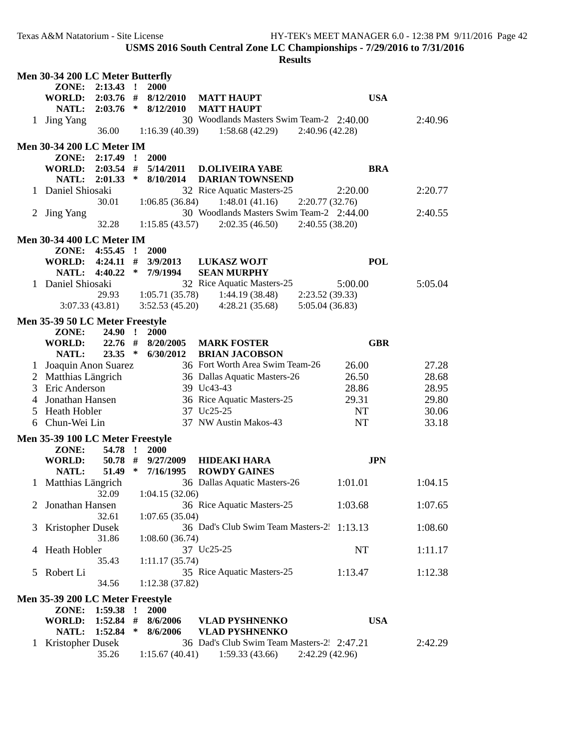| Men 30-34 200 LC Meter Butterfly |                                                                                                         |                                                                                                                                                                                                                                                                                         |                                                                                                                                                                               |                                                                                                                                                                                                                                                                                                 |                                                                                                                                                                                                                                                                                                                                                                                                                                                                                                                                |                                                                                                                                                                                                                                                                                                                                                                          |  |  |  |
|----------------------------------|---------------------------------------------------------------------------------------------------------|-----------------------------------------------------------------------------------------------------------------------------------------------------------------------------------------------------------------------------------------------------------------------------------------|-------------------------------------------------------------------------------------------------------------------------------------------------------------------------------|-------------------------------------------------------------------------------------------------------------------------------------------------------------------------------------------------------------------------------------------------------------------------------------------------|--------------------------------------------------------------------------------------------------------------------------------------------------------------------------------------------------------------------------------------------------------------------------------------------------------------------------------------------------------------------------------------------------------------------------------------------------------------------------------------------------------------------------------|--------------------------------------------------------------------------------------------------------------------------------------------------------------------------------------------------------------------------------------------------------------------------------------------------------------------------------------------------------------------------|--|--|--|
| ZONE:                            |                                                                                                         |                                                                                                                                                                                                                                                                                         | 2000                                                                                                                                                                          |                                                                                                                                                                                                                                                                                                 |                                                                                                                                                                                                                                                                                                                                                                                                                                                                                                                                |                                                                                                                                                                                                                                                                                                                                                                          |  |  |  |
| WORLD:                           |                                                                                                         |                                                                                                                                                                                                                                                                                         | 8/12/2010                                                                                                                                                                     | <b>MATT HAUPT</b>                                                                                                                                                                                                                                                                               | <b>USA</b>                                                                                                                                                                                                                                                                                                                                                                                                                                                                                                                     |                                                                                                                                                                                                                                                                                                                                                                          |  |  |  |
|                                  |                                                                                                         |                                                                                                                                                                                                                                                                                         |                                                                                                                                                                               | <b>MATT HAUPT</b>                                                                                                                                                                                                                                                                               |                                                                                                                                                                                                                                                                                                                                                                                                                                                                                                                                |                                                                                                                                                                                                                                                                                                                                                                          |  |  |  |
|                                  |                                                                                                         |                                                                                                                                                                                                                                                                                         |                                                                                                                                                                               |                                                                                                                                                                                                                                                                                                 |                                                                                                                                                                                                                                                                                                                                                                                                                                                                                                                                | 2:40.96                                                                                                                                                                                                                                                                                                                                                                  |  |  |  |
|                                  |                                                                                                         |                                                                                                                                                                                                                                                                                         |                                                                                                                                                                               |                                                                                                                                                                                                                                                                                                 |                                                                                                                                                                                                                                                                                                                                                                                                                                                                                                                                |                                                                                                                                                                                                                                                                                                                                                                          |  |  |  |
|                                  |                                                                                                         |                                                                                                                                                                                                                                                                                         |                                                                                                                                                                               |                                                                                                                                                                                                                                                                                                 |                                                                                                                                                                                                                                                                                                                                                                                                                                                                                                                                |                                                                                                                                                                                                                                                                                                                                                                          |  |  |  |
|                                  |                                                                                                         |                                                                                                                                                                                                                                                                                         |                                                                                                                                                                               |                                                                                                                                                                                                                                                                                                 |                                                                                                                                                                                                                                                                                                                                                                                                                                                                                                                                |                                                                                                                                                                                                                                                                                                                                                                          |  |  |  |
|                                  |                                                                                                         |                                                                                                                                                                                                                                                                                         |                                                                                                                                                                               |                                                                                                                                                                                                                                                                                                 |                                                                                                                                                                                                                                                                                                                                                                                                                                                                                                                                |                                                                                                                                                                                                                                                                                                                                                                          |  |  |  |
|                                  |                                                                                                         |                                                                                                                                                                                                                                                                                         |                                                                                                                                                                               |                                                                                                                                                                                                                                                                                                 |                                                                                                                                                                                                                                                                                                                                                                                                                                                                                                                                |                                                                                                                                                                                                                                                                                                                                                                          |  |  |  |
|                                  |                                                                                                         |                                                                                                                                                                                                                                                                                         |                                                                                                                                                                               |                                                                                                                                                                                                                                                                                                 |                                                                                                                                                                                                                                                                                                                                                                                                                                                                                                                                |                                                                                                                                                                                                                                                                                                                                                                          |  |  |  |
|                                  |                                                                                                         |                                                                                                                                                                                                                                                                                         |                                                                                                                                                                               |                                                                                                                                                                                                                                                                                                 |                                                                                                                                                                                                                                                                                                                                                                                                                                                                                                                                | 2:20.77                                                                                                                                                                                                                                                                                                                                                                  |  |  |  |
|                                  |                                                                                                         |                                                                                                                                                                                                                                                                                         |                                                                                                                                                                               |                                                                                                                                                                                                                                                                                                 |                                                                                                                                                                                                                                                                                                                                                                                                                                                                                                                                |                                                                                                                                                                                                                                                                                                                                                                          |  |  |  |
|                                  |                                                                                                         |                                                                                                                                                                                                                                                                                         |                                                                                                                                                                               |                                                                                                                                                                                                                                                                                                 |                                                                                                                                                                                                                                                                                                                                                                                                                                                                                                                                | 2:40.55                                                                                                                                                                                                                                                                                                                                                                  |  |  |  |
|                                  | 32.28                                                                                                   |                                                                                                                                                                                                                                                                                         |                                                                                                                                                                               | 2:02.35(46.50)                                                                                                                                                                                                                                                                                  |                                                                                                                                                                                                                                                                                                                                                                                                                                                                                                                                |                                                                                                                                                                                                                                                                                                                                                                          |  |  |  |
|                                  |                                                                                                         |                                                                                                                                                                                                                                                                                         |                                                                                                                                                                               |                                                                                                                                                                                                                                                                                                 |                                                                                                                                                                                                                                                                                                                                                                                                                                                                                                                                |                                                                                                                                                                                                                                                                                                                                                                          |  |  |  |
|                                  |                                                                                                         |                                                                                                                                                                                                                                                                                         |                                                                                                                                                                               |                                                                                                                                                                                                                                                                                                 |                                                                                                                                                                                                                                                                                                                                                                                                                                                                                                                                |                                                                                                                                                                                                                                                                                                                                                                          |  |  |  |
|                                  |                                                                                                         |                                                                                                                                                                                                                                                                                         |                                                                                                                                                                               |                                                                                                                                                                                                                                                                                                 |                                                                                                                                                                                                                                                                                                                                                                                                                                                                                                                                |                                                                                                                                                                                                                                                                                                                                                                          |  |  |  |
|                                  |                                                                                                         |                                                                                                                                                                                                                                                                                         |                                                                                                                                                                               |                                                                                                                                                                                                                                                                                                 |                                                                                                                                                                                                                                                                                                                                                                                                                                                                                                                                |                                                                                                                                                                                                                                                                                                                                                                          |  |  |  |
|                                  |                                                                                                         |                                                                                                                                                                                                                                                                                         |                                                                                                                                                                               |                                                                                                                                                                                                                                                                                                 |                                                                                                                                                                                                                                                                                                                                                                                                                                                                                                                                |                                                                                                                                                                                                                                                                                                                                                                          |  |  |  |
|                                  |                                                                                                         |                                                                                                                                                                                                                                                                                         |                                                                                                                                                                               |                                                                                                                                                                                                                                                                                                 |                                                                                                                                                                                                                                                                                                                                                                                                                                                                                                                                | 5:05.04                                                                                                                                                                                                                                                                                                                                                                  |  |  |  |
|                                  |                                                                                                         |                                                                                                                                                                                                                                                                                         |                                                                                                                                                                               |                                                                                                                                                                                                                                                                                                 |                                                                                                                                                                                                                                                                                                                                                                                                                                                                                                                                |                                                                                                                                                                                                                                                                                                                                                                          |  |  |  |
|                                  |                                                                                                         |                                                                                                                                                                                                                                                                                         |                                                                                                                                                                               |                                                                                                                                                                                                                                                                                                 |                                                                                                                                                                                                                                                                                                                                                                                                                                                                                                                                |                                                                                                                                                                                                                                                                                                                                                                          |  |  |  |
|                                  |                                                                                                         |                                                                                                                                                                                                                                                                                         |                                                                                                                                                                               |                                                                                                                                                                                                                                                                                                 |                                                                                                                                                                                                                                                                                                                                                                                                                                                                                                                                |                                                                                                                                                                                                                                                                                                                                                                          |  |  |  |
| ZONE:                            | <b>24.90</b>                                                                                            | $\mathbf{r}$                                                                                                                                                                                                                                                                            | <b>2000</b>                                                                                                                                                                   |                                                                                                                                                                                                                                                                                                 |                                                                                                                                                                                                                                                                                                                                                                                                                                                                                                                                |                                                                                                                                                                                                                                                                                                                                                                          |  |  |  |
|                                  |                                                                                                         |                                                                                                                                                                                                                                                                                         |                                                                                                                                                                               |                                                                                                                                                                                                                                                                                                 |                                                                                                                                                                                                                                                                                                                                                                                                                                                                                                                                |                                                                                                                                                                                                                                                                                                                                                                          |  |  |  |
|                                  |                                                                                                         |                                                                                                                                                                                                                                                                                         |                                                                                                                                                                               |                                                                                                                                                                                                                                                                                                 |                                                                                                                                                                                                                                                                                                                                                                                                                                                                                                                                |                                                                                                                                                                                                                                                                                                                                                                          |  |  |  |
| $\mathbf{I}$                     |                                                                                                         |                                                                                                                                                                                                                                                                                         |                                                                                                                                                                               |                                                                                                                                                                                                                                                                                                 |                                                                                                                                                                                                                                                                                                                                                                                                                                                                                                                                | 27.28                                                                                                                                                                                                                                                                                                                                                                    |  |  |  |
|                                  |                                                                                                         |                                                                                                                                                                                                                                                                                         |                                                                                                                                                                               |                                                                                                                                                                                                                                                                                                 |                                                                                                                                                                                                                                                                                                                                                                                                                                                                                                                                | 28.68                                                                                                                                                                                                                                                                                                                                                                    |  |  |  |
|                                  |                                                                                                         |                                                                                                                                                                                                                                                                                         |                                                                                                                                                                               |                                                                                                                                                                                                                                                                                                 |                                                                                                                                                                                                                                                                                                                                                                                                                                                                                                                                | 28.95                                                                                                                                                                                                                                                                                                                                                                    |  |  |  |
|                                  |                                                                                                         |                                                                                                                                                                                                                                                                                         |                                                                                                                                                                               |                                                                                                                                                                                                                                                                                                 |                                                                                                                                                                                                                                                                                                                                                                                                                                                                                                                                | 29.80                                                                                                                                                                                                                                                                                                                                                                    |  |  |  |
|                                  |                                                                                                         |                                                                                                                                                                                                                                                                                         |                                                                                                                                                                               |                                                                                                                                                                                                                                                                                                 |                                                                                                                                                                                                                                                                                                                                                                                                                                                                                                                                |                                                                                                                                                                                                                                                                                                                                                                          |  |  |  |
|                                  |                                                                                                         |                                                                                                                                                                                                                                                                                         |                                                                                                                                                                               |                                                                                                                                                                                                                                                                                                 |                                                                                                                                                                                                                                                                                                                                                                                                                                                                                                                                | 30.06                                                                                                                                                                                                                                                                                                                                                                    |  |  |  |
|                                  |                                                                                                         |                                                                                                                                                                                                                                                                                         |                                                                                                                                                                               |                                                                                                                                                                                                                                                                                                 |                                                                                                                                                                                                                                                                                                                                                                                                                                                                                                                                | 33.18                                                                                                                                                                                                                                                                                                                                                                    |  |  |  |
|                                  |                                                                                                         |                                                                                                                                                                                                                                                                                         |                                                                                                                                                                               |                                                                                                                                                                                                                                                                                                 |                                                                                                                                                                                                                                                                                                                                                                                                                                                                                                                                |                                                                                                                                                                                                                                                                                                                                                                          |  |  |  |
| ZONE:                            |                                                                                                         |                                                                                                                                                                                                                                                                                         | <b>2000</b>                                                                                                                                                                   |                                                                                                                                                                                                                                                                                                 |                                                                                                                                                                                                                                                                                                                                                                                                                                                                                                                                |                                                                                                                                                                                                                                                                                                                                                                          |  |  |  |
| WORLD:                           |                                                                                                         |                                                                                                                                                                                                                                                                                         |                                                                                                                                                                               | <b>HIDEAKI HARA</b>                                                                                                                                                                                                                                                                             | <b>JPN</b>                                                                                                                                                                                                                                                                                                                                                                                                                                                                                                                     |                                                                                                                                                                                                                                                                                                                                                                          |  |  |  |
|                                  |                                                                                                         |                                                                                                                                                                                                                                                                                         | 7/16/1995                                                                                                                                                                     | <b>ROWDY GAINES</b>                                                                                                                                                                                                                                                                             |                                                                                                                                                                                                                                                                                                                                                                                                                                                                                                                                |                                                                                                                                                                                                                                                                                                                                                                          |  |  |  |
|                                  |                                                                                                         |                                                                                                                                                                                                                                                                                         |                                                                                                                                                                               |                                                                                                                                                                                                                                                                                                 |                                                                                                                                                                                                                                                                                                                                                                                                                                                                                                                                | 1:04.15                                                                                                                                                                                                                                                                                                                                                                  |  |  |  |
|                                  |                                                                                                         |                                                                                                                                                                                                                                                                                         |                                                                                                                                                                               |                                                                                                                                                                                                                                                                                                 |                                                                                                                                                                                                                                                                                                                                                                                                                                                                                                                                |                                                                                                                                                                                                                                                                                                                                                                          |  |  |  |
|                                  |                                                                                                         |                                                                                                                                                                                                                                                                                         |                                                                                                                                                                               |                                                                                                                                                                                                                                                                                                 |                                                                                                                                                                                                                                                                                                                                                                                                                                                                                                                                |                                                                                                                                                                                                                                                                                                                                                                          |  |  |  |
|                                  |                                                                                                         |                                                                                                                                                                                                                                                                                         |                                                                                                                                                                               |                                                                                                                                                                                                                                                                                                 |                                                                                                                                                                                                                                                                                                                                                                                                                                                                                                                                |                                                                                                                                                                                                                                                                                                                                                                          |  |  |  |
| Jonathan Hansen                  |                                                                                                         |                                                                                                                                                                                                                                                                                         |                                                                                                                                                                               | 36 Rice Aquatic Masters-25                                                                                                                                                                                                                                                                      | 1:03.68                                                                                                                                                                                                                                                                                                                                                                                                                                                                                                                        | 1:07.65                                                                                                                                                                                                                                                                                                                                                                  |  |  |  |
|                                  | 32.61                                                                                                   |                                                                                                                                                                                                                                                                                         | 1:07.65(35.04)                                                                                                                                                                |                                                                                                                                                                                                                                                                                                 |                                                                                                                                                                                                                                                                                                                                                                                                                                                                                                                                |                                                                                                                                                                                                                                                                                                                                                                          |  |  |  |
| <b>Kristopher Dusek</b>          |                                                                                                         |                                                                                                                                                                                                                                                                                         |                                                                                                                                                                               | 36 Dad's Club Swim Team Masters-2. 1:13.13                                                                                                                                                                                                                                                      |                                                                                                                                                                                                                                                                                                                                                                                                                                                                                                                                | 1:08.60                                                                                                                                                                                                                                                                                                                                                                  |  |  |  |
|                                  | 31.86                                                                                                   |                                                                                                                                                                                                                                                                                         | 1:08.60(36.74)                                                                                                                                                                |                                                                                                                                                                                                                                                                                                 |                                                                                                                                                                                                                                                                                                                                                                                                                                                                                                                                |                                                                                                                                                                                                                                                                                                                                                                          |  |  |  |
| Heath Hobler<br>4                |                                                                                                         |                                                                                                                                                                                                                                                                                         |                                                                                                                                                                               | 37 Uc25-25                                                                                                                                                                                                                                                                                      | <b>NT</b>                                                                                                                                                                                                                                                                                                                                                                                                                                                                                                                      | 1:11.17                                                                                                                                                                                                                                                                                                                                                                  |  |  |  |
|                                  | 35.43                                                                                                   |                                                                                                                                                                                                                                                                                         | 1:11.17(35.74)                                                                                                                                                                |                                                                                                                                                                                                                                                                                                 |                                                                                                                                                                                                                                                                                                                                                                                                                                                                                                                                |                                                                                                                                                                                                                                                                                                                                                                          |  |  |  |
| Robert Li<br>5 <sup>1</sup>      |                                                                                                         |                                                                                                                                                                                                                                                                                         |                                                                                                                                                                               | 35 Rice Aquatic Masters-25                                                                                                                                                                                                                                                                      | 1:13.47                                                                                                                                                                                                                                                                                                                                                                                                                                                                                                                        | 1:12.38                                                                                                                                                                                                                                                                                                                                                                  |  |  |  |
|                                  | 34.56                                                                                                   |                                                                                                                                                                                                                                                                                         | 1:12.38(37.82)                                                                                                                                                                |                                                                                                                                                                                                                                                                                                 |                                                                                                                                                                                                                                                                                                                                                                                                                                                                                                                                |                                                                                                                                                                                                                                                                                                                                                                          |  |  |  |
| Men 35-39 200 LC Meter Freestyle |                                                                                                         |                                                                                                                                                                                                                                                                                         |                                                                                                                                                                               |                                                                                                                                                                                                                                                                                                 |                                                                                                                                                                                                                                                                                                                                                                                                                                                                                                                                |                                                                                                                                                                                                                                                                                                                                                                          |  |  |  |
| ZONE:                            | 1:59.38                                                                                                 | $\cdot$                                                                                                                                                                                                                                                                                 | 2000                                                                                                                                                                          |                                                                                                                                                                                                                                                                                                 |                                                                                                                                                                                                                                                                                                                                                                                                                                                                                                                                |                                                                                                                                                                                                                                                                                                                                                                          |  |  |  |
| <b>WORLD:</b>                    |                                                                                                         | #                                                                                                                                                                                                                                                                                       | 8/6/2006                                                                                                                                                                      |                                                                                                                                                                                                                                                                                                 | <b>USA</b>                                                                                                                                                                                                                                                                                                                                                                                                                                                                                                                     |                                                                                                                                                                                                                                                                                                                                                                          |  |  |  |
|                                  | 1:52.84                                                                                                 | ∗                                                                                                                                                                                                                                                                                       |                                                                                                                                                                               | <b>VLAD PYSHNENKO</b>                                                                                                                                                                                                                                                                           |                                                                                                                                                                                                                                                                                                                                                                                                                                                                                                                                |                                                                                                                                                                                                                                                                                                                                                                          |  |  |  |
| NATL:<br><b>Kristopher Dusek</b> | 1:52.84                                                                                                 |                                                                                                                                                                                                                                                                                         | 8/6/2006                                                                                                                                                                      | <b>VLAD PYSHNENKO</b><br>36 Dad's Club Swim Team Masters-2 2:47.21                                                                                                                                                                                                                              |                                                                                                                                                                                                                                                                                                                                                                                                                                                                                                                                | 2:42.29                                                                                                                                                                                                                                                                                                                                                                  |  |  |  |
|                                  | NATL:<br>1 Jing Yang<br>ZONE:<br>WORLD:<br>NATL:<br><b>Jing Yang</b><br><b>WORLD:</b><br>NATL:<br>NATL: | 2:13.43<br>2:03.76<br>36.00<br>2:01.33<br>Daniel Shiosaki<br>30.01<br>ZONE: 4:55.45<br><b>WORLD:</b><br>NATL: 4:40.22<br>1 Daniel Shiosaki<br>29.93<br>3:07.33(43.81)<br>2 Matthias Längrich<br>Eric Anderson<br>Jonathan Hansen<br>Heath Hobler<br>Chun-Wei Lin<br>1 Matthias Längrich | $\mathbf{r}$<br>$\ast$<br>2:03.54<br>#<br>$\ast$<br>$\mathbf{r}$<br>$4:24.11$ #<br>$\ast$<br>22.76 #<br>$23.35$ *<br>Joaquin Anon Suarez<br>54.78 !<br>$50.78$ #<br>$51.49$ * | $2:03.76$ #<br>8/12/2010<br><b>Men 30-34 200 LC Meter IM</b><br>2000<br>$2:17.49$ !<br>5/14/2011<br>8/10/2014<br><b>Men 30-34 400 LC Meter IM</b><br>2000<br>3/9/2013<br>7/9/1994<br>Men 35-39 50 LC Meter Freestyle<br>8/20/2005<br>6/30/2012<br>Men 35-39 100 LC Meter Freestyle<br>9/27/2009 | $1:16.39(40.39)$ $1:58.68(42.29)$<br><b>D.OLIVEIRA YABE</b><br><b>DARIAN TOWNSEND</b><br>32 Rice Aquatic Masters-25<br>1:06.85(36.84)<br>1:48.01(41.16)<br>1:15.85(43.57)<br><b>LUKASZ WOJT</b><br><b>SEAN MURPHY</b><br>32 Rice Aquatic Masters-25<br>1:05.71(35.78)<br>1:44.19 (38.48)<br>3:52.53(45.20)<br>4:28.21(35.68)<br><b>MARK FOSTER</b><br><b>BRIAN JACOBSON</b><br>36 Dallas Aquatic Masters-26<br>39 Uc43-43<br>36 Rice Aquatic Masters-25<br>37 Uc25-25<br>37 NW Austin Makos-43<br>36 Dallas Aquatic Masters-26 | 30 Woodlands Masters Swim Team-2 2:40.00<br>2:40.96(42.28)<br><b>BRA</b><br>2:20.00<br>2:20.77(32.76)<br>30 Woodlands Masters Swim Team-2 2:44.00<br>2:40.55(38.20)<br><b>POL</b><br>5:00.00<br>2:23.52(39.33)<br>5:05.04 (36.83)<br><b>GBR</b><br>36 Fort Worth Area Swim Team-26<br>26.00<br>26.50<br>28.86<br>29.31<br>NT<br>NT<br>1:01.01<br>1:04.15(32.06)<br>32.09 |  |  |  |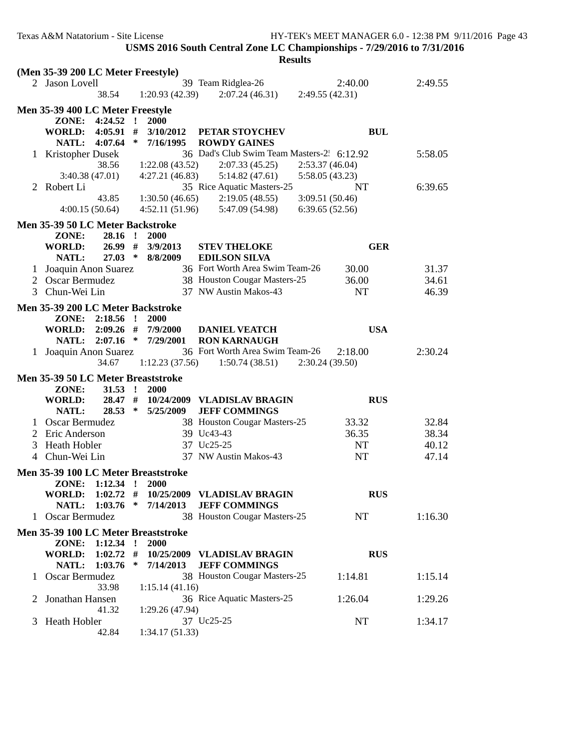|   |                                                          |                                     | <b>Results</b>                                          |                 |                |  |
|---|----------------------------------------------------------|-------------------------------------|---------------------------------------------------------|-----------------|----------------|--|
|   | (Men 35-39 200 LC Meter Freestyle)                       |                                     |                                                         |                 |                |  |
|   | 2 Jason Lovell                                           |                                     | 39 Team Ridglea-26                                      | 2:40.00         | 2:49.55        |  |
|   | 38.54                                                    | 1:20.93(42.39)                      | 2:07.24(46.31)                                          | 2:49.55(42.31)  |                |  |
|   | Men 35-39 400 LC Meter Freestyle                         |                                     |                                                         |                 |                |  |
|   | ZONE: 4:24.52                                            | $\mathbf{r}$<br><b>2000</b>         |                                                         |                 |                |  |
|   | <b>WORLD:</b> 4:05.91                                    | #<br>3/10/2012                      | PETAR STOYCHEV                                          | <b>BUL</b>      |                |  |
|   | <b>NATL:</b><br>4:07.64                                  | ∗<br>7/16/1995                      | <b>ROWDY GAINES</b>                                     |                 |                |  |
|   | 1 Kristopher Dusek                                       |                                     | 36 Dad's Club Swim Team Masters-2 6:12.92               |                 | 5:58.05        |  |
|   | 38.56                                                    | 1:22.08(43.52)                      | 2:07.33(45.25)                                          | 2:53.37(46.04)  |                |  |
|   | 3:40.38(47.01)                                           | 4:27.21(46.83)                      | 5:14.82(47.61)                                          | 5:58.05 (43.23) |                |  |
|   | 2 Robert Li                                              |                                     | 35 Rice Aquatic Masters-25                              | NT              | 6:39.65        |  |
|   | 43.85                                                    | 1:30.50(46.65)                      | 2:19.05(48.55)                                          | 3:09.51 (50.46) |                |  |
|   | 4:00.15(50.64)                                           | 4:52.11(51.96)                      | 5:47.09 (54.98)                                         | 6:39.65 (52.56) |                |  |
|   | Men 35-39 50 LC Meter Backstroke                         |                                     |                                                         |                 |                |  |
|   | ZONE:<br>$28.16$ !                                       | <b>2000</b>                         |                                                         |                 |                |  |
|   | <b>WORLD:</b><br>26.99#                                  | 3/9/2013                            | <b>STEV THELOKE</b>                                     | <b>GER</b>      |                |  |
|   | $27.03$ *<br>NATL:                                       | 8/8/2009                            | <b>EDILSON SILVA</b><br>36 Fort Worth Area Swim Team-26 |                 |                |  |
| 1 | Joaquin Anon Suarez<br>2 Oscar Bermudez                  |                                     | 38 Houston Cougar Masters-25                            | 30.00<br>36.00  | 31.37<br>34.61 |  |
| 3 | Chun-Wei Lin                                             |                                     | 37 NW Austin Makos-43                                   | <b>NT</b>       | 46.39          |  |
|   |                                                          |                                     |                                                         |                 |                |  |
|   | Men 35-39 200 LC Meter Backstroke                        |                                     |                                                         |                 |                |  |
|   | ZONE:<br>$2:18.56$ !                                     | <b>2000</b>                         |                                                         |                 |                |  |
|   | <b>WORLD:</b><br>$2:09.26$ #<br>NATL:                    | 7/9/2000<br>$2:07.16$ * $7/29/2001$ | <b>DANIEL VEATCH</b><br><b>RON KARNAUGH</b>             | <b>USA</b>      |                |  |
|   | 1 Joaquin Anon Suarez                                    |                                     | 36 Fort Worth Area Swim Team-26                         | 2:18.00         | 2:30.24        |  |
|   | 34.67                                                    | 1:12.23(37.56)                      | 1:50.74(38.51)                                          | 2:30.24(39.50)  |                |  |
|   |                                                          |                                     |                                                         |                 |                |  |
|   | Men 35-39 50 LC Meter Breaststroke<br>ZONE:<br>$31.53$ ! | <b>2000</b>                         |                                                         |                 |                |  |
|   | <b>WORLD:</b><br>$28.47$ #                               |                                     | 10/24/2009 VLADISLAV BRAGIN                             | <b>RUS</b>      |                |  |
|   | 28.53<br>NATL:                                           | ∗<br>5/25/2009                      | <b>JEFF COMMINGS</b>                                    |                 |                |  |
|   | 1 Oscar Bermudez                                         |                                     | 38 Houston Cougar Masters-25                            | 33.32           | 32.84          |  |
|   | Eric Anderson                                            |                                     | 39 Uc43-43                                              | 36.35           | 38.34          |  |
| 3 | Heath Hobler                                             |                                     | 37 Uc25-25                                              | NT              | 40.12          |  |
|   | 4 Chun-Wei Lin                                           |                                     | 37 NW Austin Makos-43                                   | NT              | 47.14          |  |
|   | Men 35-39 100 LC Meter Breaststroke                      |                                     |                                                         |                 |                |  |
|   | ZONE:<br>1:12.34                                         | 2000<br>- 1                         |                                                         |                 |                |  |
|   | <b>WORLD:</b><br>1:02.72                                 | #                                   | 10/25/2009 VLADISLAV BRAGIN                             | <b>RUS</b>      |                |  |
|   | $1:03.76$ *<br>NATL:                                     | 7/14/2013                           | <b>JEFF COMMINGS</b>                                    |                 |                |  |
|   | 1 Oscar Bermudez                                         |                                     | 38 Houston Cougar Masters-25                            | NT              | 1:16.30        |  |
|   | Men 35-39 100 LC Meter Breaststroke                      |                                     |                                                         |                 |                |  |
|   | ZONE: 1:12.34 !                                          | 2000                                |                                                         |                 |                |  |
|   | <b>WORLD:</b><br>1:02.72                                 | #                                   | 10/25/2009 VLADISLAV BRAGIN                             | <b>RUS</b>      |                |  |
|   | 1:03.76<br>NATL:                                         | ∗<br>7/14/2013                      | <b>JEFF COMMINGS</b>                                    |                 |                |  |
|   | Oscar Bermudez                                           |                                     | 38 Houston Cougar Masters-25                            | 1:14.81         | 1:15.14        |  |
|   |                                                          | 1:15.14(41.16)                      |                                                         |                 |                |  |
|   | 33.98                                                    |                                     |                                                         |                 |                |  |
|   | Jonathan Hansen                                          |                                     | 36 Rice Aquatic Masters-25                              | 1:26.04         | 1:29.26        |  |
|   | 41.32                                                    | 1:29.26(47.94)                      |                                                         |                 |                |  |
|   | Heath Hobler<br>42.84                                    | 1:34.17(51.33)                      | 37 Uc25-25                                              | NT              | 1:34.17        |  |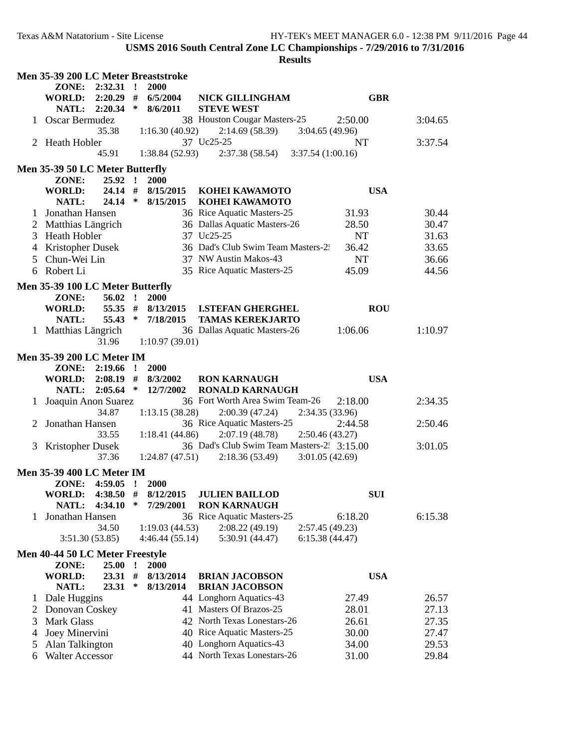|              | Men 35-39 200 LC Meter Breaststroke |             |              |                                  |                                           |                  |         |  |
|--------------|-------------------------------------|-------------|--------------|----------------------------------|-------------------------------------------|------------------|---------|--|
|              | ZONE:                               | $2:32.31$ ! |              | 2000                             |                                           |                  |         |  |
|              | WORLD: 2:20.29 # 6/5/2004           |             |              |                                  | <b>NICK GILLINGHAM</b>                    | <b>GBR</b>       |         |  |
|              | NATL: 2:20.34                       |             | ∗            | 8/6/2011                         | <b>STEVE WEST</b>                         |                  |         |  |
|              | 1 Oscar Bermudez                    |             |              |                                  | 38 Houston Cougar Masters-25              | 2:50.00          | 3:04.65 |  |
|              |                                     | 35.38       |              | 1:16.30(40.92)                   | 2:14.69(58.39)                            | 3:04.65(49.96)   |         |  |
|              | 2 Heath Hobler                      |             |              |                                  | 37 Uc25-25                                | NT               | 3:37.54 |  |
|              |                                     | 45.91       |              | 1:38.84(52.93)                   | 2:37.38(58.54)                            | 3:37.54(1:00.16) |         |  |
|              |                                     |             |              |                                  |                                           |                  |         |  |
|              | Men 35-39 50 LC Meter Butterfly     |             |              |                                  |                                           |                  |         |  |
|              | ZONE:                               | $25.92$ !   |              | 2000                             |                                           |                  |         |  |
|              | <b>WORLD:</b>                       | $24.14$ #   |              | 8/15/2015                        | KOHEI KAWAMOTO                            | <b>USA</b>       |         |  |
|              | NATL:                               | $24.14$ *   |              | 8/15/2015                        | KOHEI KAWAMOTO                            |                  |         |  |
|              | 1 Jonathan Hansen                   |             |              |                                  | 36 Rice Aquatic Masters-25                | 31.93            | 30.44   |  |
|              | 2 Matthias Längrich                 |             |              |                                  | 36 Dallas Aquatic Masters-26              | 28.50            | 30.47   |  |
|              | 3 Heath Hobler                      |             |              |                                  | 37 Uc25-25                                | NT               | 31.63   |  |
|              | 4 Kristopher Dusek                  |             |              |                                  | 36 Dad's Club Swim Team Masters-2.        | 36.42            | 33.65   |  |
| 5.           | Chun-Wei Lin                        |             |              |                                  | 37 NW Austin Makos-43                     | <b>NT</b>        | 36.66   |  |
|              | 6 Robert Li                         |             |              |                                  | 35 Rice Aquatic Masters-25                | 45.09            | 44.56   |  |
|              | Men 35-39 100 LC Meter Butterfly    |             |              |                                  |                                           |                  |         |  |
|              |                                     | $56.02$ !   |              |                                  |                                           |                  |         |  |
|              | ZONE:<br><b>WORLD:</b>              |             |              | <b>2000</b><br>55.35 # 8/13/2015 |                                           | <b>ROU</b>       |         |  |
|              |                                     |             |              |                                  | <b>I.STEFAN GHERGHEL</b>                  |                  |         |  |
|              | <b>NATL:</b>                        | $55.43$ *   |              | 7/18/2015                        | <b>TAMAS KEREKJARTO</b>                   |                  |         |  |
|              | 1 Matthias Längrich                 |             |              |                                  | 36 Dallas Aquatic Masters-26              | 1:06.06          | 1:10.97 |  |
|              |                                     | 31.96       |              | 1:10.97(39.01)                   |                                           |                  |         |  |
|              | <b>Men 35-39 200 LC Meter IM</b>    |             |              |                                  |                                           |                  |         |  |
|              | ZONE:                               | 2:19.66     | $\mathbf{I}$ | 2000                             |                                           |                  |         |  |
|              | <b>WORLD:</b>                       | $2:08.19$ # |              | 8/3/2002                         | <b>RON KARNAUGH</b>                       | <b>USA</b>       |         |  |
|              | NATL:                               | $2:05.64$ * |              | 12/7/2002                        | <b>RONALD KARNAUGH</b>                    |                  |         |  |
|              | Joaquin Anon Suarez                 |             |              |                                  | 36 Fort Worth Area Swim Team-26           | 2:18.00          | 2:34.35 |  |
|              |                                     | 34.87       |              | 1:13.15(38.28)                   | 2:00.39(47.24)                            | 2:34.35 (33.96)  |         |  |
|              | Jonathan Hansen                     |             |              |                                  | 36 Rice Aquatic Masters-25                | 2:44.58          | 2:50.46 |  |
|              |                                     | 33.55       |              | 1:18.41(44.86)                   | 2:07.19(48.78)                            | 2:50.46(43.27)   |         |  |
| 3            | <b>Kristopher Dusek</b>             |             |              |                                  | 36 Dad's Club Swim Team Masters-2 3:15.00 |                  | 3:01.05 |  |
|              |                                     | 37.36       |              | 1:24.87(47.51)                   | 2:18.36(53.49)                            | 3:01.05(42.69)   |         |  |
|              |                                     |             |              |                                  |                                           |                  |         |  |
|              | <b>Men 35-39 400 LC Meter IM</b>    |             |              |                                  |                                           |                  |         |  |
|              | ZONE: 4:59.05 !                     |             |              | 2000                             |                                           |                  |         |  |
|              | WORLD: $4:38.50$ # $8/12/2015$      |             |              |                                  | <b>JULIEN BAILLOD</b>                     | <b>SUI</b>       |         |  |
|              | NATL: 4:34.10                       |             | $\ast$       | 7/29/2001                        | <b>RON KARNAUGH</b>                       |                  |         |  |
|              | Jonathan Hansen                     |             |              |                                  | 36 Rice Aquatic Masters-25                | 6:18.20          | 6:15.38 |  |
|              |                                     | 34.50       |              | 1:19.03(44.53)                   | 2:08.22(49.19)                            | 2:57.45 (49.23)  |         |  |
|              | 3:51.30(53.85)                      |             |              | 4:46.44(55.14)                   | 5:30.91 (44.47)                           | 6:15.38(44.47)   |         |  |
|              | Men 40-44 50 LC Meter Freestyle     |             |              |                                  |                                           |                  |         |  |
|              | ZONE:                               | 25.00       | $\mathbf{r}$ | 2000                             |                                           |                  |         |  |
|              | <b>WORLD:</b>                       | 23.31       | #            | 8/13/2014                        | <b>BRIAN JACOBSON</b>                     | <b>USA</b>       |         |  |
|              | NATL:                               | 23.31       | ∗            | 8/13/2014                        | <b>BRIAN JACOBSON</b>                     |                  |         |  |
| $\mathbf{I}$ | Dale Huggins                        |             |              |                                  | 44 Longhorn Aquatics-43                   | 27.49            | 26.57   |  |
|              |                                     |             |              |                                  | 41 Masters Of Brazos-25                   | 28.01            | 27.13   |  |
| 2            | Donovan Coskey                      |             |              |                                  | 42 North Texas Lonestars-26               |                  |         |  |
| 3            | Mark Glass                          |             |              |                                  |                                           | 26.61            | 27.35   |  |
| 4            | Joey Minervini                      |             |              |                                  | 40 Rice Aquatic Masters-25                | 30.00            | 27.47   |  |
| 5            | Alan Talkington                     |             |              |                                  | 40 Longhorn Aquatics-43                   | 34.00            | 29.53   |  |
| 6            | <b>Walter Accessor</b>              |             |              |                                  | 44 North Texas Lonestars-26               | 31.00            | 29.84   |  |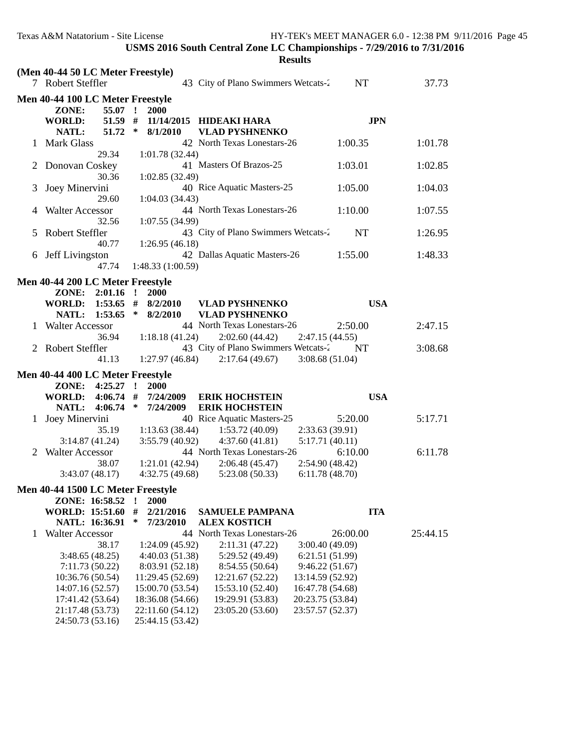|   | (Men 40-44 50 LC Meter Freestyle)<br>7 Robert Steffler        |                               |              |                                                          | 43 City of Plano Swimmers Wetcats-2                                      |                                                          | NT         | 37.73    |  |
|---|---------------------------------------------------------------|-------------------------------|--------------|----------------------------------------------------------|--------------------------------------------------------------------------|----------------------------------------------------------|------------|----------|--|
|   | Men 40-44 100 LC Meter Freestyle                              |                               |              |                                                          |                                                                          |                                                          |            |          |  |
|   | ZONE:<br><b>WORLD:</b>                                        | 55.07 !<br>$51.59$ #<br>51.72 | $\ast$       | 2000                                                     | 11/14/2015 HIDEAKI HARA                                                  |                                                          | <b>JPN</b> |          |  |
|   | NATL:<br>1 Mark Glass                                         | 29.34                         |              | 8/1/2010<br>1:01.78(32.44)                               | <b>VLAD PYSHNENKO</b><br>42 North Texas Lonestars-26                     |                                                          | 1:00.35    | 1:01.78  |  |
|   | 2 Donovan Coskey                                              | 30.36                         |              | 1:02.85(32.49)                                           | 41 Masters Of Brazos-25                                                  |                                                          | 1:03.01    | 1:02.85  |  |
| 3 | Joey Minervini                                                | 29.60                         |              | 1:04.03(34.43)                                           | 40 Rice Aquatic Masters-25                                               |                                                          | 1:05.00    | 1:04.03  |  |
| 4 | <b>Walter Accessor</b>                                        | 32.56                         |              | 1:07.55 (34.99)                                          | 44 North Texas Lonestars-26                                              |                                                          | 1:10.00    | 1:07.55  |  |
| 5 | <b>Robert Steffler</b>                                        | 40.77                         |              | 1:26.95(46.18)                                           | 43 City of Plano Swimmers Wetcats-2                                      |                                                          | <b>NT</b>  | 1:26.95  |  |
| 6 | Jeff Livingston                                               | 47.74                         |              | 1:48.33 (1:00.59)                                        | 42 Dallas Aquatic Masters-26                                             |                                                          | 1:55.00    | 1:48.33  |  |
|   | Men 40-44 200 LC Meter Freestyle                              |                               |              |                                                          |                                                                          |                                                          |            |          |  |
|   | ZONE: 2:01.16 !<br>WORLD: 1:53.65 # 8/2/2010<br>NATL: 1:53.65 |                               | $\ast$       | 2000<br>8/2/2010                                         | <b>VLAD PYSHNENKO</b><br><b>VLAD PYSHNENKO</b>                           |                                                          | <b>USA</b> |          |  |
|   | 1 Walter Accessor                                             | 36.94                         |              | 1:18.18(41.24)                                           | 44 North Texas Lonestars-26<br>2:02.60(44.42)                            | 2:47.15(44.55)                                           | 2:50.00    | 2:47.15  |  |
|   | 2 Robert Steffler                                             | 41.13                         |              |                                                          | 43 City of Plano Swimmers Wetcats-2<br>$1:27.97(46.84)$ $2:17.64(49.67)$ | 3:08.68(51.04)                                           | NT         | 3:08.68  |  |
|   | Men 40-44 400 LC Meter Freestyle                              |                               |              |                                                          |                                                                          |                                                          |            |          |  |
|   | ZONE: 4:25.27                                                 |                               | $\mathbf{r}$ | 2000                                                     |                                                                          |                                                          |            |          |  |
|   | WORLD: 4:06.74 #<br><b>NATL:</b>                              | 4:06.74                       | $\ast$       | 7/24/2009<br>7/24/2009                                   | <b>ERIK HOCHSTEIN</b><br><b>ERIK HOCHSTEIN</b>                           |                                                          | <b>USA</b> |          |  |
| 1 | Joey Minervini                                                | 35.19                         |              | 1:13.63(38.44)                                           | 40 Rice Aquatic Masters-25<br>1:53.72 (40.09)                            | 2:33.63(39.91)                                           | 5:20.00    | 5:17.71  |  |
|   | 3:14.87(41.24)<br>2 Walter Accessor                           |                               |              | 3:55.79(40.92)                                           | 4:37.60(41.81)<br>44 North Texas Lonestars-26                            | 5:17.71(40.11)                                           | 6:10.00    | 6:11.78  |  |
|   | 3:43.07(48.17)                                                | 38.07                         |              | 1:21.01 (42.94)<br>4:32.75(49.68)                        | 2:06.48(45.47)<br>5:23.08(50.33)                                         | 2:54.90 (48.42)<br>6:11.78(48.70)                        |            |          |  |
|   | Men 40-44 1500 LC Meter Freestyle                             |                               |              |                                                          |                                                                          |                                                          |            |          |  |
|   | ZONE: 16:58.52<br><b>WORLD: 15:51.60</b><br>NATL: 16:36.91    |                               | #<br>∗       | 2000<br>2/21/2016<br>7/23/2010                           | <b>SAMUELE PAMPANA</b><br><b>ALEX KOSTICH</b>                            |                                                          | <b>ITA</b> |          |  |
| 1 | <b>Walter Accessor</b>                                        |                               |              |                                                          | 44 North Texas Lonestars-26                                              |                                                          | 26:00.00   | 25:44.15 |  |
|   | 3:48.65(48.25)<br>7:11.73(50.22)                              | 38.17                         |              | 1:24.09(45.92)<br>4:40.03(51.38)<br>8:03.91 (52.18)      | 2:11.31(47.22)<br>5:29.52 (49.49)<br>8:54.55 (50.64)                     | 3:00.40(49.09)<br>6:21.51(51.99)<br>9:46.22(51.67)       |            |          |  |
|   | 10:36.76 (50.54)<br>14:07.16 (52.57)                          |                               |              | 11:29.45 (52.69)<br>15:00.70 (53.54)                     | 12:21.67 (52.22)<br>15:53.10 (52.40)                                     | 13:14.59 (52.92)<br>16:47.78 (54.68)<br>20:23.75 (53.84) |            |          |  |
|   | 17:41.42 (53.64)<br>21:17.48 (53.73)<br>24:50.73 (53.16)      |                               |              | 18:36.08 (54.66)<br>22:11.60 (54.12)<br>25:44.15 (53.42) | 19:29.91 (53.83)<br>23:05.20 (53.60)                                     | 23:57.57 (52.37)                                         |            |          |  |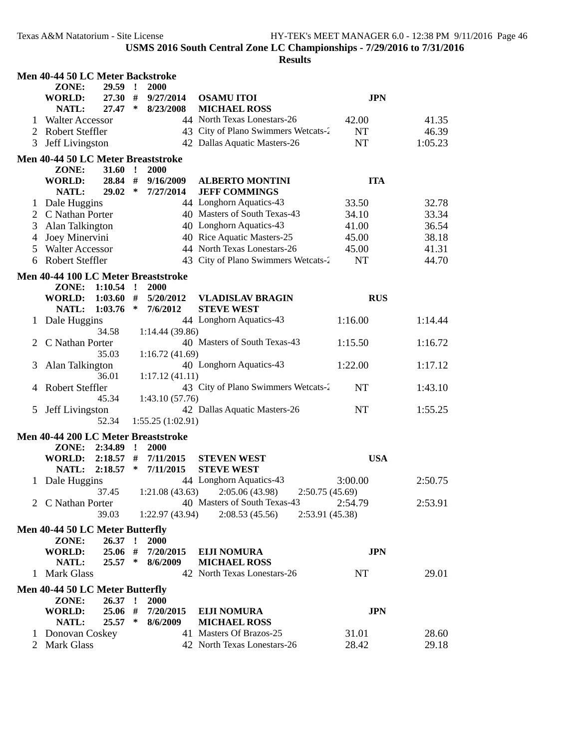|         | Men 40-44 50 LC Meter Backstroke    |             |         |                  |                                     |            |         |
|---------|-------------------------------------|-------------|---------|------------------|-------------------------------------|------------|---------|
|         | ZONE:                               | 29.59 !     |         | <b>2000</b>      |                                     |            |         |
|         | WORLD:                              | 27.30#      |         | 9/27/2014        | <b>OSAMU ITOI</b>                   | <b>JPN</b> |         |
|         | NATL:                               | 27.47       | ∗       | 8/23/2008        | <b>MICHAEL ROSS</b>                 |            |         |
| $\perp$ | <b>Walter Accessor</b>              |             |         |                  | 44 North Texas Lonestars-26         | 42.00      | 41.35   |
| 2       | <b>Robert Steffler</b>              |             |         |                  | 43 City of Plano Swimmers Wetcats-2 | NT         | 46.39   |
| 3       | Jeff Livingston                     |             |         |                  | 42 Dallas Aquatic Masters-26        | NT         | 1:05.23 |
|         | Men 40-44 50 LC Meter Breaststroke  |             |         |                  |                                     |            |         |
|         | ZONE:                               | $31.60$ !   |         | 2000             |                                     |            |         |
|         | <b>WORLD:</b>                       | 28.84       | #       | 9/16/2009        | <b>ALBERTO MONTINI</b>              | <b>ITA</b> |         |
|         | NATL:                               | 29.02       | $\ast$  | 7/27/2014        | <b>JEFF COMMINGS</b>                |            |         |
| 1       | Dale Huggins                        |             |         |                  | 44 Longhorn Aquatics-43             | 33.50      | 32.78   |
|         | 2 C Nathan Porter                   |             |         |                  | 40 Masters of South Texas-43        | 34.10      | 33.34   |
| 3       | Alan Talkington                     |             |         |                  | 40 Longhorn Aquatics-43             | 41.00      | 36.54   |
| 4       | Joey Minervini                      |             |         |                  | 40 Rice Aquatic Masters-25          | 45.00      | 38.18   |
| 5       | <b>Walter Accessor</b>              |             |         |                  | 44 North Texas Lonestars-26         | 45.00      | 41.31   |
| 6       | <b>Robert Steffler</b>              |             |         |                  | 43 City of Plano Swimmers Wetcats-2 | NT         | 44.70   |
|         |                                     |             |         |                  |                                     |            |         |
|         | Men 40-44 100 LC Meter Breaststroke |             |         |                  |                                     |            |         |
|         | ZONE:                               | $1:10.54$ ! |         | <b>2000</b>      |                                     |            |         |
|         | WORLD:                              | $1:03.60$ # |         | 5/20/2012        | <b>VLADISLAV BRAGIN</b>             | <b>RUS</b> |         |
|         | NATL:                               | 1:03.76     | $\ast$  | 7/6/2012         | <b>STEVE WEST</b>                   |            |         |
|         | 1 Dale Huggins                      |             |         |                  | 44 Longhorn Aquatics-43             | 1:16.00    | 1:14.44 |
|         |                                     | 34.58       |         | 1:14.44(39.86)   |                                     |            |         |
|         | C Nathan Porter                     |             |         |                  | 40 Masters of South Texas-43        | 1:15.50    | 1:16.72 |
|         |                                     | 35.03       |         | 1:16.72(41.69)   |                                     |            |         |
| 3       | Alan Talkington                     |             |         |                  | 40 Longhorn Aquatics-43             | 1:22.00    | 1:17.12 |
|         |                                     | 36.01       |         | 1:17.12(41.11)   |                                     |            |         |
|         | Robert Steffler                     |             |         |                  | 43 City of Plano Swimmers Wetcats-2 | <b>NT</b>  | 1:43.10 |
|         |                                     | 45.34       |         | 1:43.10(57.76)   |                                     |            |         |
| 5       | Jeff Livingston                     |             |         |                  | 42 Dallas Aquatic Masters-26        | <b>NT</b>  | 1:55.25 |
|         |                                     | 52.34       |         | 1:55.25(1:02.91) |                                     |            |         |
|         | Men 40-44 200 LC Meter Breaststroke |             |         |                  |                                     |            |         |
|         | ZONE:                               | 2:34.89     | $\cdot$ | <b>2000</b>      |                                     |            |         |
|         | WORLD:                              | 2:18.57     | #       | 7/11/2015        | <b>STEVEN WEST</b>                  | <b>USA</b> |         |
|         | NATL:                               | 2:18.57     | ∗       | 7/11/2015        | <b>STEVE WEST</b>                   |            |         |
| 1.      | Dale Huggins                        |             |         |                  | 44 Longhorn Aquatics-43             | 3:00.00    | 2:50.75 |
|         |                                     | 37.45       |         | 1:21.08(43.63)   | 2:05.06 (43.98)<br>2:50.75(45.69)   |            |         |
|         | 2 C Nathan Porter                   |             |         |                  | 40 Masters of South Texas-43        | 2:54.79    | 2:53.91 |
|         |                                     | 39.03       |         | 1:22.97(43.94)   | 2:08.53(45.56)<br>2:53.91 (45.38)   |            |         |
|         | Men 40-44 50 LC Meter Butterfly     |             |         |                  |                                     |            |         |
|         | ZONE:                               | 26.37:      |         | 2000             |                                     |            |         |
|         | <b>WORLD:</b>                       | 25.06 #     |         | 7/20/2015        | <b>EIJI NOMURA</b>                  | <b>JPN</b> |         |
|         | NATL:                               | $25.57$ *   |         | 8/6/2009         | <b>MICHAEL ROSS</b>                 |            |         |
|         | 1 Mark Glass                        |             |         |                  | 42 North Texas Lonestars-26         | NT         | 29.01   |
|         | Men 40-44 50 LC Meter Butterfly     |             |         |                  |                                     |            |         |
|         | ZONE:                               | 26.37:      |         | 2000             |                                     |            |         |
|         | <b>WORLD:</b>                       | 25.06 #     |         | 7/20/2015        | <b>EIJI NOMURA</b>                  | <b>JPN</b> |         |
|         | NATL:                               | 25.57       | $\ast$  | 8/6/2009         | <b>MICHAEL ROSS</b>                 |            |         |
|         | 1 Donovan Coskey                    |             |         |                  | 41 Masters Of Brazos-25             | 31.01      | 28.60   |
|         | 2 Mark Glass                        |             |         |                  | 42 North Texas Lonestars-26         | 28.42      | 29.18   |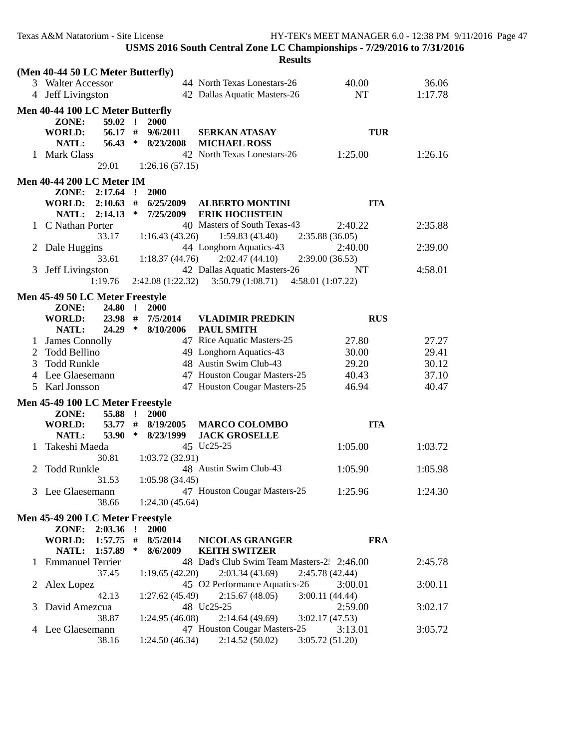|   | Texas A&M Natatorium - Site License |              |                  |                                                                        |                   | HY-TEK's MEET MANAGER 6.0 - 12:38 PM 9/11/2016 Page 47 |
|---|-------------------------------------|--------------|------------------|------------------------------------------------------------------------|-------------------|--------------------------------------------------------|
|   |                                     |              |                  | USMS 2016 South Central Zone LC Championships - 7/29/2016 to 7/31/2016 |                   |                                                        |
|   |                                     |              |                  | <b>Results</b>                                                         |                   |                                                        |
|   | (Men 40-44 50 LC Meter Butterfly)   |              |                  |                                                                        |                   |                                                        |
|   | 3 Walter Accessor                   |              |                  | 44 North Texas Lonestars-26                                            | 40.00             | 36.06                                                  |
|   | 4 Jeff Livingston                   |              |                  | 42 Dallas Aquatic Masters-26                                           | NT                | 1:17.78                                                |
|   | Men 40-44 100 LC Meter Butterfly    |              |                  |                                                                        |                   |                                                        |
|   | $59.02$ !<br>ZONE:                  |              | <b>2000</b>      |                                                                        |                   |                                                        |
|   | 56.17 #<br><b>WORLD:</b>            |              | 9/6/2011         | <b>SERKAN ATASAY</b>                                                   |                   | <b>TUR</b>                                             |
|   | NATL:<br>56.43                      | $\ast$       | 8/23/2008        | <b>MICHAEL ROSS</b>                                                    |                   |                                                        |
|   | 1 Mark Glass                        |              |                  | 42 North Texas Lonestars-26                                            | 1:25.00           | 1:26.16                                                |
|   | 29.01                               |              | 1:26.16(57.15)   |                                                                        |                   |                                                        |
|   | <b>Men 40-44 200 LC Meter IM</b>    |              |                  |                                                                        |                   |                                                        |
|   | ZONE: 2:17.64                       | $\mathbf{r}$ | 2000             |                                                                        |                   |                                                        |
|   | WORLD: 2:10.63 #                    |              | 6/25/2009        | <b>ALBERTO MONTINI</b>                                                 |                   | <b>ITA</b>                                             |
|   | NATL: 2:14.13                       | $\ast$       | 7/25/2009        | <b>ERIK HOCHSTEIN</b>                                                  |                   |                                                        |
|   | 1 C Nathan Porter                   |              |                  | 40 Masters of South Texas-43                                           | 2:40.22           | 2:35.88                                                |
|   | 33.17                               |              | 1:16.43(43.26)   | 1:59.83(43.40)                                                         | 2:35.88(36.05)    |                                                        |
| 2 | Dale Huggins                        |              |                  | 44 Longhorn Aquatics-43                                                | 2:40.00           | 2:39.00                                                |
|   | 33.61                               |              | 1:18.37(44.76)   | 2:02.47(44.10)                                                         | 2:39.00(36.53)    |                                                        |
| 3 | <b>Jeff Livingston</b>              |              |                  | 42 Dallas Aquatic Masters-26                                           | NT                | 4:58.01                                                |
|   | 1:19.76                             |              | 2:42.08(1:22.32) | 3:50.79(1:08.71)                                                       | 4:58.01 (1:07.22) |                                                        |
|   | Men 45-49 50 LC Meter Freestyle     |              |                  |                                                                        |                   |                                                        |
|   | ZONE:<br>24.80                      | $\mathbf{r}$ | 2000             |                                                                        |                   |                                                        |
|   | 23.98 #<br>WORLD:                   |              | 7/5/2014         | <b>VLADIMIR PREDKIN</b>                                                |                   | <b>RUS</b>                                             |
|   | $24.29$ *<br>NATL:                  |              | 8/10/2006        | <b>PAUL SMITH</b>                                                      |                   |                                                        |
|   | James Connolly                      |              |                  | 47 Rice Aquatic Masters-25                                             | 27.80             | 27.27                                                  |
| 2 | Todd Bellino                        |              |                  | 49 Longhorn Aquatics-43                                                | 30.00             | 29.41                                                  |
| 3 | <b>Todd Runkle</b>                  |              |                  | 48 Austin Swim Club-43                                                 | 29.20             | 30.12                                                  |
| 4 | Lee Glaesemann                      |              |                  | 47 Houston Cougar Masters-25                                           | 40.43             | 37.10                                                  |
| 5 | Karl Jonsson                        |              |                  | 47 Houston Cougar Masters-25                                           | 46.94             | 40.47                                                  |
|   | Men 45-49 100 LC Meter Freestyle    |              |                  |                                                                        |                   |                                                        |
|   | 55.88 !<br>ZONE:                    |              | <b>2000</b>      |                                                                        |                   |                                                        |
|   | <b>WORLD:</b><br>53.77 #            |              | 8/19/2005        | <b>MARCO COLOMBO</b>                                                   |                   | <b>ITA</b>                                             |
|   | NATL:<br>53.90                      | ∗            | 8/23/1999        | <b>JACK GROSELLE</b>                                                   |                   |                                                        |
|   | Takeshi Maeda                       |              |                  | 45 Uc25-25                                                             | 1:05.00           | 1:03.72                                                |
|   | 30.81                               |              | 1:03.72(32.91)   |                                                                        |                   |                                                        |
|   | 2 Todd Runkle                       |              |                  | 48 Austin Swim Club-43                                                 | 1:05.90           | 1:05.98                                                |
|   | 31.53                               |              | 1:05.98(34.45)   |                                                                        |                   |                                                        |
| 3 | Lee Glaesemann                      |              |                  | 47 Houston Cougar Masters-25                                           | 1:25.96           | 1:24.30                                                |
|   | 38.66                               |              | 1:24.30(45.64)   |                                                                        |                   |                                                        |
|   | Men 45-49 200 LC Meter Freestyle    |              |                  |                                                                        |                   |                                                        |
|   | ZONE: 2:03.36                       | $\cdot$      | 2000             |                                                                        |                   |                                                        |
|   | WORLD: 1:57.75 #                    |              | 8/5/2014         | <b>NICOLAS GRANGER</b>                                                 |                   | <b>FRA</b>                                             |
|   | NATL: 1:57.89                       | ∗            | 8/6/2009         | <b>KEITH SWITZER</b>                                                   |                   |                                                        |
| 1 | <b>Emmanuel Terrier</b>             |              |                  | 48 Dad's Club Swim Team Masters-2 2:46.00                              |                   | 2:45.78                                                |
|   | 37.45                               |              | 1:19.65(42.20)   | 2:03.34(43.69)                                                         | 2:45.78 (42.44)   |                                                        |
| 2 | Alex Lopez                          |              |                  | 45 O2 Performance Aquatics-26                                          | 3:00.01           | 3:00.11                                                |
|   | 42.13                               |              | 1:27.62(45.49)   | 2:15.67(48.05)                                                         | 3:00.11(44.44)    |                                                        |
| 3 | David Amezcua                       |              |                  | 48 Uc25-25                                                             | 2:59.00           | 3:02.17                                                |
|   | 38.87                               |              | 1:24.95(46.08)   | 2:14.64(49.69)                                                         | 3:02.17(47.53)    |                                                        |
|   | 4 Lee Glaesemann                    |              |                  | 47 Houston Cougar Masters-25                                           | 3:13.01           | 3:05.72                                                |
|   | 38.16                               |              | 1:24.50(46.34)   | 2:14.52(50.02)                                                         | 3:05.72 (51.20)   |                                                        |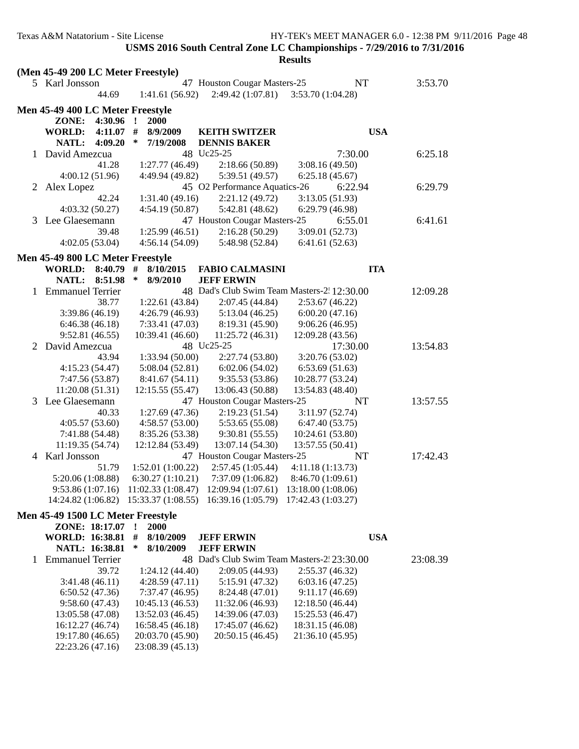|   |                                    |                        |   |                       |                                                                                                 | <b>Results</b>    |            |            |          |  |
|---|------------------------------------|------------------------|---|-----------------------|-------------------------------------------------------------------------------------------------|-------------------|------------|------------|----------|--|
|   | (Men 45-49 200 LC Meter Freestyle) |                        |   |                       |                                                                                                 |                   |            |            |          |  |
|   | 5 Karl Jonsson                     |                        |   |                       | 47 Houston Cougar Masters-25                                                                    |                   | NT         |            | 3:53.70  |  |
|   |                                    | 44.69                  |   | 1:41.61(56.92)        | 2:49.42 (1:07.81)                                                                               | 3:53.70 (1:04.28) |            |            |          |  |
|   | Men 45-49 400 LC Meter Freestyle   |                        |   |                       |                                                                                                 |                   |            |            |          |  |
|   | ZONE:                              | 4:30.96 !              |   | 2000                  |                                                                                                 |                   |            |            |          |  |
|   |                                    |                        |   |                       |                                                                                                 |                   |            | <b>USA</b> |          |  |
|   | WORLD:<br><b>NATL:</b>             | $4:11.07$ #<br>4:09.20 | ∗ | 8/9/2009<br>7/19/2008 | <b>KEITH SWITZER</b><br><b>DENNIS BAKER</b>                                                     |                   |            |            |          |  |
|   | 1 David Amezcua                    |                        |   |                       | 48 Uc25-25                                                                                      |                   | 7:30.00    |            | 6:25.18  |  |
|   |                                    | 41.28                  |   | 1:27.77(46.49)        | 2:18.66(50.89)                                                                                  | 3:08.16(49.50)    |            |            |          |  |
|   | 4:00.12(51.96)                     |                        |   | 4:49.94 (49.82)       | 5:39.51 (49.57)                                                                                 | 6:25.18(45.67)    |            |            |          |  |
| 2 | Alex Lopez                         |                        |   |                       | 45 O2 Performance Aquatics-26                                                                   |                   | 6:22.94    |            | 6:29.79  |  |
|   |                                    | 42.24                  |   | 1:31.40(49.16)        | 2:21.12 (49.72)                                                                                 | 3:13.05(51.93)    |            |            |          |  |
|   | 4:03.32(50.27)                     |                        |   | 4:54.19(50.87)        | 5:42.81 (48.62)                                                                                 | 6:29.79 (46.98)   |            |            |          |  |
|   | 3 Lee Glaesemann                   |                        |   |                       | 47 Houston Cougar Masters-25                                                                    |                   | 6:55.01    |            | 6:41.61  |  |
|   |                                    | 39.48                  |   | 1:25.99(46.51)        | 2:16.28 (50.29)                                                                                 | 3:09.01 (52.73)   |            |            |          |  |
|   | 4:02.05(53.04)                     |                        |   | 4:56.14(54.09)        | 5:48.98 (52.84)                                                                                 | 6:41.61(52.63)    |            |            |          |  |
|   |                                    |                        |   |                       |                                                                                                 |                   |            |            |          |  |
|   | Men 45-49 800 LC Meter Freestyle   |                        |   |                       |                                                                                                 |                   |            |            |          |  |
|   | WORLD: 8:40.79                     |                        | # | 8/10/2015             | <b>FABIO CALMASINI</b>                                                                          |                   | <b>ITA</b> |            |          |  |
|   | NATL: 8:51.98                      |                        | ∗ | 8/9/2010              | <b>JEFF ERWIN</b>                                                                               |                   |            |            |          |  |
|   | 1 Emmanuel Terrier                 |                        |   |                       | 48 Dad's Club Swim Team Masters-2 12:30.00                                                      |                   |            |            | 12:09.28 |  |
|   |                                    | 38.77                  |   | 1:22.61(43.84)        | 2:07.45 (44.84)                                                                                 | 2:53.67(46.22)    |            |            |          |  |
|   | 3:39.86(46.19)                     |                        |   | 4:26.79(46.93)        | 5:13.04(46.25)                                                                                  | 6:00.20(47.16)    |            |            |          |  |
|   | 6:46.38(46.18)                     |                        |   | 7:33.41 (47.03)       | 8:19.31 (45.90)                                                                                 | 9:06.26(46.95)    |            |            |          |  |
|   | 9:52.81(46.55)                     |                        |   | 10:39.41 (46.60)      | 11:25.72(46.31)                                                                                 | 12:09.28 (43.56)  |            |            |          |  |
| 2 | David Amezcua                      |                        |   |                       | 48 Uc25-25                                                                                      |                   | 17:30.00   |            | 13:54.83 |  |
|   |                                    | 43.94                  |   | 1:33.94(50.00)        | 2:27.74 (53.80)                                                                                 | 3:20.76 (53.02)   |            |            |          |  |
|   | 4:15.23(54.47)                     |                        |   | 5:08.04(52.81)        | 6:02.06(54.02)                                                                                  | 6:53.69(51.63)    |            |            |          |  |
|   | 7:47.56 (53.87)                    |                        |   | 8:41.67(54.11)        | 9:35.53 (53.86)                                                                                 | 10:28.77 (53.24)  |            |            |          |  |
|   | 11:20.08(51.31)                    |                        |   | 12:15.55 (55.47)      | 13:06.43 (50.88)                                                                                | 13:54.83 (48.40)  |            |            |          |  |
|   | 3 Lee Glaesemann                   |                        |   |                       | 47 Houston Cougar Masters-25                                                                    |                   | NT         |            | 13:57.55 |  |
|   |                                    | 40.33                  |   | 1:27.69(47.36)        | 2:19.23(51.54)                                                                                  | 3:11.97(52.74)    |            |            |          |  |
|   | 4:05.57(53.60)                     |                        |   | 4:58.57(53.00)        | 5:53.65 (55.08)                                                                                 | 6:47.40(53.75)    |            |            |          |  |
|   | 7:41.88 (54.48)                    |                        |   | 8:35.26 (53.38)       | 9:30.81(55.55)                                                                                  | 10:24.61 (53.80)  |            |            |          |  |
|   | 11:19.35(54.74)                    |                        |   | 12:12.84 (53.49)      | 13:07.14 (54.30)                                                                                | 13:57.55 (50.41)  |            |            |          |  |
| 4 | Karl Jonsson                       |                        |   |                       | 47 Houston Cougar Masters-25                                                                    |                   | NT         |            | 17:42.43 |  |
|   |                                    | 51.79                  |   | 1:52.01(1:00.22)      | 2:57.45 (1:05.44)                                                                               | 4:11.18 (1:13.73) |            |            |          |  |
|   | 5:20.06 (1:08.88)                  |                        |   | 6:30.27(1:10.21)      | 7:37.09 (1:06.82)<br>9:53.86 (1:07.16) 11:02.33 (1:08.47) 12:09.94 (1:07.61) 13:18.00 (1:08.06) | 8:46.70(1:09.61)  |            |            |          |  |
|   |                                    |                        |   |                       |                                                                                                 |                   |            |            |          |  |
|   |                                    |                        |   |                       | 14:24.82 (1:06.82) 15:33.37 (1:08.55) 16:39.16 (1:05.79) 17:42.43 (1:03.27)                     |                   |            |            |          |  |
|   | Men 45-49 1500 LC Meter Freestyle  |                        |   |                       |                                                                                                 |                   |            |            |          |  |
|   | ZONE: 18:17.07 !                   |                        |   | 2000                  |                                                                                                 |                   |            |            |          |  |
|   | WORLD: 16:38.81 #                  |                        |   | 8/10/2009             | <b>JEFF ERWIN</b>                                                                               |                   |            | <b>USA</b> |          |  |
|   | NATL: 16:38.81                     |                        | ∗ | 8/10/2009             | <b>JEFF ERWIN</b>                                                                               |                   |            |            |          |  |
| 1 | <b>Emmanuel Terrier</b>            |                        |   |                       | 48 Dad's Club Swim Team Masters-2: 23:30.00                                                     |                   |            |            | 23:08.39 |  |
|   |                                    | 39.72                  |   | 1:24.12(44.40)        | 2:09.05 (44.93)                                                                                 | 2:55.37(46.32)    |            |            |          |  |
|   | 3:41.48(46.11)                     |                        |   | 4:28.59(47.11)        | 5:15.91 (47.32)                                                                                 | 6:03.16(47.25)    |            |            |          |  |
|   | 6:50.52(47.36)                     |                        |   | 7:37.47 (46.95)       | 8:24.48 (47.01)                                                                                 | 9:11.17(46.69)    |            |            |          |  |
|   | 9:58.60(47.43)                     |                        |   | 10:45.13 (46.53)      | 11:32.06 (46.93)                                                                                | 12:18.50 (46.44)  |            |            |          |  |
|   | 13:05.58 (47.08)                   |                        |   | 13:52.03 (46.45)      | 14:39.06 (47.03)                                                                                | 15:25.53 (46.47)  |            |            |          |  |
|   | 16:12.27 (46.74)                   |                        |   | 16:58.45 (46.18)      | 17:45.07 (46.62)                                                                                | 18:31.15 (46.08)  |            |            |          |  |
|   | 19:17.80 (46.65)                   |                        |   | 20:03.70 (45.90)      | 20:50.15 (46.45)                                                                                | 21:36.10 (45.95)  |            |            |          |  |
|   | 22:23.26 (47.16)                   |                        |   | 23:08.39 (45.13)      |                                                                                                 |                   |            |            |          |  |
|   |                                    |                        |   |                       |                                                                                                 |                   |            |            |          |  |
|   |                                    |                        |   |                       |                                                                                                 |                   |            |            |          |  |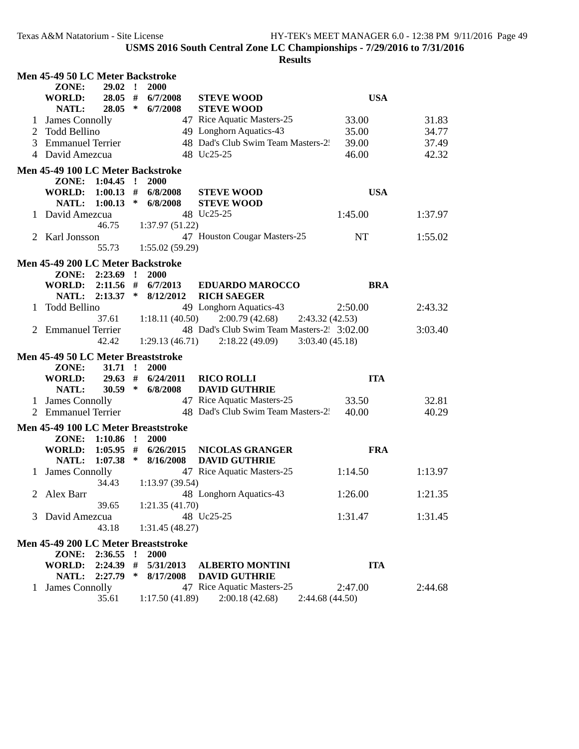|              | Men 45-49 50 LC Meter Backstroke    |                    |              |                               |                                                                |            |         |  |
|--------------|-------------------------------------|--------------------|--------------|-------------------------------|----------------------------------------------------------------|------------|---------|--|
|              | ZONE:                               | 29.02              | $\mathbf{r}$ | 2000                          |                                                                |            |         |  |
|              | <b>WORLD:</b>                       |                    |              | 28.05 # 6/7/2008              | <b>STEVE WOOD</b>                                              | <b>USA</b> |         |  |
|              | NATL:                               |                    |              | $28.05 * 6/7/2008$            | <b>STEVE WOOD</b>                                              |            |         |  |
|              | <b>James Connolly</b>               |                    |              |                               | 47 Rice Aquatic Masters-25                                     | 33.00      | 31.83   |  |
| 2            | Todd Bellino                        |                    |              |                               | 49 Longhorn Aquatics-43                                        | 35.00      | 34.77   |  |
| 3            | <b>Emmanuel Terrier</b>             |                    |              |                               | 48 Dad's Club Swim Team Masters-2:                             | 39.00      | 37.49   |  |
|              | 4 David Amezcua                     |                    |              |                               | 48 Uc25-25                                                     | 46.00      | 42.32   |  |
|              | Men 45-49 100 LC Meter Backstroke   |                    |              |                               |                                                                |            |         |  |
|              | ZONE: 1:04.45 ! 2000                |                    |              |                               |                                                                |            |         |  |
|              | WORLD: 1:00.13 # 6/8/2008           |                    |              |                               | <b>STEVE WOOD</b>                                              | <b>USA</b> |         |  |
|              | NATL: 1:00.13 * 6/8/2008            |                    |              |                               | <b>STEVE WOOD</b>                                              |            |         |  |
|              | 1 David Amezcua                     |                    |              |                               | 48 Uc25-25                                                     | 1:45.00    | 1:37.97 |  |
|              |                                     | 46.75              |              | 1:37.97(51.22)                |                                                                |            |         |  |
|              | 2 Karl Jonsson                      |                    |              |                               | 47 Houston Cougar Masters-25                                   | NT         | 1:55.02 |  |
|              |                                     | 55.73              |              | 1:55.02(59.29)                |                                                                |            |         |  |
|              | Men 45-49 200 LC Meter Backstroke   |                    |              |                               |                                                                |            |         |  |
|              | ZONE: 2:23.69 !                     |                    |              | 2000                          |                                                                |            |         |  |
|              | WORLD:                              |                    |              | $2:11.56$ # $6/7/2013$        | <b>EDUARDO MAROCCO</b>                                         | <b>BRA</b> |         |  |
|              | NATL:                               |                    |              | $2:13.37$ * $8/12/2012$       | <b>RICH SAEGER</b>                                             |            |         |  |
| $\mathbf{1}$ | Todd Bellino                        |                    |              |                               | 49 Longhorn Aquatics-43                                        | 2:50.00    | 2:43.32 |  |
|              |                                     |                    |              | $37.61 \qquad 1:18.11(40.50)$ | 2:00.79 (42.68)<br>2:43.32(42.53)                              |            |         |  |
|              | 2 Emmanuel Terrier                  |                    |              |                               | 48 Dad's Club Swim Team Masters-2. 3:02.00                     |            | 3:03.40 |  |
|              |                                     | 42.42              |              |                               | $1:29.13(46.71)$ $2:18.22(49.09)$ $3:03.40(45.18)$             |            |         |  |
|              |                                     |                    |              |                               |                                                                |            |         |  |
|              | Men 45-49 50 LC Meter Breaststroke  |                    |              |                               |                                                                |            |         |  |
|              | ZONE:                               | 31.71 : 2000       |              |                               |                                                                |            |         |  |
|              | <b>WORLD:</b><br>NATL:              |                    |              | $29.63$ # $6/24/2011$         | <b>RICO ROLLI</b><br><b>DAVID GUTHRIE</b>                      | <b>ITA</b> |         |  |
|              |                                     |                    |              |                               |                                                                |            |         |  |
|              |                                     | $30.59 * 6/8/2008$ |              |                               |                                                                |            |         |  |
|              | 1 James Connolly                    |                    |              |                               | 47 Rice Aquatic Masters-25                                     | 33.50      | 32.81   |  |
|              | 2 Emmanuel Terrier                  |                    |              |                               | 48 Dad's Club Swim Team Masters-2.                             | 40.00      | 40.29   |  |
|              | Men 45-49 100 LC Meter Breaststroke |                    |              |                               |                                                                |            |         |  |
|              | ZONE:                               | $1:10.86$ !        |              | 2000                          |                                                                |            |         |  |
|              | WORLD:                              |                    |              | $1:05.95$ # $6/26/2015$       | <b>NICOLAS GRANGER</b>                                         | <b>FRA</b> |         |  |
|              | NATL:                               |                    |              | $1:07.38$ * 8/16/2008         | <b>DAVID GUTHRIE</b>                                           |            |         |  |
|              | <b>James Connolly</b>               |                    |              |                               | 47 Rice Aquatic Masters-25                                     | 1:14.50    | 1:13.97 |  |
|              |                                     |                    |              | 34.43 1:13.97 (39.54)         |                                                                |            |         |  |
|              | 2 Alex Barr                         |                    |              |                               | 48 Longhorn Aquatics-43                                        | 1:26.00    | 1:21.35 |  |
|              |                                     | 39.65              |              | 1:21.35(41.70)                |                                                                |            |         |  |
|              | 3 David Amezcua                     |                    |              |                               | 48 Uc25-25                                                     | 1:31.47    | 1:31.45 |  |
|              |                                     | 43.18              |              | 1:31.45(48.27)                |                                                                |            |         |  |
|              | Men 45-49 200 LC Meter Breaststroke |                    |              |                               |                                                                |            |         |  |
|              | ZONE:                               | 2:36.55            | $\cdot$ !    | 2000                          |                                                                |            |         |  |
|              | WORLD:                              | 2:24.39            | #            | 5/31/2013                     | <b>ALBERTO MONTINI</b>                                         | <b>ITA</b> |         |  |
|              | NATL:                               | 2:27.79            | ∗            | 8/17/2008                     | <b>DAVID GUTHRIE</b>                                           |            |         |  |
| 1            | <b>James Connolly</b>               | 35.61              |              | 1:17.50(41.89)                | 47 Rice Aquatic Masters-25<br>2:00.18(42.68)<br>2:44.68(44.50) | 2:47.00    | 2:44.68 |  |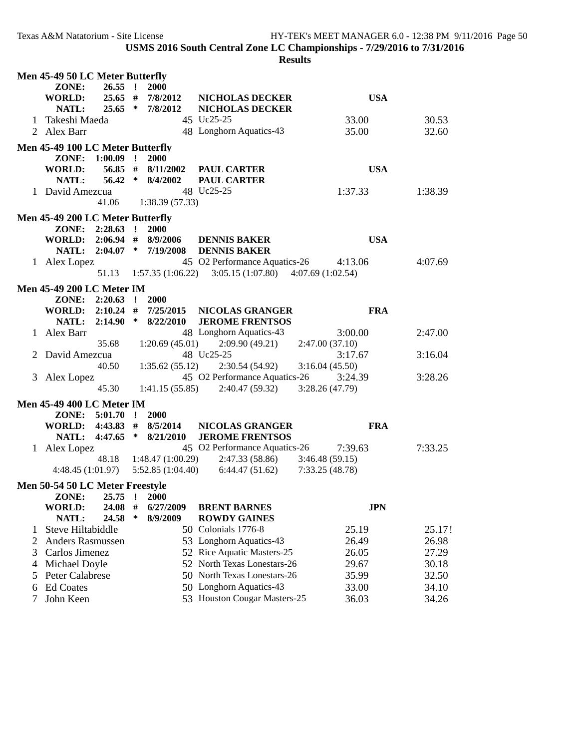|   | <b>Men 45-49 50 LC Meter Butterfly</b><br>ZONE: | $26.55$ !      |         | 2000                                   |                                                  |                |         |  |
|---|-------------------------------------------------|----------------|---------|----------------------------------------|--------------------------------------------------|----------------|---------|--|
|   | <b>WORLD:</b><br><b>NATL:</b>                   |                |         | 25.65 # 7/8/2012<br>$25.65 * 7/8/2012$ | <b>NICHOLAS DECKER</b><br><b>NICHOLAS DECKER</b> | <b>USA</b>     |         |  |
| 1 | Takeshi Maeda                                   |                |         |                                        | 45 Uc25-25                                       | 33.00          | 30.53   |  |
|   | 2 Alex Barr                                     |                |         |                                        | 48 Longhorn Aquatics-43                          | 35.00          | 32.60   |  |
|   | <b>Men 45-49 100 LC Meter Butterfly</b>         |                |         |                                        |                                                  |                |         |  |
|   | ZONE: 1:00.09 !                                 |                |         | 2000                                   |                                                  |                |         |  |
|   | <b>WORLD:</b>                                   |                |         | 56.85 # $8/11/2002$                    | <b>PAUL CARTER</b>                               | <b>USA</b>     |         |  |
|   | <b>NATL:</b>                                    | 56.42 *        |         | 8/4/2002                               | <b>PAUL CARTER</b>                               |                |         |  |
|   | 1 David Amezcua                                 |                |         |                                        | 48 Uc25-25                                       | 1:37.33        | 1:38.39 |  |
|   |                                                 | 41.06          |         | 1:38.39(57.33)                         |                                                  |                |         |  |
|   | <b>Men 45-49 200 LC Meter Butterfly</b>         |                |         |                                        |                                                  |                |         |  |
|   | ZONE: 2:28.63 !                                 |                |         | <b>2000</b>                            |                                                  |                |         |  |
|   | WORLD: 2:06.94 # 8/9/2006                       |                |         |                                        | <b>DENNIS BAKER</b>                              | <b>USA</b>     |         |  |
|   |                                                 |                |         | NATL: 2:04.07 * 7/19/2008              | <b>DENNIS BAKER</b>                              |                |         |  |
|   | 1 Alex Lopez                                    |                |         |                                        | 45 O2 Performance Aquatics-26                    | 4:13.06        | 4:07.69 |  |
|   |                                                 | 51.13          |         | 1:57.35(1:06.22)                       | $3:05.15(1:07.80)$ $4:07.69(1:02.54)$            |                |         |  |
|   | <b>Men 45-49 200 LC Meter IM</b>                |                |         |                                        |                                                  |                |         |  |
|   | $ZONE: 2:20.63$ !                               |                |         | 2000                                   |                                                  |                |         |  |
|   | WORLD: 2:10.24 #                                |                |         | 7/25/2015                              | <b>NICOLAS GRANGER</b>                           | <b>FRA</b>     |         |  |
|   | <b>NATL:</b>                                    |                |         | $2:14.90 * 8/22/2010$                  | <b>JEROME FRENTSOS</b>                           |                |         |  |
|   | 1 Alex Barr                                     |                |         |                                        | 48 Longhorn Aquatics-43                          | 3:00.00        | 2:47.00 |  |
|   |                                                 | 35.68          |         | 1:20.69(45.01)                         | 2:09.90(49.21)                                   | 2:47.00(37.10) |         |  |
|   | 2 David Amezcua                                 |                |         |                                        | 48 Uc25-25                                       | 3:17.67        | 3:16.04 |  |
|   |                                                 | 40.50          |         | 1:35.62(55.12)                         | 2:30.54 (54.92)                                  | 3:16.04(45.50) |         |  |
|   | 3 Alex Lopez                                    |                |         |                                        | 45 O2 Performance Aquatics-26                    | 3:24.39        | 3:28.26 |  |
|   |                                                 | 45.30          |         | 1:41.15(55.85)                         | 2:40.47 (59.32)                                  | 3:28.26(47.79) |         |  |
|   | <b>Men 45-49 400 LC Meter IM</b>                |                |         |                                        |                                                  |                |         |  |
|   | ZONE: 5:01.70 !                                 |                |         | 2000                                   |                                                  |                |         |  |
|   | <b>WORLD:</b>                                   |                |         | $4:43.83$ # $8/5/2014$                 | <b>NICOLAS GRANGER</b>                           | <b>FRA</b>     |         |  |
|   | <b>NATL:</b>                                    |                |         | $4:47.65$ * $8/21/2010$                | <b>JEROME FRENTSOS</b>                           |                |         |  |
|   | 1 Alex Lopez                                    |                |         |                                        | 45 O2 Performance Aquatics-26                    | 7:39.63        | 7:33.25 |  |
|   |                                                 |                |         | 48.18 1:48.47 (1:00.29)                | 2:47.33 (58.86)                                  | 3:46.48(59.15) |         |  |
|   |                                                 |                |         | $4:48.45(1:01.97)$ $5:52.85(1:04.40)$  | 6:44.47(51.62)                                   | 7:33.25(48.78) |         |  |
|   | <b>Men 50-54 50 LC Meter Freestyle</b>          |                |         |                                        |                                                  |                |         |  |
|   | ZONE:                                           | 25.75          | $\cdot$ | 2000                                   |                                                  |                |         |  |
|   | <b>WORLD:</b><br><b>NATL:</b>                   | 24.08<br>24.58 | #<br>∗  | 6/27/2009<br>8/9/2009                  | <b>BRENT BARNES</b><br><b>ROWDY GAINES</b>       | <b>JPN</b>     |         |  |
| 1 | Steve Hiltabiddle                               |                |         |                                        | 50 Colonials 1776-8                              | 25.19          | 25.17!  |  |
|   | Anders Rasmussen                                |                |         |                                        | 53 Longhorn Aquatics-43                          | 26.49          | 26.98   |  |
| 2 | Carlos Jimenez                                  |                |         |                                        | 52 Rice Aquatic Masters-25                       |                | 27.29   |  |
| 3 |                                                 |                |         |                                        | 52 North Texas Lonestars-26                      | 26.05          |         |  |
| 4 | Michael Doyle                                   |                |         |                                        | 50 North Texas Lonestars-26                      | 29.67          | 30.18   |  |
| 5 | Peter Calabrese                                 |                |         |                                        |                                                  | 35.99          | 32.50   |  |
| 6 | <b>Ed Coates</b>                                |                |         |                                        | 50 Longhorn Aquatics-43                          | 33.00          | 34.10   |  |
| 7 | John Keen                                       |                |         |                                        | 53 Houston Cougar Masters-25                     | 36.03          | 34.26   |  |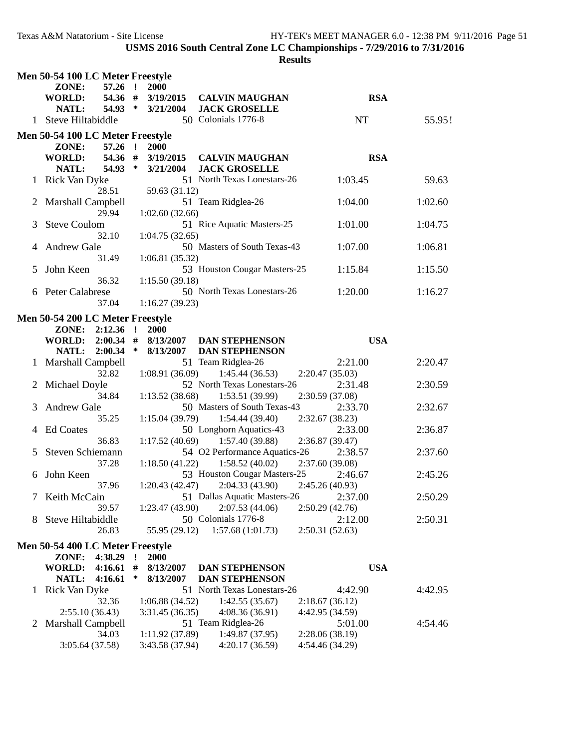|              | Men 50-54 100 LC Meter Freestyle      |              |                        |                                               |                 |         |
|--------------|---------------------------------------|--------------|------------------------|-----------------------------------------------|-----------------|---------|
|              | $57.26$ !<br>ZONE:                    |              | 2000                   |                                               |                 |         |
|              | 54.36 #<br><b>WORLD:</b>              |              | 3/19/2015              | <b>CALVIN MAUGHAN</b>                         | <b>RSA</b>      |         |
|              | NATL:<br>54.93 *                      |              | 3/21/2004              | <b>JACK GROSELLE</b>                          |                 |         |
|              | 1 Steve Hiltabiddle                   |              |                        | 50 Colonials 1776-8                           | NT              | 55.95!  |
|              |                                       |              |                        |                                               |                 |         |
|              | Men 50-54 100 LC Meter Freestyle      |              |                        |                                               |                 |         |
|              | $57.26$ !<br>ZONE:                    |              | <b>2000</b>            |                                               |                 |         |
|              | 54.36 #<br><b>WORLD:</b><br>$54.93$ * |              | 3/19/2015<br>3/21/2004 | <b>CALVIN MAUGHAN</b><br><b>JACK GROSELLE</b> | <b>RSA</b>      |         |
|              | NATL:                                 |              |                        | 51 North Texas Lonestars-26                   | 1:03.45         |         |
|              | Rick Van Dyke                         |              |                        |                                               |                 | 59.63   |
|              | 28.51                                 |              | 59.63 (31.12)          |                                               |                 |         |
| 2            | Marshall Campbell<br>29.94            |              |                        | 51 Team Ridglea-26                            | 1:04.00         | 1:02.60 |
|              |                                       |              | 1:02.60(32.66)         | 51 Rice Aquatic Masters-25                    | 1:01.00         | 1:04.75 |
| 3            | <b>Steve Coulom</b><br>32.10          |              |                        |                                               |                 |         |
|              | <b>Andrew Gale</b>                    |              | 1:04.75(32.65)         | 50 Masters of South Texas-43                  | 1:07.00         | 1:06.81 |
|              | 31.49                                 |              |                        |                                               |                 |         |
|              | John Keen                             |              | 1:06.81(35.32)         | 53 Houston Cougar Masters-25                  | 1:15.84         | 1:15.50 |
| C            | 36.32                                 |              | 1:15.50(39.18)         |                                               |                 |         |
|              | 6 Peter Calabrese                     |              |                        | 50 North Texas Lonestars-26                   | 1:20.00         | 1:16.27 |
|              | 37.04                                 |              | 1:16.27(39.23)         |                                               |                 |         |
|              |                                       |              |                        |                                               |                 |         |
|              | Men 50-54 200 LC Meter Freestyle      |              |                        |                                               |                 |         |
|              | ZONE: 2:12.36 !                       |              | <b>2000</b>            |                                               |                 |         |
|              |                                       | $\ast$       |                        | WORLD: 2:00.34 # 8/13/2007 DAN STEPHENSON     | <b>USA</b>      |         |
|              | NATL: 2:00.34                         |              | 8/13/2007              | <b>DAN STEPHENSON</b><br>51 Team Ridglea-26   | 2:21.00         | 2:20.47 |
|              | 1 Marshall Campbell<br>32.82          |              | 1:08.91(36.09)         | 1:45.44(36.53)                                | 2:20.47(35.03)  |         |
| $\mathbf{Z}$ | Michael Doyle                         |              |                        | 52 North Texas Lonestars-26                   | 2:31.48         | 2:30.59 |
|              | 34.84                                 |              | 1:13.52(38.68)         | 1:53.51(39.99)                                | 2:30.59 (37.08) |         |
| 3            | <b>Andrew Gale</b>                    |              |                        | 50 Masters of South Texas-43                  | 2:33.70         | 2:32.67 |
|              | 35.25                                 |              | 1:15.04(39.79)         | 1:54.44(39.40)                                | 2:32.67 (38.23) |         |
| 4            | <b>Ed Coates</b>                      |              |                        | 50 Longhorn Aquatics-43                       | 2:33.00         | 2:36.87 |
|              | 36.83                                 |              |                        | $1:17.52(40.69)$ $1:57.40(39.88)$             | 2:36.87 (39.47) |         |
| 5            | Steven Schiemann                      |              |                        | 54 O2 Performance Aquatics-26                 | 2:38.57         | 2:37.60 |
|              | 37.28                                 |              | 1:18.50(41.22)         | 1:58.52(40.02)                                | 2:37.60 (39.08) |         |
| 6.           | John Keen                             |              |                        | 53 Houston Cougar Masters-25                  | 2:46.67         | 2:45.26 |
|              | 37.96                                 |              | 1:20.43(42.47)         | 2:04.33(43.90)                                | 2:45.26 (40.93) |         |
| 7            | Keith McCain                          |              |                        | 51 Dallas Aquatic Masters-26                  | 2:37.00         | 2:50.29 |
|              | 39.57                                 |              | 1:23.47(43.90)         | 2:07.53(44.06)                                | 2:50.29(42.76)  |         |
| 8.           | Steve Hiltabiddle                     |              |                        | 50 Colonials 1776-8                           | 2:12.00         | 2:50.31 |
|              | 26.83                                 |              | 55.95 (29.12)          | 1:57.68(1:01.73)                              | 2:50.31(52.63)  |         |
|              | Men 50-54 400 LC Meter Freestyle      |              |                        |                                               |                 |         |
|              | 4:38.29<br>ZONE:                      | $\mathbf{I}$ | <b>2000</b>            |                                               |                 |         |
|              | 4:16.61<br>WORLD:                     | #            | 8/13/2007              | <b>DAN STEPHENSON</b>                         | <b>USA</b>      |         |
|              | 4:16.61<br>NATL:                      | $\ast$       | 8/13/2007              | <b>DAN STEPHENSON</b>                         |                 |         |
| 1            | Rick Van Dyke                         |              |                        | 51 North Texas Lonestars-26                   | 4:42.90         | 4:42.95 |
|              | 32.36                                 |              | 1:06.88(34.52)         | 1:42.55(35.67)                                | 2:18.67(36.12)  |         |
|              | 2:55.10(36.43)                        |              | 3:31.45(36.35)         | 4:08.36(36.91)                                | 4:42.95 (34.59) |         |
| 2            | Marshall Campbell                     |              |                        | 51 Team Ridglea-26                            | 5:01.00         | 4:54.46 |
|              | 34.03                                 |              | 1:11.92(37.89)         | 1:49.87 (37.95)                               | 2:28.06 (38.19) |         |
|              | 3:05.64 (37.58)                       |              | 3:43.58 (37.94)        | 4:20.17(36.59)                                | 4:54.46 (34.29) |         |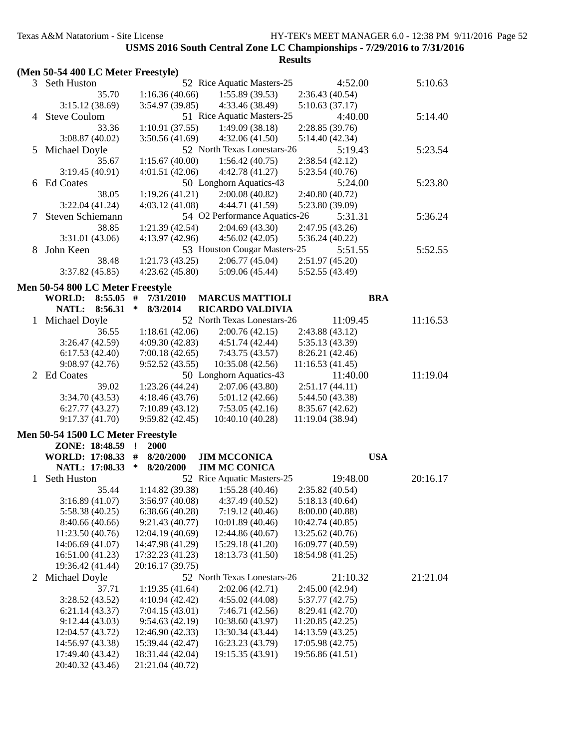|  |  |  |  |  | (Men 50-54 400 LC Meter Freestyle) |  |
|--|--|--|--|--|------------------------------------|--|
|--|--|--|--|--|------------------------------------|--|

|                | (ivieli 50-54 400 LC ivielel Freeslyle) |                                      |                                             |                                      |          |  |
|----------------|-----------------------------------------|--------------------------------------|---------------------------------------------|--------------------------------------|----------|--|
|                | 3 Seth Huston                           |                                      | 52 Rice Aquatic Masters-25                  | 4:52.00                              | 5:10.63  |  |
|                | 35.70                                   | 1:16.36(40.66)                       | 1:55.89(39.53)                              | 2:36.43(40.54)                       |          |  |
|                | 3:15.12(38.69)                          | 3:54.97 (39.85)                      | 4:33.46 (38.49)                             | 5:10.63(37.17)                       |          |  |
| 4              | <b>Steve Coulom</b>                     |                                      | 51 Rice Aquatic Masters-25                  | 4:40.00                              | 5:14.40  |  |
|                | 33.36                                   | 1:10.91(37.55)                       | 1:49.09(38.18)                              | 2:28.85(39.76)                       |          |  |
|                | 3:08.87(40.02)                          | 3:50.56(41.69)                       | 4:32.06(41.50)                              | 5:14.40 (42.34)                      |          |  |
| 5              | Michael Doyle                           |                                      | 52 North Texas Lonestars-26                 | 5:19.43                              | 5:23.54  |  |
|                | 35.67                                   | 1:15.67(40.00)                       | 1:56.42(40.75)                              | 2:38.54(42.12)                       |          |  |
|                | 3:19.45(40.91)                          | 4:01.51(42.06)                       | 4:42.78(41.27)                              | 5:23.54 (40.76)                      |          |  |
|                | 6 Ed Coates                             |                                      | 50 Longhorn Aquatics-43                     | 5:24.00                              | 5:23.80  |  |
|                | 38.05                                   | 1:19.26(41.21)                       | 2:00.08(40.82)                              | 2:40.80 (40.72)                      |          |  |
|                | 3:22.04(41.24)                          | 4:03.12(41.08)                       | 4:44.71 (41.59)                             | 5:23.80 (39.09)                      |          |  |
| 7              | Steven Schiemann                        |                                      | 54 O2 Performance Aquatics-26               | 5:31.31                              | 5:36.24  |  |
|                | 38.85                                   | 1:21.39(42.54)                       | 2:04.69(43.30)                              | 2:47.95 (43.26)                      |          |  |
|                | 3:31.01 (43.06)                         | 4:13.97 (42.96)                      | 4:56.02(42.05)                              | 5:36.24 (40.22)                      |          |  |
| 8              | John Keen                               |                                      | 53 Houston Cougar Masters-25                | 5:51.55                              | 5:52.55  |  |
|                | 38.48                                   | 1:21.73(43.25)                       | 2:06.77(45.04)                              | 2:51.97 (45.20)                      |          |  |
|                | 3:37.82(45.85)                          | 4:23.62(45.80)                       | 5:09.06(45.44)                              | 5:52.55 (43.49)                      |          |  |
|                | <b>Men 50-54 800 LC Meter Freestyle</b> |                                      |                                             |                                      |          |  |
|                | <b>WORLD:</b> 8:55.05                   | #<br>7/31/2010                       | <b>MARCUS MATTIOLI</b>                      | <b>BRA</b>                           |          |  |
|                | 8:56.31<br>NATL:                        | ∗<br>8/3/2014                        | <b>RICARDO VALDIVIA</b>                     |                                      |          |  |
| 1              | Michael Doyle                           |                                      | 52 North Texas Lonestars-26                 | 11:09.45                             | 11:16.53 |  |
|                | 36.55                                   | 1:18.61(42.06)                       | 2:00.76(42.15)                              | 2:43.88 (43.12)                      |          |  |
|                | 3:26.47(42.59)                          | 4:09.30(42.83)                       | 4:51.74 (42.44)                             | 5:35.13 (43.39)                      |          |  |
|                | 6:17.53(42.40)                          | 7:00.18(42.65)                       | 7:43.75 (43.57)                             | 8:26.21 (42.46)                      |          |  |
|                | 9:08.97(42.76)                          | 9:52.52(43.55)                       | 10:35.08 (42.56)                            | 11:16.53(41.45)                      |          |  |
|                | 2 Ed Coates                             |                                      | 50 Longhorn Aquatics-43                     | 11:40.00                             | 11:19.04 |  |
|                | 39.02                                   | 1:23.26(44.24)                       | 2:07.06(43.80)                              | 2:51.17(44.11)                       |          |  |
|                | 3:34.70(43.53)                          | 4:18.46(43.76)                       | 5:01.12(42.66)                              | 5:44.50 (43.38)                      |          |  |
|                | 6:27.77(43.27)                          | 7:10.89(43.12)                       | 7:53.05(42.16)                              | 8:35.67 (42.62)                      |          |  |
|                | 9:17.37(41.70)                          | 9:59.82(42.45)                       | 10:40.10 (40.28)                            | 11:19.04 (38.94)                     |          |  |
|                | Men 50-54 1500 LC Meter Freestyle       |                                      |                                             |                                      |          |  |
|                |                                         |                                      |                                             |                                      |          |  |
|                |                                         |                                      |                                             |                                      |          |  |
|                | ZONE: 18:48.59                          | 2000<br>$\cdot$                      |                                             |                                      |          |  |
|                | WORLD: 17:08.33 #                       | 8/20/2000<br>$\ast$                  | <b>JIM MCCONICA</b><br><b>JIM MC CONICA</b> | <b>USA</b>                           |          |  |
| 1              | NATL: 17:08.33                          | 8/20/2000                            |                                             | 19:48.00                             |          |  |
|                | Seth Huston<br>35.44                    | 1:14.82(39.38)                       | 52 Rice Aquatic Masters-25                  |                                      | 20:16.17 |  |
|                |                                         |                                      | 1:55.28(40.46)                              | 2:35.82 (40.54)                      |          |  |
|                | 3:16.89(41.07)<br>5:58.38(40.25)        | 3:56.97 (40.08)<br>6:38.66(40.28)    | 4:37.49 (40.52)<br>7:19.12(40.46)           | 5:18.13(40.64)<br>8:00.00 (40.88)    |          |  |
|                | 8:40.66 (40.66)                         | 9:21.43 (40.77)                      | 10:01.89 (40.46)                            | 10:42.74 (40.85)                     |          |  |
|                | 11:23.50(40.76)                         |                                      | 12:44.86 (40.67)                            |                                      |          |  |
|                | 14:06.69 (41.07)                        | 12:04.19 (40.69)<br>14:47.98 (41.29) | 15:29.18 (41.20)                            | 13:25.62 (40.76)<br>16:09.77 (40.59) |          |  |
|                |                                         |                                      |                                             | 18:54.98 (41.25)                     |          |  |
|                | 16:51.00 (41.23)                        | 17:32.23 (41.23)                     | 18:13.73 (41.50)                            |                                      |          |  |
|                | 19:36.42 (41.44)                        | 20:16.17 (39.75)                     | 52 North Texas Lonestars-26                 |                                      |          |  |
| $\overline{2}$ | Michael Doyle                           |                                      |                                             | 21:10.32                             | 21:21.04 |  |
|                | 37.71                                   | 1:19.35(41.64)                       | 2:02.06(42.71)<br>4:55.02(44.08)            | 2:45.00(42.94)                       |          |  |
|                | 3:28.52(43.52)                          | 4:10.94 (42.42)<br>7:04.15(43.01)    | 7:46.71 (42.56)                             | 5:37.77(42.75)<br>8:29.41 (42.70)    |          |  |
|                | 6:21.14(43.37)<br>9:12.44(43.03)        | 9:54.63(42.19)                       | 10:38.60 (43.97)                            | 11:20.85(42.25)                      |          |  |
|                | 12:04.57 (43.72)                        | 12:46.90 (42.33)                     | 13:30.34 (43.44)                            | 14:13.59 (43.25)                     |          |  |
|                | 14:56.97 (43.38)                        | 15:39.44 (42.47)                     | 16:23.23 (43.79)                            | 17:05.98 (42.75)                     |          |  |
|                | 17:49.40 (43.42)                        | 18:31.44 (42.04)                     | 19:15.35 (43.91)                            | 19:56.86 (41.51)                     |          |  |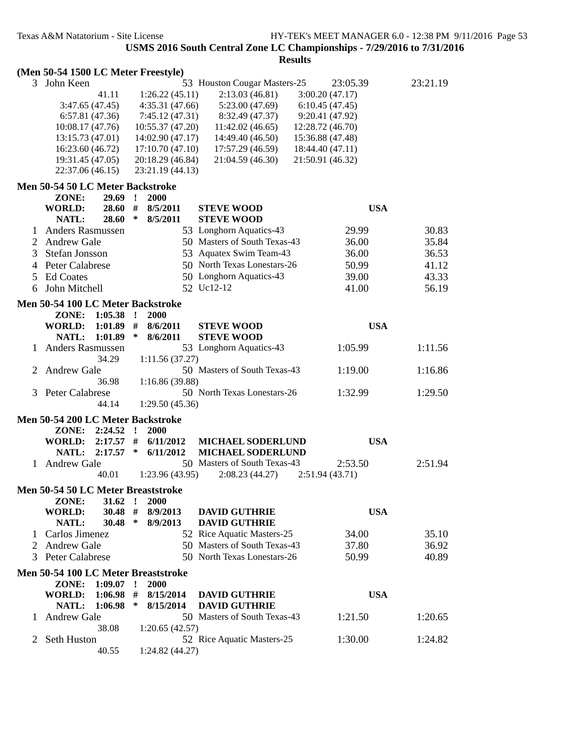**Results**

### **(Men 50-54 1500 LC Meter Freestyle)**

| 3 | John Keen                            |        |                                      | 53 Houston Cougar Masters-25 | 23:05.39         | 23:21.19 |
|---|--------------------------------------|--------|--------------------------------------|------------------------------|------------------|----------|
|   | 41.11                                |        | 1:26.22(45.11)                       | 2:13.03(46.81)               | 3:00.20(47.17)   |          |
|   | 3:47.65(47.45)                       |        | 4:35.31(47.66)                       | 5:23.00(47.69)               | 6:10.45(47.45)   |          |
|   | 6:57.81(47.36)                       |        | 7:45.12(47.31)                       | 8:32.49 (47.37)              | 9:20.41 (47.92)  |          |
|   | 10:08.17(47.76)                      |        | 10:55.37(47.20)                      | 11:42.02(46.65)              | 12:28.72 (46.70) |          |
|   | 13:15.73(47.01)                      |        | 14:02.90 (47.17)                     | 14:49.40 (46.50)             | 15:36.88 (47.48) |          |
|   | 16:23.60 (46.72)                     |        | 17:10.70(47.10)                      | 17:57.29 (46.59)             | 18:44.40 (47.11) |          |
|   |                                      |        |                                      |                              |                  |          |
|   | 19:31.45 (47.05)<br>22:37.06 (46.15) |        | 20:18.29 (46.84)<br>23:21.19 (44.13) | 21:04.59 (46.30)             | 21:50.91 (46.32) |          |
|   |                                      |        |                                      |                              |                  |          |
|   | Men 50-54 50 LC Meter Backstroke     |        |                                      |                              |                  |          |
|   | ZONE:<br>$29.69$ !                   |        | 2000                                 |                              |                  |          |
|   | $28.60$ #<br><b>WORLD:</b>           |        | 8/5/2011                             | <b>STEVE WOOD</b>            | <b>USA</b>       |          |
|   | 28.60<br>NATL:                       | $\ast$ | 8/5/2011                             | <b>STEVE WOOD</b>            |                  |          |
|   | <b>Anders Rasmussen</b>              |        |                                      | 53 Longhorn Aquatics-43      | 29.99            | 30.83    |
| 2 | <b>Andrew Gale</b>                   |        |                                      | 50 Masters of South Texas-43 | 36.00            | 35.84    |
| 3 | Stefan Jonsson                       |        |                                      | 53 Aquatex Swim Team-43      | 36.00            | 36.53    |
| 4 | <b>Peter Calabrese</b>               |        |                                      | 50 North Texas Lonestars-26  | 50.99            | 41.12    |
| 5 | <b>Ed Coates</b>                     |        |                                      | 50 Longhorn Aquatics-43      | 39.00            | 43.33    |
| 6 | John Mitchell                        |        |                                      | 52 Uc12-12                   | 41.00            | 56.19    |
|   |                                      |        |                                      |                              |                  |          |
|   | Men 50-54 100 LC Meter Backstroke    |        |                                      |                              |                  |          |
|   | ZONE: 1:05.38 !                      |        | 2000                                 |                              |                  |          |
|   | WORLD: 1:01.89 # 8/6/2011            |        |                                      | <b>STEVE WOOD</b>            | <b>USA</b>       |          |
|   | NATL: 1:01.89                        | $\ast$ | 8/6/2011                             | <b>STEVE WOOD</b>            |                  |          |
|   | <b>Anders Rasmussen</b>              |        |                                      | 53 Longhorn Aquatics-43      | 1:05.99          | 1:11.56  |
|   | 34.29                                |        | 1:11.56(37.27)                       |                              |                  |          |
| 2 | <b>Andrew Gale</b>                   |        |                                      | 50 Masters of South Texas-43 | 1:19.00          | 1:16.86  |
|   | 36.98                                |        | 1:16.86(39.88)                       |                              |                  |          |
|   | 3 Peter Calabrese                    |        |                                      | 50 North Texas Lonestars-26  | 1:32.99          | 1:29.50  |
|   | 44.14                                |        | 1:29.50(45.36)                       |                              |                  |          |
|   |                                      |        |                                      |                              |                  |          |
|   | Men 50-54 200 LC Meter Backstroke    |        |                                      |                              |                  |          |
|   | ZONE: 2:24.52 !                      |        | 2000                                 |                              |                  |          |
|   | <b>WORLD:</b><br>$2:17.57$ #         |        | 6/11/2012                            | <b>MICHAEL SODERLUND</b>     | <b>USA</b>       |          |
|   | NATL:<br>2:17.57                     | ∗      | 6/11/2012                            | MICHAEL SODERLUND            |                  |          |
|   | 1 Andrew Gale                        |        |                                      | 50 Masters of South Texas-43 | 2:53.50          | 2:51.94  |
|   | 40.01                                |        | 1:23.96(43.95)                       | 2:08.23(44.27)               | 2:51.94(43.71)   |          |
|   | Men 50-54 50 LC Meter Breaststroke   |        |                                      |                              |                  |          |
|   | ZONE: 31.62 ! 2000                   |        |                                      |                              |                  |          |
|   | <b>WORLD:</b><br>30.48 #             |        | 8/9/2013                             | <b>DAVID GUTHRIE</b>         | <b>USA</b>       |          |
|   | NATL:<br>30.48                       | ∗      | 8/9/2013                             | <b>DAVID GUTHRIE</b>         |                  |          |
| L | Carlos Jimenez                       |        |                                      | 52 Rice Aquatic Masters-25   | 34.00            | 35.10    |
| 2 | <b>Andrew Gale</b>                   |        |                                      | 50 Masters of South Texas-43 | 37.80            | 36.92    |
|   | 3 Peter Calabrese                    |        |                                      | 50 North Texas Lonestars-26  | 50.99            | 40.89    |
|   |                                      |        |                                      |                              |                  |          |
|   | Men 50-54 100 LC Meter Breaststroke  |        |                                      |                              |                  |          |
|   | ZONE: 1:09.07 !                      |        | 2000                                 |                              |                  |          |
|   | <b>WORLD:</b><br>1:06.98             | #      | 8/15/2014                            | <b>DAVID GUTHRIE</b>         | <b>USA</b>       |          |
|   | NATL:<br>1:06.98                     | ∗      | 8/15/2014                            | <b>DAVID GUTHRIE</b>         |                  |          |
|   | <b>Andrew Gale</b>                   |        |                                      | 50 Masters of South Texas-43 | 1:21.50          | 1:20.65  |
|   | 38.08                                |        | 1:20.65(42.57)                       |                              |                  |          |
| 2 | Seth Huston                          |        |                                      | 52 Rice Aquatic Masters-25   | 1:30.00          | 1:24.82  |
|   | 40.55                                |        | 1:24.82(44.27)                       |                              |                  |          |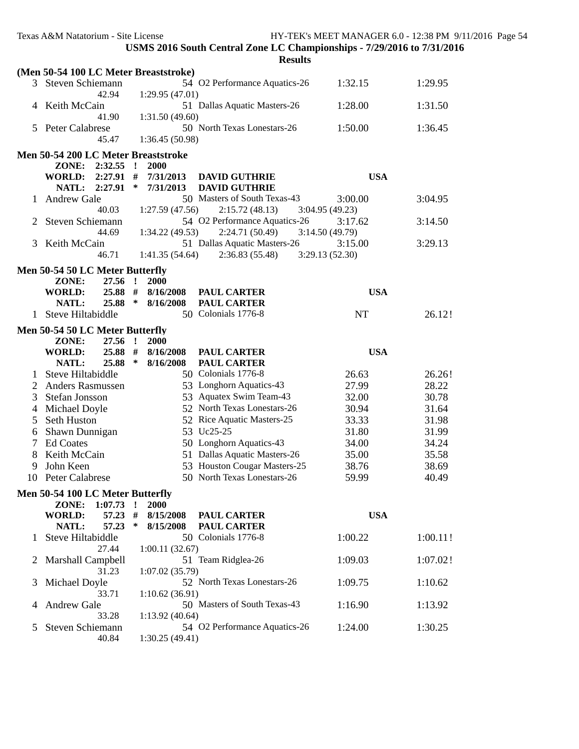|    | Texas A&M Natatorium - Site License                  |              |                 | USMS 2016 South Central Zone LC Championships - 7/29/2016 to 7/31/2016<br><b>Results</b> |                | HY-TEK's MEET MANAGER 6.0 - 12:38 PM 9/11/2016 Page 54 |
|----|------------------------------------------------------|--------------|-----------------|------------------------------------------------------------------------------------------|----------------|--------------------------------------------------------|
|    | (Men 50-54 100 LC Meter Breaststroke)                |              |                 |                                                                                          |                |                                                        |
|    | 3 Steven Schiemann<br>42.94                          |              | 1:29.95(47.01)  | 54 O2 Performance Aquatics-26                                                            | 1:32.15        | 1:29.95                                                |
|    | 4 Keith McCain<br>41.90                              |              | 1:31.50(49.60)  | 51 Dallas Aquatic Masters-26                                                             | 1:28.00        | 1:31.50                                                |
|    | 5 Peter Calabrese<br>45.47                           |              | 1:36.45 (50.98) | 50 North Texas Lonestars-26                                                              | 1:50.00        | 1:36.45                                                |
|    | Men 50-54 200 LC Meter Breaststroke                  |              |                 |                                                                                          |                |                                                        |
|    | $2:32.55$ !<br>ZONE:                                 |              | 2000            |                                                                                          |                |                                                        |
|    | WORLD: 2:27.91 #                                     |              | 7/31/2013       | <b>DAVID GUTHRIE</b>                                                                     | <b>USA</b>     |                                                        |
|    | NATL: 2:27.91                                        | ∗            | 7/31/2013       | <b>DAVID GUTHRIE</b>                                                                     |                |                                                        |
|    | 1 Andrew Gale                                        |              |                 | 50 Masters of South Texas-43                                                             | 3:00.00        | 3:04.95                                                |
|    | 40.03                                                |              | 1:27.59(47.56)  | 2:15.72(48.13)                                                                           | 3:04.95(49.23) |                                                        |
| 2  | Steven Schiemann                                     |              |                 | 54 O2 Performance Aquatics-26                                                            | 3:17.62        | 3:14.50                                                |
|    | 44.69                                                |              | 1:34.22(49.53)  | 2:24.71(50.49)                                                                           | 3:14.50(49.79) |                                                        |
| 3  | Keith McCain                                         |              |                 | 51 Dallas Aquatic Masters-26                                                             | 3:15.00        | 3:29.13                                                |
|    | 46.71                                                |              | 1:41.35(54.64)  | 2:36.83(55.48)                                                                           | 3:29.13(52.30) |                                                        |
|    | Men 50-54 50 LC Meter Butterfly                      |              |                 |                                                                                          |                |                                                        |
|    | ZONE:<br>27.56 !                                     |              | 2000            |                                                                                          |                |                                                        |
|    | $25.88$ #<br>WORLD:                                  |              | 8/16/2008       | <b>PAUL CARTER</b>                                                                       | <b>USA</b>     |                                                        |
|    | $25.88$ *<br>NATL:                                   |              | 8/16/2008       | <b>PAUL CARTER</b>                                                                       |                |                                                        |
|    | 1 Steve Hiltabiddle                                  |              |                 | 50 Colonials 1776-8                                                                      | NT             | 26.12!                                                 |
|    |                                                      |              |                 |                                                                                          |                |                                                        |
|    | Men 50-54 50 LC Meter Butterfly<br>ZONE:<br>27.56    | $\mathbf{r}$ | 2000            |                                                                                          |                |                                                        |
|    | 25.88 #<br>WORLD:                                    |              | 8/16/2008       | <b>PAUL CARTER</b>                                                                       | <b>USA</b>     |                                                        |
|    | 25.88 *<br>NATL:                                     |              | 8/16/2008       | <b>PAUL CARTER</b>                                                                       |                |                                                        |
|    | Steve Hiltabiddle                                    |              |                 | 50 Colonials 1776-8                                                                      | 26.63          | 26.26!                                                 |
| 2  | <b>Anders Rasmussen</b>                              |              |                 | 53 Longhorn Aquatics-43                                                                  | 27.99          | 28.22                                                  |
| 3  | Stefan Jonsson                                       |              |                 | 53 Aquatex Swim Team-43                                                                  | 32.00          | 30.78                                                  |
| 4  | Michael Doyle                                        |              |                 | 52 North Texas Lonestars-26                                                              | 30.94          | 31.64                                                  |
| 5  | Seth Huston                                          |              |                 | 52 Rice Aquatic Masters-25                                                               | 33.33          | 31.98                                                  |
| 6  | Shawn Dunnigan                                       |              |                 | 53 Uc25-25                                                                               | 31.80          | 31.99                                                  |
|    | <b>Ed Coates</b>                                     |              |                 | 50 Longhorn Aquatics-43                                                                  | 34.00          | 34.24                                                  |
| 8  | Keith McCain                                         |              |                 | 51 Dallas Aquatic Masters-26                                                             | 35.00          | 35.58                                                  |
| 9  | John Keen                                            |              |                 | 53 Houston Cougar Masters-25                                                             | 38.76          | 38.69                                                  |
| 10 | Peter Calabrese                                      |              |                 | 50 North Texas Lonestars-26                                                              | 59.99          | 40.49                                                  |
|    |                                                      |              |                 |                                                                                          |                |                                                        |
|    | Men 50-54 100 LC Meter Butterfly<br>ZONE:<br>1:07.73 | $\mathbf{I}$ | 2000            |                                                                                          |                |                                                        |
|    | <b>WORLD:</b><br>57.23                               | #            | 8/15/2008       | <b>PAUL CARTER</b>                                                                       | <b>USA</b>     |                                                        |
|    | NATL:<br>57.23                                       | $\ast$       | 8/15/2008       | <b>PAUL CARTER</b>                                                                       |                |                                                        |
|    | Steve Hiltabiddle                                    |              |                 | 50 Colonials 1776-8                                                                      | 1:00.22        | 1:00.11!                                               |
|    | 27.44                                                |              | 1:00.11(32.67)  |                                                                                          |                |                                                        |
| 2  | Marshall Campbell                                    |              |                 | 51 Team Ridglea-26                                                                       | 1:09.03        | 1:07.02!                                               |
|    | 31.23                                                |              | 1:07.02 (35.79) |                                                                                          |                |                                                        |
| 3  | Michael Doyle                                        |              |                 | 52 North Texas Lonestars-26                                                              | 1:09.75        | 1:10.62                                                |
|    | 33.71                                                |              | 1:10.62(36.91)  |                                                                                          |                |                                                        |
| 4  | <b>Andrew Gale</b>                                   |              |                 | 50 Masters of South Texas-43                                                             | 1:16.90        | 1:13.92                                                |
|    | 33.28                                                |              | 1:13.92(40.64)  |                                                                                          |                |                                                        |
| 5  | Steven Schiemann                                     |              |                 | 54 O2 Performance Aquatics-26                                                            | 1:24.00        | 1:30.25                                                |
|    | 40.84                                                |              | 1:30.25(49.41)  |                                                                                          |                |                                                        |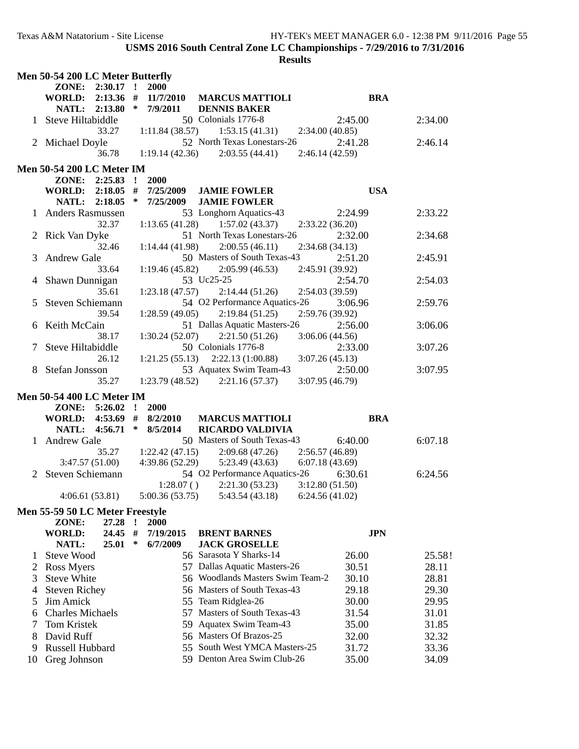|    | Men 50-54 200 LC Meter Butterfly |             |              |                             |                                   |                 |            |         |
|----|----------------------------------|-------------|--------------|-----------------------------|-----------------------------------|-----------------|------------|---------|
|    | ZONE:                            | $2:30.17$ ! |              | 2000                        |                                   |                 |            |         |
|    | <b>WORLD:</b>                    | $2:13.36$ # |              | 11/7/2010                   | <b>MARCUS MATTIOLI</b>            |                 | <b>BRA</b> |         |
|    | NATL:                            | 2:13.80     | ∗            | 7/9/2011                    | <b>DENNIS BAKER</b>               |                 |            |         |
|    | 1 Steve Hiltabiddle              |             |              |                             | 50 Colonials 1776-8               |                 | 2:45.00    | 2:34.00 |
|    |                                  | 33.27       |              | 1:11.84(38.57)              | 1:53.15(41.31)                    | 2:34.00(40.85)  |            |         |
|    | 2 Michael Doyle                  |             |              |                             | 52 North Texas Lonestars-26       |                 | 2:41.28    | 2:46.14 |
|    |                                  | 36.78       |              | 1:19.14(42.36)              | 2:03.55(44.41)                    | 2:46.14 (42.59) |            |         |
|    | <b>Men 50-54 200 LC Meter IM</b> |             |              |                             |                                   |                 |            |         |
|    | ZONE: 2:25.83 !                  |             |              | 2000                        |                                   |                 |            |         |
|    | WORLD: 2:18.05 #                 |             |              | 7/25/2009                   | <b>JAMIE FOWLER</b>               |                 | <b>USA</b> |         |
|    | NATL: 2:18.05                    |             | ∗            | 7/25/2009                   | <b>JAMIE FOWLER</b>               |                 |            |         |
|    | <b>Anders Rasmussen</b>          |             |              |                             | 53 Longhorn Aquatics-43           |                 | 2:24.99    | 2:33.22 |
|    |                                  | 32.37       |              | 1:13.65(41.28)              | 1:57.02(43.37)                    | 2:33.22(36.20)  |            |         |
|    | Rick Van Dyke                    |             |              |                             | 51 North Texas Lonestars-26       |                 | 2:32.00    | 2:34.68 |
|    |                                  | 32.46       |              | 1:14.44(41.98)              | 2:00.55(46.11)                    | 2:34.68(34.13)  |            |         |
| 3  | <b>Andrew Gale</b>               |             |              |                             | 50 Masters of South Texas-43      |                 | 2:51.20    | 2:45.91 |
|    |                                  | 33.64       |              | 1:19.46(45.82)              | 2:05.99(46.53)                    | 2:45.91 (39.92) |            |         |
|    | Shawn Dunnigan                   |             |              |                             | 53 Uc25-25                        |                 | 2:54.70    | 2:54.03 |
|    |                                  | 35.61       |              | 1:23.18(47.57)              | 2:14.44(51.26)                    | 2:54.03 (39.59) |            |         |
|    | Steven Schiemann                 |             |              |                             | 54 O2 Performance Aquatics-26     |                 | 3:06.96    | 2:59.76 |
|    |                                  | 39.54       |              | 1:28.59(49.05)              | 2:19.84(51.25)                    | 2:59.76 (39.92) |            |         |
|    | Keith McCain                     |             |              |                             | 51 Dallas Aquatic Masters-26      |                 | 2:56.00    | 3:06.06 |
|    |                                  | 38.17       |              | 1:30.24(52.07)              | 2:21.50(51.26)                    | 3:06.06(44.56)  |            |         |
|    | Steve Hiltabiddle                |             |              |                             | 50 Colonials 1776-8               |                 | 2:33.00    | 3:07.26 |
|    |                                  | 26.12       |              | 1:21.25(55.13)              | 2:22.13(1:00.88)                  | 3:07.26(45.13)  |            |         |
|    | Stefan Jonsson                   |             |              |                             | 53 Aquatex Swim Team-43           |                 | 2:50.00    | 3:07.95 |
|    |                                  | 35.27       |              | 1:23.79(48.52)              | 2:21.16(57.37)                    | 3:07.95 (46.79) |            |         |
|    | <b>Men 50-54 400 LC Meter IM</b> |             |              |                             |                                   |                 |            |         |
|    | ZONE: 5:26.02                    |             | $\mathbf{r}$ | 2000                        |                                   |                 |            |         |
|    | WORLD: 4:53.69 #                 |             |              | 8/2/2010                    | <b>MARCUS MATTIOLI</b>            |                 | <b>BRA</b> |         |
|    | NATL: 4:56.71                    |             | ∗            | 8/5/2014                    | <b>RICARDO VALDIVIA</b>           |                 |            |         |
|    | 1 Andrew Gale                    |             |              |                             | 50 Masters of South Texas-43      |                 | 6:40.00    | 6:07.18 |
|    |                                  | 35.27       |              | 1:22.42(47.15)              | 2:09.68(47.26)                    | 2:56.57(46.89)  |            |         |
|    | 3:47.57(51.00)                   |             |              | 4:39.86 (52.29)             | 5:23.49(43.63)                    | 6:07.18(43.69)  |            |         |
| 2  | Steven Schiemann                 |             |              |                             | 54 O2 Performance Aquatics-26     |                 | 6:30.61    | 6:24.56 |
|    |                                  |             |              | 1:28.07()<br>5:00.36(53.75) | 2:21.30(53.23)<br>5:43.54 (43.18) | 3:12.80(51.50)  |            |         |
|    | 4:06.61(53.81)                   |             |              |                             |                                   | 6:24.56(41.02)  |            |         |
|    | Men 55-59 50 LC Meter Freestyle  |             |              |                             |                                   |                 |            |         |
|    | ZONE:                            | 27.28       |              | <b>2000</b>                 |                                   |                 |            |         |
|    | <b>WORLD:</b>                    | 24.45       | #            | 7/19/2015                   | <b>BRENT BARNES</b>               |                 | <b>JPN</b> |         |
|    | NATL:                            | 25.01       | $\ast$       | 6/7/2009                    | <b>JACK GROSELLE</b>              |                 |            |         |
| 1  | <b>Steve Wood</b>                |             |              |                             | 56 Sarasota Y Sharks-14           |                 | 26.00      | 25.58!  |
| 2  | Ross Myers                       |             |              |                             | 57 Dallas Aquatic Masters-26      |                 | 30.51      | 28.11   |
| 3  | <b>Steve White</b>               |             |              |                             | 56 Woodlands Masters Swim Team-2  |                 | 30.10      | 28.81   |
| 4  | <b>Steven Richey</b>             |             |              |                             | 56 Masters of South Texas-43      |                 | 29.18      | 29.30   |
| 5  | Jim Amick                        |             |              |                             | 55 Team Ridglea-26                |                 | 30.00      | 29.95   |
| 6  | <b>Charles Michaels</b>          |             |              | 57                          | Masters of South Texas-43         |                 | 31.54      | 31.01   |
| 7  | Tom Kristek                      |             |              |                             | 59 Aquatex Swim Team-43           |                 | 35.00      | 31.85   |
| 8  | David Ruff                       |             |              |                             | 56 Masters Of Brazos-25           |                 | 32.00      | 32.32   |
| 9  | Russell Hubbard                  |             |              |                             | 55 South West YMCA Masters-25     |                 | 31.72      | 33.36   |
| 10 | Greg Johnson                     |             |              |                             | 59 Denton Area Swim Club-26       |                 | 35.00      | 34.09   |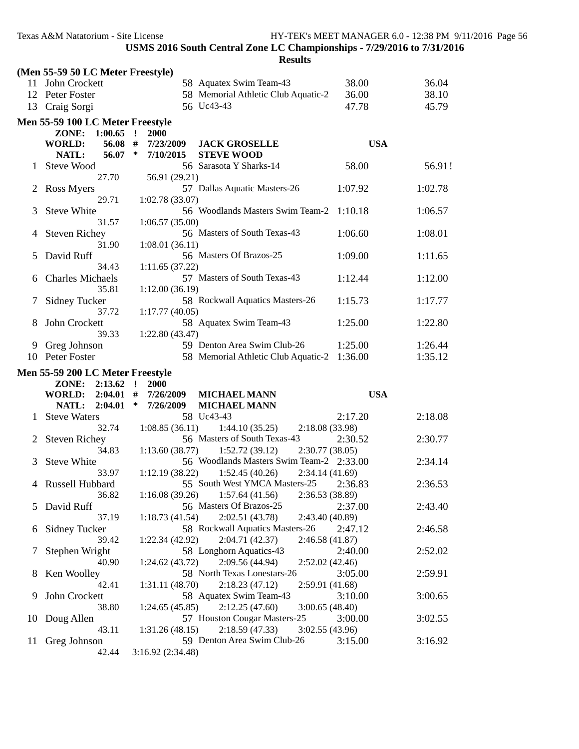|              | (Men 55-59 50 LC Meter Freestyle) |                     |                                                                 |            |         |
|--------------|-----------------------------------|---------------------|-----------------------------------------------------------------|------------|---------|
|              | 11 John Crockett                  |                     | 58 Aquatex Swim Team-43                                         | 38.00      | 36.04   |
|              | 12 Peter Foster                   |                     | 58 Memorial Athletic Club Aquatic-2                             | 36.00      | 38.10   |
| 13           | Craig Sorgi                       |                     | 56 Uc43-43                                                      | 47.78      | 45.79   |
|              | Men 55-59 100 LC Meter Freestyle  |                     |                                                                 |            |         |
|              | ZONE: 1:00.65 !                   | 2000                |                                                                 |            |         |
|              | 56.08 #<br><b>WORLD:</b>          | 7/23/2009           | <b>JACK GROSELLE</b>                                            | <b>USA</b> |         |
|              | NATL:<br>$56.07$ *                | 7/10/2015           | <b>STEVE WOOD</b>                                               |            |         |
|              | Steve Wood                        |                     | 56 Sarasota Y Sharks-14                                         | 58.00      | 56.91!  |
|              | 27.70                             | 56.91 (29.21)       |                                                                 |            |         |
|              | Ross Myers                        |                     | 57 Dallas Aquatic Masters-26                                    | 1:07.92    | 1:02.78 |
|              | 29.71                             | 1:02.78(33.07)      |                                                                 |            |         |
| 3            | Steve White                       |                     | 56 Woodlands Masters Swim Team-2                                | 1:10.18    | 1:06.57 |
|              | 31.57                             | 1:06.57(35.00)      |                                                                 |            |         |
| 4            | <b>Steven Richey</b>              |                     | 56 Masters of South Texas-43                                    | 1:06.60    | 1:08.01 |
|              | 31.90                             | 1:08.01(36.11)      |                                                                 |            |         |
| 5            | David Ruff                        |                     | 56 Masters Of Brazos-25                                         | 1:09.00    | 1:11.65 |
|              | 34.43                             | 1:11.65(37.22)      |                                                                 |            |         |
| 6            | <b>Charles Michaels</b>           |                     | 57 Masters of South Texas-43                                    | 1:12.44    | 1:12.00 |
|              | 35.81                             | 1:12.00(36.19)      |                                                                 |            |         |
|              | Sidney Tucker                     |                     | 58 Rockwall Aquatics Masters-26                                 | 1:15.73    | 1:17.77 |
|              | 37.72                             | 1:17.77(40.05)      |                                                                 |            |         |
| 8            | John Crockett                     |                     | 58 Aquatex Swim Team-43                                         | 1:25.00    | 1:22.80 |
|              | 39.33                             | 1:22.80 (43.47)     |                                                                 |            |         |
| 9            | Greg Johnson                      |                     | 59 Denton Area Swim Club-26                                     | 1:25.00    | 1:26.44 |
|              | 10 Peter Foster                   |                     | 58 Memorial Athletic Club Aquatic-2 1:36.00                     |            | 1:35.12 |
|              |                                   |                     |                                                                 |            |         |
|              | Men 55-59 200 LC Meter Freestyle  |                     |                                                                 |            |         |
|              | ZONE: 2:13.62 !                   | <b>2000</b>         |                                                                 |            |         |
|              | WORLD: 2:04.01 #                  | 7/26/2009           | <b>MICHAEL MANN</b>                                             | <b>USA</b> |         |
|              | NATL: 2:04.01                     | $\ast$<br>7/26/2009 | <b>MICHAEL MANN</b>                                             |            |         |
|              | <b>Steve Waters</b>               |                     | 58 Uc43-43                                                      | 2:17.20    | 2:18.08 |
|              | 32.74                             | 1:08.85(36.11)      | 1:44.10(35.25)<br>2:18.08 (33.98)                               |            |         |
| $\mathbf{2}$ | <b>Steven Richey</b>              |                     | 56 Masters of South Texas-43                                    | 2:30.52    | 2:30.77 |
|              | 34.83                             | 1:13.60(38.77)      | 1:52.72(39.12)<br>2:30.77(38.05)                                |            |         |
| 3            | <b>Steve White</b>                |                     | 56 Woodlands Masters Swim Team-2 2:33.00                        |            | 2:34.14 |
|              | 33.97                             | 1:12.19(38.22)      | 1:52.45(40.26)<br>2:34.14(41.69)                                |            |         |
|              | 4 Russell Hubbard                 |                     | 55 South West YMCA Masters-25                                   | 2:36.83    | 2:36.53 |
|              | 36.82                             | 1:16.08(39.26)      | 1:57.64(41.56)<br>2:36.53 (38.89)                               |            |         |
|              | 5 David Ruff                      |                     | 56 Masters Of Brazos-25                                         | 2:37.00    | 2:43.40 |
|              | 37.19                             | 1:18.73(41.54)      | 2:02.51 (43.78)<br>2:43.40 (40.89)                              |            |         |
| 6            | <b>Sidney Tucker</b>              |                     | 58 Rockwall Aquatics Masters-26                                 | 2:47.12    | 2:46.58 |
|              | 39.42                             | 1:22.34(42.92)      | 2:04.71(42.37)<br>2:46.58(41.87)                                |            |         |
| 7            | Stephen Wright<br>40.90           |                     | 58 Longhorn Aquatics-43                                         | 2:40.00    | 2:52.02 |
|              |                                   | 1:24.62(43.72)      | 2:09.56(44.94)<br>2:52.02(42.46)<br>58 North Texas Lonestars-26 |            |         |
| 8            | Ken Woolley<br>42.41              | 1:31.11(48.70)      | 2:18.23(47.12)<br>2:59.91 (41.68)                               | 3:05.00    | 2:59.91 |
| 9            | John Crockett                     |                     | 58 Aquatex Swim Team-43                                         | 3:10.00    | 3:00.65 |
|              | 38.80                             | 1:24.65(45.85)      | 2:12.25(47.60)<br>3:00.65(48.40)                                |            |         |
| 10           | Doug Allen                        |                     | 57 Houston Cougar Masters-25                                    | 3:00.00    | 3:02.55 |
|              | 43.11                             | 1:31.26(48.15)      | 2:18.59(47.33)<br>3:02.55(43.96)                                |            |         |
| 11           | Greg Johnson                      |                     | 59 Denton Area Swim Club-26                                     | 3:15.00    | 3:16.92 |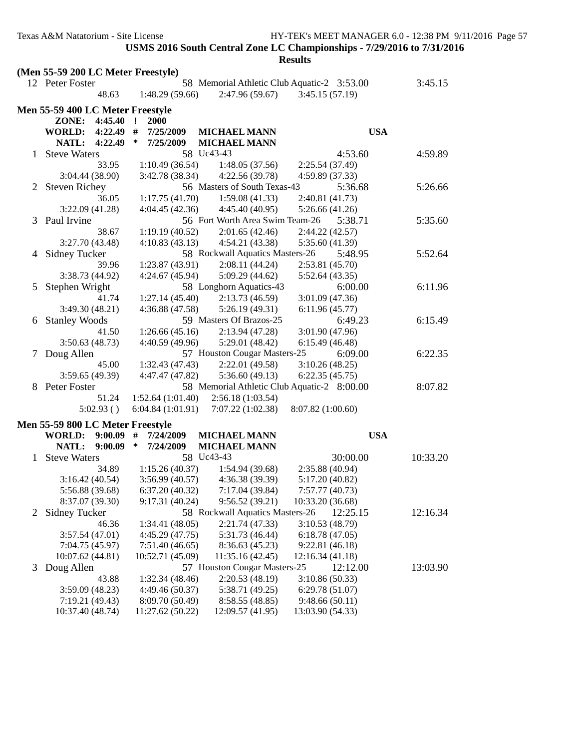|   | (Men 55-59 200 LC Meter Freestyle)      |                                    |                                                |                                             |          |
|---|-----------------------------------------|------------------------------------|------------------------------------------------|---------------------------------------------|----------|
|   | 12 Peter Foster                         |                                    |                                                | 58 Memorial Athletic Club Aquatic-2 3:53.00 | 3:45.15  |
|   | 48.63                                   | 1:48.29(59.66)                     | 2:47.96(59.67)                                 | 3:45.15(57.19)                              |          |
|   | <b>Men 55-59 400 LC Meter Freestyle</b> |                                    |                                                |                                             |          |
|   | 4:45.40<br>ZONE:                        | $\mathbf{r}$<br>2000               |                                                |                                             |          |
|   | <b>WORLD: 4:22.49</b>                   | #<br>7/25/2009                     | <b>MICHAEL MANN</b>                            | <b>USA</b>                                  |          |
|   | 4:22.49<br><b>NATL:</b>                 | ∗<br>7/25/2009                     | <b>MICHAEL MANN</b>                            |                                             |          |
|   | <b>Steve Waters</b>                     | 58 Uc43-43                         |                                                | 4:53.60                                     | 4:59.89  |
|   | 33.95                                   | 1:10.49(36.54)                     | 1:48.05(37.56)                                 | 2:25.54 (37.49)                             |          |
|   | 3:04.44 (38.90)                         | 3:42.78 (38.34)                    | 4:22.56(39.78)                                 | 4:59.89 (37.33)                             |          |
| 2 | <b>Steven Richey</b>                    |                                    | 56 Masters of South Texas-43                   | 5:36.68                                     | 5:26.66  |
|   | 36.05                                   | 1:17.75(41.70)                     | 1:59.08(41.33)                                 | 2:40.81 (41.73)                             |          |
|   | 3:22.09(41.28)                          | 4:04.45(42.36)                     | 4:45.40(40.95)                                 | 5:26.66(41.26)                              |          |
| 3 | Paul Irvine                             |                                    | 56 Fort Worth Area Swim Team-26                | 5:38.71                                     | 5:35.60  |
|   | 38.67                                   | 1:19.19(40.52)                     | 2:01.65(42.46)                                 | 2:44.22 (42.57)                             |          |
|   | 3:27.70 (43.48)                         | 4:10.83(43.13)                     | 4:54.21 (43.38)                                | 5:35.60 (41.39)                             |          |
|   | 4 Sidney Tucker                         |                                    | 58 Rockwall Aquatics Masters-26                | 5:48.95                                     | 5:52.64  |
|   | 39.96                                   | 1:23.87(43.91)                     | 2:08.11(44.24)                                 | 2:53.81(45.70)                              |          |
|   | 3:38.73 (44.92)                         | 4:24.67(45.94)                     | 5:09.29(44.62)                                 | 5:52.64 (43.35)                             |          |
| 5 | Stephen Wright                          |                                    | 58 Longhorn Aquatics-43                        | 6:00.00                                     | 6:11.96  |
|   | 41.74                                   | 1:27.14(45.40)                     | 2:13.73(46.59)                                 | 3:01.09 (47.36)                             |          |
|   | 3:49.30 (48.21)                         | 4:36.88 (47.58)                    | 5:26.19(49.31)                                 | 6:11.96(45.77)                              |          |
| 6 | <b>Stanley Woods</b>                    |                                    | 59 Masters Of Brazos-25                        | 6:49.23                                     | 6:15.49  |
|   | 41.50                                   | 1:26.66(45.16)                     | 2:13.94 (47.28)                                | 3:01.90 (47.96)                             |          |
|   | 3:50.63(48.73)                          | 4:40.59 (49.96)                    | 5:29.01(48.42)                                 | 6:15.49(46.48)                              |          |
| 7 | Doug Allen                              |                                    | 57 Houston Cougar Masters-25                   | 6:09.00                                     | 6:22.35  |
|   | 45.00                                   | 1:32.43(47.43)                     | 2:22.01 (49.58)                                | 3:10.26(48.25)                              |          |
|   | 3:59.65(49.39)                          | 4:47.47 (47.82)                    | 5:36.60(49.13)                                 | 6:22.35(45.75)                              |          |
| 8 | Peter Foster                            |                                    |                                                | 58 Memorial Athletic Club Aquatic-2 8:00.00 | 8:07.82  |
|   | 51.24                                   | 1:52.64(1:01.40)                   | 2:56.18(1:03.54)                               |                                             |          |
|   | 5:02.93()                               | 6:04.84(1:01.91)                   | 7:07.22(1:02.38)                               | 8:07.82 (1:00.60)                           |          |
|   |                                         |                                    |                                                |                                             |          |
|   | <b>Men 55-59 800 LC Meter Freestyle</b> |                                    |                                                |                                             |          |
|   | <b>WORLD:</b><br>9:00.09                | #<br>7/24/2009                     | <b>MICHAEL MANN</b>                            | <b>USA</b>                                  |          |
|   | <b>NATL:</b><br>9:00.09                 | $\ast$<br>7/24/2009                | <b>MICHAEL MANN</b>                            |                                             |          |
|   | <b>Steve Waters</b>                     | 58 Uc43-43                         |                                                | 30:00.00                                    | 10:33.20 |
|   | 34.89                                   | 1:15.26(40.37)                     | 1:54.94(39.68)                                 | 2:35.88 (40.94)                             |          |
|   | 3:16.42(40.54)                          | 3:56.99(40.57)                     | 4:36.38(39.39)                                 | 5:17.20 (40.82)                             |          |
|   | 5:56.88 (39.68)                         | 6:37.20(40.32)                     | 7:17.04 (39.84)                                | 7:57.77 (40.73)                             |          |
|   | 8:37.07 (39.30)                         | 9:17.31 (40.24)                    | 9:56.52(39.21)                                 | 10:33.20 (36.68)                            |          |
| 2 | Sidney Tucker                           |                                    | 58 Rockwall Aquatics Masters-26                | 12:25.15                                    | 12:16.34 |
|   | 46.36                                   | 1:34.41(48.05)                     | 2:21.74(47.33)                                 | 3:10.53(48.79)                              |          |
|   | 3:57.54(47.01)                          | 4:45.29 (47.75)                    | 5:31.73 (46.44)                                | 6:18.78(47.05)                              |          |
|   | 7:04.75 (45.97)                         | 7:51.40(46.65)                     | 8:36.63(45.23)                                 | 9:22.81(46.18)                              |          |
|   | 10:07.62 (44.81)                        | 10:52.71 (45.09)                   | 11:35.16 (42.45)                               | 12:16.34 (41.18)<br>12:12.00                |          |
| 3 | Doug Allen                              |                                    | 57 Houston Cougar Masters-25<br>2:20.53(48.19) |                                             | 13:03.90 |
|   | 43.88                                   | 1:32.34 (48.46)                    | 5:38.71 (49.25)                                | 3:10.86 (50.33)                             |          |
|   | 3:59.09 (48.23)                         | 4:49.46 (50.37)                    |                                                | 6:29.78(51.07)                              |          |
|   | 7:19.21 (49.43)<br>10:37.40 (48.74)     | 8:09.70 (50.49)<br>11:27.62(50.22) | 8:58.55(48.85)<br>12:09.57 (41.95)             | 9:48.66(50.11)<br>13:03.90 (54.33)          |          |
|   |                                         |                                    |                                                |                                             |          |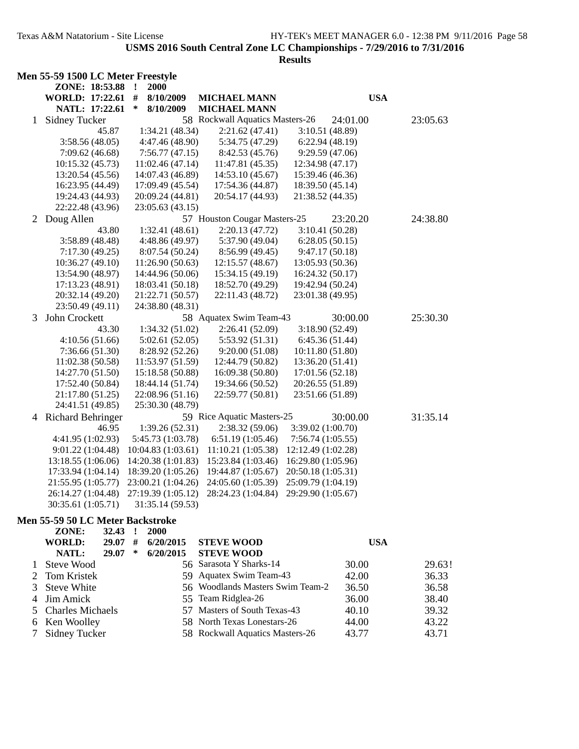## **Results**

|              | Men 55-59 1500 LC Meter Freestyle     |                     |                                 |                    |          |
|--------------|---------------------------------------|---------------------|---------------------------------|--------------------|----------|
|              | ZONE: 18:53.88 !<br>WORLD: 17:22.61 # | 2000<br>8/10/2009   | <b>MICHAEL MANN</b>             | <b>USA</b>         |          |
|              | NATL: 17:22.61                        | $\ast$<br>8/10/2009 | <b>MICHAEL MANN</b>             |                    |          |
| $\mathbf{1}$ | <b>Sidney Tucker</b>                  |                     | 58 Rockwall Aquatics Masters-26 | 24:01.00           | 23:05.63 |
|              | 45.87                                 | 1:34.21(48.34)      | 2:21.62(47.41)                  | 3:10.51(48.89)     |          |
|              | 3:58.56(48.05)                        | 4:47.46 (48.90)     | 5:34.75 (47.29)                 | 6:22.94(48.19)     |          |
|              | 7:09.62(46.68)                        | 7:56.77(47.15)      | 8:42.53 (45.76)                 | 9:29.59(47.06)     |          |
|              | 10:15.32(45.73)                       | 11:02.46(47.14)     | 11:47.81 (45.35)                | 12:34.98 (47.17)   |          |
|              | 13:20.54 (45.56)                      | 14:07.43 (46.89)    | 14:53.10 (45.67)                | 15:39.46 (46.36)   |          |
|              | 16:23.95 (44.49)                      | 17:09.49 (45.54)    | 17:54.36 (44.87)                | 18:39.50 (45.14)   |          |
|              | 19:24.43 (44.93)                      | 20:09.24 (44.81)    | 20:54.17 (44.93)                | 21:38.52 (44.35)   |          |
|              | 22:22.48 (43.96)                      | 23:05.63 (43.15)    |                                 |                    |          |
|              | 2 Doug Allen                          |                     | 57 Houston Cougar Masters-25    | 23:20.20           | 24:38.80 |
|              | 43.80                                 | 1:32.41(48.61)      | 2:20.13(47.72)                  | 3:10.41(50.28)     |          |
|              | 3:58.89(48.48)                        | 4:48.86 (49.97)     | 5:37.90 (49.04)                 | 6:28.05(50.15)     |          |
|              | 7:17.30(49.25)                        | 8:07.54 (50.24)     | 8:56.99 (49.45)                 | 9:47.17(50.18)     |          |
|              | 10:36.27(49.10)                       | 11:26.90(50.63)     | 12:15.57 (48.67)                | 13:05.93 (50.36)   |          |
|              | 13:54.90 (48.97)                      | 14:44.96 (50.06)    | 15:34.15 (49.19)                | 16:24.32 (50.17)   |          |
|              | 17:13.23 (48.91)                      | 18:03.41 (50.18)    | 18:52.70 (49.29)                | 19:42.94 (50.24)   |          |
|              | 20:32.14 (49.20)                      | 21:22.71 (50.57)    | 22:11.43 (48.72)                | 23:01.38 (49.95)   |          |
|              | 23:50.49 (49.11)                      | 24:38.80 (48.31)    |                                 |                    |          |
| 3            | John Crockett                         |                     | 58 Aquatex Swim Team-43         | 30:00.00           | 25:30.30 |
|              | 43.30                                 | 1:34.32(51.02)      | 2:26.41(52.09)                  | 3:18.90(52.49)     |          |
|              | 4:10.56(51.66)                        | 5:02.61(52.05)      | 5:53.92(51.31)                  | 6:45.36(51.44)     |          |
|              | 7:36.66(51.30)                        | 8:28.92 (52.26)     | 9:20.00(51.08)                  | 10:11.80 (51.80)   |          |
|              | 11:02.38(50.58)                       | 11:53.97(51.59)     | 12:44.79 (50.82)                | 13:36.20 (51.41)   |          |
|              | 14:27.70 (51.50)                      | 15:18.58 (50.88)    | 16:09.38 (50.80)                | 17:01.56 (52.18)   |          |
|              | 17:52.40 (50.84)                      | 18:44.14 (51.74)    | 19:34.66 (50.52)                | 20:26.55 (51.89)   |          |
|              | 21:17.80 (51.25)                      | 22:08.96 (51.16)    | 22:59.77 (50.81)                | 23:51.66 (51.89)   |          |
|              | 24:41.51 (49.85)                      | 25:30.30 (48.79)    |                                 |                    |          |
|              | 4 Richard Behringer                   |                     | 59 Rice Aquatic Masters-25      | 30:00.00           | 31:35.14 |
|              | 46.95                                 | 1:39.26(52.31)      | 2:38.32(59.06)                  | 3:39.02 (1:00.70)  |          |
|              | 4:41.95 (1:02.93)                     | 5:45.73 (1:03.78)   | 6:51.19(1:05.46)                | 7:56.74(1:05.55)   |          |
|              | 9:01.22 (1:04.48)                     | 10:04.83(1:03.61)   | 11:10.21(1:05.38)               | 12:12.49 (1:02.28) |          |
|              | 13:18.55 (1:06.06)                    | 14:20.38 (1:01.83)  | 15:23.84 (1:03.46)              | 16:29.80 (1:05.96) |          |
|              | 17:33.94 (1:04.14)                    | 18:39.20 (1:05.26)  | 19:44.87 (1:05.67)              | 20:50.18 (1:05.31) |          |
|              | 21:55.95 (1:05.77)                    | 23:00.21 (1:04.26)  | 24:05.60 (1:05.39)              | 25:09.79 (1:04.19) |          |
|              | 26:14.27 (1:04.48)                    | 27:19.39 (1:05.12)  | 28:24.23 (1:04.84)              | 29:29.90 (1:05.67) |          |
|              | 30:35.61 (1:05.71)                    | 31:35.14 (59.53)    |                                 |                    |          |

#### **Men 55-59 50 LC Meter Backstroke**

| ZONE:              | 32.43 |   | 2000      |                                  |            |        |
|--------------------|-------|---|-----------|----------------------------------|------------|--------|
| WORLD:             | 29.07 | # | 6/20/2015 | <b>STEVE WOOD</b>                | <b>USA</b> |        |
| NATL:              | 29.07 | ∗ | 6/20/2015 | <b>STEVE WOOD</b>                |            |        |
| 1 Steve Wood       |       |   |           | 56 Sarasota Y Sharks-14          | 30.00      | 29.63! |
| 2 Tom Kristek      |       |   |           | 59 Aquatex Swim Team-43          | 42.00      | 36.33  |
| 3 Steve White      |       |   |           | 56 Woodlands Masters Swim Team-2 | 36.50      | 36.58  |
| 4 Jim Amick        |       |   |           | 55 Team Ridglea-26               | 36.00      | 38.40  |
| 5 Charles Michaels |       |   |           | 57 Masters of South Texas-43     | 40.10      | 39.32  |
| 6 Ken Woolley      |       |   |           | 58 North Texas Lonestars-26      | 44.00      | 43.22  |
| 7 Sidney Tucker    |       |   |           | 58 Rockwall Aquatics Masters-26  | 43.77      | 43.71  |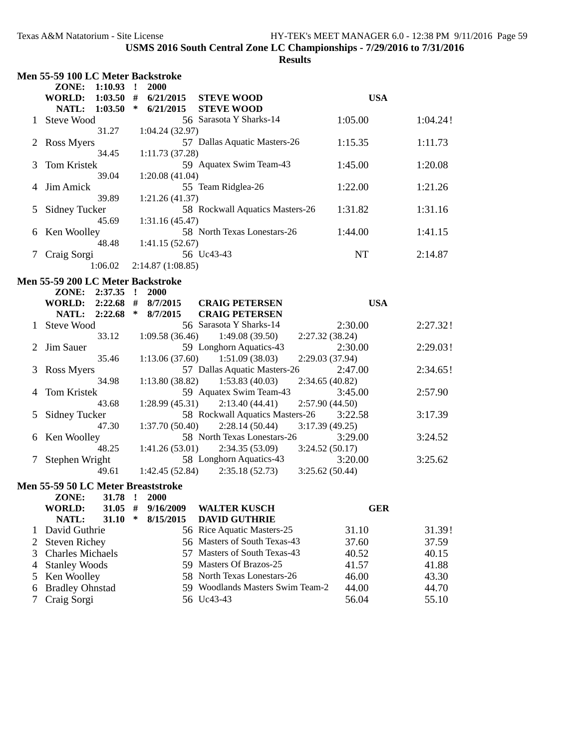|        | Men 55-59 100 LC Meter Backstroke         |         |              |                  |                                                             |            |          |
|--------|-------------------------------------------|---------|--------------|------------------|-------------------------------------------------------------|------------|----------|
|        | ZONE: 1:10.93 !                           |         |              | 2000             |                                                             |            |          |
|        | WORLD: 1:03.50 #                          |         |              | 6/21/2015        | <b>STEVE WOOD</b>                                           | <b>USA</b> |          |
|        | NATL: 1:03.50                             |         | $\ast$       | 6/21/2015        | <b>STEVE WOOD</b>                                           |            |          |
|        | 1 Steve Wood                              |         |              |                  | 56 Sarasota Y Sharks-14                                     | 1:05.00    | 1:04.24! |
|        |                                           | 31.27   |              | 1:04.24(32.97)   |                                                             |            |          |
|        | 2 Ross Myers                              |         |              |                  | 57 Dallas Aquatic Masters-26                                | 1:15.35    | 1:11.73  |
|        |                                           | 34.45   |              | 1:11.73(37.28)   |                                                             |            |          |
| 3      | Tom Kristek                               |         |              |                  | 59 Aquatex Swim Team-43                                     | 1:45.00    | 1:20.08  |
|        |                                           | 39.04   |              | 1:20.08(41.04)   |                                                             |            |          |
| 4      | Jim Amick                                 |         |              |                  | 55 Team Ridglea-26                                          | 1:22.00    | 1:21.26  |
|        |                                           | 39.89   |              | 1:21.26 (41.37)  |                                                             |            |          |
| 5      | Sidney Tucker                             |         |              |                  | 58 Rockwall Aquatics Masters-26                             | 1:31.82    | 1:31.16  |
|        |                                           | 45.69   |              | 1:31.16(45.47)   |                                                             |            |          |
| 6      | Ken Woolley                               |         |              |                  | 58 North Texas Lonestars-26                                 | 1:44.00    | 1:41.15  |
|        |                                           | 48.48   |              | 1:41.15(52.67)   |                                                             |            |          |
| 7      | Craig Sorgi                               |         |              |                  | 56 Uc43-43                                                  | NT         | 2:14.87  |
|        |                                           | 1:06.02 |              | 2:14.87(1:08.85) |                                                             |            |          |
|        |                                           |         |              |                  |                                                             |            |          |
|        | Men 55-59 200 LC Meter Backstroke         |         |              |                  |                                                             |            |          |
|        | ZONE:                                     | 2:37.35 | $\mathbf{r}$ | 2000             |                                                             |            |          |
|        | WORLD: 2:22.68 # 8/7/2015<br><b>NATL:</b> | 2:22.68 | $\ast$       | 8/7/2015         | <b>CRAIG PETERSEN</b><br><b>CRAIG PETERSEN</b>              | <b>USA</b> |          |
|        |                                           |         |              |                  | 56 Sarasota Y Sharks-14                                     |            | 2:27.32! |
|        | 1 Steve Wood                              | 33.12   |              | 1:09.58(36.46)   |                                                             | 2:30.00    |          |
|        |                                           |         |              |                  | 1:49.08(39.50)<br>2:27.32(38.24)<br>59 Longhorn Aquatics-43 |            |          |
|        | 2 Jim Sauer                               |         |              |                  |                                                             | 2:30.00    | 2:29.03! |
|        |                                           | 35.46   |              | 1:13.06(37.60)   | 1:51.09(38.03)<br>2:29.03 (37.94)                           |            |          |
| 3      | Ross Myers                                |         |              |                  | 57 Dallas Aquatic Masters-26                                | 2:47.00    | 2:34.65! |
|        |                                           | 34.98   |              | 1:13.80(38.82)   | 1:53.83(40.03)<br>2:34.65(40.82)                            |            |          |
| 4      | Tom Kristek                               |         |              |                  | 59 Aquatex Swim Team-43                                     | 3:45.00    | 2:57.90  |
|        |                                           | 43.68   |              | 1:28.99(45.31)   | 2:13.40(44.41)<br>2:57.90(44.50)                            |            |          |
| 5      | Sidney Tucker                             |         |              |                  | 58 Rockwall Aquatics Masters-26                             | 3:22.58    | 3:17.39  |
|        |                                           | 47.30   |              | 1:37.70(50.40)   | 2:28.14(50.44)<br>3:17.39(49.25)                            |            |          |
| 6      | Ken Woolley                               |         |              |                  | 58 North Texas Lonestars-26                                 | 3:29.00    | 3:24.52  |
|        |                                           | 48.25   |              | 1:41.26(53.01)   | 2:34.35(53.09)<br>3:24.52(50.17)                            |            |          |
| $\tau$ | Stephen Wright                            |         |              |                  | 58 Longhorn Aquatics-43                                     | 3:20.00    | 3:25.62  |
|        |                                           | 49.61   |              | 1:42.45(52.84)   | 3:25.62(50.44)<br>2:35.18(52.73)                            |            |          |
|        | Men 55-59 50 LC Meter Breaststroke        |         |              |                  |                                                             |            |          |
|        | ZONE: 31.78 ! 2000                        |         |              |                  |                                                             |            |          |
|        | <b>WORLD:</b>                             | 31.05   | #            | 9/16/2009        | <b>WALTER KUSCH</b>                                         | <b>GER</b> |          |
|        | NATL:                                     | 31.10   | ∗            | 8/15/2015        | <b>DAVID GUTHRIE</b>                                        |            |          |
| 1      | David Guthrie                             |         |              |                  | 56 Rice Aquatic Masters-25                                  | 31.10      | 31.39!   |
| 2      | <b>Steven Richey</b>                      |         |              |                  | 56 Masters of South Texas-43                                | 37.60      | 37.59    |
| 3      | <b>Charles Michaels</b>                   |         |              |                  | 57 Masters of South Texas-43                                | 40.52      | 40.15    |
| 4      | <b>Stanley Woods</b>                      |         |              |                  | 59 Masters Of Brazos-25                                     | 41.57      | 41.88    |
| 5      | Ken Woolley                               |         |              |                  | 58 North Texas Lonestars-26                                 | 46.00      | 43.30    |
| 6      | <b>Bradley Ohnstad</b>                    |         |              |                  | 59 Woodlands Masters Swim Team-2                            | 44.00      | 44.70    |
| 7      | Craig Sorgi                               |         |              |                  | 56 Uc43-43                                                  | 56.04      | 55.10    |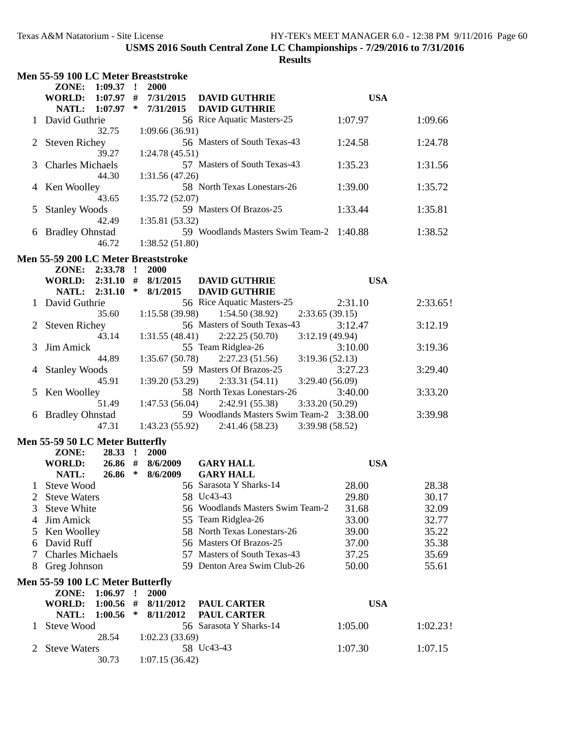|   | Men 55-59 100 LC Meter Breaststroke     |                      |                                                      |            |          |
|---|-----------------------------------------|----------------------|------------------------------------------------------|------------|----------|
|   | ZONE: 1:09.37 !                         | 2000                 |                                                      |            |          |
|   | WORLD: 1:07.97 # 7/31/2015              |                      | <b>DAVID GUTHRIE</b>                                 | <b>USA</b> |          |
|   | NATL: 1:07.97                           | $\ast$<br>7/31/2015  | <b>DAVID GUTHRIE</b>                                 |            |          |
|   | 1 David Guthrie                         |                      | 56 Rice Aquatic Masters-25                           | 1:07.97    | 1:09.66  |
|   | 32.75                                   | 1:09.66(36.91)       |                                                      |            |          |
|   |                                         |                      | 56 Masters of South Texas-43                         |            |          |
|   | 2 Steven Richey                         |                      |                                                      | 1:24.58    | 1:24.78  |
|   | 39.27                                   | 1:24.78(45.51)       |                                                      |            |          |
| 3 | <b>Charles Michaels</b>                 |                      | 57 Masters of South Texas-43                         | 1:35.23    | 1:31.56  |
|   | 44.30                                   | 1:31.56(47.26)       |                                                      |            |          |
| 4 | Ken Woolley                             |                      | 58 North Texas Lonestars-26                          | 1:39.00    | 1:35.72  |
|   | 43.65                                   | 1:35.72(52.07)       |                                                      |            |          |
| 5 | <b>Stanley Woods</b>                    |                      | 59 Masters Of Brazos-25                              | 1:33.44    | 1:35.81  |
|   | 42.49                                   | 1:35.81(53.32)       |                                                      |            |          |
| 6 | <b>Bradley Ohnstad</b>                  |                      | 59 Woodlands Masters Swim Team-2 1:40.88             |            | 1:38.52  |
|   | 46.72                                   | 1:38.52(51.80)       |                                                      |            |          |
|   |                                         |                      |                                                      |            |          |
|   | Men 55-59 200 LC Meter Breaststroke     |                      |                                                      |            |          |
|   | ZONE: 2:33.78                           | $\mathbf{r}$<br>2000 |                                                      |            |          |
|   | WORLD: 2:31.10 # 8/1/2015               |                      | <b>DAVID GUTHRIE</b>                                 | <b>USA</b> |          |
|   | NATL: 2:31.10                           | $\ast$<br>8/1/2015   | <b>DAVID GUTHRIE</b>                                 |            |          |
|   | 1 David Guthrie                         |                      | 56 Rice Aquatic Masters-25                           | 2:31.10    | 2:33.65! |
|   | 35.60                                   | 1:15.58(39.98)       | 1:54.50(38.92)<br>2:33.65(39.15)                     |            |          |
|   | 2 Steven Richey                         |                      | 56 Masters of South Texas-43                         | 3:12.47    | 3:12.19  |
|   | 43.14                                   | 1:31.55(48.41)       | 2:22.25(50.70)<br>3:12.19(49.94)                     |            |          |
|   |                                         |                      |                                                      |            |          |
| 3 | Jim Amick                               |                      | 55 Team Ridglea-26                                   | 3:10.00    | 3:19.36  |
|   | 44.89                                   | 1:35.67(50.78)       | 2:27.23(51.56)<br>3:19.36(52.13)                     |            |          |
| 4 | <b>Stanley Woods</b>                    |                      | 59 Masters Of Brazos-25                              | 3:27.23    | 3:29.40  |
|   | 45.91                                   | 1:39.20(53.29)       | 2:33.31(54.11)<br>3:29.40(56.09)                     |            |          |
|   | 5 Ken Woolley                           |                      | 58 North Texas Lonestars-26                          | 3:40.00    | 3:33.20  |
|   | 51.49                                   | 1:47.53(56.04)       | 2:42.91 (55.38)<br>3:33.20(50.29)                    |            |          |
|   | 6 Bradley Ohnstad                       |                      | 59 Woodlands Masters Swim Team-2 3:38.00             |            | 3:39.98  |
|   | 47.31                                   |                      | $1:43.23(55.92)$ $2:41.46(58.23)$<br>3:39.98 (58.52) |            |          |
|   |                                         |                      |                                                      |            |          |
|   | <b>Men 55-59 50 LC Meter Butterfly</b>  |                      |                                                      |            |          |
|   | ZONE:<br>28.33 !                        | 2000                 |                                                      |            |          |
|   | <b>WORLD:</b><br>$26.86$ #              | 8/6/2009             | <b>GARY HALL</b>                                     | <b>USA</b> |          |
|   | $26.86*$<br>NATL:                       | 8/6/2009             | <b>GARY HALL</b>                                     |            |          |
|   | 1 Steve Wood                            |                      | 56 Sarasota Y Sharks-14                              | 28.00      | 28.38    |
|   | 2 Steve Waters                          |                      | 58 Uc43-43                                           | 29.80      | 30.17    |
| 3 | <b>Steve White</b>                      |                      | 56 Woodlands Masters Swim Team-2                     | 31.68      | 32.09    |
| 4 | Jim Amick                               |                      | 55 Team Ridglea-26                                   | 33.00      | 32.77    |
|   |                                         |                      |                                                      |            |          |
| 5 | Ken Woolley                             |                      | 58 North Texas Lonestars-26                          | 39.00      | 35.22    |
| 6 | David Ruff                              |                      | 56 Masters Of Brazos-25                              | 37.00      | 35.38    |
| 7 | <b>Charles Michaels</b>                 |                      | 57 Masters of South Texas-43                         | 37.25      | 35.69    |
| 8 | Greg Johnson                            |                      | 59 Denton Area Swim Club-26                          | 50.00      | 55.61    |
|   |                                         |                      |                                                      |            |          |
|   | <b>Men 55-59 100 LC Meter Butterfly</b> |                      |                                                      |            |          |
|   | ZONE:<br>1:06.97                        | $\mathbf{r}$<br>2000 |                                                      |            |          |
|   | <b>WORLD:</b><br>1:00.56                | #<br>8/11/2012       | <b>PAUL CARTER</b>                                   | <b>USA</b> |          |
|   | NATL:<br>1:00.56                        | $\ast$<br>8/11/2012  | <b>PAUL CARTER</b>                                   |            |          |
| 1 | <b>Steve Wood</b>                       |                      | 56 Sarasota Y Sharks-14                              | 1:05.00    | 1:02.23! |
|   | 28.54                                   | 1:02.23(33.69)       |                                                      |            |          |
| 2 | <b>Steve Waters</b>                     |                      | 58 Uc43-43                                           | 1:07.30    | 1:07.15  |
|   | 30.73                                   | 1:07.15(36.42)       |                                                      |            |          |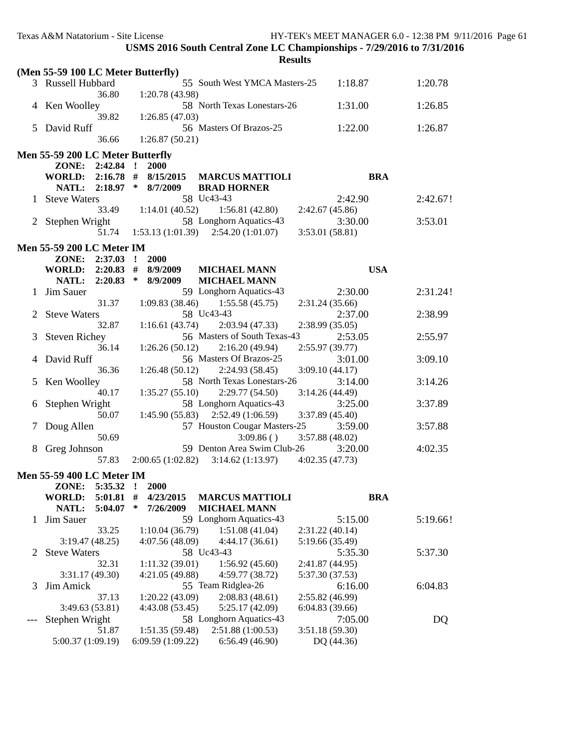|                | Texas A&M Natatorium - Site License                     | USMS 2016 South Central Zone LC Championships - 7/29/2016 to 7/31/2016<br><b>Results</b> |                                    | HY-TEK's MEET MANAGER 6.0 - 12:38 PM 9/11/2016 Page 61 |
|----------------|---------------------------------------------------------|------------------------------------------------------------------------------------------|------------------------------------|--------------------------------------------------------|
|                |                                                         |                                                                                          |                                    |                                                        |
|                | (Men 55-59 100 LC Meter Butterfly)<br>3 Russell Hubbard | 55 South West YMCA Masters-25                                                            | 1:18.87                            | 1:20.78                                                |
|                | 36.80<br>4 Ken Woolley                                  | 1:20.78 (43.98)<br>58 North Texas Lonestars-26                                           | 1:31.00                            | 1:26.85                                                |
|                | 39.82<br>5 David Ruff                                   | 1:26.85(47.03)<br>56 Masters Of Brazos-25                                                | 1:22.00                            | 1:26.87                                                |
|                | 36.66                                                   | 1:26.87(50.21)                                                                           |                                    |                                                        |
|                | Men 55-59 200 LC Meter Butterfly                        |                                                                                          |                                    |                                                        |
|                | ZONE: 2:42.84 !                                         | 2000                                                                                     |                                    |                                                        |
|                | WORLD: $2:16.78$ # $8/15/2015$                          | <b>MARCUS MATTIOLI</b>                                                                   | <b>BRA</b>                         |                                                        |
|                | NATL: 2:18.97 * 8/7/2009                                | <b>BRAD HORNER</b>                                                                       |                                    |                                                        |
|                | 1 Steve Waters                                          | 58 Uc43-43                                                                               | 2:42.90                            | 2:42.67!                                               |
|                | 33.49                                                   | 1:14.01(40.52)<br>1:56.81(42.80)                                                         | 2:42.67(45.86)                     |                                                        |
|                | 2 Stephen Wright                                        | 58 Longhorn Aquatics-43                                                                  | 3:30.00                            | 3:53.01                                                |
|                | 51.74                                                   | $1:53.13(1:01.39)$ $2:54.20(1:01.07)$                                                    | 3:53.01 (58.81)                    |                                                        |
|                | <b>Men 55-59 200 LC Meter IM</b>                        |                                                                                          |                                    |                                                        |
|                | ZONE: 2:37.03 !                                         | 2000                                                                                     |                                    |                                                        |
|                | WORLD: 2:20.83 # 8/9/2009                               | <b>MICHAEL MANN</b>                                                                      | <b>USA</b>                         |                                                        |
|                | <b>NATL:</b>                                            | $2:20.83$ * $8/9/2009$<br><b>MICHAEL MANN</b>                                            |                                    |                                                        |
|                | 1 Jim Sauer                                             | 59 Longhorn Aquatics-43                                                                  | 2:30.00                            | 2:31.24!                                               |
|                | 31.37                                                   | 1:55.58(45.75)<br>1:09.83(38.46)                                                         | 2:31.24(35.66)                     |                                                        |
| $\overline{2}$ | <b>Steve Waters</b>                                     | 58 Uc43-43                                                                               | 2:37.00                            | 2:38.99                                                |
|                | 32.87                                                   | 1:16.61(43.74)<br>2:03.94(47.33)                                                         | 2:38.99(35.05)                     |                                                        |
| 3              | <b>Steven Richey</b>                                    | 56 Masters of South Texas-43                                                             | 2:53.05                            | 2:55.97                                                |
|                | 36.14                                                   | 2:16.20(49.94)<br>1:26.26(50.12)                                                         | 2:55.97(39.77)                     |                                                        |
| 4              | David Ruff                                              | 56 Masters Of Brazos-25                                                                  | 3:01.00                            | 3:09.10                                                |
|                | 36.36                                                   | 1:26.48(50.12)<br>2:24.93(58.45)                                                         | 3:09.10(44.17)                     |                                                        |
| 5              | Ken Woolley                                             | 58 North Texas Lonestars-26                                                              | 3:14.00                            | 3:14.26                                                |
|                | 40.17                                                   | 1:35.27(55.10)<br>2:29.77(54.50)                                                         | 3:14.26(44.49)                     |                                                        |
| 6              | Stephen Wright                                          | 58 Longhorn Aquatics-43                                                                  | 3:25.00                            | 3:37.89                                                |
|                | 50.07                                                   | 1:45.90(55.83)<br>2:52.49(1:06.59)                                                       | 3:37.89(45.40)                     |                                                        |
| 7              | Doug Allen                                              | 57 Houston Cougar Masters-25                                                             | 3:59.00                            | 3:57.88                                                |
|                | 50.69                                                   | 3:09.86()                                                                                | 3:57.88 (48.02)                    |                                                        |
| 8              | Greg Johnson                                            | 59 Denton Area Swim Club-26                                                              | 3:20.00                            | 4:02.35                                                |
|                | 57.83                                                   | 2:00.65(1:02.82)<br>3:14.62(1:13.97)                                                     | 4:02.35(47.73)                     |                                                        |
|                |                                                         |                                                                                          |                                    |                                                        |
|                | Men 55-59 400 LC Meter IM                               |                                                                                          |                                    |                                                        |
|                | ZONE:<br>5:35.32<br>5:01.81<br><b>WORLD:</b>            | 2000<br>$\mathbf{r}$<br>#<br><b>MARCUS MATTIOLI</b>                                      | <b>BRA</b>                         |                                                        |
|                | NATL:<br>5:04.07                                        | 4/23/2015<br>∗<br>7/26/2009<br><b>MICHAEL MANN</b>                                       |                                    |                                                        |
|                | Jim Sauer                                               | 59 Longhorn Aquatics-43                                                                  | 5:15.00                            | 5:19.66!                                               |
| Τ.             | 33.25                                                   | 1:51.08(41.04)                                                                           | 2:31.22(40.14)                     |                                                        |
|                |                                                         | 1:10.04(36.79)                                                                           |                                    |                                                        |
| 2              | 3:19.47(48.25)<br><b>Steve Waters</b>                   | 4:07.56 (48.09)<br>4:44.17(36.61)<br>58 Uc43-43                                          | 5:19.66 (35.49)<br>5:35.30         | 5:37.30                                                |
|                |                                                         |                                                                                          |                                    |                                                        |
|                | 32.31<br>3:31.17(49.30)                                 | 1:11.32(39.01)<br>1:56.92(45.60)<br>4:21.05 (49.88)<br>4:59.77 (38.72)                   | 2:41.87 (44.95)<br>5:37.30 (37.53) |                                                        |
|                | Jim Amick                                               | 55 Team Ridglea-26                                                                       | 6:16.00                            | 6:04.83                                                |
| 3              | 37.13                                                   | 1:20.22(43.09)<br>2:08.83(48.61)                                                         | 2:55.82 (46.99)                    |                                                        |
|                | 3:49.63 (53.81)                                         | 5:25.17(42.09)<br>4:43.08 (53.45)                                                        | 6:04.83(39.66)                     |                                                        |
|                | Stephen Wright                                          | 58 Longhorn Aquatics-43                                                                  | 7:05.00                            | DQ                                                     |
| $---$          | 51.87                                                   | 2:51.88(1:00.53)<br>1:51.35(59.48)                                                       | 3:51.18(59.30)                     |                                                        |
|                | 5:00.37 (1:09.19)                                       | 6:56.49(46.90)<br>6:09.59 (1:09.22)                                                      | DQ (44.36)                         |                                                        |
|                |                                                         |                                                                                          |                                    |                                                        |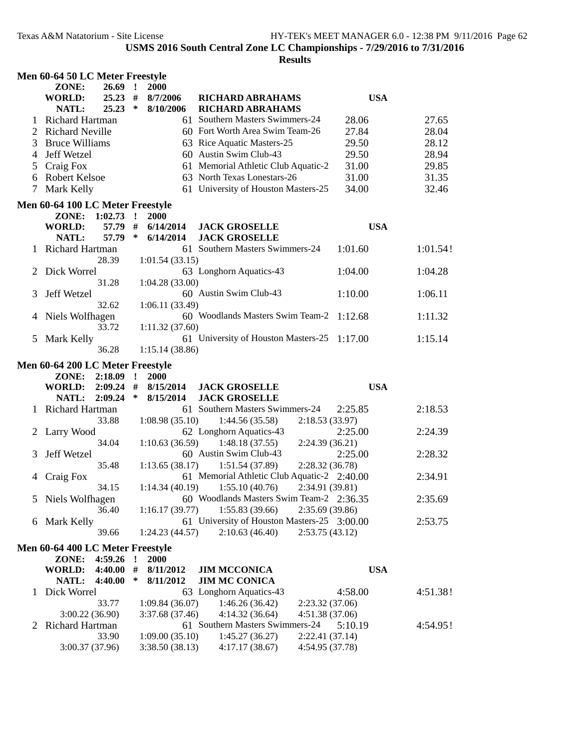|   | Men 60-64 50 LC Meter Freestyle  |              |                 |                                             |                 |          |
|---|----------------------------------|--------------|-----------------|---------------------------------------------|-----------------|----------|
|   | $26.69$ !<br>ZONE:               |              | 2000            |                                             |                 |          |
|   | <b>WORLD:</b><br>$25.23$ #       |              | 8/7/2006        | <b>RICHARD ABRAHAMS</b>                     | <b>USA</b>      |          |
|   | <b>NATL:</b><br>$25.23$ *        |              | 8/10/2006       | <b>RICHARD ABRAHAMS</b>                     |                 |          |
| 1 | <b>Richard Hartman</b>           |              |                 | 61 Southern Masters Swimmers-24             | 28.06           | 27.65    |
|   | 2 Richard Neville                |              |                 | 60 Fort Worth Area Swim Team-26             | 27.84           | 28.04    |
| 3 | <b>Bruce Williams</b>            |              |                 | 63 Rice Aquatic Masters-25                  | 29.50           | 28.12    |
| 4 | Jeff Wetzel                      |              |                 | 60 Austin Swim Club-43                      | 29.50           | 28.94    |
|   | Craig Fox                        |              |                 | 61 Memorial Athletic Club Aquatic-2         | 31.00           | 29.85    |
| 5 |                                  |              |                 | 63 North Texas Lonestars-26                 |                 |          |
| 6 | <b>Robert Kelsoe</b>             |              |                 |                                             | 31.00           | 31.35    |
| 7 | Mark Kelly                       |              |                 | 61 University of Houston Masters-25         | 34.00           | 32.46    |
|   | Men 60-64 100 LC Meter Freestyle |              |                 |                                             |                 |          |
|   | ZONE: 1:02.73 !                  |              | <b>2000</b>     |                                             |                 |          |
|   | <b>WORLD:</b><br>57.79 #         |              | 6/14/2014       | <b>JACK GROSELLE</b>                        | <b>USA</b>      |          |
|   | 57.79 *<br>NATL:                 |              | 6/14/2014       | <b>JACK GROSELLE</b>                        |                 |          |
|   | Richard Hartman                  |              |                 | 61 Southern Masters Swimmers-24             | 1:01.60         | 1:01.54! |
|   | 28.39                            |              | 1:01.54(33.15)  |                                             |                 |          |
| 2 | Dick Worrel                      |              |                 | 63 Longhorn Aquatics-43                     | 1:04.00         | 1:04.28  |
|   | 31.28                            |              | 1:04.28(33.00)  |                                             |                 |          |
| 3 | Jeff Wetzel                      |              |                 | 60 Austin Swim Club-43                      | 1:10.00         | 1:06.11  |
|   | 32.62                            |              | 1:06.11(33.49)  |                                             |                 |          |
|   |                                  |              |                 | 60 Woodlands Masters Swim Team-2 1:12.68    |                 | 1:11.32  |
|   | Niels Wolfhagen                  |              |                 |                                             |                 |          |
|   | 33.72                            |              | 1:11.32(37.60)  |                                             |                 |          |
| 5 | Mark Kelly                       |              |                 | 61 University of Houston Masters-25 1:17.00 |                 | 1:15.14  |
|   | 36.28                            |              | 1:15.14(38.86)  |                                             |                 |          |
|   | Men 60-64 200 LC Meter Freestyle |              |                 |                                             |                 |          |
|   | ZONE: 2:18.09 !                  |              | <b>2000</b>     |                                             |                 |          |
|   | WORLD: 2:09.24 #                 |              | 8/15/2014       | <b>JACK GROSELLE</b>                        | <b>USA</b>      |          |
|   | 2:09.24<br><b>NATL:</b>          | $\ast$       | 8/15/2014       | <b>JACK GROSELLE</b>                        |                 |          |
|   | Richard Hartman                  |              |                 | 61 Southern Masters Swimmers-24             | 2:25.85         | 2:18.53  |
|   | 33.88                            |              | 1:08.98(35.10)  | 2:18.53(33.97)<br>1:44.56(35.58)            |                 |          |
|   | Larry Wood                       |              |                 | 62 Longhorn Aquatics-43                     | 2:25.00         | 2:24.39  |
|   | 34.04                            |              | 1:10.63(36.59)  | 1:48.18(37.55)<br>2:24.39(36.21)            |                 |          |
| 3 | Jeff Wetzel                      |              |                 | 60 Austin Swim Club-43                      | 2:25.00         | 2:28.32  |
|   | 35.48                            |              | 1:13.65(38.17)  | 1:51.54(37.89)<br>2:28.32(36.78)            |                 |          |
| 4 | Craig Fox                        |              |                 | 61 Memorial Athletic Club Aquatic-2 2:40.00 |                 | 2:34.91  |
|   | 34.15                            |              | 1:14.34(40.19)  | 1:55.10(40.76)                              | 2:34.91 (39.81) |          |
|   | 5 Niels Wolfhagen                |              |                 | 60 Woodlands Masters Swim Team-2 2:36.35    |                 | 2:35.69  |
|   | 36.40                            |              | 1:16.17(39.77)  | 1:55.83(39.66)<br>2:35.69 (39.86)           |                 |          |
|   |                                  |              |                 | 61 University of Houston Masters-25 3:00.00 |                 | 2:53.75  |
| 6 | Mark Kelly<br>39.66              |              |                 |                                             |                 |          |
|   |                                  |              | 1:24.23(44.57)  | 2:10.63(46.40)<br>2:53.75(43.12)            |                 |          |
|   | Men 60-64 400 LC Meter Freestyle |              |                 |                                             |                 |          |
|   | 4:59.26<br>ZONE:                 | $\mathbf{I}$ | 2000            |                                             |                 |          |
|   | <b>WORLD:</b><br>4:40.00         | #            | 8/11/2012       | <b>JIM MCCONICA</b>                         | <b>USA</b>      |          |
|   | NATL:<br>4:40.00                 | ∗            | 8/11/2012       | <b>JIM MC CONICA</b>                        |                 |          |
| 1 | Dick Worrel                      |              |                 | 63 Longhorn Aquatics-43                     | 4:58.00         | 4:51.38! |
|   | 33.77                            |              | 1:09.84(36.07)  | 1:46.26(36.42)<br>2:23.32(37.06)            |                 |          |
|   | 3:00.22(36.90)                   |              | 3:37.68 (37.46) | 4:14.32(36.64)<br>4:51.38 (37.06)           |                 |          |
|   | 2 Richard Hartman                |              |                 | 61 Southern Masters Swimmers-24             | 5:10.19         | 4:54.95! |
|   | 33.90                            |              | 1:09.00(35.10)  | 2:22.41(37.14)<br>1:45.27(36.27)            |                 |          |
|   | 3:00.37 (37.96)                  |              | 3:38.50(38.13)  | 4:17.17(38.67)<br>4:54.95 (37.78)           |                 |          |
|   |                                  |              |                 |                                             |                 |          |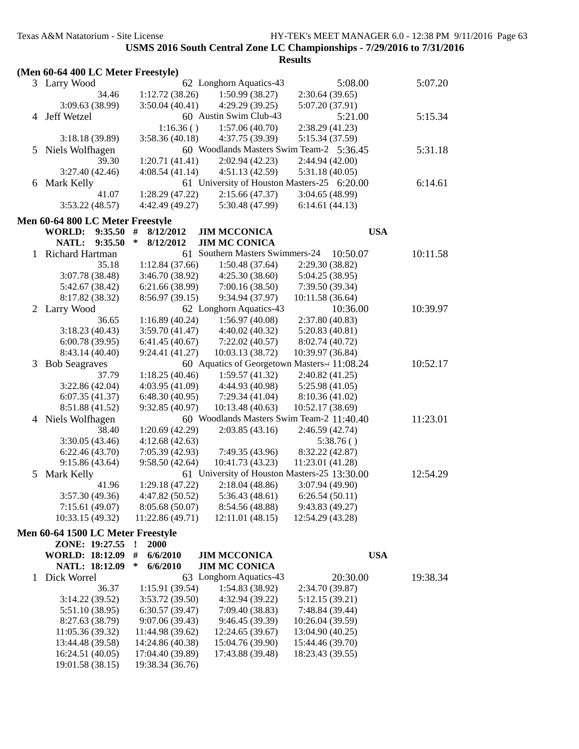|   |                                                     |                              |                                              | <b>Results</b>   |          |  |
|---|-----------------------------------------------------|------------------------------|----------------------------------------------|------------------|----------|--|
|   | (Men 60-64 400 LC Meter Freestyle)                  |                              |                                              |                  |          |  |
|   | 3 Larry Wood                                        |                              | 62 Longhorn Aquatics-43                      | 5:08.00          | 5:07.20  |  |
|   | 34.46                                               | 1:12.72(38.26)               | 1:50.99(38.27)                               | 2:30.64(39.65)   |          |  |
|   | 3:09.63(38.99)                                      | 3:50.04(40.41)               | 4:29.29(39.25)                               | 5:07.20 (37.91)  |          |  |
| 4 | Jeff Wetzel                                         |                              | 60 Austin Swim Club-43                       | 5:21.00          | 5:15.34  |  |
|   |                                                     | 1:16.36()                    | 1:57.06(40.70)                               | 2:38.29 (41.23)  |          |  |
|   | 3:18.18(39.89)                                      | 3:58.36(40.18)               | 4:37.75 (39.39)                              | 5:15.34 (37.59)  |          |  |
| 5 | Niels Wolfhagen                                     |                              | 60 Woodlands Masters Swim Team-2 5:36.45     |                  | 5:31.18  |  |
|   | 39.30                                               | 1:20.71(41.41)               | 2:02.94(42.23)                               | 2:44.94 (42.00)  |          |  |
|   | 3:27.40(42.46)                                      | 4:08.54(41.14)               | 4:51.13(42.59)                               | 5:31.18(40.05)   |          |  |
|   | 6 Mark Kelly                                        |                              | 61 University of Houston Masters-25 6:20.00  |                  | 6:14.61  |  |
|   | 41.07                                               | 1:28.29(47.22)               | 2:15.66(47.37)                               | 3:04.65(48.99)   |          |  |
|   | 3:53.22(48.57)                                      | 4:42.49 (49.27)              | 5:30.48 (47.99)                              | 6:14.61(44.13)   |          |  |
|   | Men 60-64 800 LC Meter Freestyle                    |                              |                                              |                  |          |  |
|   | 9:35.50<br><b>WORLD:</b>                            | $\#$<br>8/12/2012            | <b>JIM MCCONICA</b>                          | <b>USA</b>       |          |  |
|   | NATL:<br>9:35.50                                    | $\ast$<br>8/12/2012          | <b>JIM MC CONICA</b>                         |                  |          |  |
| 1 | Richard Hartman                                     |                              | 61 Southern Masters Swimmers-24              | 10:50.07         | 10:11.58 |  |
|   | 35.18                                               | 1:12.84(37.66)               | 1:50.48(37.64)                               | 2:29.30 (38.82)  |          |  |
|   | 3:07.78 (38.48)                                     | 3:46.70 (38.92)              | 4:25.30(38.60)                               | 5:04.25 (38.95)  |          |  |
|   | 5:42.67 (38.42)                                     | 6:21.66 (38.99)              | 7:00.16(38.50)                               | 7:39.50 (39.34)  |          |  |
|   | 8:17.82 (38.32)                                     | 8:56.97(39.15)               | 9:34.94 (37.97)                              | 10:11.58 (36.64) |          |  |
|   | 2 Larry Wood                                        |                              | 62 Longhorn Aquatics-43                      | 10:36.00         | 10:39.97 |  |
|   | 36.65                                               | 1:16.89(40.24)               | 1:56.97(40.08)                               | 2:37.80(40.83)   |          |  |
|   | 3:18.23(40.43)                                      | 3:59.70(41.47)               | 4:40.02(40.32)                               | 5:20.83(40.81)   |          |  |
|   | 6:00.78(39.95)                                      | 6:41.45(40.67)               | 7:22.02(40.57)                               | 8:02.74 (40.72)  |          |  |
|   | 8:43.14 (40.40)                                     | 9:24.41(41.27)               | 10:03.13 (38.72)                             | 10:39.97 (36.84) |          |  |
| 3 | <b>Bob Seagraves</b>                                |                              | 60 Aquatics of Georgetown Masters-4 11:08.24 |                  | 10:52.17 |  |
|   | 37.79                                               | 1:18.25(40.46)               | 1:59.57(41.32)                               | 2:40.82 (41.25)  |          |  |
|   | 3:22.86(42.04)                                      | 4:03.95(41.09)               | 4:44.93 (40.98)                              | 5:25.98(41.05)   |          |  |
|   | 6:07.35(41.37)                                      | 6:48.30(40.95)               | 7:29.34(41.04)                               | 8:10.36 (41.02)  |          |  |
|   | 8:51.88 (41.52)                                     | 9:32.85(40.97)               | 10:13.48 (40.63)                             | 10:52.17 (38.69) |          |  |
|   | 4 Niels Wolfhagen                                   |                              | 60 Woodlands Masters Swim Team-2 11:40.40    |                  | 11:23.01 |  |
|   | 38.40                                               | 1:20.69(42.29)               | 2:03.85(43.16)                               | 2:46.59 (42.74)  |          |  |
|   | 3:30.05(43.46)                                      | 4:12.68(42.63)               |                                              | 5:38.76()        |          |  |
|   | 6:22.46(43.70)                                      | 7:05.39(42.93)               | 7:49.35 (43.96)                              | 8:32.22 (42.87)  |          |  |
|   | 9:15.86(43.64)                                      | 9:58.50(42.64)               | 10:41.73 (43.23)                             | 11:23.01 (41.28) |          |  |
|   | 5 Mark Kelly                                        |                              | 61 University of Houston Masters-25 13:30.00 |                  | 12:54.29 |  |
|   | 41.96                                               | 1:29.18(47.22)               | 2:18.04(48.86)                               | 3:07.94 (49.90)  |          |  |
|   | 3:57.30(49.36)                                      | 4:47.82(50.52)               | 5:36.43(48.61)                               | 6:26.54(50.11)   |          |  |
|   | 7:15.61(49.07)                                      | 8:05.68 (50.07)              | 8:54.56 (48.88)                              | 9:43.83 (49.27)  |          |  |
|   | 10:33.15 (49.32)                                    | 11:22.86 (49.71)             | 12:11.01 (48.15)                             | 12:54.29 (43.28) |          |  |
|   |                                                     |                              |                                              |                  |          |  |
|   | Men 60-64 1500 LC Meter Freestyle<br>ZONE: 19:27.55 |                              |                                              |                  |          |  |
|   | <b>WORLD: 18:12.09</b>                              | <b>2000</b><br>#<br>6/6/2010 | <b>JIM MCCONICA</b>                          | <b>USA</b>       |          |  |
|   | NATL: 18:12.09                                      | ∗<br>6/6/2010                | <b>JIM MC CONICA</b>                         |                  |          |  |
|   | Dick Worrel                                         |                              | 63 Longhorn Aquatics-43                      | 20:30.00         | 19:38.34 |  |
| 1 | 36.37                                               | 1:15.91 (39.54)              | 1:54.83(38.92)                               | 2:34.70 (39.87)  |          |  |
|   | 3:14.22(39.52)                                      | 3:53.72 (39.50)              | 4:32.94 (39.22)                              | 5:12.15(39.21)   |          |  |
|   | 5:51.10 (38.95)                                     | 6:30.57(39.47)               | 7:09.40 (38.83)                              | 7:48.84 (39.44)  |          |  |
|   | 8:27.63 (38.79)                                     | 9:07.06 (39.43)              | 9:46.45 (39.39)                              | 10:26.04 (39.59) |          |  |
|   | 11:05.36(39.32)                                     | 11:44.98 (39.62)             | 12:24.65 (39.67)                             | 13:04.90 (40.25) |          |  |
|   | 13:44.48 (39.58)                                    | 14:24.86 (40.38)             | 15:04.76 (39.90)                             | 15:44.46 (39.70) |          |  |
|   | 16:24.51 (40.05)                                    | 17:04.40 (39.89)             | 17:43.88 (39.48)                             | 18:23.43 (39.55) |          |  |
|   | 19:01.58 (38.15)                                    | 19:38.34 (36.76)             |                                              |                  |          |  |
|   |                                                     |                              |                                              |                  |          |  |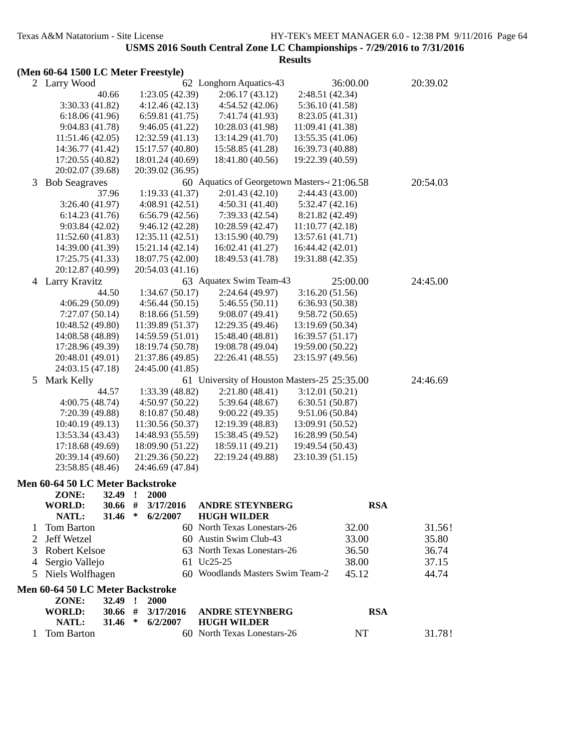|  |  | (Men 60-64 1500 LC Meter Freestyle) |
|--|--|-------------------------------------|
|  |  |                                     |

| 2 | Larry Wood                              |           |              |                  | 62 Longhorn Aquatics-43                      |                                      | 36:00.00   | 20:39.02 |  |
|---|-----------------------------------------|-----------|--------------|------------------|----------------------------------------------|--------------------------------------|------------|----------|--|
|   |                                         | 40.66     |              | 1:23.05(42.39)   | 2:06.17(43.12)                               | 2:48.51 (42.34)                      |            |          |  |
|   | 3:30.33(41.82)                          |           |              | 4:12.46(42.13)   | 4:54.52(42.06)                               | 5:36.10(41.58)                       |            |          |  |
|   | 6:18.06(41.96)                          |           |              | 6:59.81(41.75)   | 7:41.74 (41.93)                              | 8:23.05 (41.31)                      |            |          |  |
|   | 9:04.83(41.78)                          |           |              | 9:46.05(41.22)   | 10:28.03 (41.98)                             | 11:09.41 (41.38)                     |            |          |  |
|   | 11:51.46(42.05)                         |           |              | 12:32.59(41.13)  | 13:14.29 (41.70)                             | 13:55.35 (41.06)                     |            |          |  |
|   | 14:36.77 (41.42)                        |           |              | 15:17.57 (40.80) | 15:58.85 (41.28)                             | 16:39.73 (40.88)                     |            |          |  |
|   | 17:20.55 (40.82)                        |           |              | 18:01.24 (40.69) | 18:41.80 (40.56)                             | 19:22.39 (40.59)                     |            |          |  |
|   |                                         |           |              | 20:39.02 (36.95) |                                              |                                      |            |          |  |
|   | 20:02.07 (39.68)                        |           |              |                  |                                              |                                      |            |          |  |
| 3 | <b>Bob Seagraves</b>                    |           |              |                  | 60 Aquatics of Georgetown Masters-4 21:06.58 |                                      |            | 20:54.03 |  |
|   |                                         | 37.96     |              | 1:19.33(41.37)   | 2:01.43(42.10)                               | 2:44.43(43.00)                       |            |          |  |
|   | 3:26.40(41.97)                          |           |              | 4:08.91(42.51)   | 4:50.31(41.40)                               | 5:32.47(42.16)                       |            |          |  |
|   | 6:14.23(41.76)                          |           |              | 6:56.79(42.56)   | 7:39.33(42.54)                               | 8:21.82 (42.49)                      |            |          |  |
|   | 9:03.84(42.02)                          |           |              | 9:46.12(42.28)   | 10:28.59 (42.47)                             | 11:10.77(42.18)                      |            |          |  |
|   | 11:52.60(41.83)                         |           |              | 12:35.11 (42.51) | 13:15.90 (40.79)                             | 13:57.61 (41.71)                     |            |          |  |
|   | 14:39.00 (41.39)                        |           |              | 15:21.14 (42.14) | 16:02.41 (41.27)                             | 16:44.42 (42.01)                     |            |          |  |
|   | 17:25.75 (41.33)                        |           |              | 18:07.75 (42.00) | 18:49.53 (41.78)                             | 19:31.88 (42.35)                     |            |          |  |
|   | 20:12.87 (40.99)                        |           |              | 20:54.03 (41.16) |                                              |                                      |            |          |  |
|   | 4 Larry Kravitz                         |           |              |                  | 63 Aquatex Swim Team-43                      |                                      | 25:00.00   | 24:45.00 |  |
|   |                                         | 44.50     |              | 1:34.67(50.17)   | 2:24.64(49.97)                               | 3:16.20(51.56)                       |            |          |  |
|   | 4:06.29(50.09)                          |           |              | 4:56.44(50.15)   | 5:46.55(50.11)                               | 6:36.93(50.38)                       |            |          |  |
|   | 7:27.07(50.14)                          |           |              | 8:18.66 (51.59)  | 9:08.07(49.41)                               | 9:58.72(50.65)                       |            |          |  |
|   | 10:48.52 (49.80)                        |           |              | 11:39.89 (51.37) | 12:29.35 (49.46)                             | 13:19.69 (50.34)                     |            |          |  |
|   | 14:08.58 (48.89)                        |           |              | 14:59.59 (51.01) | 15:48.40 (48.81)                             | 16:39.57 (51.17)                     |            |          |  |
|   | 17:28.96 (49.39)                        |           |              | 18:19.74 (50.78) | 19:08.78 (49.04)                             | 19:59.00 (50.22)                     |            |          |  |
|   | 20:48.01 (49.01)                        |           |              | 21:37.86 (49.85) | 22:26.41 (48.55)                             | 23:15.97 (49.56)                     |            |          |  |
|   | 24:03.15 (47.18)                        |           |              | 24:45.00 (41.85) |                                              |                                      |            |          |  |
|   | 5 Mark Kelly                            |           |              |                  | 61 University of Houston Masters-25 25:35.00 |                                      |            | 24:46.69 |  |
|   |                                         | 44.57     |              | 1:33.39 (48.82)  | 2:21.80(48.41)                               | 3:12.01(50.21)                       |            |          |  |
|   | 4:00.75(48.74)                          |           |              | 4:50.97 (50.22)  | 5:39.64(48.67)                               | 6:30.51 (50.87)                      |            |          |  |
|   | 7:20.39 (49.88)                         |           |              | 8:10.87 (50.48)  | 9:00.22(49.35)                               | 9:51.06(50.84)                       |            |          |  |
|   | 10:40.19 (49.13)                        |           |              | 11:30.56 (50.37) | 12:19.39 (48.83)                             |                                      |            |          |  |
|   |                                         |           |              |                  | 15:38.45 (49.52)                             | 13:09.91 (50.52)<br>16:28.99 (50.54) |            |          |  |
|   | 13:53.34 (43.43)                        |           |              | 14:48.93 (55.59) |                                              |                                      |            |          |  |
|   | 17:18.68 (49.69)                        |           |              | 18:09.90 (51.22) | 18:59.11 (49.21)                             | 19:49.54 (50.43)                     |            |          |  |
|   | 20:39.14 (49.60)                        |           |              | 21:29.36 (50.22) | 22:19.24 (49.88)                             | 23:10.39 (51.15)                     |            |          |  |
|   | 23:58.85 (48.46)                        |           |              | 24:46.69 (47.84) |                                              |                                      |            |          |  |
|   | Men 60-64 50 LC Meter Backstroke        |           |              |                  |                                              |                                      |            |          |  |
|   | ZONE:                                   | 32.49     | $\cdot$      | <b>2000</b>      |                                              |                                      |            |          |  |
|   | WORLD:                                  | $30.66$ # |              | 3/17/2016        | <b>ANDRE STEYNBERG</b>                       |                                      | <b>RSA</b> |          |  |
|   | NATL:                                   | 31.46     | ∗            | 6/2/2007         | <b>HUGH WILDER</b>                           |                                      |            |          |  |
| 1 | Tom Barton                              |           |              |                  | 60 North Texas Lonestars-26                  |                                      | 32.00      | 31.56!   |  |
| 2 | Jeff Wetzel                             |           |              |                  | 60 Austin Swim Club-43                       |                                      | 33.00      | 35.80    |  |
| 3 | <b>Robert Kelsoe</b>                    |           |              |                  | 63 North Texas Lonestars-26                  |                                      | 36.50      | 36.74    |  |
| 4 | Sergio Vallejo                          |           |              |                  | 61 Uc25-25                                   |                                      | 38.00      | 37.15    |  |
| 5 | Niels Wolfhagen                         |           |              |                  | 60 Woodlands Masters Swim Team-2             |                                      | 45.12      | 44.74    |  |
|   |                                         |           |              |                  |                                              |                                      |            |          |  |
|   | <b>Men 60-64 50 LC Meter Backstroke</b> |           |              |                  |                                              |                                      |            |          |  |
|   | ZONE:                                   | 32.49     | $\mathbf{r}$ | 2000             |                                              |                                      |            |          |  |
|   | <b>WORLD:</b>                           | $30.66$ # |              | 3/17/2016        | <b>ANDRE STEYNBERG</b>                       |                                      | <b>RSA</b> |          |  |
|   | NATL:                                   | 31.46     | ∗            | 6/2/2007         | <b>HUGH WILDER</b>                           |                                      |            |          |  |
| 1 | Tom Barton                              |           |              |                  | 60 North Texas Lonestars-26                  |                                      | NT         | 31.78!   |  |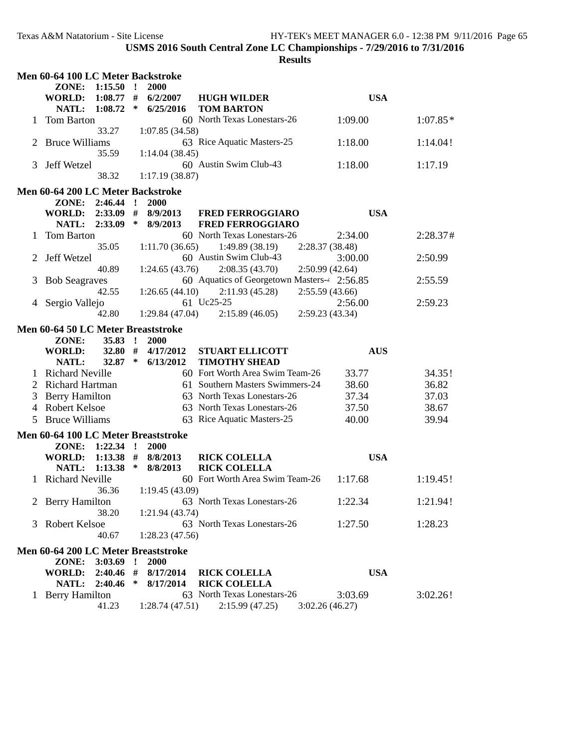|   | Men 60-64 100 LC Meter Backstroke   |                      |              |                        |                                                    |                 |            |            |
|---|-------------------------------------|----------------------|--------------|------------------------|----------------------------------------------------|-----------------|------------|------------|
|   | ZONE: 1:15.50                       |                      | $\mathbf{r}$ | 2000                   |                                                    |                 |            |            |
|   | <b>WORLD:</b>                       | $1:08.77$ #          |              | 6/2/2007               | <b>HUGH WILDER</b>                                 |                 | <b>USA</b> |            |
|   | NATL:                               | 1:08.72              | $\ast$       | 6/25/2016              | <b>TOM BARTON</b>                                  |                 |            |            |
|   | Tom Barton                          | 33.27                |              | 1:07.85 (34.58)        | 60 North Texas Lonestars-26                        |                 | 1:09.00    | $1:07.85*$ |
| 2 | <b>Bruce Williams</b>               |                      |              |                        | 63 Rice Aquatic Masters-25                         |                 | 1:18.00    | 1:14.04!   |
|   |                                     | 35.59                |              | 1:14.04(38.45)         |                                                    |                 |            |            |
| 3 | Jeff Wetzel                         |                      |              |                        | 60 Austin Swim Club-43                             |                 | 1:18.00    | 1:17.19    |
|   |                                     | 38.32                |              | 1:17.19(38.87)         |                                                    |                 |            |            |
|   | Men 60-64 200 LC Meter Backstroke   |                      |              |                        |                                                    |                 |            |            |
|   | ZONE: 2:46.44 !                     |                      |              | 2000                   |                                                    |                 |            |            |
|   | WORLD: 2:33.09 #                    |                      |              | 8/9/2013               | <b>FRED FERROGGIARO</b>                            |                 | <b>USA</b> |            |
|   | NATL: 2:33.09                       |                      | $\ast$       | 8/9/2013               | <b>FRED FERROGGIARO</b>                            |                 |            |            |
|   | Tom Barton                          |                      |              |                        | 60 North Texas Lonestars-26                        |                 | 2:34.00    | 2:28.37#   |
|   |                                     | 35.05                |              | 1:11.70(36.65)         | 1:49.89(38.19)                                     | 2:28.37 (38.48) |            |            |
|   | Jeff Wetzel                         |                      |              |                        | 60 Austin Swim Club-43                             |                 | 3:00.00    | 2:50.99    |
|   |                                     | 40.89                |              | 1:24.65(43.76)         | 2:08.35(43.70)                                     | 2:50.99(42.64)  |            |            |
|   | <b>Bob Seagraves</b>                |                      |              |                        | 60 Aquatics of Georgetown Masters-4 2:56.85        |                 |            | 2:55.59    |
|   |                                     | 42.55                |              | 1:26.65(44.10)         | 2:11.93(45.28)<br>61 Uc25-25                       | 2:55.59(43.66)  |            |            |
|   | Sergio Vallejo                      | 42.80                |              | 1:29.84(47.04)         |                                                    |                 | 2:56.00    | 2:59.23    |
|   |                                     |                      |              |                        | 2:15.89(46.05)                                     | 2:59.23(43.34)  |            |            |
|   | Men 60-64 50 LC Meter Breaststroke  |                      |              |                        |                                                    |                 |            |            |
|   | ZONE:                               | $35.83$ !<br>32.80 # |              | 2000                   |                                                    |                 |            |            |
|   | <b>WORLD:</b><br>NATL:              | 32.87 $*$            |              | 4/17/2012<br>6/13/2012 | <b>STUART ELLICOTT</b><br><b>TIMOTHY SHEAD</b>     |                 | <b>AUS</b> |            |
|   | <b>Richard Neville</b>              |                      |              |                        | 60 Fort Worth Area Swim Team-26                    |                 | 33.77      | 34.35!     |
| 2 | <b>Richard Hartman</b>              |                      |              |                        | 61 Southern Masters Swimmers-24                    |                 | 38.60      | 36.82      |
| 3 | <b>Berry Hamilton</b>               |                      |              |                        | 63 North Texas Lonestars-26                        |                 | 37.34      | 37.03      |
|   | 4 Robert Kelsoe                     |                      |              |                        | 63 North Texas Lonestars-26                        |                 | 37.50      | 38.67      |
| 5 | <b>Bruce Williams</b>               |                      |              |                        | 63 Rice Aquatic Masters-25                         |                 | 40.00      | 39.94      |
|   | Men 60-64 100 LC Meter Breaststroke |                      |              |                        |                                                    |                 |            |            |
|   | ZONE: 1:22.34 !                     |                      |              | 2000                   |                                                    |                 |            |            |
|   | <b>WORLD:</b>                       | $1:13.38$ #          |              | 8/8/2013               | <b>RICK COLELLA</b>                                |                 | <b>USA</b> |            |
|   | <b>NATL:</b>                        | 1:13.38              | $\ast$       | 8/8/2013               | <b>RICK COLELLA</b>                                |                 |            |            |
|   | 1 Richard Neville                   |                      |              |                        | 60 Fort Worth Area Swim Team-26                    |                 | 1:17.68    | 1:19.45!   |
|   |                                     | 36.36                |              | 1:19.45(43.09)         |                                                    |                 |            |            |
|   | 2 Berry Hamilton                    |                      |              |                        | 63 North Texas Lonestars-26                        |                 | 1:22.34    | 1:21.94!   |
|   |                                     | 38.20                |              | 1:21.94(43.74)         |                                                    |                 |            |            |
| 3 | Robert Kelsoe                       |                      |              |                        | 63 North Texas Lonestars-26                        |                 | 1:27.50    | 1:28.23    |
|   |                                     | 40.67                |              | 1:28.23(47.56)         |                                                    |                 |            |            |
|   | Men 60-64 200 LC Meter Breaststroke |                      |              |                        |                                                    |                 |            |            |
|   | ZONE: 3:03.69 !                     |                      |              | 2000                   |                                                    |                 |            |            |
|   | WORLD: 2:40.46 #                    |                      |              | 8/17/2014              | <b>RICK COLELLA</b>                                |                 | <b>USA</b> |            |
|   | NATL: 2:40.46                       |                      | $\ast$       | 8/17/2014              | <b>RICK COLELLA</b><br>63 North Texas Lonestars-26 |                 |            |            |
|   | 1 Berry Hamilton                    | 41.23                |              | 1:28.74(47.51)         | 2:15.99(47.25)                                     | 3:02.26(46.27)  | 3:03.69    | 3:02.26!   |
|   |                                     |                      |              |                        |                                                    |                 |            |            |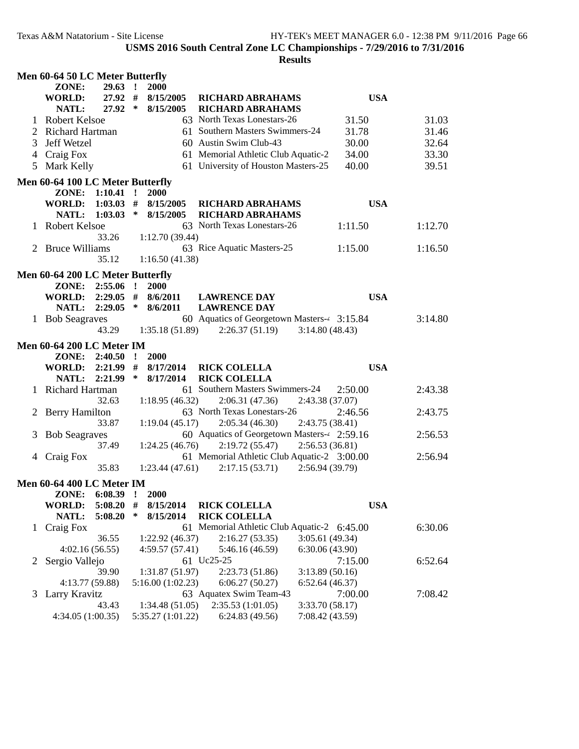|                | Men 60-64 50 LC Meter Butterfly        |                             |                                                               |                 |         |
|----------------|----------------------------------------|-----------------------------|---------------------------------------------------------------|-----------------|---------|
|                | 29.63<br>ZONE:                         | 2000<br>$\mathbf{r}$        |                                                               |                 |         |
|                | 27.92 #<br><b>WORLD:</b>               | 8/15/2005                   | <b>RICHARD ABRAHAMS</b>                                       | <b>USA</b>      |         |
|                | NATL:<br>27.92                         | $\ast$<br>8/15/2005         | <b>RICHARD ABRAHAMS</b>                                       |                 |         |
| 1              | <b>Robert Kelsoe</b>                   |                             | 63 North Texas Lonestars-26                                   | 31.50           | 31.03   |
|                | Richard Hartman                        |                             | 61 Southern Masters Swimmers-24                               | 31.78           | 31.46   |
| 3              | Jeff Wetzel                            |                             | 60 Austin Swim Club-43                                        | 30.00           | 32.64   |
| 4              | Craig Fox                              |                             | 61 Memorial Athletic Club Aquatic-2                           | 34.00           | 33.30   |
| 5              | Mark Kelly                             |                             | 61 University of Houston Masters-25                           | 40.00           | 39.51   |
|                | Men 60-64 100 LC Meter Butterfly       |                             |                                                               |                 |         |
|                | ZONE: 1:10.41 !                        | <b>2000</b>                 |                                                               |                 |         |
|                | WORLD: 1:03.03 #                       | 8/15/2005                   | <b>RICHARD ABRAHAMS</b>                                       | <b>USA</b>      |         |
|                | 1:03.03<br>NATL:                       | $\ast$<br>8/15/2005         | <b>RICHARD ABRAHAMS</b>                                       |                 |         |
|                | 1 Robert Kelsoe                        |                             | 63 North Texas Lonestars-26                                   | 1:11.50         | 1:12.70 |
|                | 33.26                                  | 1:12.70(39.44)              |                                                               |                 |         |
|                | <b>Bruce Williams</b>                  |                             | 63 Rice Aquatic Masters-25                                    | 1:15.00         | 1:16.50 |
|                | 35.12                                  | 1:16.50(41.38)              |                                                               |                 |         |
|                | Men 60-64 200 LC Meter Butterfly       |                             |                                                               |                 |         |
|                | ZONE: 2:55.06 !                        | 2000                        |                                                               |                 |         |
|                | $2:29.05$ #<br><b>WORLD:</b>           | 8/6/2011                    | <b>LAWRENCE DAY</b>                                           | <b>USA</b>      |         |
|                | 2:29.05<br>NATL:                       | ∗<br>8/6/2011               | <b>LAWRENCE DAY</b>                                           |                 |         |
|                | 1 Bob Seagraves                        |                             | 60 Aquatics of Georgetown Masters-4 3:15.84                   |                 | 3:14.80 |
|                | 43.29                                  | 1:35.18(51.89)              | 2:26.37(51.19)                                                | 3:14.80(48.43)  |         |
|                | <b>Men 60-64 200 LC Meter IM</b>       |                             |                                                               |                 |         |
|                |                                        | 2000<br>$\cdot$ !           |                                                               |                 |         |
|                | ZONE: 2:40.50<br><b>WORLD: 2:21.99</b> | #                           |                                                               | <b>USA</b>      |         |
|                | NATL: 2:21.99                          | 8/17/2014<br>∗<br>8/17/2014 | <b>RICK COLELLA</b><br><b>RICK COLELLA</b>                    |                 |         |
|                | 1 Richard Hartman                      |                             | 61 Southern Masters Swimmers-24                               | 2:50.00         | 2:43.38 |
|                | 32.63                                  |                             | 2:06.31(47.36)                                                |                 |         |
|                |                                        | 1:18.95(46.32)              | 63 North Texas Lonestars-26                                   | 2:43.38 (37.07) |         |
| 2              | Berry Hamilton                         |                             |                                                               | 2:46.56         | 2:43.75 |
|                | 33.87                                  | 1:19.04(45.17)              | 2:05.34(46.30)                                                | 2:43.75 (38.41) |         |
| 3              | <b>Bob Seagraves</b>                   |                             | 60 Aquatics of Georgetown Masters-4 2:59.16                   | 2:56.53(36.81)  | 2:56.53 |
|                | 37.49                                  | 1:24.25(46.76)              | 2:19.72(55.47)<br>61 Memorial Athletic Club Aquatic-2 3:00.00 |                 |         |
|                | 4 Craig Fox<br>35.83                   | 1:23.44(47.61)              |                                                               |                 | 2:56.94 |
|                |                                        |                             | 2:17.15(53.71)                                                | 2:56.94 (39.79) |         |
|                | <b>Men 60-64 400 LC Meter IM</b>       |                             |                                                               |                 |         |
|                | ZONE:<br>6:08.39                       | 2000                        |                                                               |                 |         |
|                | <b>WORLD:</b><br>5:08.20               | #<br>8/15/2014              | <b>RICK COLELLA</b>                                           | <b>USA</b>      |         |
|                | NATL:<br>5:08.20                       | ∗<br>8/15/2014              | <b>RICK COLELLA</b>                                           |                 |         |
| $\mathbf{1}$   | Craig Fox                              |                             | 61 Memorial Athletic Club Aquatic-2 6:45.00                   |                 | 6:30.06 |
|                | 36.55                                  | 1:22.92(46.37)              | 2:16.27(53.35)                                                | 3:05.61(49.34)  |         |
|                | 4:02.16(56.55)                         | 4:59.57(57.41)              | 5:46.16 (46.59)                                               | 6:30.06(43.90)  |         |
| $\overline{2}$ | Sergio Vallejo                         |                             | 61 Uc25-25                                                    | 7:15.00         | 6:52.64 |
|                | 39.90                                  | 1:31.87 (51.97)             | 2:23.73(51.86)                                                | 3:13.89(50.16)  |         |
|                | 4:13.77 (59.88)                        | 5:16.00(1:02.23)            | 6:06.27(50.27)                                                | 6:52.64(46.37)  |         |
| 3              | Larry Kravitz                          |                             | 63 Aquatex Swim Team-43                                       | 7:00.00         | 7:08.42 |
|                | 43.43                                  | 1:34.48(51.05)              | 2:35.53(1:01.05)                                              | 3:33.70 (58.17) |         |
|                | 4:34.05 (1:00.35)                      | 5:35.27 (1:01.22)           | 6:24.83(49.56)                                                | 7:08.42 (43.59) |         |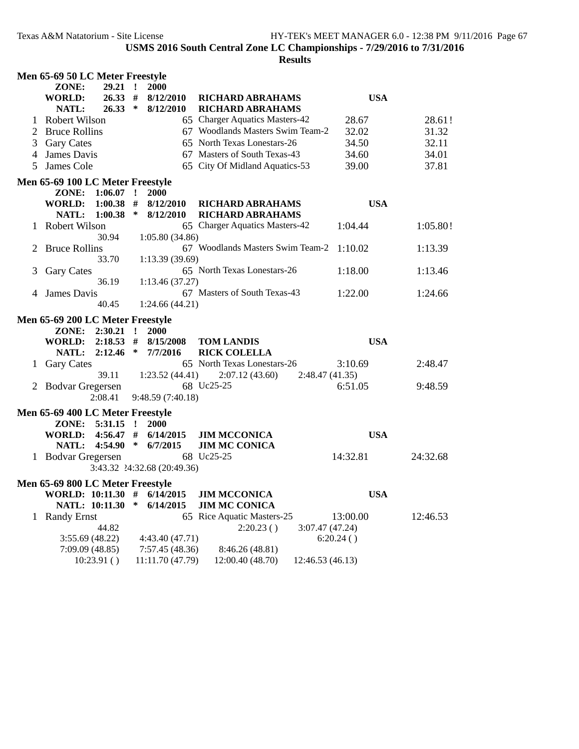|   | Men 65-69 50 LC Meter Freestyle                     |             |        |                             |                                                           |                  |          |
|---|-----------------------------------------------------|-------------|--------|-----------------------------|-----------------------------------------------------------|------------------|----------|
|   | ZONE:                                               | $29.21$ !   |        | 2000                        |                                                           |                  |          |
|   | <b>WORLD:</b>                                       | 26.33#      |        | 8/12/2010                   | <b>RICHARD ABRAHAMS</b>                                   | <b>USA</b>       |          |
|   | NATL:<br><b>Robert Wilson</b>                       | 26.33       | $\ast$ | 8/12/2010                   | <b>RICHARD ABRAHAMS</b><br>65 Charger Aquatics Masters-42 | 28.67            | 28.61!   |
| 2 | <b>Bruce Rollins</b>                                |             |        |                             | 67 Woodlands Masters Swim Team-2                          | 32.02            | 31.32    |
| 3 | <b>Gary Cates</b>                                   |             |        |                             | 65 North Texas Lonestars-26                               | 34.50            | 32.11    |
| 4 | James Davis                                         |             |        |                             | 67 Masters of South Texas-43                              | 34.60            | 34.01    |
| 5 | James Cole                                          |             |        |                             | 65 City Of Midland Aquatics-53                            | 39.00            | 37.81    |
|   |                                                     |             |        |                             |                                                           |                  |          |
|   | Men 65-69 100 LC Meter Freestyle<br>ZONE: 1:06.07 ! |             |        | <b>2000</b>                 |                                                           |                  |          |
|   | WORLD: 1:00.38 #                                    |             |        | 8/12/2010                   | <b>RICHARD ABRAHAMS</b>                                   | <b>USA</b>       |          |
|   | <b>NATL:</b>                                        | 1:00.38     | $\ast$ | 8/12/2010                   | <b>RICHARD ABRAHAMS</b>                                   |                  |          |
|   | Robert Wilson                                       |             |        |                             | 65 Charger Aquatics Masters-42                            | 1:04.44          | 1:05.80! |
|   |                                                     | 30.94       |        | 1:05.80(34.86)              |                                                           |                  |          |
|   | <b>Bruce Rollins</b>                                |             |        |                             | 67 Woodlands Masters Swim Team-2 1:10.02                  |                  | 1:13.39  |
|   |                                                     | 33.70       |        | 1:13.39(39.69)              |                                                           |                  |          |
| 3 | <b>Gary Cates</b>                                   |             |        |                             | 65 North Texas Lonestars-26                               | 1:18.00          | 1:13.46  |
|   |                                                     | 36.19       |        | 1:13.46(37.27)              |                                                           |                  |          |
| 4 | James Davis                                         |             |        |                             | 67 Masters of South Texas-43                              | 1:22.00          | 1:24.66  |
|   |                                                     | 40.45       |        | 1:24.66(44.21)              |                                                           |                  |          |
|   | Men 65-69 200 LC Meter Freestyle                    |             |        |                             |                                                           |                  |          |
|   | ZONE: 2:30.21 !                                     |             |        | <b>2000</b>                 |                                                           |                  |          |
|   | WORLD: 2:18.53 # 8/15/2008                          |             |        |                             | <b>TOM LANDIS</b>                                         | <b>USA</b>       |          |
|   |                                                     |             |        | NATL: 2:12.46 * 7/7/2016    | <b>RICK COLELLA</b>                                       |                  |          |
|   | 1 Gary Cates                                        |             |        |                             | 65 North Texas Lonestars-26                               | 3:10.69          | 2:48.47  |
|   |                                                     | 39.11       |        | 1:23.52(44.41)              | 2:07.12(43.60)<br>68 Uc25-25                              | 2:48.47(41.35)   |          |
|   | 2 Bodvar Gregersen                                  | 2:08.41     |        | 9:48.59 (7:40.18)           |                                                           | 6:51.05          | 9:48.59  |
|   |                                                     |             |        |                             |                                                           |                  |          |
|   | Men 65-69 400 LC Meter Freestyle                    |             |        |                             |                                                           |                  |          |
|   | ZONE: 5:31.15 !<br>WORLD: 4:56.47 # 6/14/2015       |             |        | 2000                        | <b>JIM MCCONICA</b>                                       | <b>USA</b>       |          |
|   | <b>NATL:</b>                                        | $4:54.90$ * |        | 6/7/2015                    | <b>JIM MC CONICA</b>                                      |                  |          |
|   | 1 Bodvar Gregersen                                  |             |        |                             | 68 Uc25-25                                                | 14:32.81         | 24:32.68 |
|   |                                                     |             |        | 3:43.32 24:32.68 (20:49.36) |                                                           |                  |          |
|   | Men 65-69 800 LC Meter Freestyle                    |             |        |                             |                                                           |                  |          |
|   |                                                     |             |        |                             | WORLD: 10:11.30 # 6/14/2015 JIM MCCONICA                  | <b>USA</b>       |          |
|   | NATL: 10:11.30                                      |             | ∗      | 6/14/2015                   | <b>JIM MC CONICA</b>                                      |                  |          |
| 1 | <b>Randy Ernst</b>                                  |             |        |                             | 65 Rice Aquatic Masters-25                                | 13:00.00         | 12:46.53 |
|   |                                                     | 44.82       |        |                             | 2:20.23()                                                 | 3:07.47 (47.24)  |          |
|   | 3:55.69(48.22)                                      |             |        | 4:43.40(47.71)              |                                                           | 6:20.24()        |          |
|   | 7:09.09(48.85)                                      |             |        | 7:57.45(48.36)              | 8:46.26 (48.81)                                           |                  |          |
|   |                                                     | 10:23.91()  |        | 11:11.70 (47.79)            | 12:00.40 (48.70)                                          | 12:46.53 (46.13) |          |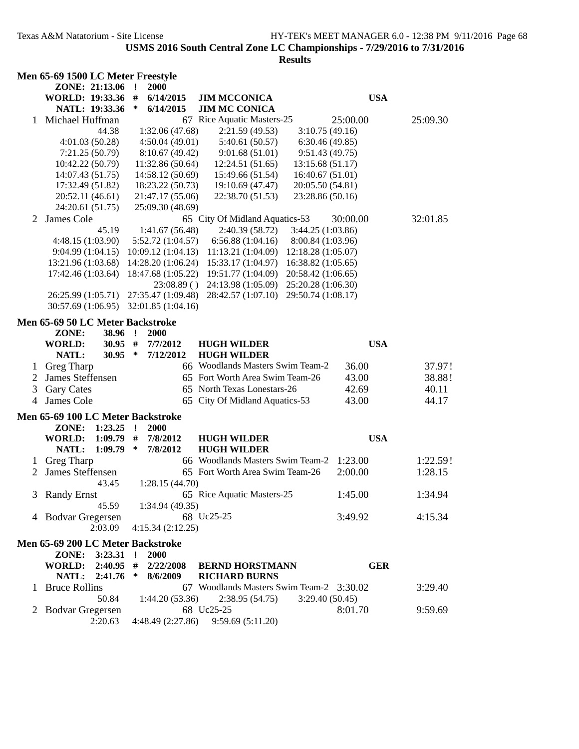|                | Men 65-69 1500 LC Meter Freestyle |           |              |                    |            |                                          |                    |            |          |
|----------------|-----------------------------------|-----------|--------------|--------------------|------------|------------------------------------------|--------------------|------------|----------|
|                | ZONE: 21:13.06                    |           | $\mathbf{I}$ | 2000               |            |                                          |                    |            |          |
|                | WORLD: 19:33.36 #                 |           |              | 6/14/2015          |            | <b>JIM MCCONICA</b>                      |                    | <b>USA</b> |          |
|                | NATL: 19:33.36                    |           | $\ast$       | 6/14/2015          |            | <b>JIM MC CONICA</b>                     |                    |            |          |
| 1              | Michael Huffman                   |           |              |                    |            | 67 Rice Aquatic Masters-25               |                    | 25:00.00   | 25:09.30 |
|                |                                   | 44.38     |              | 1:32.06(47.68)     |            | 2:21.59(49.53)                           | 3:10.75(49.16)     |            |          |
|                | 4:01.03(50.28)                    |           |              | 4:50.04(49.01)     |            | 5:40.61 (50.57)                          | 6:30.46(49.85)     |            |          |
|                | 7:21.25(50.79)                    |           |              | 8:10.67(49.42)     |            | 9:01.68(51.01)                           | 9:51.43(49.75)     |            |          |
|                | 10:42.22 (50.79)                  |           |              | 11:32.86 (50.64)   |            | 12:24.51 (51.65)                         | 13:15.68 (51.17)   |            |          |
|                | 14:07.43 (51.75)                  |           |              | 14:58.12 (50.69)   |            | 15:49.66 (51.54)                         | 16:40.67(51.01)    |            |          |
|                | 17:32.49 (51.82)                  |           |              | 18:23.22 (50.73)   |            | 19:10.69 (47.47)                         | 20:05.50 (54.81)   |            |          |
|                | 20:52.11 (46.61)                  |           |              | 21:47.17 (55.06)   |            | 22:38.70 (51.53)                         | 23:28.86 (50.16)   |            |          |
|                | 24:20.61 (51.75)                  |           |              | 25:09.30 (48.69)   |            |                                          |                    |            |          |
| 2              | James Cole                        |           |              |                    |            | 65 City Of Midland Aquatics-53           |                    | 30:00.00   | 32:01.85 |
|                |                                   | 45.19     |              | 1:41.67(56.48)     |            | 2:40.39 (58.72)                          | 3:44.25 (1:03.86)  |            |          |
|                | 4:48.15(1:03.90)                  |           |              | 5:52.72 (1:04.57)  |            | 6:56.88(1:04.16)                         | 8:00.84 (1:03.96)  |            |          |
|                | 9:04.99(1:04.15)                  |           |              | 10:09.12(1:04.13)  |            | 11:13.21 (1:04.09)                       | 12:18.28 (1:05.07) |            |          |
|                | 13:21.96 (1:03.68)                |           |              | 14:28.20(1:06.24)  |            | 15:33.17 (1:04.97)                       | 16:38.82 (1:05.65) |            |          |
|                | 17:42.46 (1:03.64)                |           |              |                    |            | 18:47.68 (1:05.22) 19:51.77 (1:04.09)    | 20:58.42 (1:06.65) |            |          |
|                |                                   |           |              | 23:08.89()         |            | 24:13.98 (1:05.09)                       | 25:20.28 (1:06.30) |            |          |
|                | 26:25.99 (1:05.71)                |           |              | 27:35.47 (1:09.48) |            | 28:42.57 (1:07.10)                       | 29:50.74 (1:08.17) |            |          |
|                | 30:57.69 (1:06.95)                |           |              | 32:01.85 (1:04.16) |            |                                          |                    |            |          |
|                | Men 65-69 50 LC Meter Backstroke  |           |              |                    |            |                                          |                    |            |          |
|                | ZONE:                             | 38.96 !   |              | <b>2000</b>        |            |                                          |                    |            |          |
|                | <b>WORLD:</b>                     | $30.95$ # |              | 7/7/2012           |            | <b>HUGH WILDER</b>                       |                    | <b>USA</b> |          |
|                | NATL:                             | $30.95$ * |              | 7/12/2012          |            | <b>HUGH WILDER</b>                       |                    |            |          |
| 1              | Greg Tharp                        |           |              |                    |            | 66 Woodlands Masters Swim Team-2         |                    | 36.00      | 37.97!   |
| $\overline{2}$ | James Steffensen                  |           |              |                    |            | 65 Fort Worth Area Swim Team-26          |                    | 43.00      | 38.88!   |
| 3              | <b>Gary Cates</b>                 |           |              |                    |            | 65 North Texas Lonestars-26              |                    | 42.69      | 40.11    |
| 4              | James Cole                        |           |              |                    |            | 65 City Of Midland Aquatics-53           |                    | 43.00      | 44.17    |
|                |                                   |           |              |                    |            |                                          |                    |            |          |
|                | Men 65-69 100 LC Meter Backstroke |           |              |                    |            |                                          |                    |            |          |
|                | ZONE:                             | 1:23.25   | $\mathbf{r}$ | <b>2000</b>        |            |                                          |                    |            |          |
|                | <b>WORLD:</b>                     | 1:09.79   | #<br>$\ast$  | 7/8/2012           |            | <b>HUGH WILDER</b><br><b>HUGH WILDER</b> |                    | <b>USA</b> |          |
|                | NATL:                             | 1:09.79   |              | 7/8/2012           |            | 66 Woodlands Masters Swim Team-2         |                    |            |          |
| 1              | Greg Tharp                        |           |              |                    |            | 65 Fort Worth Area Swim Team-26          |                    | 1:23.00    | 1:22.59! |
| 2              | James Steffensen                  |           |              |                    |            |                                          |                    | 2:00.00    | 1:28.15  |
|                |                                   | 43.45     |              | 1:28.15(44.70)     |            |                                          |                    |            |          |
|                | 3 Randy Ernst                     |           |              |                    |            | 65 Rice Aquatic Masters-25               |                    | 1:45.00    | 1:34.94  |
|                |                                   | 45.59     |              | 1:34.94(49.35)     |            |                                          |                    |            |          |
|                | 4 Bodvar Gregersen                |           |              |                    | 68 Uc25-25 |                                          |                    | 3:49.92    | 4:15.34  |
|                |                                   | 2:03.09   |              | 4:15.34(2:12.25)   |            |                                          |                    |            |          |
|                | Men 65-69 200 LC Meter Backstroke |           |              |                    |            |                                          |                    |            |          |
|                | ZONE: 3:23.31 !                   |           |              | 2000               |            |                                          |                    |            |          |
|                | WORLD: 2:40.95 #                  |           |              | 2/22/2008          |            | <b>BERND HORSTMANN</b>                   |                    | <b>GER</b> |          |
|                | NATL: 2:41.76                     |           | $\ast$       | 8/6/2009           |            | <b>RICHARD BURNS</b>                     |                    |            |          |
|                | 1 Bruce Rollins                   |           |              |                    |            | 67 Woodlands Masters Swim Team-2 3:30.02 |                    |            | 3:29.40  |
|                |                                   | 50.84     |              | 1:44.20(53.36)     |            | 2:38.95(54.75)                           | 3:29.40(50.45)     |            |          |
| 2              | <b>Bodvar Gregersen</b>           |           |              |                    | 68 Uc25-25 |                                          |                    | 8:01.70    | 9:59.69  |
|                |                                   | 2:20.63   |              | 4:48.49 (2:27.86)  |            | 9:59.69 (5:11.20)                        |                    |            |          |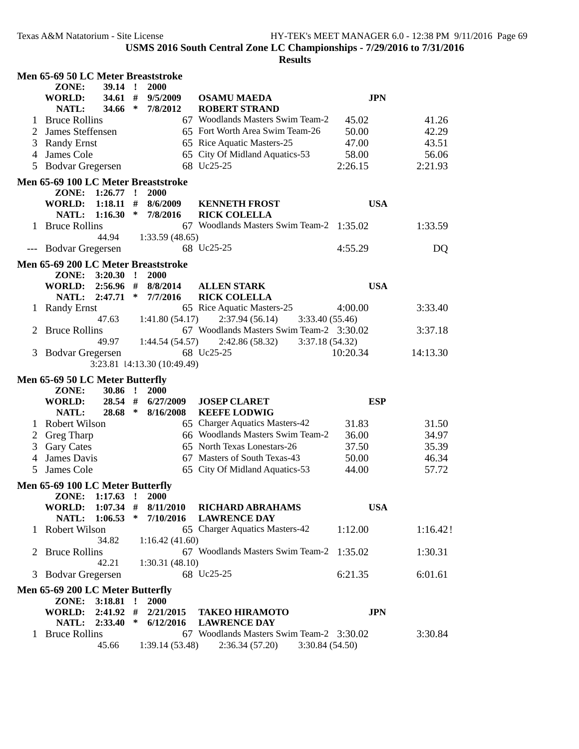| Men 65-69 50 LC Meter Breaststroke       |                                                                |                        |              |                        |                                                                              |            |          |  |  |
|------------------------------------------|----------------------------------------------------------------|------------------------|--------------|------------------------|------------------------------------------------------------------------------|------------|----------|--|--|
|                                          | ZONE:                                                          | $39.14$ !              |              | 2000                   |                                                                              |            |          |  |  |
|                                          | <b>WORLD:</b>                                                  | 34.61#                 |              | 9/5/2009               | <b>OSAMU MAEDA</b>                                                           | <b>JPN</b> |          |  |  |
|                                          | NATL:                                                          | 34.66                  | $\ast$       | 7/8/2012               | <b>ROBERT STRAND</b>                                                         |            |          |  |  |
|                                          | <b>Bruce Rollins</b>                                           |                        |              |                        | 67 Woodlands Masters Swim Team-2                                             | 45.02      | 41.26    |  |  |
|                                          | James Steffensen                                               |                        |              |                        | 65 Fort Worth Area Swim Team-26                                              | 50.00      | 42.29    |  |  |
| 3                                        | <b>Randy Ernst</b>                                             |                        |              |                        | 65 Rice Aquatic Masters-25                                                   | 47.00      | 43.51    |  |  |
| 4                                        | James Cole                                                     |                        |              |                        | 65 City Of Midland Aquatics-53                                               | 58.00      | 56.06    |  |  |
| 5                                        | <b>Bodvar Gregersen</b>                                        |                        |              |                        | 68 Uc25-25                                                                   | 2:26.15    | 2:21.93  |  |  |
|                                          | Men 65-69 100 LC Meter Breaststroke                            |                        |              |                        |                                                                              |            |          |  |  |
|                                          | ZONE:                                                          | $1:26.77$ !            |              | 2000                   |                                                                              |            |          |  |  |
|                                          | <b>WORLD:</b>                                                  | 1:18.11                | #            | 8/6/2009               | <b>KENNETH FROST</b>                                                         | <b>USA</b> |          |  |  |
|                                          | NATL:                                                          | 1:16.30                | $\ast$       | 7/8/2016               | <b>RICK COLELLA</b>                                                          |            |          |  |  |
|                                          | 1 Bruce Rollins                                                |                        |              |                        | 67 Woodlands Masters Swim Team-2 1:35.02                                     |            | 1:33.59  |  |  |
|                                          |                                                                | 44.94                  |              | 1:33.59(48.65)         | 68 Uc25-25                                                                   | 4:55.29    | DQ       |  |  |
|                                          | --- Bodvar Gregersen                                           |                        |              |                        |                                                                              |            |          |  |  |
|                                          | Men 65-69 200 LC Meter Breaststroke                            |                        |              |                        |                                                                              |            |          |  |  |
|                                          |                                                                | ZONE: 3:20.30 !        |              | 2000                   |                                                                              |            |          |  |  |
|                                          | WORLD:                                                         |                        |              | $2:56.96$ # $8/8/2014$ | <b>ALLEN STARK</b>                                                           | <b>USA</b> |          |  |  |
|                                          | <b>NATL:</b>                                                   | 2:47.71                | $\ast$       | 7/7/2016               | <b>RICK COLELLA</b>                                                          |            |          |  |  |
| $\mathbf{I}$                             | <b>Randy Ernst</b>                                             |                        |              |                        | 65 Rice Aquatic Masters-25                                                   | 4:00.00    | 3:33.40  |  |  |
| 2                                        | <b>Bruce Rollins</b>                                           | 47.63                  |              | 1:41.80(54.17)         | 2:37.94(56.14)<br>3:33.40(55.46)<br>67 Woodlands Masters Swim Team-2 3:30.02 |            | 3:37.18  |  |  |
|                                          |                                                                | 49.97                  |              | 1:44.54 (54.57)        | 2:42.86(58.32)<br>3:37.18(54.32)                                             |            |          |  |  |
| 3                                        |                                                                |                        |              |                        | 68 Uc25-25                                                                   | 10:20.34   | 14:13.30 |  |  |
| <b>Bodvar Gregersen</b>                  |                                                                |                        |              |                        |                                                                              |            |          |  |  |
|                                          | 3:23.81 14:13.30 (10:49.49)<br>Men 65-69 50 LC Meter Butterfly |                        |              |                        |                                                                              |            |          |  |  |
|                                          | ZONE:                                                          | 30.86                  | $\mathbf{I}$ | 2000                   |                                                                              |            |          |  |  |
|                                          | WORLD:                                                         | 28.54 #                |              | 6/27/2009              | <b>JOSEP CLARET</b>                                                          | <b>ESP</b> |          |  |  |
|                                          | NATL:                                                          | 28.68                  | ∗            | 8/16/2008              | <b>KEEFE LODWIG</b>                                                          |            |          |  |  |
| 1                                        | <b>Robert Wilson</b>                                           |                        |              |                        | 65 Charger Aquatics Masters-42                                               | 31.83      | 31.50    |  |  |
| 2                                        | Greg Tharp                                                     |                        |              |                        | 66 Woodlands Masters Swim Team-2                                             | 36.00      | 34.97    |  |  |
|                                          | 3 Gary Cates                                                   |                        |              |                        | 65 North Texas Lonestars-26                                                  | 37.50      | 35.39    |  |  |
| 4                                        | James Davis                                                    |                        |              |                        | 67 Masters of South Texas-43                                                 | 50.00      | 46.34    |  |  |
| 5                                        | James Cole                                                     |                        |              |                        | 65 City Of Midland Aquatics-53                                               | 44.00      | 57.72    |  |  |
|                                          |                                                                |                        |              |                        |                                                                              |            |          |  |  |
| Men 65-69 100 LC Meter Butterfly         |                                                                |                        |              |                        |                                                                              |            |          |  |  |
|                                          | ZONE:<br><b>WORLD:</b>                                         | 1:17.63<br>$1:07.34$ # | $\mathbf{I}$ | 2000<br>8/11/2010      | <b>RICHARD ABRAHAMS</b>                                                      | <b>USA</b> |          |  |  |
|                                          | NATL:                                                          | 1:06.53                | ∗            | 7/10/2016              | <b>LAWRENCE DAY</b>                                                          |            |          |  |  |
|                                          | 1 Robert Wilson                                                |                        |              |                        | 65 Charger Aquatics Masters-42                                               | 1:12.00    | 1:16.42! |  |  |
|                                          |                                                                | 34.82                  |              | 1:16.42(41.60)         |                                                                              |            |          |  |  |
| 2                                        | <b>Bruce Rollins</b>                                           |                        |              |                        | 67 Woodlands Masters Swim Team-2 1:35.02                                     |            | 1:30.31  |  |  |
|                                          |                                                                | 42.21                  |              | 1:30.31(48.10)         |                                                                              |            |          |  |  |
| 3                                        | <b>Bodvar Gregersen</b>                                        |                        |              |                        | 68 Uc25-25                                                                   | 6:21.35    | 6:01.61  |  |  |
| Men 65-69 200 LC Meter Butterfly         |                                                                |                        |              |                        |                                                                              |            |          |  |  |
| $\mathbf{r}$<br>2000<br>ZONE:<br>3:18.81 |                                                                |                        |              |                        |                                                                              |            |          |  |  |
|                                          | <b>WORLD:</b>                                                  | 2:41.92                | #            | 2/21/2015              | <b>TAKEO HIRAMOTO</b>                                                        | <b>JPN</b> |          |  |  |
|                                          | NATL: 2:33.40                                                  |                        | $\ast$       | 6/12/2016              | <b>LAWRENCE DAY</b>                                                          |            |          |  |  |
|                                          | 1 Bruce Rollins                                                |                        |              |                        | 67 Woodlands Masters Swim Team-2 3:30.02                                     |            | 3:30.84  |  |  |
|                                          |                                                                |                        |              |                        |                                                                              |            |          |  |  |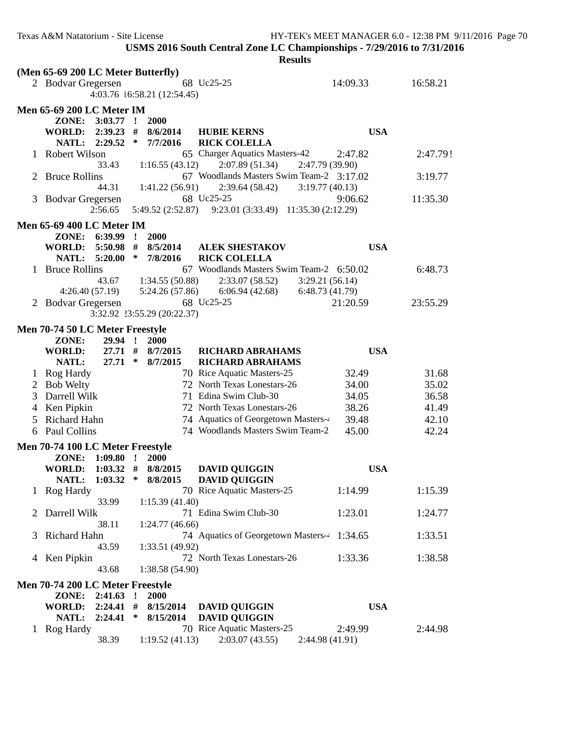|                                  | <b>Results</b>                     |                                            |                                                        |            |  |  |  |
|----------------------------------|------------------------------------|--------------------------------------------|--------------------------------------------------------|------------|--|--|--|
|                                  | (Men 65-69 200 LC Meter Butterfly) |                                            |                                                        |            |  |  |  |
|                                  | 2 Bodvar Gregersen                 | 68 Uc25-25                                 | 14:09.33                                               | 16:58.21   |  |  |  |
|                                  |                                    | 4:03.76 16:58.21 (12:54.45)                |                                                        |            |  |  |  |
|                                  | <b>Men 65-69 200 LC Meter IM</b>   |                                            |                                                        |            |  |  |  |
|                                  | ZONE: 3:03.77 !                    | 2000                                       |                                                        |            |  |  |  |
|                                  | <b>WORLD:</b>                      | $2:39.23$ # 8/6/2014<br><b>HUBIE KERNS</b> |                                                        | <b>USA</b> |  |  |  |
|                                  | NATL: 2:29.52                      | $\ast$<br>7/7/2016                         | <b>RICK COLELLA</b>                                    |            |  |  |  |
|                                  | Robert Wilson                      |                                            | 65 Charger Aquatics Masters-42<br>2:47.82              | 2:47.79!   |  |  |  |
|                                  | 33.43                              | 1:16.55(43.12)                             | 2:07.89(51.34)<br>2:47.79 (39.90)                      |            |  |  |  |
|                                  | <b>Bruce Rollins</b>               |                                            | 67 Woodlands Masters Swim Team-2 3:17.02               | 3:19.77    |  |  |  |
|                                  | 44.31                              | 1:41.22(56.91)                             | 2:39.64 (58.42)<br>3:19.77(40.13)                      |            |  |  |  |
|                                  | 3 Bodvar Gregersen                 | 68 Uc25-25                                 | 9:06.62                                                | 11:35.30   |  |  |  |
|                                  | 2:56.65                            |                                            | 5:49.52 (2:52.87) 9:23.01 (3:33.49) 11:35.30 (2:12.29) |            |  |  |  |
|                                  |                                    |                                            |                                                        |            |  |  |  |
|                                  | <b>Men 65-69 400 LC Meter IM</b>   |                                            |                                                        |            |  |  |  |
|                                  | ZONE: 6:39.99 !                    | 2000                                       |                                                        |            |  |  |  |
|                                  | WORLD: 5:50.98 # 8/5/2014          |                                            | <b>ALEK SHESTAKOV</b>                                  | <b>USA</b> |  |  |  |
|                                  | NATL: 5:20.00 * 7/8/2016           | <b>RICK COLELLA</b>                        |                                                        |            |  |  |  |
|                                  | 1 Bruce Rollins                    |                                            | 67 Woodlands Masters Swim Team-2 6:50.02               | 6:48.73    |  |  |  |
|                                  |                                    | 43.67 1:34.55 (50.88)                      | 2:33.07(58.52)<br>3:29.21(56.14)                       |            |  |  |  |
|                                  |                                    | $4:26.40(57.19)$ $5:24.26(57.86)$          | 6:06.94 (42.68)<br>6:48.73(41.79)                      |            |  |  |  |
|                                  | 2 Bodvar Gregersen                 | 68 Uc25-25                                 | 21:20.59                                               | 23:55.29   |  |  |  |
|                                  |                                    | 3:32.92 23:55.29 (20:22.37)                |                                                        |            |  |  |  |
|                                  | Men 70-74 50 LC Meter Freestyle    |                                            |                                                        |            |  |  |  |
|                                  | ZONE:<br>29.94 !                   | <b>2000</b>                                |                                                        |            |  |  |  |
|                                  | <b>WORLD:</b>                      | 27.71 # 8/7/2015                           | <b>RICHARD ABRAHAMS</b>                                | <b>USA</b> |  |  |  |
|                                  | NATL:<br>$27.71$ *                 | 8/7/2015                                   | <b>RICHARD ABRAHAMS</b>                                |            |  |  |  |
|                                  | 1 Rog Hardy                        |                                            | 70 Rice Aquatic Masters-25<br>32.49                    | 31.68      |  |  |  |
|                                  | 2 Bob Welty                        |                                            | 72 North Texas Lonestars-26<br>34.00                   | 35.02      |  |  |  |
| 3                                | Darrell Wilk                       | 71 Edina Swim Club-30                      | 34.05                                                  | 36.58      |  |  |  |
|                                  | 4 Ken Pipkin                       |                                            | 72 North Texas Lonestars-26<br>38.26                   | 41.49      |  |  |  |
| 5                                | Richard Hahn                       |                                            | 74 Aquatics of Georgetown Masters-4<br>39.48           | 42.10      |  |  |  |
| 6                                | Paul Collins                       |                                            | 74 Woodlands Masters Swim Team-2<br>45.00              | 42.24      |  |  |  |
|                                  | Men 70-74 100 LC Meter Freestyle   |                                            |                                                        |            |  |  |  |
|                                  | ZONE:<br>$1:09.80$ !               | <b>2000</b>                                |                                                        |            |  |  |  |
|                                  | <b>WORLD:</b>                      | $1:03.32$ # $8/8/2015$                     | <b>DAVID QUIGGIN</b>                                   | <b>USA</b> |  |  |  |
|                                  |                                    | NATL: 1:03.32 * 8/8/2015 DAVID QUIGGIN     |                                                        |            |  |  |  |
|                                  | 1 Rog Hardy                        |                                            | 70 Rice Aquatic Masters-25<br>1:14.99                  | 1:15.39    |  |  |  |
|                                  | 33.99                              | 1:15.39(41.40)                             |                                                        |            |  |  |  |
| $\mathbb{Z}^-$                   | Darrell Wilk                       | 71 Edina Swim Club-30                      | 1:23.01                                                | 1:24.77    |  |  |  |
|                                  | 38.11                              | 1:24.77(46.66)                             |                                                        |            |  |  |  |
| 3                                | Richard Hahn                       |                                            | 74 Aquatics of Georgetown Masters-4 1:34.65            | 1:33.51    |  |  |  |
|                                  | 43.59                              | 1:33.51(49.92)                             |                                                        |            |  |  |  |
|                                  | 4 Ken Pipkin                       |                                            | 72 North Texas Lonestars-26<br>1:33.36                 | 1:38.58    |  |  |  |
|                                  | 43.68                              | 1:38.58(54.90)                             |                                                        |            |  |  |  |
|                                  |                                    |                                            |                                                        |            |  |  |  |
| Men 70-74 200 LC Meter Freestyle |                                    |                                            |                                                        |            |  |  |  |
|                                  | ZONE:<br>$2:41.63$ !               | <b>2000</b>                                |                                                        |            |  |  |  |
|                                  | <b>WORLD:</b><br>2:24.41           | #<br>8/15/2014                             | <b>DAVID QUIGGIN</b>                                   | <b>USA</b> |  |  |  |
|                                  | 2:24.41<br>NATL:                   | $\ast$<br>8/15/2014                        | <b>DAVID QUIGGIN</b>                                   |            |  |  |  |
|                                  | 1 Rog Hardy                        |                                            | 70 Rice Aquatic Masters-25<br>2:49.99                  | 2:44.98    |  |  |  |
|                                  | 38.39                              | 1:19.52(41.13)                             | 2:03.07(43.55)<br>2:44.98 (41.91)                      |            |  |  |  |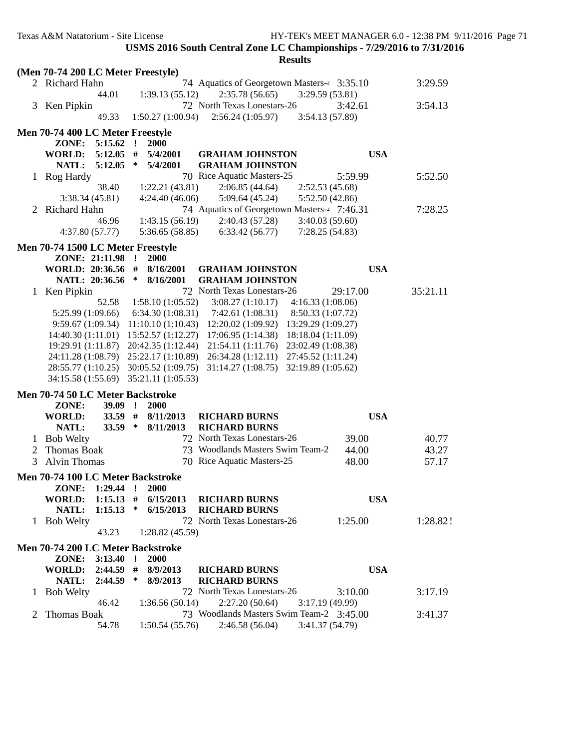|                                       | (Men 70-74 200 LC Meter Freestyle)    |                                                               |            |          |  |  |  |
|---------------------------------------|---------------------------------------|---------------------------------------------------------------|------------|----------|--|--|--|
|                                       | 2 Richard Hahn                        | 74 Aquatics of Georgetown Masters-4 3:35.10                   |            | 3:29.59  |  |  |  |
|                                       | 44.01                                 | 1:39.13(55.12)<br>2:35.78(56.65)<br>3:29.59 (53.81)           |            |          |  |  |  |
|                                       | 3 Ken Pipkin                          | 72 North Texas Lonestars-26                                   | 3:42.61    | 3:54.13  |  |  |  |
|                                       | 49.33                                 | 1:50.27(1:00.94)<br>2:56.24(1:05.97)<br>3:54.13 (57.89)       |            |          |  |  |  |
|                                       |                                       |                                                               |            |          |  |  |  |
|                                       | Men 70-74 400 LC Meter Freestyle      |                                                               |            |          |  |  |  |
|                                       | ZONE:<br>5:15.62                      | $\cdot$ !<br>2000                                             |            |          |  |  |  |
|                                       | <b>WORLD:</b><br>5:12.05              | #<br>5/4/2001<br><b>GRAHAM JOHNSTON</b>                       | <b>USA</b> |          |  |  |  |
|                                       | <b>NATL:</b><br>5:12.05               | $\ast$<br>5/4/2001<br><b>GRAHAM JOHNSTON</b>                  |            |          |  |  |  |
| 1.                                    | Rog Hardy                             | 70 Rice Aquatic Masters-25                                    | 5:59.99    | 5:52.50  |  |  |  |
|                                       | 38.40                                 | 1:22.21(43.81)<br>2:06.85(44.64)<br>2:52.53 (45.68)           |            |          |  |  |  |
|                                       | 3:38.34 (45.81)                       | 5:09.64(45.24)<br>4:24.40(46.06)<br>5:52.50 (42.86)           |            |          |  |  |  |
| 2                                     | Richard Hahn                          | 74 Aquatics of Georgetown Masters-4 7:46.31                   |            | 7:28.25  |  |  |  |
|                                       | 46.96                                 | 1:43.15(56.19)<br>2:40.43 (57.28)<br>3:40.03(59.60)           |            |          |  |  |  |
|                                       | 4:37.80(57.77)                        | 5:36.65(58.85)<br>6:33.42(56.77)<br>7:28.25(54.83)            |            |          |  |  |  |
|                                       |                                       |                                                               |            |          |  |  |  |
|                                       | Men 70-74 1500 LC Meter Freestyle     |                                                               |            |          |  |  |  |
|                                       | ZONE: 21:11.98                        | $\mathbf{r}$<br>2000                                          |            |          |  |  |  |
|                                       | WORLD: 20:36.56 #                     | 8/16/2001<br><b>GRAHAM JOHNSTON</b><br>∗                      | <b>USA</b> |          |  |  |  |
|                                       | NATL: 20:36.56                        | 8/16/2001<br><b>GRAHAM JOHNSTON</b>                           |            |          |  |  |  |
|                                       | Ken Pipkin                            | 72 North Texas Lonestars-26                                   | 29:17.00   | 35:21.11 |  |  |  |
|                                       | 52.58                                 | 3:08.27(1:10.17)<br>1:58.10(1:05.52)<br>4:16.33(1:08.06)      |            |          |  |  |  |
|                                       | 5:25.99 (1:09.66)                     | 6:34.30(1:08.31)<br>7:42.61(1:08.31)<br>8:50.33 (1:07.72)     |            |          |  |  |  |
|                                       | 9:59.67(1:09.34)                      | 13:29.29 (1:09.27)<br>11:10.10(1:10.43)<br>12:20.02 (1:09.92) |            |          |  |  |  |
|                                       | 14:40.30 (1:11.01) 15:52.57 (1:12.27) | 17:06.95(1:14.38)<br>18:18.04 (1:11.09)                       |            |          |  |  |  |
|                                       | 19:29.91 (1:11.87) 20:42.35 (1:12.44) | 21:54.11 (1:11.76)<br>23:02.49 (1:08.38)                      |            |          |  |  |  |
|                                       | 24:11.28 (1:08.79) 25:22.17 (1:10.89) | 26:34.28 (1:12.11)<br>27:45.52 (1:11.24)                      |            |          |  |  |  |
|                                       | 28:55.77 (1:10.25) 30:05.52 (1:09.75) | 31:14.27 (1:08.75) 32:19.89 (1:05.62)                         |            |          |  |  |  |
|                                       | 34:15.58 (1:55.69) 35:21.11 (1:05.53) |                                                               |            |          |  |  |  |
|                                       | Men 70-74 50 LC Meter Backstroke      |                                                               |            |          |  |  |  |
|                                       | ZONE:<br>$39.09$ !                    | <b>2000</b>                                                   |            |          |  |  |  |
|                                       | <b>WORLD:</b><br>$33.59$ #            | 8/11/2013<br><b>RICHARD BURNS</b>                             | <b>USA</b> |          |  |  |  |
|                                       | NATL:<br><b>33.59</b>                 | $\ast$<br>8/11/2013<br><b>RICHARD BURNS</b>                   |            |          |  |  |  |
|                                       | 1 Bob Welty                           | 72 North Texas Lonestars-26                                   | 39.00      | 40.77    |  |  |  |
| 2                                     | <b>Thomas Boak</b>                    | 73 Woodlands Masters Swim Team-2                              | 44.00      | 43.27    |  |  |  |
| 3                                     | Alvin Thomas                          | 70 Rice Aquatic Masters-25                                    | 48.00      | 57.17    |  |  |  |
|                                       |                                       |                                                               |            |          |  |  |  |
| Men 70-74 100 LC Meter Backstroke     |                                       |                                                               |            |          |  |  |  |
|                                       | ZONE: 1:29.44 !                       | <b>2000</b>                                                   |            |          |  |  |  |
|                                       | <b>WORLD:</b><br>$1:15.13$ #          | 6/15/2013<br><b>RICHARD BURNS</b>                             | <b>USA</b> |          |  |  |  |
|                                       | $1:15.13$ *<br>NATL:                  | 6/15/2013<br><b>RICHARD BURNS</b>                             |            |          |  |  |  |
|                                       | 1 Bob Welty                           | 72 North Texas Lonestars-26                                   | 1:25.00    | 1:28.82! |  |  |  |
|                                       | 43.23                                 | 1:28.82(45.59)                                                |            |          |  |  |  |
| Men 70-74 200 LC Meter Backstroke     |                                       |                                                               |            |          |  |  |  |
| 2000<br>ZONE: 3:13.40<br>$\mathbf{r}$ |                                       |                                                               |            |          |  |  |  |
|                                       | <b>WORLD:</b><br>$2:44.59$ #          | 8/9/2013<br><b>RICHARD BURNS</b>                              | <b>USA</b> |          |  |  |  |
|                                       | 2:44.59<br>NATL:                      | $\ast$<br><b>RICHARD BURNS</b><br>8/9/2013                    |            |          |  |  |  |
|                                       | <b>Bob Welty</b>                      | 72 North Texas Lonestars-26                                   | 3:10.00    | 3:17.19  |  |  |  |
|                                       | 46.42                                 | 1:36.56(50.14)<br>2:27.20(50.64)<br>3:17.19 (49.99)           |            |          |  |  |  |
|                                       | Thomas Boak                           | 73 Woodlands Masters Swim Team-2 3:45.00                      |            | 3:41.37  |  |  |  |
|                                       | 54.78                                 | 2:46.58(56.04)<br>1:50.54(55.76)<br>3:41.37 (54.79)           |            |          |  |  |  |
|                                       |                                       |                                                               |            |          |  |  |  |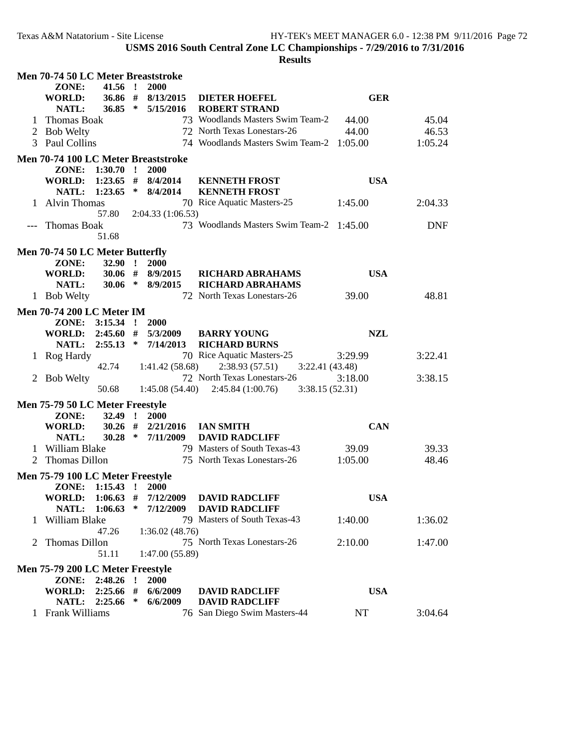| <b>Men 70-74 50 LC Meter Breaststroke</b> |                                           |             |        |                                  |                                                       |            |            |
|-------------------------------------------|-------------------------------------------|-------------|--------|----------------------------------|-------------------------------------------------------|------------|------------|
|                                           | ZONE:                                     | $41.56$ !   |        | 2000                             |                                                       |            |            |
|                                           | <b>WORLD:</b><br>NATL:                    | 36.86#      |        | 8/13/2015<br>$36.85 * 5/15/2016$ | <b>DIETER HOEFEL</b><br><b>ROBERT STRAND</b>          | <b>GER</b> |            |
|                                           | Thomas Boak                               |             |        |                                  | 73 Woodlands Masters Swim Team-2                      | 44.00      | 45.04      |
|                                           | 2 Bob Welty                               |             |        |                                  | 72 North Texas Lonestars-26                           | 44.00      | 46.53      |
|                                           | 3 Paul Collins                            |             |        |                                  | 74 Woodlands Masters Swim Team-2                      | 1:05.00    | 1:05.24    |
|                                           | Men 70-74 100 LC Meter Breaststroke       |             |        |                                  |                                                       |            |            |
|                                           | ZONE:                                     | $1:30.70$ ! |        | <b>2000</b>                      |                                                       |            |            |
|                                           | WORLD:                                    |             |        | $1:23.65$ # $8/4/2014$           | <b>KENNETH FROST</b>                                  | <b>USA</b> |            |
|                                           | NATL:                                     | 1:23.65     |        | $*$ 8/4/2014                     | <b>KENNETH FROST</b>                                  |            |            |
|                                           | <b>Alvin Thomas</b>                       |             |        |                                  | 70 Rice Aquatic Masters-25                            | 1:45.00    | 2:04.33    |
|                                           |                                           | 57.80       |        | 2:04.33(1:06.53)                 |                                                       |            |            |
|                                           | Thomas Boak                               |             |        |                                  | 73 Woodlands Masters Swim Team-2 1:45.00              |            | <b>DNF</b> |
|                                           |                                           | 51.68       |        |                                  |                                                       |            |            |
|                                           | Men 70-74 50 LC Meter Butterfly           |             |        |                                  |                                                       |            |            |
|                                           | ZONE:<br><b>WORLD:</b>                    | $32.90$ !   |        | 2000<br>$30.06$ # $8/9/2015$     | <b>RICHARD ABRAHAMS</b>                               | <b>USA</b> |            |
|                                           | NATL:                                     | $30.06$ *   |        | 8/9/2015                         | <b>RICHARD ABRAHAMS</b>                               |            |            |
|                                           | 1 Bob Welty                               |             |        |                                  | 72 North Texas Lonestars-26                           | 39.00      | 48.81      |
|                                           |                                           |             |        |                                  |                                                       |            |            |
|                                           | <b>Men 70-74 200 LC Meter IM</b><br>ZONE: | $3:15.34$ ! |        | 2000                             |                                                       |            |            |
|                                           | WORLD:                                    | 2:45.60     |        | # 5/3/2009                       | <b>BARRY YOUNG</b>                                    | <b>NZL</b> |            |
|                                           | NATL:                                     |             |        | $2:55.13$ * $7/14/2013$          | <b>RICHARD BURNS</b>                                  |            |            |
|                                           | 1 Rog Hardy                               |             |        |                                  | 70 Rice Aquatic Masters-25                            | 3:29.99    | 3:22.41    |
|                                           |                                           | 42.74       |        | 1:41.42(58.68)                   | 2:38.93(57.51)<br>3:22.41(43.48)                      |            |            |
|                                           | 2 Bob Welty                               |             |        |                                  | 72 North Texas Lonestars-26                           | 3:18.00    | 3:38.15    |
|                                           |                                           | 50.68       |        |                                  | 3:38.15(52.31)<br>$1:45.08(54.40)$ $2:45.84(1:00.76)$ |            |            |
|                                           | Men 75-79 50 LC Meter Freestyle           |             |        |                                  |                                                       |            |            |
|                                           | ZONE:                                     | $32.49$ !   |        | 2000                             |                                                       |            |            |
|                                           | <b>WORLD:</b>                             | $30.26$ #   |        | 2/21/2016                        | <b>IAN SMITH</b>                                      | <b>CAN</b> |            |
|                                           | NATL:                                     | 30.28       | $\ast$ | 7/11/2009                        | <b>DAVID RADCLIFF</b>                                 |            |            |
|                                           | 1 William Blake                           |             |        |                                  | 79 Masters of South Texas-43                          | 39.09      | 39.33      |
|                                           | Thomas Dillon                             |             |        |                                  | 75 North Texas Lonestars-26                           | 1:05.00    | 48.46      |
| Men 75-79 100 LC Meter Freestyle          |                                           |             |        |                                  |                                                       |            |            |
|                                           | ZONE: 1:15.43 !                           |             |        | <b>2000</b>                      |                                                       |            |            |
|                                           | <b>WORLD:</b>                             | $1:06.63$ # | $\ast$ | 7/12/2009<br>7/12/2009           | <b>DAVID RADCLIFF</b>                                 | <b>USA</b> |            |
| 1                                         | NATL:<br>William Blake                    | 1:06.63     |        |                                  | <b>DAVID RADCLIFF</b><br>79 Masters of South Texas-43 | 1:40.00    | 1:36.02    |
|                                           |                                           | 47.26       |        | 1:36.02(48.76)                   |                                                       |            |            |
| 2                                         | Thomas Dillon                             |             |        |                                  | 75 North Texas Lonestars-26                           | 2:10.00    | 1:47.00    |
|                                           |                                           | 51.11       |        | 1:47.00(55.89)                   |                                                       |            |            |
| Men 75-79 200 LC Meter Freestyle          |                                           |             |        |                                  |                                                       |            |            |
| 2:48.26<br>2000<br>ZONE:<br>$\mathbf{I}$  |                                           |             |        |                                  |                                                       |            |            |
|                                           | <b>WORLD:</b>                             | 2:25.66     | #      | 6/6/2009                         | <b>DAVID RADCLIFF</b>                                 | <b>USA</b> |            |
|                                           | NATL:                                     | 2:25.66     | $\ast$ | 6/6/2009                         | <b>DAVID RADCLIFF</b>                                 |            |            |
|                                           | 1 Frank Williams                          |             |        |                                  | 76 San Diego Swim Masters-44                          | NT         | 3:04.64    |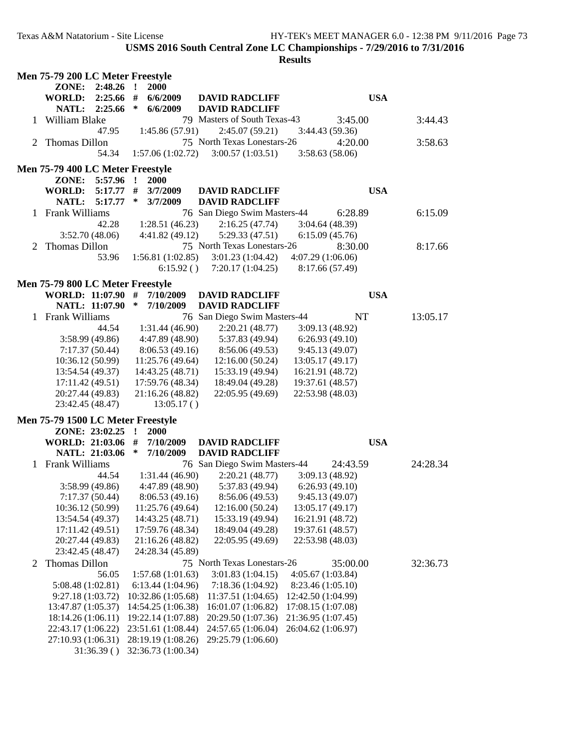|   | Men 75-79 200 LC Meter Freestyle  |                             |                              |                                   |          |
|---|-----------------------------------|-----------------------------|------------------------------|-----------------------------------|----------|
|   | ZONE:<br>$2:48.26$ !              | 2000                        |                              |                                   |          |
|   | WORLD: 2:25.66 #                  | 6/6/2009                    | <b>DAVID RADCLIFF</b>        | <b>USA</b>                        |          |
|   | NATL: 2:25.66                     | $\ast$<br>6/6/2009          | <b>DAVID RADCLIFF</b>        |                                   |          |
|   | 1 William Blake                   |                             | 79 Masters of South Texas-43 | 3:45.00                           | 3:44.43  |
|   | 47.95                             | 1:45.86(57.91)              | 2:45.07(59.21)               | 3:44.43(59.36)                    |          |
|   | 2 Thomas Dillon                   |                             | 75 North Texas Lonestars-26  | 4:20.00                           | 3:58.63  |
|   | 54.34                             | 1:57.06(1:02.72)            | 3:00.57(1:03.51)             | 3:58.63(58.06)                    |          |
|   |                                   |                             |                              |                                   |          |
|   | Men 75-79 400 LC Meter Freestyle  |                             |                              |                                   |          |
|   | ZONE:<br>5:57.96                  | $\mathbf{r}$<br><b>2000</b> |                              |                                   |          |
|   | <b>WORLD:</b><br>5:17.77          | #<br>3/7/2009               | <b>DAVID RADCLIFF</b>        | <b>USA</b>                        |          |
|   | NATL: 5:17.77                     | $\ast$<br>3/7/2009          | <b>DAVID RADCLIFF</b>        |                                   |          |
|   | 1 Frank Williams                  |                             | 76 San Diego Swim Masters-44 | 6:28.89                           | 6:15.09  |
|   | 42.28                             | 1:28.51(46.23)              | 2:16.25(47.74)               | 3:04.64(48.39)                    |          |
|   | 3:52.70(48.06)                    | 4:41.82(49.12)              | 5:29.33(47.51)               | 6:15.09(45.76)                    |          |
|   | 2 Thomas Dillon                   |                             | 75 North Texas Lonestars-26  | 8:30.00                           | 8:17.66  |
|   | 53.96                             | 1:56.81(1:02.85)            | 3:01.23(1:04.42)             | 4:07.29(1:06.06)                  |          |
|   |                                   | 6:15.92()                   | 7:20.17(1:04.25)             | 8:17.66 (57.49)                   |          |
|   | Men 75-79 800 LC Meter Freestyle  |                             |                              |                                   |          |
|   | WORLD: 11:07.90 #                 | 7/10/2009                   | <b>DAVID RADCLIFF</b>        | <b>USA</b>                        |          |
|   | NATL: 11:07.90                    | $\ast$<br>7/10/2009         | <b>DAVID RADCLIFF</b>        |                                   |          |
|   | 1 Frank Williams                  |                             | 76 San Diego Swim Masters-44 | <b>NT</b>                         | 13:05.17 |
|   | 44.54                             | 1:31.44(46.90)              | 2:20.21(48.77)               | 3:09.13 (48.92)                   |          |
|   | 3:58.99 (49.86)                   | 4:47.89(48.90)              | 5:37.83 (49.94)              | 6:26.93(49.10)                    |          |
|   | 7:17.37(50.44)                    | 8:06.53(49.16)              | 8:56.06 (49.53)              | 9:45.13(49.07)                    |          |
|   | 10:36.12 (50.99)                  | 11:25.76 (49.64)            | 12:16.00(50.24)              | 13:05.17 (49.17)                  |          |
|   | 13:54.54 (49.37)                  | 14:43.25 (48.71)            | 15:33.19 (49.94)             | 16:21.91 (48.72)                  |          |
|   | 17:11.42 (49.51)                  | 17:59.76 (48.34)            | 18:49.04 (49.28)             | 19:37.61 (48.57)                  |          |
|   | 20:27.44 (49.83)                  |                             | 22:05.95 (49.69)             |                                   |          |
|   |                                   | 21:16.26 (48.82)            |                              | 22:53.98 (48.03)                  |          |
|   | 23:42.45 (48.47)                  | 13:05.17()                  |                              |                                   |          |
|   | Men 75-79 1500 LC Meter Freestyle |                             |                              |                                   |          |
|   | ZONE: 23:02.25                    | $\mathbf{r}$<br><b>2000</b> |                              |                                   |          |
|   | WORLD: 21:03.06 #                 | 7/10/2009                   | <b>DAVID RADCLIFF</b>        | <b>USA</b>                        |          |
|   | NATL: 21:03.06                    | $\ast$<br>7/10/2009         | <b>DAVID RADCLIFF</b>        |                                   |          |
|   | 1 Frank Williams                  |                             | 76 San Diego Swim Masters-44 | 24:43.59                          | 24:28.34 |
|   | 44.54                             | 1:31.44(46.90)              | 2:20.21(48.77)               | 3:09.13(48.92)                    |          |
|   | 3:58.99 (49.86)                   | 4:47.89(48.90)              | 5:37.83 (49.94)              | 6:26.93(49.10)                    |          |
|   | 7:17.37(50.44)                    | 8:06.53(49.16)              |                              | $8:56.06(49.53)$ $9:45.13(49.07)$ |          |
|   | 10:36.12 (50.99)                  | 11:25.76 (49.64)            | 12:16.00 (50.24)             | 13:05.17 (49.17)                  |          |
|   | 13:54.54 (49.37)                  | 14:43.25 (48.71)            | 15:33.19 (49.94)             | 16:21.91 (48.72)                  |          |
|   | 17:11.42 (49.51)                  | 17:59.76 (48.34)            | 18:49.04 (49.28)             | 19:37.61 (48.57)                  |          |
|   | 20:27.44 (49.83)                  | 21:16.26 (48.82)            | 22:05.95 (49.69)             | 22:53.98 (48.03)                  |          |
|   | 23:42.45 (48.47)                  | 24:28.34 (45.89)            |                              |                                   |          |
| 2 | Thomas Dillon                     |                             | 75 North Texas Lonestars-26  | 35:00.00                          | 32:36.73 |
|   | 56.05                             | 1:57.68 (1:01.63)           | 3:01.83(1:04.15)             | 4:05.67 (1:03.84)                 |          |
|   | 5:08.48 (1:02.81)                 | 6:13.44(1:04.96)            | 7:18.36 (1:04.92)            | 8:23.46 (1:05.10)                 |          |
|   | 9:27.18(1:03.72)                  | 10:32.86 (1:05.68)          | 11:37.51 (1:04.65)           | 12:42.50 (1:04.99)                |          |
|   | 13:47.87 (1:05.37)                | 14:54.25 (1:06.38)          | 16:01.07 (1:06.82)           | 17:08.15 (1:07.08)                |          |
|   | 18:14.26 (1:06.11)                | 19:22.14 (1:07.88)          | 20:29.50 (1:07.36)           | 21:36.95 (1:07.45)                |          |
|   | 22:43.17 (1:06.22)                | 23:51.61 (1:08.44)          | 24:57.65 (1:06.04)           | 26:04.62 (1:06.97)                |          |
|   | 27:10.93 (1:06.31)                | 28:19.19 (1:08.26)          | 29:25.79 (1:06.60)           |                                   |          |
|   | 31:36.39()                        | 32:36.73 (1:00.34)          |                              |                                   |          |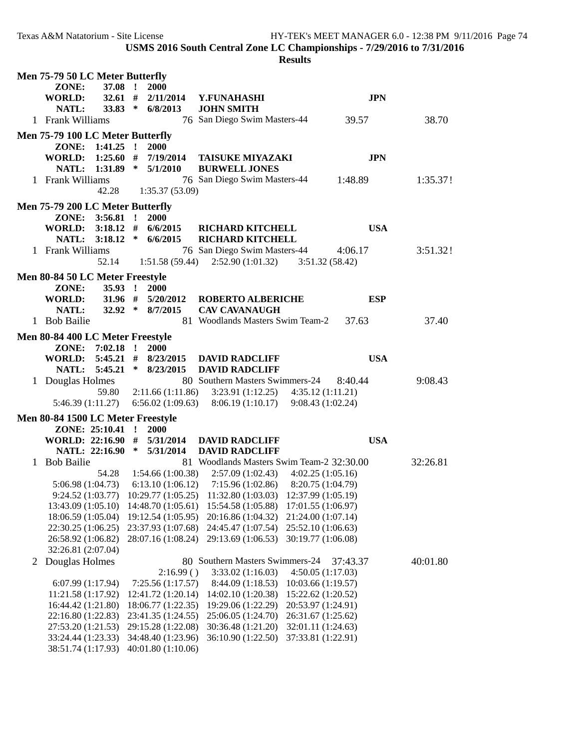|   | Men 75-79 50 LC Meter Butterfly   |                  |                             |                                                                            |                    |            |          |  |
|---|-----------------------------------|------------------|-----------------------------|----------------------------------------------------------------------------|--------------------|------------|----------|--|
|   | ZONE:                             | 37.08 !          | 2000                        |                                                                            |                    |            |          |  |
|   | <b>WORLD:</b>                     |                  | $32.61$ # $2/11/2014$       | Y.FUNAHASHI                                                                |                    | <b>JPN</b> |          |  |
|   | NATL:                             | 33.83 $*$        | 6/8/2013                    | <b>JOHN SMITH</b>                                                          |                    |            |          |  |
|   | 1 Frank Williams                  |                  |                             | 76 San Diego Swim Masters-44                                               |                    | 39.57      | 38.70    |  |
|   |                                   |                  |                             |                                                                            |                    |            |          |  |
|   | Men 75-79 100 LC Meter Butterfly  |                  |                             |                                                                            |                    |            |          |  |
|   |                                   | ZONE: 1:41.25 !  | <b>2000</b>                 |                                                                            |                    |            |          |  |
|   | WORLD: 1:25.60 #                  |                  | 7/19/2014                   | <b>TAISUKE MIYAZAKI</b>                                                    |                    | <b>JPN</b> |          |  |
|   |                                   |                  | NATL: 1:31.89 * 5/1/2010    | <b>BURWELL JONES</b>                                                       |                    |            |          |  |
|   | 1 Frank Williams                  |                  |                             | 76 San Diego Swim Masters-44                                               |                    | 1:48.89    | 1:35.37! |  |
|   |                                   | 42.28            | 1:35.37 (53.09)             |                                                                            |                    |            |          |  |
|   | Men 75-79 200 LC Meter Butterfly  |                  |                             |                                                                            |                    |            |          |  |
|   |                                   | ZONE: 3:56.81 !  | <b>2000</b>                 |                                                                            |                    |            |          |  |
|   | WORLD: 3:18.12 # 6/6/2015         |                  |                             | <b>RICHARD KITCHELL</b>                                                    |                    | <b>USA</b> |          |  |
|   |                                   |                  | NATL: 3:18.12 * 6/6/2015    | <b>RICHARD KITCHELL</b>                                                    |                    |            |          |  |
|   | 1 Frank Williams                  |                  |                             | 76 San Diego Swim Masters-44                                               |                    | 4:06.17    | 3:51.32! |  |
|   |                                   |                  |                             | 52.14 1:51.58 (59.44) 2:52.90 (1:01.32) 3:51.32 (58.42)                    |                    |            |          |  |
|   |                                   |                  |                             |                                                                            |                    |            |          |  |
|   | Men 80-84 50 LC Meter Freestyle   |                  |                             |                                                                            |                    |            |          |  |
|   | ZONE:                             | $35.93$ !        | 2000                        |                                                                            |                    |            |          |  |
|   | WORLD:                            |                  | $31.96$ # $5/20/2012$       | <b>ROBERTO ALBERICHE</b>                                                   |                    | <b>ESP</b> |          |  |
|   | NATL:                             |                  | 32.92 * 8/7/2015            | <b>CAV CAVANAUGH</b>                                                       |                    |            |          |  |
|   | 1 Bob Bailie                      |                  |                             | 81 Woodlands Masters Swim Team-2                                           |                    | 37.63      | 37.40    |  |
|   | Men 80-84 400 LC Meter Freestyle  |                  |                             |                                                                            |                    |            |          |  |
|   |                                   | ZONE: 7:02.18 !  | 2000                        |                                                                            |                    |            |          |  |
|   |                                   |                  |                             | WORLD: 5:45.21 # 8/23/2015 DAVID RADCLIFF                                  |                    | <b>USA</b> |          |  |
|   |                                   |                  | NATL: 5:45.21 * 8/23/2015   | <b>DAVID RADCLIFF</b>                                                      |                    |            |          |  |
|   | 1 Douglas Holmes                  |                  |                             | 80 Southern Masters Swimmers-24                                            |                    | 8:40.44    | 9:08.43  |  |
|   |                                   | 59.80            |                             |                                                                            |                    |            |          |  |
|   |                                   |                  |                             | $2:11.66(1:11.86)$ $3:23.91(1:12.25)$ $4:35.12(1:11.21)$                   |                    |            |          |  |
|   |                                   |                  |                             | 5:46.39 (1:11.27) 6:56.02 (1:09.63) 8:06.19 (1:10.17) 9:08.43 (1:02.24)    |                    |            |          |  |
|   | Men 80-84 1500 LC Meter Freestyle |                  |                             |                                                                            |                    |            |          |  |
|   |                                   | ZONE: 25:10.41 ! | <b>2000</b>                 |                                                                            |                    |            |          |  |
|   |                                   |                  | WORLD: 22:16.90 # 5/31/2014 | <b>DAVID RADCLIFF</b>                                                      |                    | <b>USA</b> |          |  |
|   |                                   |                  | NATL: 22:16.90 * 5/31/2014  | <b>DAVID RADCLIFF</b>                                                      |                    |            |          |  |
|   | 1 Bob Bailie                      |                  |                             | 81 Woodlands Masters Swim Team-2 32:30.00                                  |                    |            | 32:26.81 |  |
|   |                                   |                  |                             | 54.28 1:54.66 (1:00.38) 2:57.09 (1:02.43) 4:02.25 (1:05.16)                |                    |            |          |  |
|   |                                   |                  |                             | 5:06.98 (1:04.73) 6:13.10 (1:06.12) 7:15.96 (1:02.86) 8:20.75 (1:04.79)    |                    |            |          |  |
|   |                                   |                  |                             | 9:24.52 (1:03.77) 10:29.77 (1:05.25) 11:32.80 (1:03.03) 12:37.99 (1:05.19) |                    |            |          |  |
|   | 13:43.09 (1:05.10)                |                  | 14:48.70 (1:05.61)          | 15:54.58 (1:05.88)                                                         | 17:01.55 (1:06.97) |            |          |  |
|   | 18:06.59 (1:05.04)                |                  | 19:12.54 (1:05.95)          | 20:16.86 (1:04.32)                                                         | 21:24.00 (1:07.14) |            |          |  |
|   | 22:30.25 (1:06.25)                |                  | 23:37.93 (1:07.68)          | 24:45.47 (1:07.54)                                                         | 25:52.10 (1:06.63) |            |          |  |
|   | 26:58.92 (1:06.82)                |                  | 28:07.16 (1:08.24)          | 29:13.69 (1:06.53)                                                         | 30:19.77 (1:06.08) |            |          |  |
|   | 32:26.81 (2:07.04)                |                  |                             |                                                                            |                    |            |          |  |
| 2 | Douglas Holmes                    |                  |                             | 80 Southern Masters Swimmers-24                                            |                    | 37:43.37   | 40:01.80 |  |
|   |                                   |                  | 2:16.99()                   | 3:33.02(1:16.03)                                                           | 4:50.05(1:17.03)   |            |          |  |
|   | 6:07.99 (1:17.94)                 |                  | 7:25.56(1:17.57)            | 8:44.09 (1:18.53)                                                          | 10:03.66 (1:19.57) |            |          |  |
|   | 11:21.58 (1:17.92)                |                  | 12:41.72 (1:20.14)          | 14:02.10 (1:20.38)                                                         | 15:22.62 (1:20.52) |            |          |  |
|   | 16:44.42 (1:21.80)                |                  | 18:06.77 (1:22.35)          | 19:29.06 (1:22.29)                                                         | 20:53.97 (1:24.91) |            |          |  |
|   | 22:16.80 (1:22.83)                |                  | 23:41.35 (1:24.55)          | 25:06.05 (1:24.70)                                                         | 26:31.67 (1:25.62) |            |          |  |
|   | 27:53.20 (1:21.53)                |                  | 29:15.28 (1:22.08)          | 30:36.48 (1:21.20)                                                         | 32:01.11 (1:24.63) |            |          |  |
|   | 33:24.44 (1:23.33)                |                  | 34:48.40 (1:23.96)          | 36:10.90 (1:22.50)                                                         | 37:33.81 (1:22.91) |            |          |  |
|   | 38:51.74 (1:17.93)                |                  | 40:01.80 (1:10.06)          |                                                                            |                    |            |          |  |
|   |                                   |                  |                             |                                                                            |                    |            |          |  |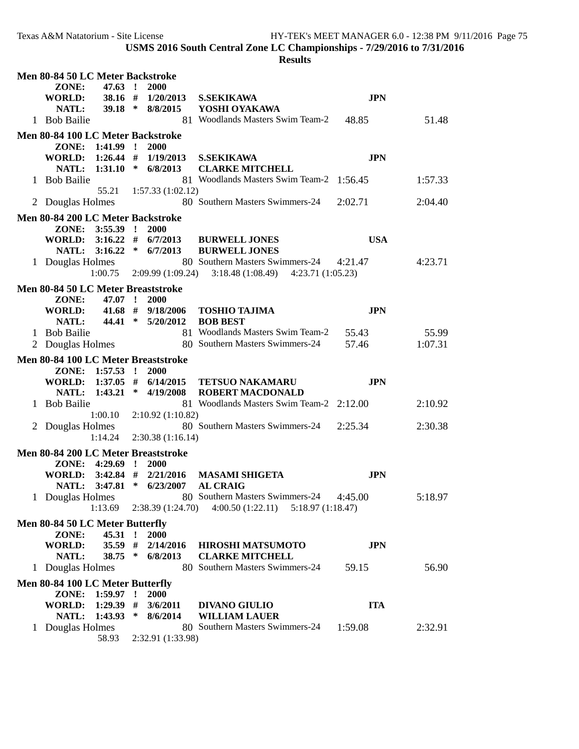|                                     |                 |              |                                                |                                                                 | Men 80-84 50 LC Meter Backstroke |         |  |  |  |  |  |  |  |  |
|-------------------------------------|-----------------|--------------|------------------------------------------------|-----------------------------------------------------------------|----------------------------------|---------|--|--|--|--|--|--|--|--|
| ZONE:                               | 47.63 !         |              | 2000                                           |                                                                 |                                  |         |  |  |  |  |  |  |  |  |
| <b>WORLD:</b>                       | $38.16$ #       |              | 1/20/2013                                      | <b>S.SEKIKAWA</b>                                               | <b>JPN</b>                       |         |  |  |  |  |  |  |  |  |
| NATL:                               | $39.18$ *       |              | 8/8/2015                                       | YOSHI OYAKAWA<br>81 Woodlands Masters Swim Team-2               |                                  |         |  |  |  |  |  |  |  |  |
| 1 Bob Bailie                        |                 |              |                                                |                                                                 | 48.85                            | 51.48   |  |  |  |  |  |  |  |  |
| Men 80-84 100 LC Meter Backstroke   |                 |              |                                                |                                                                 |                                  |         |  |  |  |  |  |  |  |  |
| ZONE: 1:41.99 !                     |                 |              | <b>2000</b>                                    |                                                                 |                                  |         |  |  |  |  |  |  |  |  |
| WORLD: 1:26.44 # 1/19/2013          |                 |              |                                                | <b>S.SEKIKAWA</b>                                               | <b>JPN</b>                       |         |  |  |  |  |  |  |  |  |
| NATL:                               |                 |              | $1:31.10 * 6/8/2013$                           | <b>CLARKE MITCHELL</b>                                          |                                  |         |  |  |  |  |  |  |  |  |
| 1 Bob Bailie                        |                 |              |                                                | 81 Woodlands Masters Swim Team-2 1:56.45                        |                                  | 1:57.33 |  |  |  |  |  |  |  |  |
|                                     | 55.21           |              | 1:57.33 (1:02.12)                              | 80 Southern Masters Swimmers-24                                 | 2:02.71                          |         |  |  |  |  |  |  |  |  |
| 2 Douglas Holmes                    |                 |              |                                                |                                                                 |                                  | 2:04.40 |  |  |  |  |  |  |  |  |
| Men 80-84 200 LC Meter Backstroke   |                 |              |                                                |                                                                 |                                  |         |  |  |  |  |  |  |  |  |
| ZONE:                               | $3:55.39$ !     |              | <b>2000</b>                                    |                                                                 |                                  |         |  |  |  |  |  |  |  |  |
|                                     | 3:16.22         |              | WORLD: $3:16.22 \neq 6/7/2013$<br>$*$ 6/7/2013 | <b>BURWELL JONES</b>                                            | <b>USA</b>                       |         |  |  |  |  |  |  |  |  |
| NATL:<br>1 Douglas Holmes           |                 |              |                                                | <b>BURWELL JONES</b><br>80 Southern Masters Swimmers-24 4:21.47 |                                  | 4:23.71 |  |  |  |  |  |  |  |  |
|                                     | 1:00.75         |              | 2:09.99 (1:09.24)                              | $3:18.48(1:08.49)$ $4:23.71(1:05.23)$                           |                                  |         |  |  |  |  |  |  |  |  |
|                                     |                 |              |                                                |                                                                 |                                  |         |  |  |  |  |  |  |  |  |
| Men 80-84 50 LC Meter Breaststroke  |                 |              |                                                |                                                                 |                                  |         |  |  |  |  |  |  |  |  |
| ZONE:                               | 47.07 !         |              | <b>2000</b><br>$41.68$ # $9/18/2006$           |                                                                 | <b>JPN</b>                       |         |  |  |  |  |  |  |  |  |
| <b>WORLD:</b><br>NATL:              |                 |              | 44.41 * 5/20/2012                              | <b>TOSHIO TAJIMA</b><br><b>BOB BEST</b>                         |                                  |         |  |  |  |  |  |  |  |  |
| 1 Bob Bailie                        |                 |              |                                                | 81 Woodlands Masters Swim Team-2                                | 55.43                            | 55.99   |  |  |  |  |  |  |  |  |
| 2 Douglas Holmes                    |                 |              |                                                | 80 Southern Masters Swimmers-24                                 | 57.46                            | 1:07.31 |  |  |  |  |  |  |  |  |
|                                     |                 |              |                                                |                                                                 |                                  |         |  |  |  |  |  |  |  |  |
|                                     |                 |              |                                                |                                                                 |                                  |         |  |  |  |  |  |  |  |  |
| Men 80-84 100 LC Meter Breaststroke |                 |              |                                                |                                                                 |                                  |         |  |  |  |  |  |  |  |  |
| ZONE: 1:57.53 !                     |                 |              | <b>2000</b>                                    |                                                                 |                                  |         |  |  |  |  |  |  |  |  |
| WORLD:                              |                 |              | $1:37.05$ # $6/14/2015$                        | <b>TETSUO NAKAMARU</b>                                          | <b>JPN</b>                       |         |  |  |  |  |  |  |  |  |
| NATL:                               |                 |              | $1:43.21$ * $4/19/2008$                        | <b>ROBERT MACDONALD</b>                                         |                                  |         |  |  |  |  |  |  |  |  |
| <b>Bob Bailie</b>                   | 1:00.10         |              | 2:10.92(1:10.82)                               | 81 Woodlands Masters Swim Team-2 2:12.00                        |                                  | 2:10.92 |  |  |  |  |  |  |  |  |
| 2 Douglas Holmes                    |                 |              |                                                | 80 Southern Masters Swimmers-24                                 | 2:25.34                          | 2:30.38 |  |  |  |  |  |  |  |  |
|                                     | 1:14.24         |              | 2:30.38(1:16.14)                               |                                                                 |                                  |         |  |  |  |  |  |  |  |  |
|                                     |                 |              |                                                |                                                                 |                                  |         |  |  |  |  |  |  |  |  |
| Men 80-84 200 LC Meter Breaststroke | ZONE: 4:29.69 ! |              | <b>2000</b>                                    |                                                                 |                                  |         |  |  |  |  |  |  |  |  |
| WORLD:                              | $3:42.84$ #     |              | 2/21/2016                                      | <b>MASAMI SHIGETA</b>                                           | <b>JPN</b>                       |         |  |  |  |  |  |  |  |  |
| NATL:                               | 3:47.81         |              | $*$ 6/23/2007                                  | <b>AL CRAIG</b>                                                 |                                  |         |  |  |  |  |  |  |  |  |
| 1 Douglas Holmes                    |                 |              |                                                | 80 Southern Masters Swimmers-24                                 | 4:45.00                          | 5:18.97 |  |  |  |  |  |  |  |  |
|                                     | 1:13.69         |              | 2:38.39 (1:24.70)                              | 4:00.50(1:22.11)<br>5:18.97(1:18.47)                            |                                  |         |  |  |  |  |  |  |  |  |
| Men 80-84 50 LC Meter Butterfly     |                 |              |                                                |                                                                 |                                  |         |  |  |  |  |  |  |  |  |
| ZONE:                               | 45.31           | $\mathbf{r}$ | 2000                                           |                                                                 |                                  |         |  |  |  |  |  |  |  |  |
| <b>WORLD:</b>                       | $35.59$ #       |              | 2/14/2016                                      | <b>HIROSHI MATSUMOTO</b>                                        | <b>JPN</b>                       |         |  |  |  |  |  |  |  |  |
| NATL:                               | $38.75$ *       |              | 6/8/2013                                       | <b>CLARKE MITCHELL</b>                                          |                                  |         |  |  |  |  |  |  |  |  |
| 1 Douglas Holmes                    |                 |              |                                                | 80 Southern Masters Swimmers-24                                 | 59.15                            | 56.90   |  |  |  |  |  |  |  |  |
| Men 80-84 100 LC Meter Butterfly    |                 |              |                                                |                                                                 |                                  |         |  |  |  |  |  |  |  |  |
| ZONE: 1:59.97 !                     |                 |              | <b>2000</b>                                    |                                                                 |                                  |         |  |  |  |  |  |  |  |  |
| <b>WORLD:</b>                       | $1:29.39$ #     |              | 3/6/2011                                       | <b>DIVANO GIULIO</b>                                            | <b>ITA</b>                       |         |  |  |  |  |  |  |  |  |
| NATL:                               | 1:43.93         | ∗            | 8/6/2014                                       | <b>WILLIAM LAUER</b>                                            |                                  |         |  |  |  |  |  |  |  |  |
| 1 Douglas Holmes                    | 58.93           |              | 2:32.91 (1:33.98)                              | 80 Southern Masters Swimmers-24                                 | 1:59.08                          | 2:32.91 |  |  |  |  |  |  |  |  |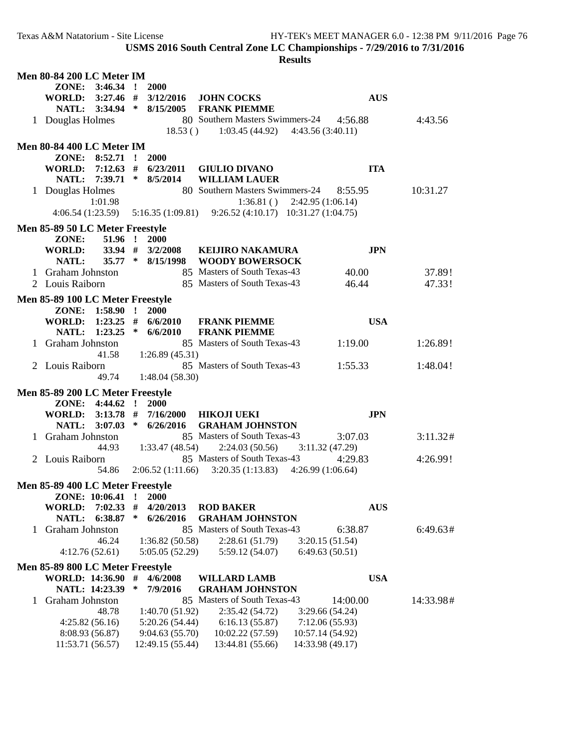| ZONE: 3:46.34 !<br><b>2000</b><br>WORLD: 3:27.46 # 3/12/2016 JOHN COCKS<br><b>AUS</b><br>NATL: 3:34.94 * 8/15/2005<br><b>FRANK PIEMME</b><br>80 Southern Masters Swimmers-24 4:56.88<br>1 Douglas Holmes<br>4:43.56<br>$18.53()$ $1:03.45(44.92)$ $4:43.56(3:40.11)$<br><b>Men 80-84 400 LC Meter IM</b><br>ZONE: 8:52.71 !<br><b>2000</b><br>$7:12.63$ #<br>6/23/2011<br><b>ITA</b><br><b>WORLD:</b><br><b>GIULIO DIVANO</b><br>7:39.71 * 8/5/2014<br><b>WILLIAM LAUER</b><br><b>NATL:</b><br>80 Southern Masters Swimmers-24 8:55.95<br>1 Douglas Holmes<br>10:31.27<br>1:01.98<br>$1:36.81()$ $2:42.95(1:06.14)$<br>4:06.54(1:23.59)<br>$5:16.35(1:09.81)$ $9:26.52(4:10.17)$ $10:31.27(1:04.75)$<br>Men 85-89 50 LC Meter Freestyle<br>51.96 ! 2000<br>ZONE:<br><b>WORLD:</b><br>$33.94$ # $3/2/2008$<br><b>JPN</b><br><b>KEIJIRO NAKAMURA</b><br>35.77 * 8/15/1998 WOODY BOWERSOCK<br>NATL:<br>85 Masters of South Texas-43<br>1 Graham Johnston<br>40.00<br>37.89!<br>85 Masters of South Texas-43<br>2 Louis Raiborn<br>46.44<br>47.33!<br>Men 85-89 100 LC Meter Freestyle<br>ZONE: 1:58.90 !<br>2000<br>WORLD: $1:23.25$ # $6/6/2010$<br><b>USA</b><br><b>FRANK PIEMME</b><br>$1:23.25$ * 6/6/2010<br><b>FRANK PIEMME</b><br>NATL:<br>85 Masters of South Texas-43<br>1:19.00<br>1 Graham Johnston<br>1:26.89!<br>41.58<br>1:26.89(45.31)<br>85 Masters of South Texas-43<br>2 Louis Raiborn<br>1:55.33<br>1:48.04!<br>49.74<br>1:48.04(58.30)<br>Men 85-89 200 LC Meter Freestyle<br>ZONE: 4:44.62 ! 2000<br>WORLD: 3:13.78 # 7/16/2000 HIKOJI UEKI<br><b>JPN</b><br>NATL: 3:07.03 * 6/26/2016<br><b>GRAHAM JOHNSTON</b><br>85 Masters of South Texas-43<br>1 Graham Johnston<br>3:11.32#<br>3:07.03<br>44.93<br>$1:33.47(48.54)$ $2:24.03(50.56)$<br>3:11.32(47.29)<br>85 Masters of South Texas-43<br>2 Louis Raiborn<br>4:29.83<br>4:26.99!<br>$2:06.52(1:11.66)$ $3:20.35(1:13.83)$ $4:26.99(1:06.64)$<br>54.86<br>Men 85-89 400 LC Meter Freestyle<br>ZONE: 10:06.41 ! 2000<br><b>AUS</b><br><b>WORLD:</b><br>7:02.33<br>#<br>4/20/2013<br><b>ROD BAKER</b><br>6:38.87<br>∗<br>6/26/2016<br><b>GRAHAM JOHNSTON</b><br>NATL:<br>85 Masters of South Texas-43<br>6:38.87<br><b>Graham Johnston</b><br>6:49.63#<br>$\mathbf{L}$<br>46.24<br>1:36.82(50.58)<br>2:28.61(51.79)<br>3:20.15(51.54)<br>5:05.05(52.29)<br>5:59.12 (54.07)<br>6:49.63(50.51)<br>4:12.76(52.61)<br>Men 85-89 800 LC Meter Freestyle<br><b>WORLD: 14:36.90</b><br><b>USA</b><br>#<br>4/6/2008<br><b>WILLARD LAMB</b><br>NATL: 14:23.39<br>∗<br>7/9/2016<br><b>GRAHAM JOHNSTON</b><br><b>Graham Johnston</b><br>85 Masters of South Texas-43<br>14:00.00<br>14:33.98#<br>1<br>48.78<br>1:40.70(51.92)<br>2:35.42(54.72)<br>3:29.66(54.24)<br>4:25.82(56.16)<br>5:20.26(54.44)<br>6:16.13(55.87)<br>7:12.06(55.93)<br>8:08.93 (56.87)<br>9:04.63(55.70)<br>10:02.22 (57.59)<br>10:57.14 (54.92) | <b>Men 80-84 200 LC Meter IM</b> |  |                  |                  |  |
|----------------------------------------------------------------------------------------------------------------------------------------------------------------------------------------------------------------------------------------------------------------------------------------------------------------------------------------------------------------------------------------------------------------------------------------------------------------------------------------------------------------------------------------------------------------------------------------------------------------------------------------------------------------------------------------------------------------------------------------------------------------------------------------------------------------------------------------------------------------------------------------------------------------------------------------------------------------------------------------------------------------------------------------------------------------------------------------------------------------------------------------------------------------------------------------------------------------------------------------------------------------------------------------------------------------------------------------------------------------------------------------------------------------------------------------------------------------------------------------------------------------------------------------------------------------------------------------------------------------------------------------------------------------------------------------------------------------------------------------------------------------------------------------------------------------------------------------------------------------------------------------------------------------------------------------------------------------------------------------------------------------------------------------------------------------------------------------------------------------------------------------------------------------------------------------------------------------------------------------------------------------------------------------------------------------------------------------------------------------------------------------------------------------------------------------------------------------------------------------------------------------------------------------------------------------------------------------------------------------------------------------------------------------------------------------------------------------------------------------------------------------------------------------------------------------------------------------------------------------------------------|----------------------------------|--|------------------|------------------|--|
|                                                                                                                                                                                                                                                                                                                                                                                                                                                                                                                                                                                                                                                                                                                                                                                                                                                                                                                                                                                                                                                                                                                                                                                                                                                                                                                                                                                                                                                                                                                                                                                                                                                                                                                                                                                                                                                                                                                                                                                                                                                                                                                                                                                                                                                                                                                                                                                                                                                                                                                                                                                                                                                                                                                                                                                                                                                                                  |                                  |  |                  |                  |  |
|                                                                                                                                                                                                                                                                                                                                                                                                                                                                                                                                                                                                                                                                                                                                                                                                                                                                                                                                                                                                                                                                                                                                                                                                                                                                                                                                                                                                                                                                                                                                                                                                                                                                                                                                                                                                                                                                                                                                                                                                                                                                                                                                                                                                                                                                                                                                                                                                                                                                                                                                                                                                                                                                                                                                                                                                                                                                                  |                                  |  |                  |                  |  |
|                                                                                                                                                                                                                                                                                                                                                                                                                                                                                                                                                                                                                                                                                                                                                                                                                                                                                                                                                                                                                                                                                                                                                                                                                                                                                                                                                                                                                                                                                                                                                                                                                                                                                                                                                                                                                                                                                                                                                                                                                                                                                                                                                                                                                                                                                                                                                                                                                                                                                                                                                                                                                                                                                                                                                                                                                                                                                  |                                  |  |                  |                  |  |
|                                                                                                                                                                                                                                                                                                                                                                                                                                                                                                                                                                                                                                                                                                                                                                                                                                                                                                                                                                                                                                                                                                                                                                                                                                                                                                                                                                                                                                                                                                                                                                                                                                                                                                                                                                                                                                                                                                                                                                                                                                                                                                                                                                                                                                                                                                                                                                                                                                                                                                                                                                                                                                                                                                                                                                                                                                                                                  |                                  |  |                  |                  |  |
|                                                                                                                                                                                                                                                                                                                                                                                                                                                                                                                                                                                                                                                                                                                                                                                                                                                                                                                                                                                                                                                                                                                                                                                                                                                                                                                                                                                                                                                                                                                                                                                                                                                                                                                                                                                                                                                                                                                                                                                                                                                                                                                                                                                                                                                                                                                                                                                                                                                                                                                                                                                                                                                                                                                                                                                                                                                                                  |                                  |  |                  |                  |  |
|                                                                                                                                                                                                                                                                                                                                                                                                                                                                                                                                                                                                                                                                                                                                                                                                                                                                                                                                                                                                                                                                                                                                                                                                                                                                                                                                                                                                                                                                                                                                                                                                                                                                                                                                                                                                                                                                                                                                                                                                                                                                                                                                                                                                                                                                                                                                                                                                                                                                                                                                                                                                                                                                                                                                                                                                                                                                                  |                                  |  |                  |                  |  |
|                                                                                                                                                                                                                                                                                                                                                                                                                                                                                                                                                                                                                                                                                                                                                                                                                                                                                                                                                                                                                                                                                                                                                                                                                                                                                                                                                                                                                                                                                                                                                                                                                                                                                                                                                                                                                                                                                                                                                                                                                                                                                                                                                                                                                                                                                                                                                                                                                                                                                                                                                                                                                                                                                                                                                                                                                                                                                  |                                  |  |                  |                  |  |
|                                                                                                                                                                                                                                                                                                                                                                                                                                                                                                                                                                                                                                                                                                                                                                                                                                                                                                                                                                                                                                                                                                                                                                                                                                                                                                                                                                                                                                                                                                                                                                                                                                                                                                                                                                                                                                                                                                                                                                                                                                                                                                                                                                                                                                                                                                                                                                                                                                                                                                                                                                                                                                                                                                                                                                                                                                                                                  |                                  |  |                  |                  |  |
|                                                                                                                                                                                                                                                                                                                                                                                                                                                                                                                                                                                                                                                                                                                                                                                                                                                                                                                                                                                                                                                                                                                                                                                                                                                                                                                                                                                                                                                                                                                                                                                                                                                                                                                                                                                                                                                                                                                                                                                                                                                                                                                                                                                                                                                                                                                                                                                                                                                                                                                                                                                                                                                                                                                                                                                                                                                                                  |                                  |  |                  |                  |  |
|                                                                                                                                                                                                                                                                                                                                                                                                                                                                                                                                                                                                                                                                                                                                                                                                                                                                                                                                                                                                                                                                                                                                                                                                                                                                                                                                                                                                                                                                                                                                                                                                                                                                                                                                                                                                                                                                                                                                                                                                                                                                                                                                                                                                                                                                                                                                                                                                                                                                                                                                                                                                                                                                                                                                                                                                                                                                                  |                                  |  |                  |                  |  |
|                                                                                                                                                                                                                                                                                                                                                                                                                                                                                                                                                                                                                                                                                                                                                                                                                                                                                                                                                                                                                                                                                                                                                                                                                                                                                                                                                                                                                                                                                                                                                                                                                                                                                                                                                                                                                                                                                                                                                                                                                                                                                                                                                                                                                                                                                                                                                                                                                                                                                                                                                                                                                                                                                                                                                                                                                                                                                  |                                  |  |                  |                  |  |
|                                                                                                                                                                                                                                                                                                                                                                                                                                                                                                                                                                                                                                                                                                                                                                                                                                                                                                                                                                                                                                                                                                                                                                                                                                                                                                                                                                                                                                                                                                                                                                                                                                                                                                                                                                                                                                                                                                                                                                                                                                                                                                                                                                                                                                                                                                                                                                                                                                                                                                                                                                                                                                                                                                                                                                                                                                                                                  |                                  |  |                  |                  |  |
|                                                                                                                                                                                                                                                                                                                                                                                                                                                                                                                                                                                                                                                                                                                                                                                                                                                                                                                                                                                                                                                                                                                                                                                                                                                                                                                                                                                                                                                                                                                                                                                                                                                                                                                                                                                                                                                                                                                                                                                                                                                                                                                                                                                                                                                                                                                                                                                                                                                                                                                                                                                                                                                                                                                                                                                                                                                                                  |                                  |  |                  |                  |  |
|                                                                                                                                                                                                                                                                                                                                                                                                                                                                                                                                                                                                                                                                                                                                                                                                                                                                                                                                                                                                                                                                                                                                                                                                                                                                                                                                                                                                                                                                                                                                                                                                                                                                                                                                                                                                                                                                                                                                                                                                                                                                                                                                                                                                                                                                                                                                                                                                                                                                                                                                                                                                                                                                                                                                                                                                                                                                                  |                                  |  |                  |                  |  |
|                                                                                                                                                                                                                                                                                                                                                                                                                                                                                                                                                                                                                                                                                                                                                                                                                                                                                                                                                                                                                                                                                                                                                                                                                                                                                                                                                                                                                                                                                                                                                                                                                                                                                                                                                                                                                                                                                                                                                                                                                                                                                                                                                                                                                                                                                                                                                                                                                                                                                                                                                                                                                                                                                                                                                                                                                                                                                  |                                  |  |                  |                  |  |
|                                                                                                                                                                                                                                                                                                                                                                                                                                                                                                                                                                                                                                                                                                                                                                                                                                                                                                                                                                                                                                                                                                                                                                                                                                                                                                                                                                                                                                                                                                                                                                                                                                                                                                                                                                                                                                                                                                                                                                                                                                                                                                                                                                                                                                                                                                                                                                                                                                                                                                                                                                                                                                                                                                                                                                                                                                                                                  |                                  |  |                  |                  |  |
|                                                                                                                                                                                                                                                                                                                                                                                                                                                                                                                                                                                                                                                                                                                                                                                                                                                                                                                                                                                                                                                                                                                                                                                                                                                                                                                                                                                                                                                                                                                                                                                                                                                                                                                                                                                                                                                                                                                                                                                                                                                                                                                                                                                                                                                                                                                                                                                                                                                                                                                                                                                                                                                                                                                                                                                                                                                                                  |                                  |  |                  |                  |  |
|                                                                                                                                                                                                                                                                                                                                                                                                                                                                                                                                                                                                                                                                                                                                                                                                                                                                                                                                                                                                                                                                                                                                                                                                                                                                                                                                                                                                                                                                                                                                                                                                                                                                                                                                                                                                                                                                                                                                                                                                                                                                                                                                                                                                                                                                                                                                                                                                                                                                                                                                                                                                                                                                                                                                                                                                                                                                                  |                                  |  |                  |                  |  |
|                                                                                                                                                                                                                                                                                                                                                                                                                                                                                                                                                                                                                                                                                                                                                                                                                                                                                                                                                                                                                                                                                                                                                                                                                                                                                                                                                                                                                                                                                                                                                                                                                                                                                                                                                                                                                                                                                                                                                                                                                                                                                                                                                                                                                                                                                                                                                                                                                                                                                                                                                                                                                                                                                                                                                                                                                                                                                  |                                  |  |                  |                  |  |
|                                                                                                                                                                                                                                                                                                                                                                                                                                                                                                                                                                                                                                                                                                                                                                                                                                                                                                                                                                                                                                                                                                                                                                                                                                                                                                                                                                                                                                                                                                                                                                                                                                                                                                                                                                                                                                                                                                                                                                                                                                                                                                                                                                                                                                                                                                                                                                                                                                                                                                                                                                                                                                                                                                                                                                                                                                                                                  |                                  |  |                  |                  |  |
|                                                                                                                                                                                                                                                                                                                                                                                                                                                                                                                                                                                                                                                                                                                                                                                                                                                                                                                                                                                                                                                                                                                                                                                                                                                                                                                                                                                                                                                                                                                                                                                                                                                                                                                                                                                                                                                                                                                                                                                                                                                                                                                                                                                                                                                                                                                                                                                                                                                                                                                                                                                                                                                                                                                                                                                                                                                                                  |                                  |  |                  |                  |  |
|                                                                                                                                                                                                                                                                                                                                                                                                                                                                                                                                                                                                                                                                                                                                                                                                                                                                                                                                                                                                                                                                                                                                                                                                                                                                                                                                                                                                                                                                                                                                                                                                                                                                                                                                                                                                                                                                                                                                                                                                                                                                                                                                                                                                                                                                                                                                                                                                                                                                                                                                                                                                                                                                                                                                                                                                                                                                                  |                                  |  |                  |                  |  |
|                                                                                                                                                                                                                                                                                                                                                                                                                                                                                                                                                                                                                                                                                                                                                                                                                                                                                                                                                                                                                                                                                                                                                                                                                                                                                                                                                                                                                                                                                                                                                                                                                                                                                                                                                                                                                                                                                                                                                                                                                                                                                                                                                                                                                                                                                                                                                                                                                                                                                                                                                                                                                                                                                                                                                                                                                                                                                  |                                  |  |                  |                  |  |
|                                                                                                                                                                                                                                                                                                                                                                                                                                                                                                                                                                                                                                                                                                                                                                                                                                                                                                                                                                                                                                                                                                                                                                                                                                                                                                                                                                                                                                                                                                                                                                                                                                                                                                                                                                                                                                                                                                                                                                                                                                                                                                                                                                                                                                                                                                                                                                                                                                                                                                                                                                                                                                                                                                                                                                                                                                                                                  |                                  |  |                  |                  |  |
|                                                                                                                                                                                                                                                                                                                                                                                                                                                                                                                                                                                                                                                                                                                                                                                                                                                                                                                                                                                                                                                                                                                                                                                                                                                                                                                                                                                                                                                                                                                                                                                                                                                                                                                                                                                                                                                                                                                                                                                                                                                                                                                                                                                                                                                                                                                                                                                                                                                                                                                                                                                                                                                                                                                                                                                                                                                                                  |                                  |  |                  |                  |  |
|                                                                                                                                                                                                                                                                                                                                                                                                                                                                                                                                                                                                                                                                                                                                                                                                                                                                                                                                                                                                                                                                                                                                                                                                                                                                                                                                                                                                                                                                                                                                                                                                                                                                                                                                                                                                                                                                                                                                                                                                                                                                                                                                                                                                                                                                                                                                                                                                                                                                                                                                                                                                                                                                                                                                                                                                                                                                                  |                                  |  |                  |                  |  |
|                                                                                                                                                                                                                                                                                                                                                                                                                                                                                                                                                                                                                                                                                                                                                                                                                                                                                                                                                                                                                                                                                                                                                                                                                                                                                                                                                                                                                                                                                                                                                                                                                                                                                                                                                                                                                                                                                                                                                                                                                                                                                                                                                                                                                                                                                                                                                                                                                                                                                                                                                                                                                                                                                                                                                                                                                                                                                  |                                  |  |                  |                  |  |
|                                                                                                                                                                                                                                                                                                                                                                                                                                                                                                                                                                                                                                                                                                                                                                                                                                                                                                                                                                                                                                                                                                                                                                                                                                                                                                                                                                                                                                                                                                                                                                                                                                                                                                                                                                                                                                                                                                                                                                                                                                                                                                                                                                                                                                                                                                                                                                                                                                                                                                                                                                                                                                                                                                                                                                                                                                                                                  |                                  |  |                  |                  |  |
|                                                                                                                                                                                                                                                                                                                                                                                                                                                                                                                                                                                                                                                                                                                                                                                                                                                                                                                                                                                                                                                                                                                                                                                                                                                                                                                                                                                                                                                                                                                                                                                                                                                                                                                                                                                                                                                                                                                                                                                                                                                                                                                                                                                                                                                                                                                                                                                                                                                                                                                                                                                                                                                                                                                                                                                                                                                                                  |                                  |  |                  |                  |  |
|                                                                                                                                                                                                                                                                                                                                                                                                                                                                                                                                                                                                                                                                                                                                                                                                                                                                                                                                                                                                                                                                                                                                                                                                                                                                                                                                                                                                                                                                                                                                                                                                                                                                                                                                                                                                                                                                                                                                                                                                                                                                                                                                                                                                                                                                                                                                                                                                                                                                                                                                                                                                                                                                                                                                                                                                                                                                                  |                                  |  |                  |                  |  |
|                                                                                                                                                                                                                                                                                                                                                                                                                                                                                                                                                                                                                                                                                                                                                                                                                                                                                                                                                                                                                                                                                                                                                                                                                                                                                                                                                                                                                                                                                                                                                                                                                                                                                                                                                                                                                                                                                                                                                                                                                                                                                                                                                                                                                                                                                                                                                                                                                                                                                                                                                                                                                                                                                                                                                                                                                                                                                  |                                  |  |                  |                  |  |
|                                                                                                                                                                                                                                                                                                                                                                                                                                                                                                                                                                                                                                                                                                                                                                                                                                                                                                                                                                                                                                                                                                                                                                                                                                                                                                                                                                                                                                                                                                                                                                                                                                                                                                                                                                                                                                                                                                                                                                                                                                                                                                                                                                                                                                                                                                                                                                                                                                                                                                                                                                                                                                                                                                                                                                                                                                                                                  |                                  |  |                  |                  |  |
|                                                                                                                                                                                                                                                                                                                                                                                                                                                                                                                                                                                                                                                                                                                                                                                                                                                                                                                                                                                                                                                                                                                                                                                                                                                                                                                                                                                                                                                                                                                                                                                                                                                                                                                                                                                                                                                                                                                                                                                                                                                                                                                                                                                                                                                                                                                                                                                                                                                                                                                                                                                                                                                                                                                                                                                                                                                                                  |                                  |  |                  |                  |  |
|                                                                                                                                                                                                                                                                                                                                                                                                                                                                                                                                                                                                                                                                                                                                                                                                                                                                                                                                                                                                                                                                                                                                                                                                                                                                                                                                                                                                                                                                                                                                                                                                                                                                                                                                                                                                                                                                                                                                                                                                                                                                                                                                                                                                                                                                                                                                                                                                                                                                                                                                                                                                                                                                                                                                                                                                                                                                                  |                                  |  |                  |                  |  |
|                                                                                                                                                                                                                                                                                                                                                                                                                                                                                                                                                                                                                                                                                                                                                                                                                                                                                                                                                                                                                                                                                                                                                                                                                                                                                                                                                                                                                                                                                                                                                                                                                                                                                                                                                                                                                                                                                                                                                                                                                                                                                                                                                                                                                                                                                                                                                                                                                                                                                                                                                                                                                                                                                                                                                                                                                                                                                  |                                  |  |                  |                  |  |
|                                                                                                                                                                                                                                                                                                                                                                                                                                                                                                                                                                                                                                                                                                                                                                                                                                                                                                                                                                                                                                                                                                                                                                                                                                                                                                                                                                                                                                                                                                                                                                                                                                                                                                                                                                                                                                                                                                                                                                                                                                                                                                                                                                                                                                                                                                                                                                                                                                                                                                                                                                                                                                                                                                                                                                                                                                                                                  |                                  |  |                  |                  |  |
|                                                                                                                                                                                                                                                                                                                                                                                                                                                                                                                                                                                                                                                                                                                                                                                                                                                                                                                                                                                                                                                                                                                                                                                                                                                                                                                                                                                                                                                                                                                                                                                                                                                                                                                                                                                                                                                                                                                                                                                                                                                                                                                                                                                                                                                                                                                                                                                                                                                                                                                                                                                                                                                                                                                                                                                                                                                                                  |                                  |  |                  |                  |  |
|                                                                                                                                                                                                                                                                                                                                                                                                                                                                                                                                                                                                                                                                                                                                                                                                                                                                                                                                                                                                                                                                                                                                                                                                                                                                                                                                                                                                                                                                                                                                                                                                                                                                                                                                                                                                                                                                                                                                                                                                                                                                                                                                                                                                                                                                                                                                                                                                                                                                                                                                                                                                                                                                                                                                                                                                                                                                                  |                                  |  |                  |                  |  |
|                                                                                                                                                                                                                                                                                                                                                                                                                                                                                                                                                                                                                                                                                                                                                                                                                                                                                                                                                                                                                                                                                                                                                                                                                                                                                                                                                                                                                                                                                                                                                                                                                                                                                                                                                                                                                                                                                                                                                                                                                                                                                                                                                                                                                                                                                                                                                                                                                                                                                                                                                                                                                                                                                                                                                                                                                                                                                  |                                  |  |                  |                  |  |
|                                                                                                                                                                                                                                                                                                                                                                                                                                                                                                                                                                                                                                                                                                                                                                                                                                                                                                                                                                                                                                                                                                                                                                                                                                                                                                                                                                                                                                                                                                                                                                                                                                                                                                                                                                                                                                                                                                                                                                                                                                                                                                                                                                                                                                                                                                                                                                                                                                                                                                                                                                                                                                                                                                                                                                                                                                                                                  |                                  |  |                  |                  |  |
|                                                                                                                                                                                                                                                                                                                                                                                                                                                                                                                                                                                                                                                                                                                                                                                                                                                                                                                                                                                                                                                                                                                                                                                                                                                                                                                                                                                                                                                                                                                                                                                                                                                                                                                                                                                                                                                                                                                                                                                                                                                                                                                                                                                                                                                                                                                                                                                                                                                                                                                                                                                                                                                                                                                                                                                                                                                                                  |                                  |  |                  |                  |  |
|                                                                                                                                                                                                                                                                                                                                                                                                                                                                                                                                                                                                                                                                                                                                                                                                                                                                                                                                                                                                                                                                                                                                                                                                                                                                                                                                                                                                                                                                                                                                                                                                                                                                                                                                                                                                                                                                                                                                                                                                                                                                                                                                                                                                                                                                                                                                                                                                                                                                                                                                                                                                                                                                                                                                                                                                                                                                                  |                                  |  |                  |                  |  |
|                                                                                                                                                                                                                                                                                                                                                                                                                                                                                                                                                                                                                                                                                                                                                                                                                                                                                                                                                                                                                                                                                                                                                                                                                                                                                                                                                                                                                                                                                                                                                                                                                                                                                                                                                                                                                                                                                                                                                                                                                                                                                                                                                                                                                                                                                                                                                                                                                                                                                                                                                                                                                                                                                                                                                                                                                                                                                  |                                  |  |                  |                  |  |
|                                                                                                                                                                                                                                                                                                                                                                                                                                                                                                                                                                                                                                                                                                                                                                                                                                                                                                                                                                                                                                                                                                                                                                                                                                                                                                                                                                                                                                                                                                                                                                                                                                                                                                                                                                                                                                                                                                                                                                                                                                                                                                                                                                                                                                                                                                                                                                                                                                                                                                                                                                                                                                                                                                                                                                                                                                                                                  |                                  |  |                  |                  |  |
|                                                                                                                                                                                                                                                                                                                                                                                                                                                                                                                                                                                                                                                                                                                                                                                                                                                                                                                                                                                                                                                                                                                                                                                                                                                                                                                                                                                                                                                                                                                                                                                                                                                                                                                                                                                                                                                                                                                                                                                                                                                                                                                                                                                                                                                                                                                                                                                                                                                                                                                                                                                                                                                                                                                                                                                                                                                                                  |                                  |  |                  |                  |  |
|                                                                                                                                                                                                                                                                                                                                                                                                                                                                                                                                                                                                                                                                                                                                                                                                                                                                                                                                                                                                                                                                                                                                                                                                                                                                                                                                                                                                                                                                                                                                                                                                                                                                                                                                                                                                                                                                                                                                                                                                                                                                                                                                                                                                                                                                                                                                                                                                                                                                                                                                                                                                                                                                                                                                                                                                                                                                                  |                                  |  |                  |                  |  |
|                                                                                                                                                                                                                                                                                                                                                                                                                                                                                                                                                                                                                                                                                                                                                                                                                                                                                                                                                                                                                                                                                                                                                                                                                                                                                                                                                                                                                                                                                                                                                                                                                                                                                                                                                                                                                                                                                                                                                                                                                                                                                                                                                                                                                                                                                                                                                                                                                                                                                                                                                                                                                                                                                                                                                                                                                                                                                  |                                  |  |                  |                  |  |
|                                                                                                                                                                                                                                                                                                                                                                                                                                                                                                                                                                                                                                                                                                                                                                                                                                                                                                                                                                                                                                                                                                                                                                                                                                                                                                                                                                                                                                                                                                                                                                                                                                                                                                                                                                                                                                                                                                                                                                                                                                                                                                                                                                                                                                                                                                                                                                                                                                                                                                                                                                                                                                                                                                                                                                                                                                                                                  |                                  |  |                  |                  |  |
|                                                                                                                                                                                                                                                                                                                                                                                                                                                                                                                                                                                                                                                                                                                                                                                                                                                                                                                                                                                                                                                                                                                                                                                                                                                                                                                                                                                                                                                                                                                                                                                                                                                                                                                                                                                                                                                                                                                                                                                                                                                                                                                                                                                                                                                                                                                                                                                                                                                                                                                                                                                                                                                                                                                                                                                                                                                                                  |                                  |  |                  |                  |  |
| 12:49.15 (55.44)<br>11:53.71 (56.57)                                                                                                                                                                                                                                                                                                                                                                                                                                                                                                                                                                                                                                                                                                                                                                                                                                                                                                                                                                                                                                                                                                                                                                                                                                                                                                                                                                                                                                                                                                                                                                                                                                                                                                                                                                                                                                                                                                                                                                                                                                                                                                                                                                                                                                                                                                                                                                                                                                                                                                                                                                                                                                                                                                                                                                                                                                             |                                  |  | 13:44.81 (55.66) | 14:33.98 (49.17) |  |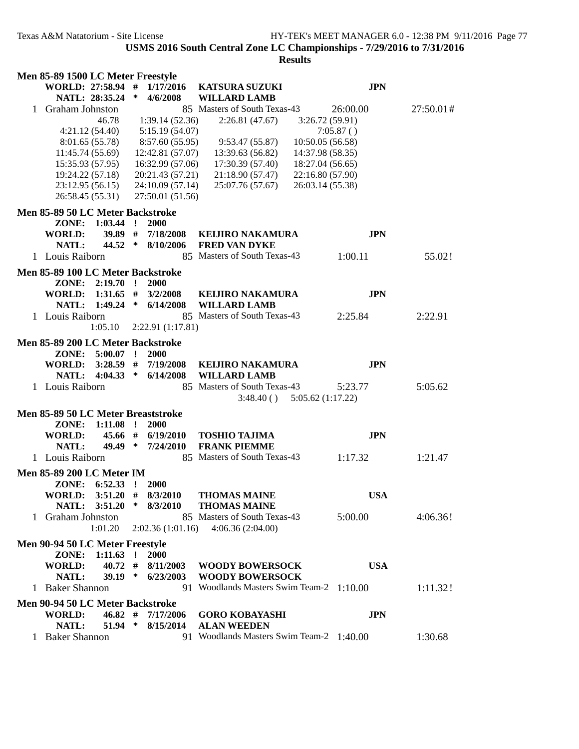| Men 85-89 1500 LC Meter Freestyle  |             |              |                         |                                          |                  |            |           |
|------------------------------------|-------------|--------------|-------------------------|------------------------------------------|------------------|------------|-----------|
| WORLD: 27:58.94 #                  |             |              | 1/17/2016               | <b>KATSURA SUZUKI</b>                    |                  | <b>JPN</b> |           |
| NATL: 28:35.24                     |             | $\ast$       | 4/6/2008                | <b>WILLARD LAMB</b>                      |                  |            |           |
| 1 Graham Johnston                  |             |              |                         | 85 Masters of South Texas-43             |                  | 26:00.00   | 27:50.01# |
|                                    | 46.78       |              | 1:39.14(52.36)          | 2:26.81(47.67)                           | 3:26.72(59.91)   |            |           |
| 4:21.12(54.40)                     |             |              | 5:15.19(54.07)          |                                          |                  | 7:05.87()  |           |
| 8:01.65 (55.78)                    |             |              | 8:57.60 (55.95)         | 9:53.47(55.87)                           | 10:50.05(56.58)  |            |           |
| 11:45.74 (55.69)                   |             |              | 12:42.81 (57.07)        | 13:39.63 (56.82)                         | 14:37.98 (58.35) |            |           |
| 15:35.93 (57.95)                   |             |              | 16:32.99 (57.06)        | 17:30.39 (57.40)                         | 18:27.04 (56.65) |            |           |
| 19:24.22 (57.18)                   |             |              | 20:21.43 (57.21)        | 21:18.90 (57.47)                         | 22:16.80 (57.90) |            |           |
| 23:12.95 (56.15)                   |             |              | 24:10.09 (57.14)        | 25:07.76 (57.67)                         | 26:03.14 (55.38) |            |           |
| 26:58.45 (55.31)                   |             |              | 27:50.01 (51.56)        |                                          |                  |            |           |
| Men 85-89 50 LC Meter Backstroke   |             |              |                         |                                          |                  |            |           |
| ZONE:                              | $1:03.44$ ! |              | 2000                    |                                          |                  |            |           |
| <b>WORLD:</b>                      | 39.89 #     |              | 7/18/2008               | <b>KELJIRO NAKAMURA</b>                  |                  | <b>JPN</b> |           |
| NATL:                              | 44.52 $*$   |              | 8/10/2006               | <b>FRED VAN DYKE</b>                     |                  |            |           |
| 1 Louis Raiborn                    |             |              |                         | 85 Masters of South Texas-43             |                  | 1:00.11    | 55.02!    |
|                                    |             |              |                         |                                          |                  |            |           |
| Men 85-89 100 LC Meter Backstroke  |             |              |                         |                                          |                  |            |           |
| ZONE:                              | $2:19.70$ ! |              | <b>2000</b>             |                                          |                  |            |           |
| WORLD:                             | 1:31.65     | #            | 3/2/2008                | <b>KELJIRO NAKAMURA</b>                  |                  | <b>JPN</b> |           |
| NATL:                              | $1:49.24$ * |              | 6/14/2008               | <b>WILLARD LAMB</b>                      |                  |            |           |
| 1 Louis Raiborn                    |             |              |                         | 85 Masters of South Texas-43             |                  | 2:25.84    | 2:22.91   |
|                                    | 1:05.10     |              | 2:22.91(1:17.81)        |                                          |                  |            |           |
| Men 85-89 200 LC Meter Backstroke  |             |              |                         |                                          |                  |            |           |
| ZONE: 5:00.07 !                    |             |              | 2000                    |                                          |                  |            |           |
| <b>WORLD:</b>                      |             |              | $3:28.59$ # $7/19/2008$ | <b>KEIJIRO NAKAMURA</b>                  |                  | <b>JPN</b> |           |
| NATL: 4:04.33 *                    |             |              | 6/14/2008               | <b>WILLARD LAMB</b>                      |                  |            |           |
| 1 Louis Raiborn                    |             |              |                         | 85 Masters of South Texas-43             |                  | 5:23.77    | 5:05.62   |
|                                    |             |              |                         | $3:48.40()$ $5:05.62(1:17.22)$           |                  |            |           |
| Men 85-89 50 LC Meter Breaststroke |             |              |                         |                                          |                  |            |           |
| ZONE:                              | 1:11.08     | $\mathbf{r}$ | <b>2000</b>             |                                          |                  |            |           |
| WORLD:                             | 45.66 #     |              | 6/19/2010               | <b>TOSHIO TAJIMA</b>                     |                  | <b>JPN</b> |           |
| NATL:                              | 49.49 $*$   |              | 7/24/2010               | <b>FRANK PIEMME</b>                      |                  |            |           |
| 1 Louis Raiborn                    |             |              |                         | 85 Masters of South Texas-43             |                  | 1:17.32    | 1:21.47   |
|                                    |             |              |                         |                                          |                  |            |           |
| <b>Men 85-89 200 LC Meter IM</b>   |             |              |                         |                                          |                  |            |           |
| ZONE: 6:52.33 ! 2000               |             |              |                         |                                          |                  |            |           |
| WORLD: 3:51.20 # 8/3/2010          |             |              |                         | <b>THOMAS MAINE</b>                      |                  | <b>USA</b> |           |
|                                    |             |              |                         | NATL: 3:51.20 * 8/3/2010 THOMAS MAINE    |                  |            |           |
| 1 Graham Johnston                  |             |              |                         | 85 Masters of South Texas-43             |                  | 5:00.00    | 4:06.36!  |
|                                    | 1:01.20     |              |                         | $2:02.36(1:01.16)$ $4:06.36(2:04.00)$    |                  |            |           |
| Men 90-94 50 LC Meter Freestyle    |             |              |                         |                                          |                  |            |           |
| ZONE:                              | $1:11.63$ ! |              | <b>2000</b>             |                                          |                  |            |           |
| <b>WORLD:</b>                      |             |              |                         | 40.72 # 8/11/2003 WOODY BOWERSOCK        |                  | <b>USA</b> |           |
| NATL:                              |             |              |                         | 39.19 * 6/23/2003 WOODY BOWERSOCK        |                  |            |           |
| 1 Baker Shannon                    |             |              |                         | 91 Woodlands Masters Swim Team-2 1:10.00 |                  |            | 1:11.32!  |
| Men 90-94 50 LC Meter Backstroke   |             |              |                         |                                          |                  |            |           |
| WORLD:                             |             |              | $46.82$ # $7/17/2006$   | <b>GORO KOBAYASHI</b>                    |                  | <b>JPN</b> |           |
| NATL:                              |             |              | 51.94 * 8/15/2014       | <b>ALAN WEEDEN</b>                       |                  |            |           |
| 1 Baker Shannon                    |             |              |                         | 91 Woodlands Masters Swim Team-2 1:40.00 |                  |            | 1:30.68   |
|                                    |             |              |                         |                                          |                  |            |           |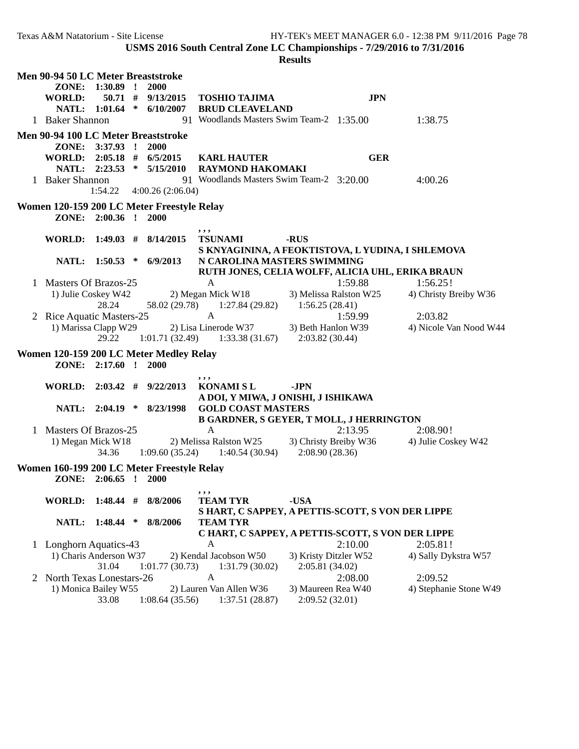**USMS 2016 South Central Zone LC Championships - 7/29/2016 to 7/31/2016**

|              | Men 90-94 50 LC Meter Breaststroke                 |                      |                                            |                                                                      |                       |                        |                                   |
|--------------|----------------------------------------------------|----------------------|--------------------------------------------|----------------------------------------------------------------------|-----------------------|------------------------|-----------------------------------|
|              | ZONE:                                              | $1:30.89$ !          | 2000                                       |                                                                      |                       |                        |                                   |
|              | <b>WORLD:</b>                                      | $50.71$ #            | 9/13/2015                                  | <b>TOSHIO TAJIMA</b>                                                 |                       | <b>JPN</b>             |                                   |
|              |                                                    |                      | NATL: 1:01.64 * 6/10/2007                  | <b>BRUD CLEAVELAND</b>                                               |                       |                        |                                   |
|              | 1 Baker Shannon                                    |                      |                                            | 91 Woodlands Masters Swim Team-2 1:35.00                             |                       |                        | 1:38.75                           |
|              | Men 90-94 100 LC Meter Breaststroke                |                      |                                            |                                                                      |                       |                        |                                   |
|              |                                                    | ZONE: 3:37.93 !      | <b>2000</b>                                |                                                                      |                       |                        |                                   |
|              | <b>WORLD:</b>                                      |                      | $2:05.18$ # $6/5/2015$                     | <b>KARL HAUTER</b>                                                   |                       | <b>GER</b>             |                                   |
|              |                                                    |                      | NATL: 2:23.53 * 5/15/2010                  | <b>RAYMOND HAKOMAKI</b>                                              |                       |                        |                                   |
|              | 1 Baker Shannon                                    |                      |                                            | 91 Woodlands Masters Swim Team-2 3:20.00                             |                       |                        | 4:00.26                           |
|              |                                                    | 1:54.22              | 4:00.26(2:06.04)                           |                                                                      |                       |                        |                                   |
|              |                                                    |                      | Women 120-159 200 LC Meter Freestyle Relay |                                                                      |                       |                        |                                   |
|              |                                                    | ZONE: 2:00.36 ! 2000 |                                            |                                                                      |                       |                        |                                   |
|              |                                                    |                      |                                            | ,,,                                                                  |                       |                        |                                   |
|              | <b>WORLD:</b>                                      |                      | $1:49.03$ # $8/14/2015$                    | <b>TSUNAMI</b>                                                       | -RUS                  |                        |                                   |
|              |                                                    |                      |                                            | S KNYAGININA, A FEOKTISTOVA, L YUDINA, I SHLEMOVA                    |                       |                        |                                   |
|              |                                                    |                      | NATL: 1:50.53 * 6/9/2013                   | N CAROLINA MASTERS SWIMMING                                          |                       |                        |                                   |
| $\mathbf{L}$ | Masters Of Brazos-25                               |                      |                                            | RUTH JONES, CELIA WOLFF, ALICIA UHL, ERIKA BRAUN<br>A                |                       | 1:59.88                | 1:56.25!                          |
|              | 1) Julie Coskey W42                                |                      |                                            | 2) Megan Mick W18                                                    |                       | 3) Melissa Ralston W25 | 4) Christy Breiby W36             |
|              |                                                    | 28.24                | 58.02 (29.78)                              | 1:27.84 (29.82)                                                      | 1:56.25(28.41)        |                        |                                   |
|              | 2 Rice Aquatic Masters-25                          |                      |                                            | A                                                                    |                       | 1:59.99                | 2:03.82                           |
|              | 1) Marissa Clapp W29                               |                      |                                            | 2) Lisa Linerode W37                                                 | 3) Beth Hanlon W39    |                        | 4) Nicole Van Nood W44            |
|              |                                                    | 29.22                | 1:01.71(32.49)                             | 1:33.38 (31.67)                                                      | 2:03.82(30.44)        |                        |                                   |
|              |                                                    |                      | Women 120-159 200 LC Meter Medley Relay    |                                                                      |                       |                        |                                   |
|              |                                                    | ZONE: 2:17.60 ! 2000 |                                            |                                                                      |                       |                        |                                   |
|              |                                                    |                      |                                            |                                                                      |                       |                        |                                   |
|              | <b>WORLD:</b>                                      | $2:03.42$ #          | 9/22/2013                                  | , , ,<br><b>KONAMISL</b>                                             | -JPN                  |                        |                                   |
|              |                                                    |                      |                                            | A DOI, Y MIWA, J ONISHI, J ISHIKAWA                                  |                       |                        |                                   |
|              |                                                    | NATL: 2:04.19 *      | 8/23/1998                                  | <b>GOLD COAST MASTERS</b>                                            |                       |                        |                                   |
|              |                                                    |                      |                                            | <b>B GARDNER, S GEYER, T MOLL, J HERRINGTON</b>                      |                       |                        |                                   |
|              | 1 Masters Of Brazos-25                             |                      |                                            | A                                                                    |                       | 2:13.95                | 2:08.90!                          |
|              | 1) Megan Mick W18                                  |                      |                                            | 2) Melissa Ralston W25 3) Christy Breiby W36                         |                       |                        | 4) Julie Coskey W42               |
|              |                                                    | 34.36                | 1:09.60(35.24)                             | 1:40.54(30.94)                                                       | 2:08.90(28.36)        |                        |                                   |
|              |                                                    |                      | Women 160-199 200 LC Meter Freestyle Relay |                                                                      |                       |                        |                                   |
|              | ZONE:                                              | $2:06.65$ !          | <b>2000</b>                                |                                                                      |                       |                        |                                   |
|              |                                                    |                      |                                            | ,,,                                                                  |                       |                        |                                   |
|              | <b>WORLD:</b>                                      | $1:48.44$ #          | 8/8/2006                                   | <b>TEAM TYR</b>                                                      | -USA                  |                        |                                   |
|              | NATL:                                              | $1:48.44$ *          | 8/8/2006                                   | S HART, C SAPPEY, A PETTIS-SCOTT, S VON DER LIPPE<br><b>TEAM TYR</b> |                       |                        |                                   |
|              |                                                    |                      |                                            | C HART, C SAPPEY, A PETTIS-SCOTT, S VON DER LIPPE                    |                       |                        |                                   |
| $\mathbf{1}$ | Longhorn Aquatics-43                               |                      |                                            | A                                                                    |                       | 2:10.00                | 2:05.81!                          |
|              | 1) Charis Anderson W37                             |                      |                                            | 2) Kendal Jacobson W50                                               | 3) Kristy Ditzler W52 |                        | 4) Sally Dykstra W57              |
|              |                                                    |                      |                                            |                                                                      |                       |                        |                                   |
|              |                                                    |                      |                                            |                                                                      |                       |                        |                                   |
|              |                                                    | 31.04                | 1:01.77(30.73)                             | 1:31.79(30.02)<br>A                                                  | 2:05.81(34.02)        |                        |                                   |
|              | 2 North Texas Lonestars-26<br>1) Monica Bailey W55 |                      |                                            | 2) Lauren Van Allen W36                                              | 3) Maureen Rea W40    | 2:08.00                | 2:09.52<br>4) Stephanie Stone W49 |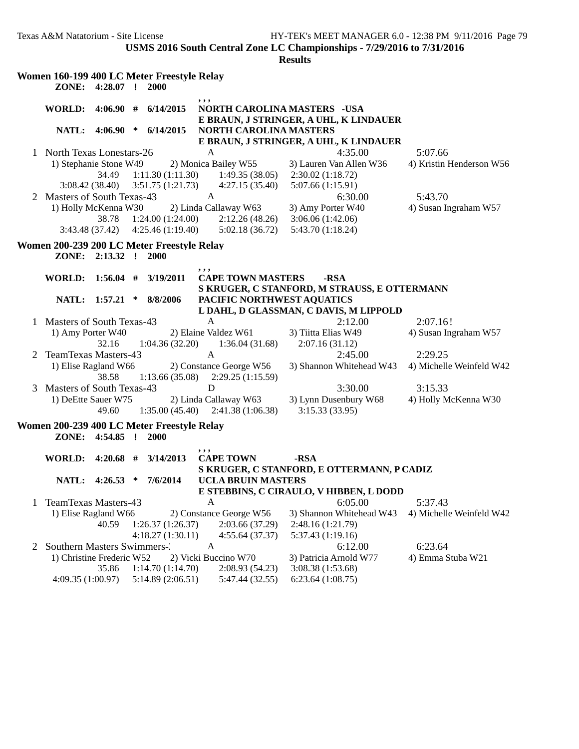|   |                                                     |                          |              | Women 160-199 400 LC Meter Freestyle Relay         |              |                                                                |                                                                              |                                  |
|---|-----------------------------------------------------|--------------------------|--------------|----------------------------------------------------|--------------|----------------------------------------------------------------|------------------------------------------------------------------------------|----------------------------------|
|   | ZONE:                                               | 4:28.07                  | $\mathbf{r}$ | 2000                                               |              |                                                                |                                                                              |                                  |
|   | <b>WORLD:</b>                                       |                          |              | $4:06.90$ # $6/14/2015$                            | , , ,        |                                                                | <b>NORTH CAROLINA MASTERS -USA</b><br>E BRAUN, J STRINGER, A UHL, K LINDAUER |                                  |
|   | NATL:                                               | 4:06.90                  | $\ast$       | 6/14/2015                                          |              | <b>NORTH CAROLINA MASTERS</b>                                  |                                                                              |                                  |
|   |                                                     |                          |              |                                                    |              |                                                                | E BRAUN, J STRINGER, A UHL, K LINDAUER                                       |                                  |
| 1 | <b>North Texas Lonestars-26</b>                     |                          |              |                                                    | A            |                                                                | 4:35.00                                                                      | 5:07.66                          |
|   | 1) Stephanie Stone W49                              | 34.49                    |              | 1:11.30(1:11.30)                                   |              | 2) Monica Bailey W55<br>1:49.35(38.05)                         | 3) Lauren Van Allen W36<br>2:30.02(1:18.72)                                  | 4) Kristin Henderson W56         |
|   |                                                     | 3:08.42(38.40)           |              | 3:51.75(1:21.73)                                   |              | 4:27.15(35.40)                                                 | 5:07.66 (1:15.91)                                                            |                                  |
|   | 2 Masters of South Texas-43<br>1) Holly McKenna W30 |                          |              |                                                    | A            | 2) Linda Callaway W63                                          | 6:30.00<br>3) Amy Porter W40                                                 | 5:43.70<br>4) Susan Ingraham W57 |
|   |                                                     | 38.78<br>3:43.48 (37.42) |              | 1:24.00(1:24.00)<br>4:25.46(1:19.40)               |              | 2:12.26(48.26)<br>5:02.18 (36.72)                              | 3:06.06(1:42.06)<br>5:43.70 (1:18.24)                                        |                                  |
|   |                                                     |                          |              | Women 200-239 200 LC Meter Freestyle Relay         |              |                                                                |                                                                              |                                  |
|   |                                                     | ZONE: 2:13.32 !          |              | 2000                                               |              |                                                                |                                                                              |                                  |
|   |                                                     |                          |              |                                                    | ,,,          |                                                                |                                                                              |                                  |
|   | <b>WORLD:</b>                                       |                          |              | $1:56.04$ # $3/19/2011$                            |              | <b>CAPE TOWN MASTERS</b>                                       | -RSA                                                                         |                                  |
|   | NATL:                                               | 1:57.21                  | $\ast$       | 8/8/2006                                           |              | PACIFIC NORTHWEST AQUATICS                                     | S KRUGER, C STANFORD, M STRAUSS, E OTTERMANN                                 |                                  |
|   |                                                     |                          |              |                                                    |              |                                                                | L DAHL, D GLASSMAN, C DAVIS, M LIPPOLD                                       |                                  |
| 1 | Masters of South Texas-43                           |                          |              |                                                    | A            |                                                                | 2:12.00                                                                      | 2:07.16!                         |
|   | 1) Amy Porter W40                                   |                          |              |                                                    |              | 2) Elaine Valdez W61                                           | 3) Tiitta Elias W49                                                          | 4) Susan Ingraham W57            |
|   |                                                     | 32.16                    |              | 1:04.36(32.20)                                     |              | 1:36.04(31.68)                                                 | 2:07.16(31.12)                                                               |                                  |
| 2 | TeamTexas Masters-43                                |                          |              |                                                    | $\mathbf{A}$ |                                                                | 2:45.00                                                                      | 2:29.25                          |
|   | 1) Elise Ragland W66                                | 38.58                    |              |                                                    |              | 2) Constance George W56<br>$1:13.66(35.08)$ $2:29.25(1:15.59)$ | 3) Shannon Whitehead W43                                                     | 4) Michelle Weinfeld W42         |
| 3 | Masters of South Texas-43                           |                          |              |                                                    | D            |                                                                | 3:30.00                                                                      | 3:15.33                          |
|   | 1) DeEtte Sauer W75                                 |                          |              |                                                    |              | 2) Linda Callaway W63                                          | 3) Lynn Dusenbury W68                                                        | 4) Holly McKenna W30             |
|   |                                                     | 49.60                    |              |                                                    |              | $1:35.00(45.40)$ $2:41.38(1:06.38)$                            | 3:15.33(33.95)                                                               |                                  |
|   | ZONE:                                               | 4:54.85                  | $\mathbf{I}$ | Women 200-239 400 LC Meter Freestyle Relay<br>2000 |              |                                                                |                                                                              |                                  |
|   |                                                     |                          |              |                                                    | , , ,        |                                                                |                                                                              |                                  |
|   | <b>WORLD:</b>                                       | $4:20.68$ #              |              | 3/14/2013                                          |              | <b>CAPE TOWN</b>                                               | -RSA                                                                         |                                  |
|   |                                                     |                          |              |                                                    |              |                                                                | S KRUGER, C STANFORD, E OTTERMANN, P CADIZ                                   |                                  |
|   | NATL:                                               | 4:26.53                  | ∗            | 7/6/2014                                           |              | <b>UCLA BRUIN MASTERS</b>                                      |                                                                              |                                  |
|   |                                                     |                          |              |                                                    |              |                                                                | E STEBBINS, C CIRAULO, V HIBBEN, L DODD                                      |                                  |
|   | TeamTexas Masters-43                                |                          |              |                                                    | $\mathbf{A}$ |                                                                | 6:05.00                                                                      | 5:37.43                          |
|   | 1) Elise Ragland W66                                |                          |              |                                                    |              | 2) Constance George W56                                        | 3) Shannon Whitehead W43                                                     | 4) Michelle Weinfeld W42         |
|   |                                                     | 40.59                    |              | 1:26.37(1:26.37)<br>4:18.27(1:30.11)               |              | 2:03.66 (37.29)                                                | 2:48.16 (1:21.79)                                                            |                                  |
| 2 | Southern Masters Swimmers-2                         |                          |              |                                                    | $\mathbf{A}$ | 4:55.64(37.37)                                                 | 5:37.43 (1:19.16)<br>6:12.00                                                 | 6:23.64                          |
|   | 1) Christine Frederic W52                           |                          |              |                                                    |              | 2) Vicki Buccino W70                                           | 3) Patricia Arnold W77                                                       | 4) Emma Stuba W21                |
|   |                                                     | 35.86                    |              | 1:14.70(1:14.70)                                   |              | 2:08.93(54.23)                                                 | 3:08.38 (1:53.68)                                                            |                                  |
|   | 4:09.35(1:00.97)                                    |                          |              | 5:14.89(2:06.51)                                   |              | 5:47.44 (32.55)                                                | 6:23.64(1:08.75)                                                             |                                  |
|   |                                                     |                          |              |                                                    |              |                                                                |                                                                              |                                  |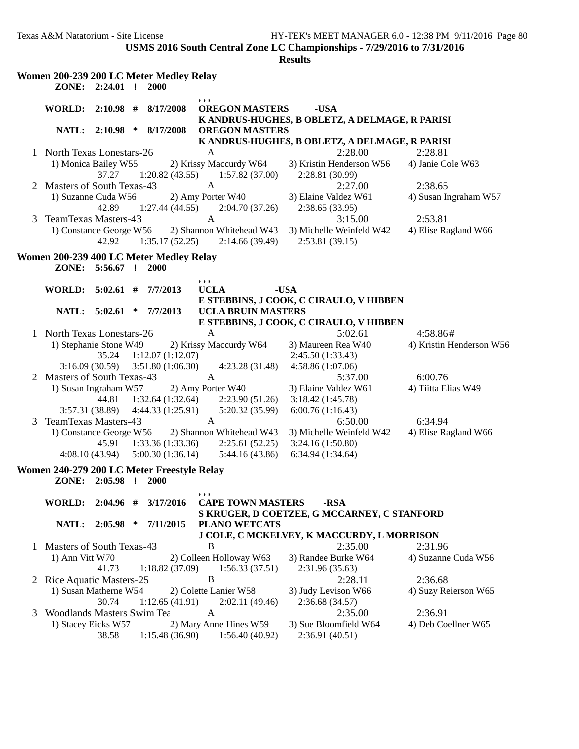|   |                                                      | ZONE: 2:24.01 !      |        | Women 200-239 200 LC Meter Medley Relay<br>2000 |                                                               |                                                        |                                      |
|---|------------------------------------------------------|----------------------|--------|-------------------------------------------------|---------------------------------------------------------------|--------------------------------------------------------|--------------------------------------|
|   | WORLD: 2:10.98 # 8/17/2008                           |                      |        |                                                 | , , ,<br><b>OREGON MASTERS</b>                                | -USA<br>K ANDRUS-HUGHES, B OBLETZ, A DELMAGE, R PARISI |                                      |
|   |                                                      | NATL: 2:10.98 *      |        | 8/17/2008                                       | <b>OREGON MASTERS</b>                                         |                                                        |                                      |
|   |                                                      |                      |        |                                                 |                                                               | K ANDRUS-HUGHES, B OBLETZ, A DELMAGE, R PARISI         |                                      |
|   | 1 North Texas Lonestars-26<br>1) Monica Bailey W55   |                      |        |                                                 | A                                                             | 2:28.00                                                | 2:28.81                              |
|   |                                                      | 37.27                |        | 1:20.82(43.55)                                  | 2) Krissy Maccurdy W64<br>1:57.82(37.00)                      | 3) Kristin Henderson W56<br>2:28.81 (30.99)            | 4) Janie Cole W63                    |
| 2 | Masters of South Texas-43                            |                      |        |                                                 | $\mathbf{A}$                                                  | 2:27.00                                                | 2:38.65                              |
|   | 1) Suzanne Cuda W56                                  | 42.89                |        | 1:27.44(44.55)                                  | 2) Amy Porter W40<br>2:04.70(37.26)                           | 3) Elaine Valdez W61<br>2:38.65 (33.95)                | 4) Susan Ingraham W57                |
| 3 | <b>TeamTexas Masters-43</b>                          |                      |        |                                                 | $\mathbf{A}$                                                  | 3:15.00                                                | 2:53.81                              |
|   | 1) Constance George W56                              | 42.92                |        |                                                 | 2) Shannon Whitehead W43<br>$1:35.17(52.25)$ $2:14.66(39.49)$ | 3) Michelle Weinfeld W42<br>2:53.81(39.15)             | 4) Elise Ragland W66                 |
|   |                                                      |                      |        | Women 200-239 400 LC Meter Medley Relay         |                                                               |                                                        |                                      |
|   |                                                      | ZONE: 5:56.67 ! 2000 |        |                                                 |                                                               |                                                        |                                      |
|   | WORLD: 5:02.61 # 7/7/2013                            |                      |        |                                                 | , , ,<br><b>UCLA</b>                                          | -USA                                                   |                                      |
|   |                                                      |                      |        |                                                 |                                                               | E STEBBINS, J COOK, C CIRAULO, V HIBBEN                |                                      |
|   |                                                      | NATL: 5:02.61 *      |        | 7/7/2013                                        | <b>UCLA BRUIN MASTERS</b>                                     |                                                        |                                      |
|   |                                                      |                      |        |                                                 |                                                               | E STEBBINS, J COOK, C CIRAULO, V HIBBEN                |                                      |
|   | 1 North Texas Lonestars-26<br>1) Stephanie Stone W49 |                      |        |                                                 | A<br>2) Krissy Maccurdy W64                                   | 5:02.61<br>3) Maureen Rea W40                          | 4:58.86#<br>4) Kristin Henderson W56 |
|   |                                                      | 35.24                |        | 1:12.07(1:12.07)                                |                                                               | 2:45.50(1:33.43)                                       |                                      |
|   |                                                      | 3:16.09(30.59)       |        | 3:51.80(1:06.30)                                | 4:23.28 (31.48)                                               | 4:58.86 (1:07.06)                                      |                                      |
| 2 | Masters of South Texas-43                            |                      |        |                                                 | $\mathbf{A}$                                                  | 5:37.00                                                | 6:00.76                              |
|   | 1) Susan Ingraham W57                                |                      |        |                                                 | 2) Amy Porter W40                                             | 3) Elaine Valdez W61                                   | 4) Tiitta Elias W49                  |
|   |                                                      | 44.81                |        | 1:32.64(1:32.64)                                | 2:23.90(51.26)                                                | 3:18.42(1:45.78)                                       |                                      |
|   | 3:57.31 (38.89)                                      |                      |        | 4:44.33(1:25.91)                                | 5:20.32 (35.99)                                               | 6:00.76(1:16.43)                                       |                                      |
| 3 | <b>TeamTexas Masters-43</b>                          |                      |        |                                                 | $\mathbf{A}$                                                  | 6:50.00                                                | 6:34.94                              |
|   | 1) Constance George W56                              |                      |        |                                                 | 2) Shannon Whitehead W43                                      | 3) Michelle Weinfeld W42                               | 4) Elise Ragland W66                 |
|   |                                                      | 45.91                |        | 1:33.36(1:33.36)                                | 2:25.61(52.25)                                                | 3:24.16(1:50.80)                                       |                                      |
|   | 4:08.10(43.94)                                       |                      |        | 5:00.30(1:36.14)                                | 5:44.16(43.86)                                                | 6:34.94(1:34.64)                                       |                                      |
|   |                                                      |                      |        | Women 240-279 200 LC Meter Freestyle Relay      |                                                               |                                                        |                                      |
|   |                                                      | ZONE: 2:05.98 ! 2000 |        |                                                 |                                                               |                                                        |                                      |
|   | WORLD: 2:04.96 #                                     |                      |        | 3/17/2016                                       | ,,,<br><b>CAPE TOWN MASTERS</b>                               | -RSA                                                   |                                      |
|   |                                                      |                      |        |                                                 |                                                               | S KRUGER, D COETZEE, G MCCARNEY, C STANFORD            |                                      |
|   |                                                      | NATL: 2:05.98        | $\ast$ | 7/11/2015                                       | <b>PLANO WETCATS</b>                                          |                                                        |                                      |
|   |                                                      |                      |        |                                                 |                                                               | J COLE, C MCKELVEY, K MACCURDY, L MORRISON             |                                      |
| 1 | Masters of South Texas-43                            |                      |        |                                                 | B                                                             | 2:35.00                                                | 2:31.96                              |
|   | 1) Ann Vitt W70                                      |                      |        |                                                 | 2) Colleen Holloway W63                                       | 3) Randee Burke W64                                    | 4) Suzanne Cuda W56                  |
|   |                                                      | 41.73                |        | 1:18.82(37.09)                                  | 1:56.33(37.51)<br>B                                           | 2:31.96 (35.63)<br>2:28.11                             |                                      |
|   | 2 Rice Aquatic Masters-25<br>1) Susan Matherne W54   |                      |        |                                                 | 2) Colette Lanier W58                                         | 3) Judy Levison W66                                    | 2:36.68<br>4) Suzy Reierson W65      |
|   |                                                      | 30.74                |        | 1:12.65(41.91)                                  | 2:02.11(49.46)                                                | 2:36.68 (34.57)                                        |                                      |
| 3 | Woodlands Masters Swim Tea                           |                      |        |                                                 | A                                                             | 2:35.00                                                | 2:36.91                              |
|   | 1) Stacey Eicks W57                                  |                      |        |                                                 | 2) Mary Anne Hines W59                                        | 3) Sue Bloomfield W64                                  | 4) Deb Coellner W65                  |
|   |                                                      | 38.58                |        | 1:15.48(36.90)                                  | 1:56.40(40.92)                                                | 2:36.91 (40.51)                                        |                                      |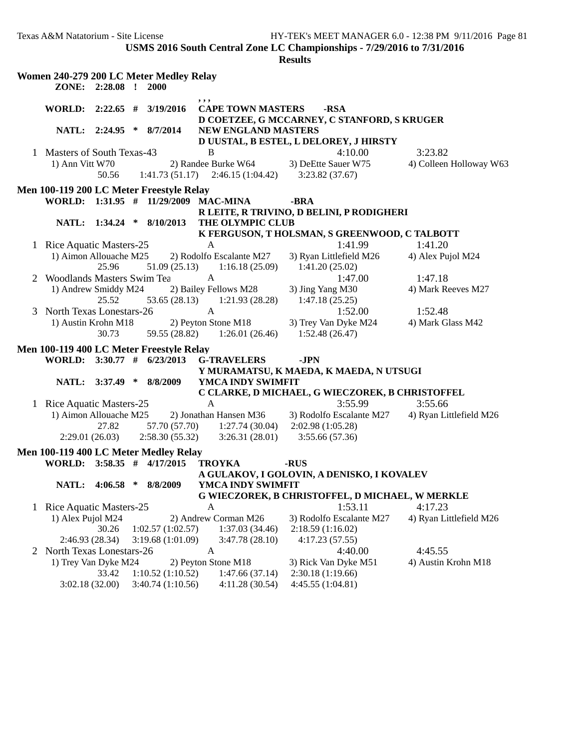|   |                                   |                 | Women 240-279 200 LC Meter Medley Relay                             |                     |                                                             |      |                                                     |                         |
|---|-----------------------------------|-----------------|---------------------------------------------------------------------|---------------------|-------------------------------------------------------------|------|-----------------------------------------------------|-------------------------|
|   |                                   | ZONE: 2:28.08 ! | 2000                                                                |                     |                                                             |      |                                                     |                         |
|   |                                   |                 | WORLD: 2:22.65 # 3/19/2016                                          | ,,,                 | <b>CAPE TOWN MASTERS</b>                                    |      | -RSA<br>D COETZEE, G MCCARNEY, C STANFORD, S KRUGER |                         |
|   |                                   | NATL: 2:24.95 * | 8/7/2014                                                            |                     | NEW ENGLAND MASTERS                                         |      |                                                     |                         |
|   | 1 Masters of South Texas-43       |                 |                                                                     | B                   |                                                             |      | D UUSTAL, B ESTEL, L DELOREY, J HIRSTY<br>4:10.00   | 3:23.82                 |
|   | 1) Ann Vitt W70                   | 50.56           |                                                                     |                     | 2) Randee Burke W64<br>$1:41.73(51.17)$ $2:46.15(1:04.42)$  |      | 3) DeEtte Sauer W75<br>3:23.82(37.67)               | 4) Colleen Holloway W63 |
|   |                                   |                 | Men 100-119 200 LC Meter Freestyle Relay                            |                     |                                                             |      |                                                     |                         |
|   |                                   |                 | WORLD: 1:31.95 # 11/29/2009 MAC-MINA                                |                     |                                                             | -BRA |                                                     |                         |
|   |                                   |                 |                                                                     |                     |                                                             |      | R LEITE, R TRIVINO, D BELINI, P RODIGHERI           |                         |
|   |                                   |                 | NATL: 1:34.24 * 8/10/2013                                           |                     | THE OLYMPIC CLUB                                            |      |                                                     |                         |
|   |                                   |                 |                                                                     |                     |                                                             |      | K FERGUSON, T HOLSMAN, S GREENWOOD, C TALBOTT       |                         |
|   | 1 Rice Aquatic Masters-25         |                 |                                                                     | $\mathbf{A}$        |                                                             |      | 1:41.99                                             | 1:41.20                 |
|   | 1) Aimon Allouache M25            | 25.96           |                                                                     |                     | 2) Rodolfo Escalante M27<br>$51.09(25.13)$ $1:16.18(25.09)$ |      | 3) Ryan Littlefield M26<br>1:41.20(25.02)           | 4) Alex Pujol M24       |
| 2 | <b>Woodlands Masters Swim Tea</b> |                 |                                                                     | $\mathbf{A}$        |                                                             |      | 1:47.00                                             | 1:47.18                 |
|   | 1) Andrew Smiddy M24              | 25.52           |                                                                     |                     | 2) Bailey Fellows M28<br>$53.65(28.13)$ $1:21.93(28.28)$    |      | 3) Jing Yang M30<br>1:47.18(25.25)                  | 4) Mark Reeves M27      |
| 3 | <b>North Texas Lonestars-26</b>   |                 |                                                                     | $\mathbf{A}$        |                                                             |      | 1:52.00                                             | 1:52.48                 |
|   | 1) Austin Krohn M18               | 30.73           |                                                                     | 2) Peyton Stone M18 | $59.55(28.82)$ 1:26.01 (26.46)                              |      | 3) Trey Van Dyke M24<br>1:52.48(26.47)              | 4) Mark Glass M42       |
|   |                                   |                 | Men 100-119 400 LC Meter Freestyle Relay                            |                     |                                                             |      |                                                     |                         |
|   |                                   |                 | WORLD: 3:30.77 # 6/23/2013 G-TRAVELERS                              |                     |                                                             | -JPN |                                                     |                         |
|   |                                   |                 |                                                                     |                     |                                                             |      | Y MURAMATSU, K MAEDA, K MAEDA, N UTSUGI             |                         |
|   |                                   |                 | NATL: 3:37.49 * 8/8/2009                                            |                     | YMCA INDY SWIMFIT                                           |      |                                                     |                         |
|   |                                   |                 |                                                                     |                     |                                                             |      | C CLARKE, D MICHAEL, G WIECZOREK, B CHRISTOFFEL     |                         |
|   | 1 Rice Aquatic Masters-25         |                 |                                                                     | $\mathbf{A}$        |                                                             |      | 3:55.99                                             | 3:55.66                 |
|   | 1) Aimon Allouache M25            | 27.82           |                                                                     |                     | 2) Jonathan Hansen M36<br>$57.70(57.70)$ $1:27.74(30.04)$   |      | 3) Rodolfo Escalante M27                            | 4) Ryan Littlefield M26 |
|   |                                   | 2:29.01(26.03)  |                                                                     |                     | $2:58.30(55.32)$ $3:26.31(28.01)$                           |      | 2:02.98 (1:05.28)<br>3:55.66 (57.36)                |                         |
|   |                                   |                 |                                                                     |                     |                                                             |      |                                                     |                         |
|   |                                   |                 | Men 100-119 400 LC Meter Medley Relay<br>WORLD: 3:58.35 # 4/17/2015 |                     |                                                             |      |                                                     |                         |
|   |                                   |                 |                                                                     | <b>TROYKA</b>       |                                                             | -RUS | A GULAKOV, I GOLOVIN, A DENISKO, I KOVALEV          |                         |
|   |                                   |                 | NATL: 4:06.58 * 8/8/2009                                            |                     | YMCA INDY SWIMFIT                                           |      |                                                     |                         |
|   |                                   |                 |                                                                     |                     |                                                             |      | G WIECZOREK, B CHRISTOFFEL, D MICHAEL, W MERKLE     |                         |
|   | 1 Rice Aquatic Masters-25         |                 |                                                                     | A                   |                                                             |      | 1:53.11                                             | 4:17.23                 |
|   | 1) Alex Pujol M24                 |                 |                                                                     |                     | 2) Andrew Corman M26                                        |      | 3) Rodolfo Escalante M27                            | 4) Ryan Littlefield M26 |
|   |                                   | 30.26           | 1:02.57(1:02.57)                                                    |                     | 1:37.03(34.46)                                              |      | 2:18.59(1:16.02)                                    |                         |
|   | 2:46.93 (28.34)                   |                 | 3:19.68 (1:01.09)                                                   |                     | 3:47.78(28.10)                                              |      | 4:17.23(57.55)                                      |                         |
|   | 2 North Texas Lonestars-26        |                 |                                                                     | A                   |                                                             |      | 4:40.00                                             | 4:45.55                 |
|   | 1) Trey Van Dyke M24              |                 |                                                                     | 2) Peyton Stone M18 |                                                             |      | 3) Rick Van Dyke M51                                | 4) Austin Krohn M18     |
|   |                                   | 33.42           | 1:10.52(1:10.52)                                                    |                     | 1:47.66(37.14)                                              |      | 2:30.18(1:19.66)                                    |                         |
|   | 3:02.18(32.00)                    |                 | 3:40.74 (1:10.56)                                                   |                     | 4:11.28(30.54)                                              |      | 4:45.55 (1:04.81)                                   |                         |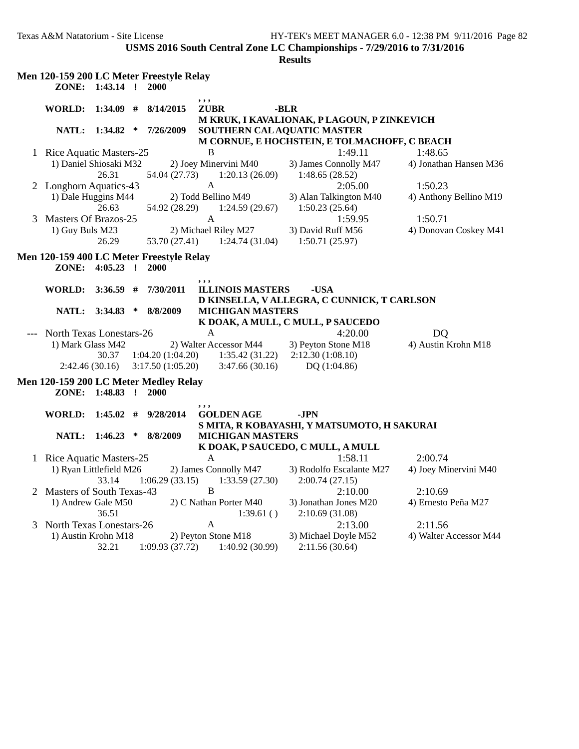**USMS 2016 South Central Zone LC Championships - 7/29/2016 to 7/31/2016**

|   | Men 120-159 200 LC Meter Freestyle Relay |                |              |                  |                         |                                              |                        |
|---|------------------------------------------|----------------|--------------|------------------|-------------------------|----------------------------------------------|------------------------|
|   | ZONE:                                    | $1:43.14$ !    |              | 2000             |                         |                                              |                        |
|   |                                          |                |              |                  | , , ,                   |                                              |                        |
|   | WORLD:                                   | 1:34.09        | -#           | 8/14/2015        | <b>ZUBR</b>             | -BLR                                         |                        |
|   |                                          |                |              |                  |                         | M KRUK, I KAVALIONAK, P LAGOUN, P ZINKEVICH  |                        |
|   |                                          | NATL: 1:34.82  | ∗            | 7/26/2009        |                         | SOUTHERN CAL AQUATIC MASTER                  |                        |
|   |                                          |                |              |                  |                         | M CORNUE, E HOCHSTEIN, E TOLMACHOFF, C BEACH |                        |
|   | 1 Rice Aquatic Masters-25                |                |              |                  | B                       | 1:49.11                                      | 1:48.65                |
|   | 1) Daniel Shiosaki M32                   |                |              |                  | 2) Joey Minervini M40   | 3) James Connolly M47                        | 4) Jonathan Hansen M36 |
|   |                                          | 26.31          |              | 54.04 (27.73)    | 1:20.13(26.09)          | 1:48.65(28.52)                               |                        |
|   | 2 Longhorn Aquatics-43                   |                |              |                  | $\mathbf{A}$            | 2:05.00                                      | 1:50.23                |
|   | 1) Dale Huggins M44                      |                |              |                  | 2) Todd Bellino M49     | 3) Alan Talkington M40                       | 4) Anthony Bellino M19 |
|   |                                          | 26.63          |              | 54.92 (28.29)    | 1:24.59(29.67)          | 1:50.23(25.64)                               |                        |
| 3 | <b>Masters Of Brazos-25</b>              |                |              |                  | A                       | 1:59.95                                      | 1:50.71                |
|   | 1) Guy Buls M23                          |                |              |                  | 2) Michael Riley M27    | 3) David Ruff M56                            | 4) Donovan Coskey M41  |
|   |                                          | 26.29          |              | 53.70 (27.41)    | 1:24.74(31.04)          | 1:50.71(25.97)                               |                        |
|   | Men 120-159 400 LC Meter Freestyle Relay |                |              |                  |                         |                                              |                        |
|   | ZONE:                                    | 4:05.23        | $\mathbf{r}$ | 2000             |                         |                                              |                        |
|   |                                          |                |              |                  | , , ,                   |                                              |                        |
|   | <b>WORLD:</b>                            | 3:36.59        | #            | 7/30/2011        | <b>ILLINOIS MASTERS</b> | -USA                                         |                        |
|   |                                          |                |              |                  |                         | D KINSELLA, V ALLEGRA, C CUNNICK, T CARLSON  |                        |
|   | <b>NATL:</b>                             | 3:34.83        | ∗            | 8/8/2009         | <b>MICHIGAN MASTERS</b> |                                              |                        |
|   |                                          |                |              |                  |                         | K DOAK, A MULL, C MULL, P SAUCEDO            |                        |
|   | <b>North Texas Lonestars-26</b>          |                |              |                  | A                       | 4:20.00                                      | D <sub>Q</sub>         |
|   | 1) Mark Glass M42                        |                |              |                  | 2) Walter Accessor M44  | 3) Peyton Stone M18                          | 4) Austin Krohn M18    |
|   |                                          | 30.37          |              | 1:04.20(1:04.20) | 1:35.42(31.22)          | 2:12.30(1:08.10)                             |                        |
|   |                                          | 2:42.46(30.16) |              | 3:17.50(1:05.20) | 3:47.66(30.16)          | DQ (1:04.86)                                 |                        |
|   | Men 120-159 200 LC Meter Medley Relay    |                |              |                  |                         |                                              |                        |
|   | ZONE:                                    | 1:48.83        | $\cdot$ !    | 2000             |                         |                                              |                        |
|   |                                          |                |              |                  | , , ,                   |                                              |                        |
|   | WORLD:                                   | $1:45.02$ #    |              | 9/28/2014        | <b>GOLDEN AGE</b>       | -JPN                                         |                        |
|   |                                          |                |              |                  |                         | S MITA, R KOBAYASHI, Y MATSUMOTO, H SAKURAI  |                        |
|   | NATL:                                    | $1:46.23$ *    |              | 8/8/2009         | <b>MICHIGAN MASTERS</b> |                                              |                        |
|   |                                          |                |              |                  |                         | K DOAK, P SAUCEDO, C MULL, A MULL            |                        |
|   | 1 Rice Aquatic Masters-25                |                |              |                  | A                       | 1:58.11                                      | 2:00.74                |
|   | 1) Ryan Littlefield M26                  |                |              |                  | 2) James Connolly M47   | 3) Rodolfo Escalante M27                     | 4) Joey Minervini M40  |
|   |                                          | 33.14          |              | 1:06.29(33.15)   | 1:33.59(27.30)          | 2:00.74(27.15)                               |                        |
|   | 2 Masters of South Texas-43              |                |              |                  | $\overline{B}$          | 2:10.00                                      | 2:10.69                |
|   | 1) Andrew Gale M50                       |                |              |                  | 2) C Nathan Porter M40  | 3) Jonathan Jones M20                        | 4) Ernesto Peña M27    |
|   |                                          | 36.51          |              |                  | 1:39.61()               | 2:10.69 (31.08)                              |                        |
| 3 | North Texas Lonestars-26                 |                |              |                  | A                       | 2:13.00                                      | 2:11.56                |
|   | 1) Austin Krohn M18                      |                |              |                  | 2) Peyton Stone M18     | 3) Michael Doyle M52                         | 4) Walter Accessor M44 |
|   |                                          | 32.21          |              | 1:09.93(37.72)   | 1:40.92 (30.99)         | 2:11.56 (30.64)                              |                        |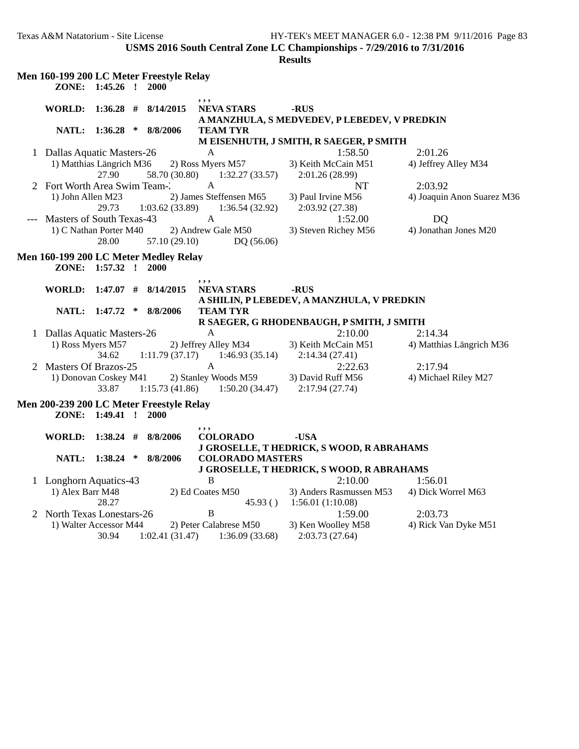**USMS 2016 South Central Zone LC Championships - 7/29/2016 to 7/31/2016**

| Men 160-199 200 LC Meter Freestyle Relay |                      |        |                            |                             |                                              |                            |
|------------------------------------------|----------------------|--------|----------------------------|-----------------------------|----------------------------------------------|----------------------------|
|                                          | ZONE: 1:45.26 !      |        | 2000                       |                             |                                              |                            |
| <b>WORLD:</b>                            |                      |        | $1:36.28$ # $8/14/2015$    | , , ,<br><b>NEVA STARS</b>  | -RUS                                         |                            |
|                                          |                      |        |                            |                             | A MANZHULA, S MEDVEDEV, P LEBEDEV, V PREDKIN |                            |
|                                          |                      |        | NATL: 1:36.28 * 8/8/2006   | <b>TEAM TYR</b>             |                                              |                            |
|                                          |                      |        |                            |                             | M EISENHUTH, J SMITH, R SAEGER, P SMITH      |                            |
| 1 Dallas Aquatic Masters-26              |                      |        |                            | A                           | 1:58.50                                      | 2:01.26                    |
| 1) Matthias Längrich M36                 |                      |        |                            | 2) Ross Myers M57           | 3) Keith McCain M51                          | 4) Jeffrey Alley M34       |
|                                          | 27.90                |        | 58.70 (30.80)              | 1:32.27(33.57)              | 2:01.26 (28.99)                              |                            |
| 2 Fort Worth Area Swim Team-2            |                      |        |                            | $\mathbf{A}$                | <b>NT</b>                                    | 2:03.92                    |
| 1) John Allen M23                        |                      |        |                            | 2) James Steffensen M65     | 3) Paul Irvine M56                           | 4) Joaquin Anon Suarez M36 |
|                                          | 29.73                |        | 1:03.62(33.89)             | 1:36.54(32.92)              | 2:03.92(27.38)                               |                            |
| Masters of South Texas-43                |                      |        |                            | A                           | 1:52.00                                      | <b>DQ</b>                  |
| 1) C Nathan Porter M40                   |                      |        |                            | 2) Andrew Gale M50          | 3) Steven Richey M56                         | 4) Jonathan Jones M20      |
|                                          | 28.00                |        | 57.10 (29.10)              | DQ (56.06)                  |                                              |                            |
| Men 160-199 200 LC Meter Medley Relay    |                      |        |                            |                             |                                              |                            |
|                                          | ZONE: 1:57.32 ! 2000 |        |                            |                             |                                              |                            |
|                                          |                      |        |                            | , , ,                       |                                              |                            |
|                                          |                      |        | WORLD: 1:47.07 # 8/14/2015 | <b>NEVA STARS</b>           | -RUS                                         |                            |
|                                          |                      |        |                            |                             | A SHILIN, P LEBEDEV, A MANZHULA, V PREDKIN   |                            |
|                                          | NATL: 1:47.72        | $\ast$ | 8/8/2006                   | <b>TEAM TYR</b>             |                                              |                            |
|                                          |                      |        |                            |                             | R SAEGER, G RHODENBAUGH, P SMITH, J SMITH    |                            |
| 1 Dallas Aquatic Masters-26              |                      |        |                            | $\mathbf{A}$                | 2:10.00                                      | 2:14.34                    |
| 1) Ross Myers M57                        |                      |        |                            | 2) Jeffrey Alley M34        | 3) Keith McCain M51                          | 4) Matthias Längrich M36   |
|                                          | 34.62                |        | 1:11.79(37.17)             | 1:46.93(35.14)              | 2:14.34(27.41)                               |                            |
| 2 Masters Of Brazos-25                   |                      |        |                            | A                           | 2:22.63                                      | 2:17.94                    |
| 1) Donovan Coskey M41                    |                      |        |                            | 2) Stanley Woods M59        | 3) David Ruff M56                            | 4) Michael Riley M27       |
|                                          | 33.87                |        | 1:15.73(41.86)             | 1:50.20(34.47)              | 2:17.94(27.74)                               |                            |
| Men 200-239 200 LC Meter Freestyle Relay |                      |        |                            |                             |                                              |                            |
|                                          | ZONE: 1:49.41 !      |        | 2000                       |                             |                                              |                            |
|                                          |                      |        |                            | , , ,                       |                                              |                            |
| <b>WORLD:</b>                            |                      |        | $1:38.24$ # $8/8/2006$     | <b>COLORADO</b>             | -USA                                         |                            |
|                                          |                      |        |                            |                             | J GROSELLE, T HEDRICK, S WOOD, R ABRAHAMS    |                            |
|                                          |                      |        | NATL: 1:38.24 * 8/8/2006   | <b>COLORADO MASTERS</b>     |                                              |                            |
|                                          |                      |        |                            |                             | J GROSELLE, T HEDRICK, S WOOD, R ABRAHAMS    |                            |
| 1 Longhorn Aquatics-43                   |                      |        |                            | B                           | 2:10.00                                      | 1:56.01                    |
| 1) Alex Barr M48                         | 28.27                |        |                            | 2) Ed Coates M50<br>45.93() | 3) Anders Rasmussen M53<br>1:56.01(1:10.08)  | 4) Dick Worrel M63         |
| 2 North Texas Lonestars-26               |                      |        |                            | $\, {\bf B}$                | 1:59.00                                      | 2:03.73                    |
| 1) Walter Accessor M44                   |                      |        |                            | 2) Peter Calabrese M50      | 3) Ken Woolley M58                           | 4) Rick Van Dyke M51       |
|                                          | 30.94                |        | 1:02.41(31.47)             | 1:36.09(33.68)              | 2:03.73(27.64)                               |                            |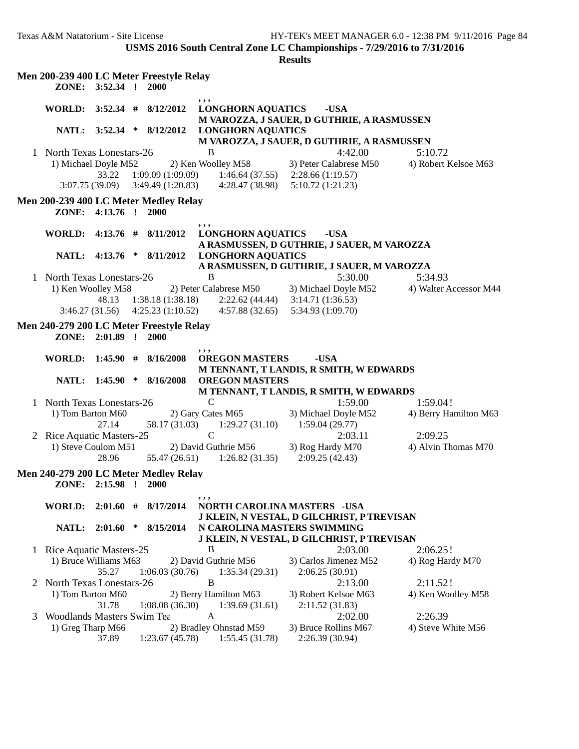|              |                                               |                 |        | Men 200-239 400 LC Meter Freestyle Relay             |                                                                                 |                                 |                        |
|--------------|-----------------------------------------------|-----------------|--------|------------------------------------------------------|---------------------------------------------------------------------------------|---------------------------------|------------------------|
|              |                                               | ZONE: 3:52.34 ! |        | 2000                                                 |                                                                                 |                                 |                        |
|              | WORLD: 3:52.34 #                              |                 |        | 8/12/2012                                            | , , ,<br><b>LONGHORN AQUATICS</b><br>M VAROZZA, J SAUER, D GUTHRIE, A RASMUSSEN | -USA                            |                        |
|              |                                               | NATL: 3:52.34 * |        | 8/12/2012                                            | <b>LONGHORN AQUATICS</b><br>M VAROZZA, J SAUER, D GUTHRIE, A RASMUSSEN          |                                 |                        |
|              | 1 North Texas Lonestars-26                    |                 |        |                                                      | B                                                                               | 4:42.00                         | 5:10.72                |
|              | 1) Michael Doyle M52                          |                 |        |                                                      | 2) Ken Woolley M58                                                              | 3) Peter Calabrese M50          | 4) Robert Kelsoe M63   |
|              |                                               | 33.22           |        |                                                      | $1:09.09(1:09.09)$ $1:46.64(37.55)$ $2:28.66(1:19.57)$                          |                                 |                        |
|              |                                               |                 |        | $3:07.75(39.09)$ $3:49.49(1:20.83)$                  | 4:28.47 (38.98)                                                                 | 5:10.72(1:21.23)                |                        |
|              |                                               | ZONE: 4:13.76 ! |        | Men 200-239 400 LC Meter Medley Relay<br>2000        |                                                                                 |                                 |                        |
|              | <b>WORLD:</b>                                 |                 |        | $4:13.76$ # $8/11/2012$                              | ,,,<br><b>LONGHORN AQUATICS</b><br>A RASMUSSEN, D GUTHRIE, J SAUER, M VAROZZA   | -USA                            |                        |
|              |                                               |                 |        | NATL: 4:13.76 * 8/11/2012                            | <b>LONGHORN AQUATICS</b>                                                        |                                 |                        |
|              |                                               |                 |        |                                                      | A RASMUSSEN, D GUTHRIE, J SAUER, M VAROZZA                                      |                                 |                        |
|              | 1 North Texas Lonestars-26                    |                 |        |                                                      | B                                                                               | 5:30.00                         | 5:34.93                |
|              | 1) Ken Woolley M58                            |                 |        |                                                      | 2) Peter Calabrese M50                                                          | 3) Michael Doyle M52            | 4) Walter Accessor M44 |
|              |                                               | 48.13           |        | 1:38.18(1:38.18)                                     | $2:22.62(44.44)$ $3:14.71(1:36.53)$                                             |                                 |                        |
|              |                                               | 3:46.27(31.56)  |        | 4:25.23(1:10.52)                                     | 4:57.88(32.65)                                                                  | 5:34.93 (1:09.70)               |                        |
|              |                                               |                 |        | Men 240-279 200 LC Meter Freestyle Relay             |                                                                                 |                                 |                        |
|              |                                               | ZONE: 2:01.89 ! |        | 2000                                                 |                                                                                 |                                 |                        |
|              |                                               |                 |        |                                                      | ,,,                                                                             |                                 |                        |
|              | WORLD:                                        | 1:45.90#        |        | 8/16/2008                                            | <b>OREGON MASTERS</b>                                                           | -USA                            |                        |
|              |                                               |                 |        |                                                      | M TENNANT, T LANDIS, R SMITH, W EDWARDS                                         |                                 |                        |
|              |                                               |                 |        | NATL: 1:45.90 * 8/16/2008                            | <b>OREGON MASTERS</b>                                                           |                                 |                        |
|              |                                               |                 |        |                                                      | M TENNANT, T LANDIS, R SMITH, W EDWARDS<br>$\mathsf{C}$                         |                                 |                        |
| 1            | North Texas Lonestars-26<br>1) Tom Barton M60 |                 |        |                                                      | 2) Gary Cates M65                                                               | 1:59.00<br>3) Michael Doyle M52 | 1:59.04!               |
|              |                                               | 27.14           |        | 58.17 (31.03)                                        | 1:29.27(31.10)                                                                  | 1:59.04(29.77)                  | 4) Berry Hamilton M63  |
| 2            | Rice Aquatic Masters-25                       |                 |        |                                                      | $\mathbf C$                                                                     | 2:03.11                         | 2:09.25                |
|              | 1) Steve Coulom M51                           |                 |        |                                                      | 2) David Guthrie M56                                                            | 3) Rog Hardy M70                | 4) Alvin Thomas M70    |
|              |                                               | 28.96           |        | 55.47 (26.51)                                        | 1:26.82(31.35)                                                                  | 2:09.25(42.43)                  |                        |
|              |                                               |                 |        |                                                      |                                                                                 |                                 |                        |
|              |                                               | ZONE: 2:15.98 ! |        | Men 240-279 200 LC Meter Medley Relay<br><b>2000</b> |                                                                                 |                                 |                        |
|              | WORLD:                                        | 2:01.60         | #      | 8/17/2014                                            | , , ,<br>NORTH CAROLINA MASTERS -USA                                            |                                 |                        |
|              |                                               |                 |        |                                                      | J KLEIN, N VESTAL, D GILCHRIST, P TREVISAN                                      |                                 |                        |
|              | NATL:                                         | 2:01.60         | $\ast$ | 8/15/2014                                            | N CAROLINA MASTERS SWIMMING                                                     |                                 |                        |
|              |                                               |                 |        |                                                      | J KLEIN, N VESTAL, D GILCHRIST, P TREVISAN                                      |                                 |                        |
| $\mathbf{I}$ | Rice Aquatic Masters-25                       |                 |        |                                                      | B                                                                               | 2:03.00                         | 2:06.25!               |
|              | 1) Bruce Williams M63                         |                 |        |                                                      | 2) David Guthrie M56                                                            | 3) Carlos Jimenez M52           | 4) Rog Hardy M70       |
|              |                                               | 35.27           |        | 1:06.03(30.76)                                       | 1:35.34(29.31)                                                                  | 2:06.25(30.91)                  |                        |
| 2            | North Texas Lonestars-26                      |                 |        |                                                      | B                                                                               | 2:13.00                         | 2:11.52!               |
|              | 1) Tom Barton M60                             |                 |        |                                                      | 2) Berry Hamilton M63                                                           | 3) Robert Kelsoe M63            | 4) Ken Woolley M58     |
|              |                                               | 31.78           |        | 1:08.08(36.30)                                       | 1:39.69(31.61)                                                                  | 2:11.52(31.83)                  |                        |
| 3            | Woodlands Masters Swim Tea                    |                 |        |                                                      | A                                                                               | 2:02.00                         | 2:26.39                |
|              | 1) Greg Tharp M66                             |                 |        |                                                      | 2) Bradley Ohnstad M59                                                          | 3) Bruce Rollins M67            | 4) Steve White M56     |
|              |                                               | 37.89           |        | 1:23.67(45.78)                                       | 1:55.45(31.78)                                                                  | 2:26.39 (30.94)                 |                        |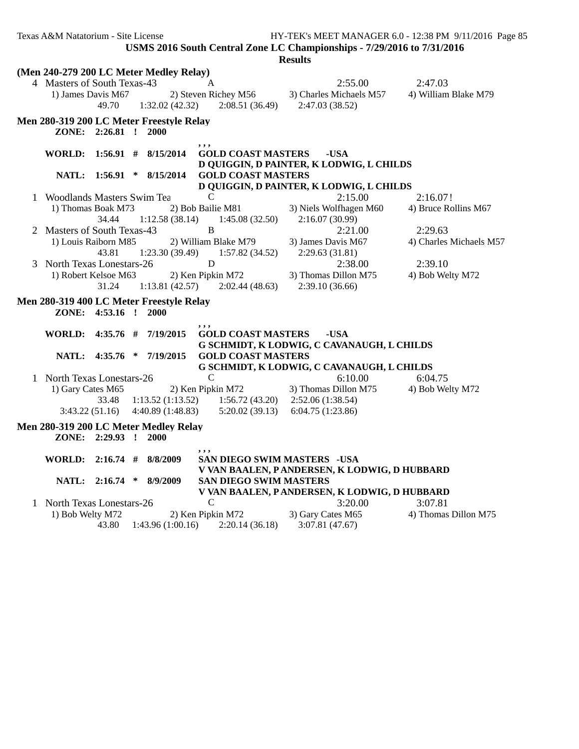|   | (Men 240-279 200 LC Meter Medley Relay)  |                 |                  |                                                        |                                              |                         |
|---|------------------------------------------|-----------------|------------------|--------------------------------------------------------|----------------------------------------------|-------------------------|
|   | 4 Masters of South Texas-43              |                 |                  | $\mathbf{A}$                                           | 2:55.00                                      | 2:47.03                 |
|   | 1) James Davis M67                       |                 |                  | 2) Steven Richey M56                                   | 3) Charles Michaels M57                      | 4) William Blake M79    |
|   |                                          | 49.70           | 1:32.02(42.32)   | 2:08.51(36.49)                                         | 2:47.03(38.52)                               |                         |
|   | Men 280-319 200 LC Meter Freestyle Relay |                 |                  |                                                        |                                              |                         |
|   |                                          | ZONE: 2:26.81 ! | 2000             |                                                        |                                              |                         |
|   |                                          |                 |                  | ,,,                                                    |                                              |                         |
|   | WORLD: 1:56.91 # 8/15/2014               |                 |                  | <b>GOLD COAST MASTERS</b>                              | -USA                                         |                         |
|   |                                          |                 |                  |                                                        | D QUIGGIN, D PAINTER, K LODWIG, L CHILDS     |                         |
|   | <b>NATL:</b>                             | $1:56.91$ *     | 8/15/2014        | <b>GOLD COAST MASTERS</b>                              |                                              |                         |
|   |                                          |                 |                  |                                                        | D QUIGGIN, D PAINTER, K LODWIG, L CHILDS     |                         |
|   | 1 Woodlands Masters Swim Tea             |                 |                  | $\mathcal{C}$                                          | 2:15.00                                      | 2:16.07!                |
|   | 1) Thomas Boak M73                       |                 |                  | 2) Bob Bailie M81                                      | 3) Niels Wolfhagen M60                       | 4) Bruce Rollins M67    |
|   |                                          | 34.44           | 1:12.58(38.14)   | 1:45.08(32.50)                                         | 2:16.07 (30.99)                              |                         |
|   | 2 Masters of South Texas-43              |                 |                  | $\overline{B}$                                         | 2:21.00                                      | 2:29.63                 |
|   | 1) Louis Raiborn M85                     |                 |                  | 2) William Blake M79                                   | 3) James Davis M67                           | 4) Charles Michaels M57 |
|   |                                          | 43.81           | 1:23.30(39.49)   | 1:57.82(34.52)                                         | 2:29.63(31.81)                               |                         |
|   | 3 North Texas Lonestars-26               |                 |                  | D                                                      | 2:38.00                                      | 2:39.10                 |
|   | 1) Robert Kelsoe M63                     |                 |                  | 2) Ken Pipkin M72                                      | 3) Thomas Dillon M75                         | 4) Bob Welty M72        |
|   |                                          | 31.24           | 1:13.81(42.57)   | 2:02.44(48.63)                                         | 2:39.10(36.66)                               |                         |
|   | Men 280-319 400 LC Meter Freestyle Relay |                 |                  |                                                        |                                              |                         |
|   |                                          | ZONE: 4:53.16 ! | 2000             |                                                        |                                              |                         |
|   |                                          |                 |                  | , , ,                                                  |                                              |                         |
|   | WORLD: 4:35.76 #                         |                 | 7/19/2015        | <b>GOLD COAST MASTERS</b>                              | -USA                                         |                         |
|   |                                          |                 |                  |                                                        | G SCHMIDT, K LODWIG, C CAVANAUGH, L CHILDS   |                         |
|   | <b>NATL:</b>                             | $4:35.76$ *     | 7/19/2015        | <b>GOLD COAST MASTERS</b>                              |                                              |                         |
|   |                                          |                 |                  |                                                        | G SCHMIDT, K LODWIG, C CAVANAUGH, L CHILDS   |                         |
| 1 | <b>North Texas Lonestars-26</b>          |                 |                  | $\mathcal{C}$                                          | 6:10.00                                      | 6:04.75                 |
|   | 1) Gary Cates M65                        |                 |                  | 2) Ken Pipkin M72                                      | 3) Thomas Dillon M75                         | 4) Bob Welty M72        |
|   |                                          | 33.48           |                  | $1:13.52(1:13.52)$ $1:56.72(43.20)$ $2:52.06(1:38.54)$ |                                              |                         |
|   | 3:43.22(51.16)                           |                 | 4:40.89(1:48.83) | 5:20.02(39.13)                                         | 6:04.75(1:23.86)                             |                         |
|   | Men 280-319 200 LC Meter Medley Relay    |                 |                  |                                                        |                                              |                         |
|   |                                          | ZONE: 2:29.93 ! | <b>2000</b>      |                                                        |                                              |                         |
|   |                                          |                 |                  | , , ,                                                  |                                              |                         |
|   | WORLD: $2:16.74$ #                       |                 | 8/8/2009         | <b>SAN DIEGO SWIM MASTERS - USA</b>                    |                                              |                         |
|   |                                          |                 |                  |                                                        | V VAN BAALEN, PANDERSEN, K LODWIG, D HUBBARD |                         |
|   |                                          | NATL: 2:16.74 * | 8/9/2009         | <b>SAN DIEGO SWIM MASTERS</b>                          |                                              |                         |
|   |                                          |                 |                  |                                                        | V VAN BAALEN, PANDERSEN, K LODWIG, D HUBBARD |                         |
|   | 1 North Texas Lonestars-26               |                 |                  | $\mathcal{C}$                                          | 3:20.00                                      | 3:07.81                 |
|   | 1) Bob Welty M72                         |                 |                  | 2) Ken Pipkin M72                                      | 3) Gary Cates M65                            | 4) Thomas Dillon M75    |
|   |                                          | 43.80           | 1:43.96(1:00.16) | 2:20.14(36.18)                                         | 3:07.81(47.67)                               |                         |
|   |                                          |                 |                  |                                                        |                                              |                         |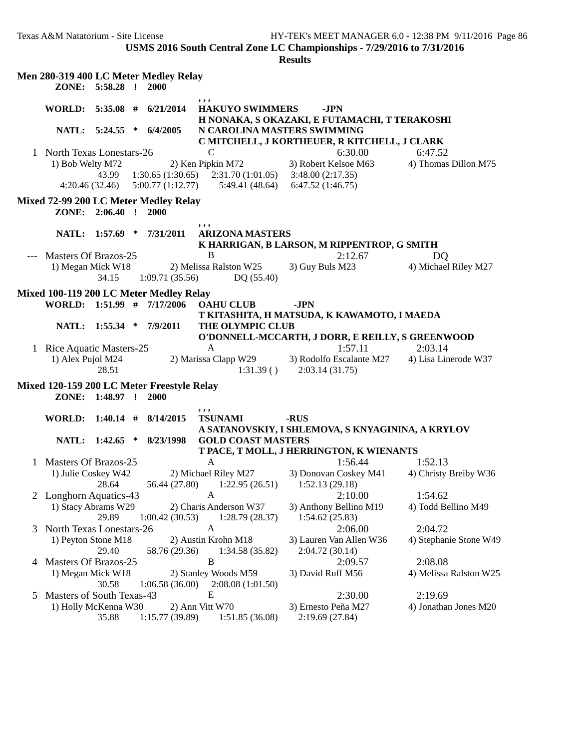**USMS 2016 South Central Zone LC Championships - 7/29/2016 to 7/31/2016**

|   |                            | ZONE: 5:58.28 ! |   | Men 280-319 400 LC Meter Medley Relay<br>2000             |                                                       |                                                           |                        |
|---|----------------------------|-----------------|---|-----------------------------------------------------------|-------------------------------------------------------|-----------------------------------------------------------|------------------------|
|   | WORLD: $5:35.08$ #         |                 |   | 6/21/2014                                                 | , , ,<br><b>HAKUYO SWIMMERS</b>                       | -JPN<br>H NONAKA, S OKAZAKI, E FUTAMACHI, T TERAKOSHI     |                        |
|   |                            | NATL: 5:24.55   | * | 6/4/2005                                                  | N CAROLINA MASTERS SWIMMING                           | C MITCHELL, J KORTHEUER, R KITCHELL, J CLARK              |                        |
|   | 1 North Texas Lonestars-26 |                 |   |                                                           | C                                                     | 6:30.00                                                   | 6:47.52                |
|   | 1) Bob Welty M72           |                 |   |                                                           | 2) Ken Pipkin M72                                     | 3) Robert Kelsoe M63                                      | 4) Thomas Dillon M75   |
|   |                            | 43.99           |   | 1:30.65(1:30.65)                                          | 2:31.70(1:01.05)                                      | 3:48.00(2:17.35)                                          |                        |
|   |                            | 4:20.46(32.46)  |   | 5:00.77(1:12.77)                                          | 5:49.41 (48.64)                                       | 6:47.52(1:46.75)                                          |                        |
|   |                            |                 |   |                                                           |                                                       |                                                           |                        |
|   |                            | ZONE: 2:06.40 ! |   | Mixed 72-99 200 LC Meter Medley Relay<br>2000             |                                                       |                                                           |                        |
|   |                            | NATL: 1:57.69 * |   | 7/31/2011                                                 | ,,,<br><b>ARIZONA MASTERS</b>                         |                                                           |                        |
|   |                            |                 |   |                                                           |                                                       | K HARRIGAN, B LARSON, M RIPPENTROP, G SMITH               |                        |
|   | --- Masters Of Brazos-25   |                 |   |                                                           | B                                                     | 2:12.67                                                   | DQ                     |
|   | 1) Megan Mick W18          | 34.15           |   | 1:09.71(35.56)                                            | 2) Melissa Ralston W25<br>DQ(55.40)                   | 3) Guy Buls M23                                           | 4) Michael Riley M27   |
|   |                            |                 |   | Mixed 100-119 200 LC Meter Medley Relay                   |                                                       |                                                           |                        |
|   |                            |                 |   | WORLD: 1:51.99 # 7/17/2006                                | <b>OAHU CLUB</b>                                      | -JPN                                                      |                        |
|   |                            |                 |   |                                                           |                                                       | T KITASHITA, H MATSUDA, K KAWAMOTO, I MAEDA               |                        |
|   |                            | NATL: 1:55.34   |   | $*$ 7/9/2011                                              | THE OLYMPIC CLUB                                      |                                                           |                        |
|   |                            |                 |   |                                                           |                                                       | O'DONNELL-MCCARTH, J DORR, E REILLY, S GREENWOOD          |                        |
|   | 1 Rice Aquatic Masters-25  |                 |   |                                                           | A                                                     | 1:57.11                                                   | 2:03.14                |
|   | 1) Alex Pujol M24          | 28.51           |   |                                                           | 2) Marissa Clapp W29<br>1:31.39()                     | 3) Rodolfo Escalante M27<br>2:03.14(31.75)                | 4) Lisa Linerode W37   |
|   |                            | ZONE: 1:48.97 ! |   | Mixed 120-159 200 LC Meter Freestyle Relay<br><b>2000</b> |                                                       |                                                           |                        |
|   | <b>WORLD:</b>              | $1:40.14$ #     |   | 8/14/2015                                                 | ,,,<br><b>TSUNAMI</b>                                 | -RUS<br>A SATANOVSKIY, I SHLEMOVA, S KNYAGININA, A KRYLOV |                        |
|   |                            | NATL: 1:42.65 * |   | 8/23/1998                                                 | <b>GOLD COAST MASTERS</b>                             |                                                           |                        |
|   |                            |                 |   |                                                           |                                                       | T PACE, T MOLL, J HERRINGTON, K WIENANTS                  |                        |
| 1 | Masters Of Brazos-25       |                 |   |                                                           | $\mathbf{A}$                                          | 1:56.44                                                   | 1:52.13                |
|   | 1) Julie Coskey W42        | 28.64           |   |                                                           | 2) Michael Riley M27<br>56.44 (27.80) 1:22.95 (26.51) | 3) Donovan Coskey M41<br>1:52.13(29.18)                   | 4) Christy Breiby W36  |
|   | Longhorn Aquatics-43       |                 |   |                                                           | A                                                     | 2:10.00                                                   | 1:54.62                |
|   | 1) Stacy Abrams W29        | 29.89           |   | 1:00.42(30.53)                                            | 2) Charis Anderson W37<br>1:28.79(28.37)              | 3) Anthony Bellino M19<br>1:54.62(25.83)                  | 4) Todd Bellino M49    |
| 3 | North Texas Lonestars-26   |                 |   |                                                           | $\mathbf{A}$                                          | 2:06.00                                                   | 2:04.72                |
|   | 1) Peyton Stone M18        |                 |   |                                                           | 2) Austin Krohn M18                                   | 3) Lauren Van Allen W36                                   | 4) Stephanie Stone W49 |
|   |                            | 29.40           |   | 58.76 (29.36)                                             | 1:34.58(35.82)                                        | 2:04.72 (30.14)                                           |                        |
| 4 | Masters Of Brazos-25       |                 |   |                                                           | $\boldsymbol{B}$                                      | 2:09.57                                                   | 2:08.08                |
|   | 1) Megan Mick W18          |                 |   |                                                           | 2) Stanley Woods M59                                  | 3) David Ruff M56                                         | 4) Melissa Ralston W25 |
|   |                            | 30.58           |   | 1:06.58(36.00)                                            | 2:08.08(1:01.50)                                      |                                                           |                        |
| 5 | Masters of South Texas-43  |                 |   |                                                           | E                                                     | 2:30.00                                                   | 2:19.69                |
|   | 1) Holly McKenna W30       |                 |   |                                                           | 2) Ann Vitt W70                                       | 3) Ernesto Peña M27                                       | 4) Jonathan Jones M20  |
|   |                            | 35.88           |   | 1:15.77(39.89)                                            | 1:51.85(36.08)                                        | 2:19.69 (27.84)                                           |                        |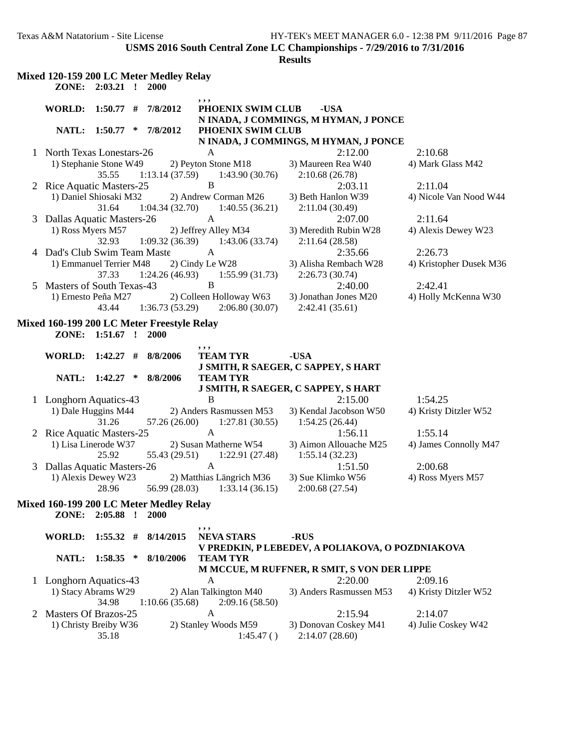|   |                              |                 |   | Mixed 120-159 200 LC Meter Medley Relay    |                                                   |                                                  |                                |
|---|------------------------------|-----------------|---|--------------------------------------------|---------------------------------------------------|--------------------------------------------------|--------------------------------|
|   |                              | ZONE: 2:03.21 ! |   | 2000                                       |                                                   |                                                  |                                |
|   |                              |                 |   |                                            | ,,,                                               |                                                  |                                |
|   | WORLD:                       | $1:50.77$ #     |   | 7/8/2012                                   | PHOENIX SWIM CLUB                                 | -USA<br>N INADA, J COMMINGS, M HYMAN, J PONCE    |                                |
|   |                              | NATL: 1:50.77 * |   | 7/8/2012                                   | PHOENIX SWIM CLUB                                 |                                                  |                                |
|   |                              |                 |   |                                            |                                                   | N INADA, J COMMINGS, M HYMAN, J PONCE            |                                |
|   | 1 North Texas Lonestars-26   |                 |   |                                            | A                                                 | 2:12.00                                          | 2:10.68                        |
|   | 1) Stephanie Stone W49       |                 |   |                                            | 2) Peyton Stone M18                               | 3) Maureen Rea W40                               | 4) Mark Glass M42              |
|   |                              | 35.55           |   |                                            | $1:13.14(37.59)$ $1:43.90(30.76)$                 | 2:10.68(26.78)                                   |                                |
| 2 | Rice Aquatic Masters-25      |                 |   |                                            | $\, {\bf B}$                                      | 2:03.11                                          | 2:11.04                        |
|   | 1) Daniel Shiosaki M32       |                 |   |                                            | 2) Andrew Corman M26                              | 3) Beth Hanlon W39                               | 4) Nicole Van Nood W44         |
|   |                              | 31.64           |   |                                            | $1:04.34(32.70)$ $1:40.55(36.21)$<br>$\mathbf{A}$ | 2:11.04(30.49)                                   |                                |
| 3 | Dallas Aquatic Masters-26    |                 |   |                                            | 2) Jeffrey Alley M34                              | 2:07.00<br>3) Meredith Rubin W28                 | 2:11.64<br>4) Alexis Dewey W23 |
|   | 1) Ross Myers M57            | 32.93           |   |                                            | $1:09.32(36.39)$ $1:43.06(33.74)$                 | 2:11.64(28.58)                                   |                                |
|   | 4 Dad's Club Swim Team Maste |                 |   |                                            | A                                                 | 2:35.66                                          | 2:26.73                        |
|   | 1) Emmanuel Terrier M48      |                 |   |                                            | 2) Cindy Le W28                                   | 3) Alisha Rembach W28                            | 4) Kristopher Dusek M36        |
|   |                              | 37.33           |   |                                            | $1:24.26(46.93)$ $1:55.99(31.73)$                 | 2:26.73(30.74)                                   |                                |
| 5 | Masters of South Texas-43    |                 |   |                                            | B                                                 | 2:40.00                                          | 2:42.41                        |
|   | 1) Ernesto Peña M27          |                 |   |                                            | 2) Colleen Holloway W63                           | 3) Jonathan Jones M20                            | 4) Holly McKenna W30           |
|   |                              | 43.44           |   | 1:36.73(53.29)                             | 2:06.80(30.07)                                    | 2:42.41 (35.61)                                  |                                |
|   |                              |                 |   | Mixed 160-199 200 LC Meter Freestyle Relay |                                                   |                                                  |                                |
|   |                              | ZONE: 1:51.67 ! |   | <b>2000</b>                                |                                                   |                                                  |                                |
|   |                              |                 |   |                                            | ,,,                                               |                                                  |                                |
|   | <b>WORLD:</b>                | $1:42.27$ #     |   | 8/8/2006                                   | <b>TEAM TYR</b>                                   | -USA                                             |                                |
|   |                              |                 |   |                                            |                                                   | J SMITH, R SAEGER, C SAPPEY, S HART              |                                |
|   |                              | NATL: 1:42.27   | * | 8/8/2006                                   | <b>TEAM TYR</b>                                   | J SMITH, R SAEGER, C SAPPEY, S HART              |                                |
|   | 1 Longhorn Aquatics-43       |                 |   |                                            | B                                                 | 2:15.00                                          | 1:54.25                        |
|   | 1) Dale Huggins M44          |                 |   |                                            | 2) Anders Rasmussen M53                           | 3) Kendal Jacobson W50                           | 4) Kristy Ditzler W52          |
|   |                              | 31.26           |   |                                            | $57.26(26.00)$ 1:27.81 (30.55)                    | 1:54.25(26.44)                                   |                                |
|   | 2 Rice Aquatic Masters-25    |                 |   |                                            | $\mathbf{A}$                                      | 1:56.11                                          | 1:55.14                        |
|   | 1) Lisa Linerode W37         |                 |   |                                            | 2) Susan Matherne W54                             | 3) Aimon Allouache M25                           | 4) James Connolly M47          |
|   |                              | 25.92           |   |                                            | $55.43(29.51)$ $1:22.91(27.48)$                   | 1:55.14(32.23)                                   |                                |
| 3 | Dallas Aquatic Masters-26    |                 |   |                                            | A                                                 | 1:51.50                                          | 2:00.68                        |
|   | 1) Alexis Dewey W23          |                 |   |                                            | 2) Matthias Längrich M36                          | 3) Sue Klimko W56                                | 4) Ross Myers M57              |
|   |                              | 28.96           |   | 56.99 (28.03)                              | 1:33.14(36.15)                                    | 2:00.68 (27.54)                                  |                                |
|   |                              |                 |   | Mixed 160-199 200 LC Meter Medley Relay    |                                                   |                                                  |                                |
|   | ZONE:                        | $2:05.88$ !     |   | <b>2000</b>                                |                                                   |                                                  |                                |
|   |                              |                 |   |                                            | ,,,                                               |                                                  |                                |
|   | <b>WORLD:</b>                | $1:55.32$ #     |   | 8/14/2015                                  | <b>NEVA STARS</b>                                 | -RUS                                             |                                |
|   |                              |                 |   |                                            |                                                   | V PREDKIN, P LEBEDEV, A POLIAKOVA, O POZDNIAKOVA |                                |
|   | NATL:                        | $1:58.35$ *     |   | 8/10/2006                                  | <b>TEAM TYR</b>                                   | M MCCUE, M RUFFNER, R SMIT, S VON DER LIPPE      |                                |
|   | 1 Longhorn Aquatics-43       |                 |   |                                            | A                                                 | 2:20.00                                          | 2:09.16                        |
|   | 1) Stacy Abrams W29          |                 |   |                                            | 2) Alan Talkington M40                            | 3) Anders Rasmussen M53                          | 4) Kristy Ditzler W52          |
|   |                              | 34.98           |   | 1:10.66(35.68)                             | 2:09.16(58.50)                                    |                                                  |                                |
| 2 | <b>Masters Of Brazos-25</b>  |                 |   |                                            | A                                                 | 2:15.94                                          | 2:14.07                        |
|   | 1) Christy Breiby W36        |                 |   |                                            | 2) Stanley Woods M59                              | 3) Donovan Coskey M41                            | 4) Julie Coskey W42            |
|   |                              | 35.18           |   |                                            | 1:45.47()                                         | 2:14.07(28.60)                                   |                                |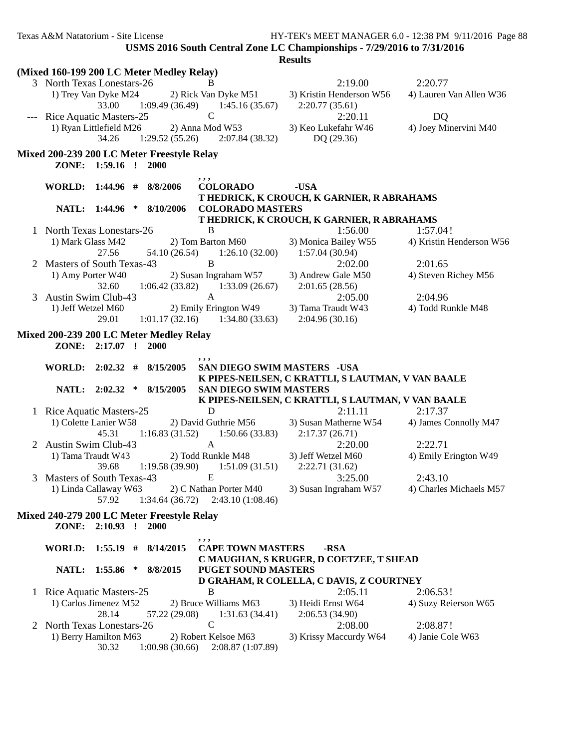| Texas A&M Natatorium - Site License |  |  |
|-------------------------------------|--|--|
|-------------------------------------|--|--|

|                                                                                                                                       | (Mixed 160-199 200 LC Meter Medley Relay)                                 |                           |  |             |                 |                                           |      |                                                                    |                          |  |  |
|---------------------------------------------------------------------------------------------------------------------------------------|---------------------------------------------------------------------------|---------------------------|--|-------------|-----------------|-------------------------------------------|------|--------------------------------------------------------------------|--------------------------|--|--|
|                                                                                                                                       | 3 North Texas Lonestars-26                                                |                           |  |             |                 | B.                                        |      | 2:19.00                                                            | 2:20.77                  |  |  |
|                                                                                                                                       | 1) Trey Van Dyke M24                                                      | 33.00                     |  |             | 1:09.49 (36.49) | 2) Rick Van Dyke M51<br>1:45.16(35.67)    |      | 3) Kristin Henderson W56<br>2:20.77(35.61)                         | 4) Lauren Van Allen W36  |  |  |
|                                                                                                                                       | --- Rice Aquatic Masters-25                                               |                           |  |             |                 | $\mathcal{C}$                             |      | 2:20.11                                                            | DQ                       |  |  |
|                                                                                                                                       | 1) Ryan Littlefield M26                                                   |                           |  |             |                 | 2) Anna Mod W53                           |      | 3) Keo Lukefahr W46                                                | 4) Joey Minervini M40    |  |  |
|                                                                                                                                       |                                                                           | 34.26                     |  |             |                 | $1:29.52(55.26)$ $2:07.84(38.32)$         |      | DQ(29.36)                                                          |                          |  |  |
|                                                                                                                                       | Mixed 200-239 200 LC Meter Freestyle Relay                                |                           |  |             |                 |                                           |      |                                                                    |                          |  |  |
|                                                                                                                                       |                                                                           | ZONE: 1:59.16 !           |  | 2000        |                 |                                           |      |                                                                    |                          |  |  |
|                                                                                                                                       | <b>WORLD:</b>                                                             | 1:44.96#                  |  | 8/8/2006    |                 | ,,,<br><b>COLORADO</b>                    | -USA |                                                                    |                          |  |  |
|                                                                                                                                       |                                                                           |                           |  |             |                 |                                           |      | T HEDRICK, K CROUCH, K GARNIER, R ABRAHAMS                         |                          |  |  |
|                                                                                                                                       |                                                                           | NATL: 1:44.96 *           |  | 8/10/2006   |                 | <b>COLORADO MASTERS</b>                   |      |                                                                    |                          |  |  |
|                                                                                                                                       |                                                                           |                           |  |             |                 |                                           |      | T HEDRICK, K CROUCH, K GARNIER, R ABRAHAMS                         |                          |  |  |
| $\mathbf{I}$                                                                                                                          | North Texas Lonestars-26                                                  |                           |  |             |                 | B                                         |      | 1:56.00                                                            | 1:57.04!                 |  |  |
|                                                                                                                                       | 1) Mark Glass M42                                                         |                           |  |             |                 | 2) Tom Barton M60                         |      | 3) Monica Bailey W55                                               | 4) Kristin Henderson W56 |  |  |
|                                                                                                                                       |                                                                           | 27.56                     |  |             | 54.10 (26.54)   | 1:26.10(32.00)                            |      | 1:57.04(30.94)                                                     |                          |  |  |
|                                                                                                                                       | Masters of South Texas-43                                                 |                           |  |             |                 | B                                         |      | 2:02.00                                                            | 2:01.65                  |  |  |
|                                                                                                                                       | 1) Amy Porter W40                                                         | 32.60                     |  |             |                 | 2) Susan Ingraham W57                     |      | 3) Andrew Gale M50<br>2:01.65(28.56)                               | 4) Steven Richey M56     |  |  |
| 3                                                                                                                                     | Austin Swim Club-43                                                       |                           |  |             | 1:06.42(33.82)  | 1:33.09(26.67)<br>A                       |      | 2:05.00                                                            | 2:04.96                  |  |  |
|                                                                                                                                       | 1) Jeff Wetzel M60                                                        |                           |  |             |                 | 2) Emily Erington W49                     |      | 3) Tama Traudt W43                                                 | 4) Todd Runkle M48       |  |  |
|                                                                                                                                       |                                                                           | 29.01                     |  |             |                 | $1:01.17(32.16)$ $1:34.80(33.63)$         |      | 2:04.96(30.16)                                                     |                          |  |  |
|                                                                                                                                       | Mixed 200-239 200 LC Meter Medley Relay<br>ZONE: 2:17.07 !<br><b>2000</b> |                           |  |             |                 |                                           |      |                                                                    |                          |  |  |
| , , ,<br>8/15/2005<br><b>SAN DIEGO SWIM MASTERS - USA</b><br>WORLD: $2:02.32$ #<br>K PIPES-NEILSEN, C KRATTLI, S LAUTMAN, V VAN BAALE |                                                                           |                           |  |             |                 |                                           |      |                                                                    |                          |  |  |
|                                                                                                                                       |                                                                           |                           |  |             |                 |                                           |      |                                                                    |                          |  |  |
|                                                                                                                                       |                                                                           | NATL: 2:02.32 * 8/15/2005 |  |             |                 | <b>SAN DIEGO SWIM MASTERS</b>             |      |                                                                    |                          |  |  |
|                                                                                                                                       |                                                                           |                           |  |             |                 |                                           |      | K PIPES-NEILSEN, C KRATTLI, S LAUTMAN, V VAN BAALE                 |                          |  |  |
|                                                                                                                                       | 1 Rice Aquatic Masters-25                                                 |                           |  |             |                 | D                                         |      | 2:11.11                                                            | 2:17.37                  |  |  |
|                                                                                                                                       | 1) Colette Lanier W58                                                     |                           |  |             |                 | 2) David Guthrie M56                      |      | 3) Susan Matherne W54                                              | 4) James Connolly M47    |  |  |
|                                                                                                                                       |                                                                           | 45.31                     |  |             | 1:16.83(31.52)  | 1:50.66(33.83)                            |      | 2:17.37(26.71)                                                     |                          |  |  |
|                                                                                                                                       | Austin Swim Club-43                                                       |                           |  |             |                 | $\mathbf{A}$                              |      | 2:20.00                                                            | 2:22.71                  |  |  |
|                                                                                                                                       | 1) Tama Traudt W43                                                        |                           |  |             |                 | 2) Todd Runkle M48                        |      | 3) Jeff Wetzel M60                                                 | 4) Emily Erington W49    |  |  |
|                                                                                                                                       |                                                                           | 39.68                     |  |             | 1:19.58(39.90)  | $1:51.09(31.51)$ $2:22.71(31.62)$         |      |                                                                    |                          |  |  |
| 3                                                                                                                                     | Masters of South Texas-43                                                 |                           |  |             |                 | $\mathbf{E}$                              |      | 3:25.00                                                            | 2:43.10                  |  |  |
|                                                                                                                                       |                                                                           | 57.92                     |  |             | 1:34.64(36.72)  | 2:43.10(1:08.46)                          |      | 1) Linda Callaway W63 2) C Nathan Porter M40 3) Susan Ingraham W57 | 4) Charles Michaels M57  |  |  |
|                                                                                                                                       |                                                                           |                           |  |             |                 |                                           |      |                                                                    |                          |  |  |
|                                                                                                                                       | Mixed 240-279 200 LC Meter Freestyle Relay                                | ZONE: 2:10.93 !           |  | <b>2000</b> |                 |                                           |      |                                                                    |                          |  |  |
|                                                                                                                                       | <b>WORLD:</b>                                                             | $1:55.19$ #               |  | 8/14/2015   |                 | ,,,<br><b>CAPE TOWN MASTERS</b>           |      | -RSA                                                               |                          |  |  |
|                                                                                                                                       |                                                                           |                           |  |             |                 |                                           |      | C MAUGHAN, S KRUGER, D COETZEE, T SHEAD                            |                          |  |  |
|                                                                                                                                       | NATL:                                                                     | $1:55.86$ *               |  | 8/8/2015    |                 | <b>PUGET SOUND MASTERS</b>                |      |                                                                    |                          |  |  |
|                                                                                                                                       |                                                                           |                           |  |             |                 |                                           |      | D GRAHAM, R COLELLA, C DAVIS, Z COURTNEY                           |                          |  |  |
|                                                                                                                                       | 1 Rice Aquatic Masters-25                                                 |                           |  |             |                 | B                                         |      | 2:05.11                                                            | 2:06.53!                 |  |  |
|                                                                                                                                       | 1) Carlos Jimenez M52                                                     |                           |  |             |                 | 2) Bruce Williams M63                     |      | 3) Heidi Ernst W64                                                 | 4) Suzy Reierson W65     |  |  |
|                                                                                                                                       |                                                                           | 28.14                     |  |             | 57.22 (29.08)   | 1:31.63(34.41)                            |      | 2:06.53(34.90)                                                     |                          |  |  |
| 2                                                                                                                                     | North Texas Lonestars-26                                                  |                           |  |             |                 | $\mathsf{C}$                              |      | 2:08.00                                                            | 2:08.87!                 |  |  |
|                                                                                                                                       | 1) Berry Hamilton M63                                                     | 30.32                     |  |             | 1:00.98(30.66)  | 2) Robert Kelsoe M63<br>2:08.87 (1:07.89) |      | 3) Krissy Maccurdy W64                                             | 4) Janie Cole W63        |  |  |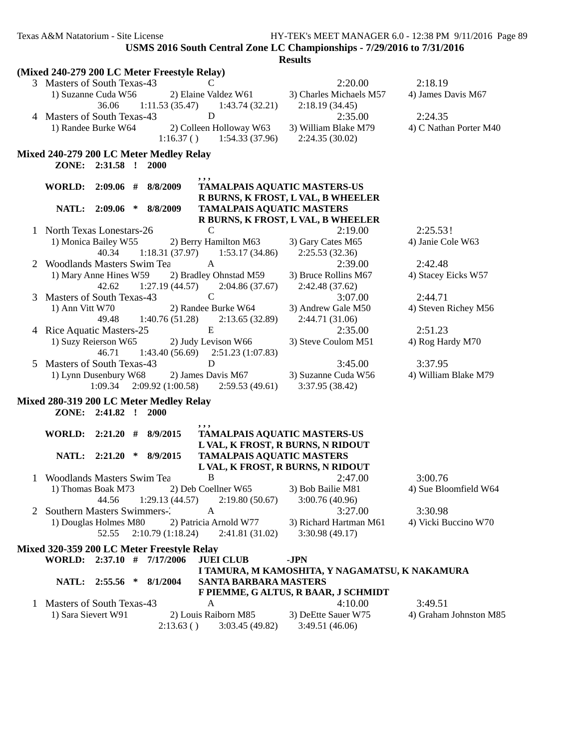|   | (Mixed 240-279 200 LC Meter Freestyle Relay)                              |                                                |                        |
|---|---------------------------------------------------------------------------|------------------------------------------------|------------------------|
|   | 3 Masters of South Texas-43<br>C                                          | 2:20.00                                        | 2:18.19                |
|   | 1) Suzanne Cuda W56<br>2) Elaine Valdez W61                               | 3) Charles Michaels M57                        | 4) James Davis M67     |
|   | 1:11.53(35.47)<br>36.06<br>1:43.74(32.21)                                 | 2:18.19(34.45)                                 |                        |
|   | $\mathbf D$<br>4 Masters of South Texas-43                                | 2:35.00                                        | 2:24.35                |
|   | 2) Colleen Holloway W63<br>1) Randee Burke W64                            | 3) William Blake M79                           | 4) C Nathan Porter M40 |
|   | $1:16.37()$ $1:54.33(37.96)$                                              | 2:24.35(30.02)                                 |                        |
|   |                                                                           |                                                |                        |
|   | Mixed 240-279 200 LC Meter Medley Relay                                   |                                                |                        |
|   | ZONE: 2:31.58 !<br>2000                                                   |                                                |                        |
|   | 8/8/2009<br>WORLD:<br>$2:09.06$ #                                         | <b>TAMALPAIS AQUATIC MASTERS-US</b>            |                        |
|   |                                                                           | R BURNS, K FROST, L VAL, B WHEELER             |                        |
|   | 8/8/2009<br>NATL:<br>$2:09.06$ *                                          | <b>TAMALPAIS AQUATIC MASTERS</b>               |                        |
|   |                                                                           | R BURNS, K FROST, L VAL, B WHEELER             |                        |
| 1 | North Texas Lonestars-26<br>$\mathcal{C}$                                 | 2:19.00                                        | 2:25.53!               |
|   | 1) Monica Bailey W55<br>2) Berry Hamilton M63                             | 3) Gary Cates M65                              | 4) Janie Cole W63      |
|   | $1:18.31(37.97)$ $1:53.17(34.86)$<br>40.34                                | 2:25.53 (32.36)                                |                        |
| 2 | <b>Woodlands Masters Swim Tea</b><br>A                                    | 2:39.00                                        | 2:42.48                |
|   | 1) Mary Anne Hines W59<br>2) Bradley Ohnstad M59                          | 3) Bruce Rollins M67                           | 4) Stacey Eicks W57    |
|   | 1:27.19(44.57)<br>2:04.86(37.67)<br>42.62                                 | 2:42.48 (37.62)                                |                        |
| 3 | $\mathsf{C}$<br>Masters of South Texas-43                                 | 3:07.00                                        | 2:44.71                |
|   | 1) Ann Vitt W70<br>2) Randee Burke W64                                    | 3) Andrew Gale M50                             | 4) Steven Richey M56   |
|   | 1:40.76(51.28)<br>2:13.65(32.89)<br>49.48                                 | 2:44.71 (31.06)                                |                        |
|   | ${\bf E}$<br>4 Rice Aquatic Masters-25                                    | 2:35.00                                        | 2:51.23                |
|   | 1) Suzy Reierson W65<br>2) Judy Levison W66                               | 3) Steve Coulom M51                            | 4) Rog Hardy M70       |
|   | $1:43.40(56.69)$ $2:51.23(1:07.83)$<br>46.71                              |                                                |                        |
| 5 | D<br>Masters of South Texas-43                                            | 3:45.00                                        | 3:37.95                |
|   | 1) Lynn Dusenbury W68<br>2) James Davis M67                               | 3) Suzanne Cuda W56                            | 4) William Blake M79   |
|   | 2:09.92 (1:00.58)<br>2:59.53(49.61)<br>1:09.34                            | 3:37.95 (38.42)                                |                        |
|   |                                                                           |                                                |                        |
|   | Mixed 280-319 200 LC Meter Medley Relay<br>ZONE: 2:41.82 !<br><b>2000</b> |                                                |                        |
|   |                                                                           |                                                |                        |
|   | ,,,<br>WORLD: 2:21.20 #<br>8/9/2015                                       | TAMALPAIS AQUATIC MASTERS-US                   |                        |
|   |                                                                           | L VAL, K FROST, R BURNS, N RIDOUT              |                        |
|   | NATL: 2:21.20<br>8/9/2015<br>∗                                            | <b>TAMALPAIS AQUATIC MASTERS</b>               |                        |
|   |                                                                           | L VAL, K FROST, R BURNS, N RIDOUT              |                        |
| 1 | B<br>Woodlands Masters Swim Tea                                           | 2:47.00                                        | 3:00.76                |
|   | 2) Deb Coellner W65<br>1) Thomas Boak M73                                 | 3) Bob Bailie M81                              | 4) Sue Bloomfield W64  |
|   | $1:29.13(44.57)$ $2:19.80(50.67)$<br>44.56                                | 3:00.76(40.96)                                 |                        |
|   | Southern Masters Swimmers-2<br>A                                          | 3:27.00                                        | 3:30.98                |
|   | 1) Douglas Holmes M80<br>2) Patricia Arnold W77                           | 3) Richard Hartman M61                         | 4) Vicki Buccino W70   |
|   | 2:10.79(1:18.24)<br>2:41.81(31.02)<br>52.55                               | 3:30.98(49.17)                                 |                        |
|   |                                                                           |                                                |                        |
|   | Mixed 320-359 200 LC Meter Freestyle Relay                                |                                                |                        |
|   | WORLD: 2:37.10 # 7/17/2006<br><b>JUEI CLUB</b>                            | -JPN                                           |                        |
|   | NATL: 2:55.56 *<br>SANTA BARBARA MASTERS<br>8/1/2004                      | I TAMURA, M KAMOSHITA, Y NAGAMATSU, K NAKAMURA |                        |
|   |                                                                           | F PIEMME, G ALTUS, R BAAR, J SCHMIDT           |                        |
| 1 | Masters of South Texas-43<br>A                                            | 4:10.00                                        | 3:49.51                |
|   | 1) Sara Sievert W91<br>2) Louis Raiborn M85                               | 3) DeEtte Sauer W75                            | 4) Graham Johnston M85 |
|   | 2:13.63()<br>3:03.45(49.82)                                               | 3:49.51(46.06)                                 |                        |
|   |                                                                           |                                                |                        |